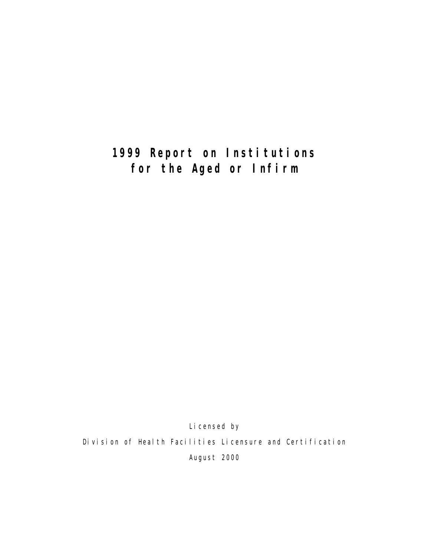# **1999 Report on Institutions for the Aged or Infirm**

Li censed by Division of Health Facilities Licensure and Certification August 2000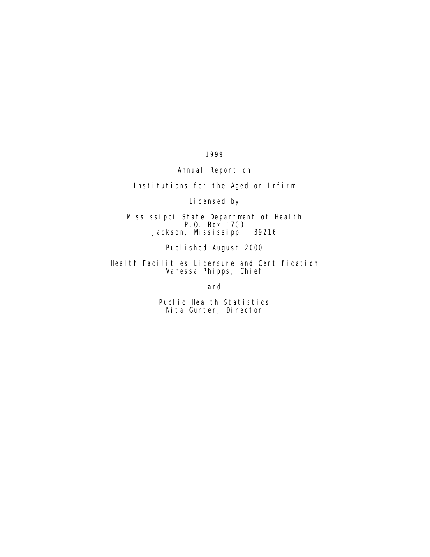1999

Annual Report on

Institutions for the Aged or Infirm

Licensed by

Mississippi State Department of Health P.O. Box 1700 Jackson, Mississippi 39216

Published August 2000

Health Facilities Licensure and Certification Vanessa Phipps, Chief

and

Public Health Statistics Nita Gunter, Director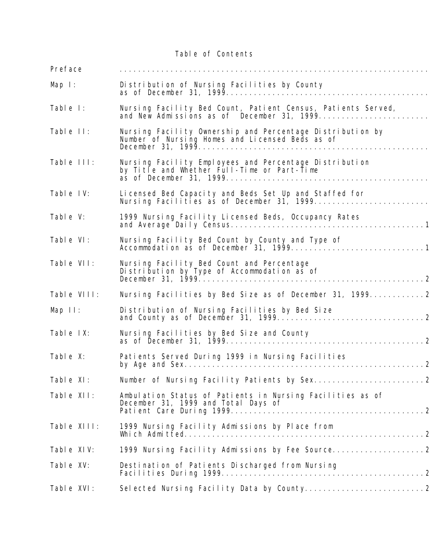Table of Contents

| Preface     |                                                                                                              |
|-------------|--------------------------------------------------------------------------------------------------------------|
| Map $l$ :   | Distribution of Nursing Facilities by County<br>as of December 31, 1999                                      |
| Table I:    | Nursing Facility Bed Count, Patient Census, Patients Served,<br>and New Admissions as of December 31, 1999   |
| Table II:   | Nursing Facility Ownership and Percentage Distribution by<br>Number of Nursing Homes and Licensed Beds as of |
| Table III:  | Nursing Facility Employees and Percentage Distribution<br>by Title and Whether Full-Time or Part-Time        |
| Table IV:   | Licensed Bed Capacity and Beds Set Up and Staffed for<br>Nursing Facilities as of December 31, 1999          |
| Table V:    | 1999 Nursing Facility Licensed Beds, Occupancy Rates                                                         |
| Table VI:   | Nursing Facility Bed Count by County and Type of<br>Accommodation as of December 31, 19991                   |
| Table VII:  | Nursing Facility Bed Count and Percentage<br>Distribution by Type of Accommodation as of                     |
| Table VIII: |                                                                                                              |
| Map II:     | Distribution of Nursing Facilities by Bed Size                                                               |
| Table IX:   | Nursing Facilities by Bed Size and County                                                                    |
| Table X:    | Patients Served During 1999 in Nursing Facilities                                                            |
| Table XI:   |                                                                                                              |
| Table XII:  | Ambulation Status of Patients in Nursing Facilities as of<br>December 31, 1999 and Total Days of             |
| Table XIII: | 1999 Nursing Facility Admissions by Place from                                                               |
| Table XIV:  | 1999 Nursing Facility Admissions by Fee Source                                                               |
| Table XV:   | Destination of Patients Discharged from Nursing                                                              |
| Table XVI:  |                                                                                                              |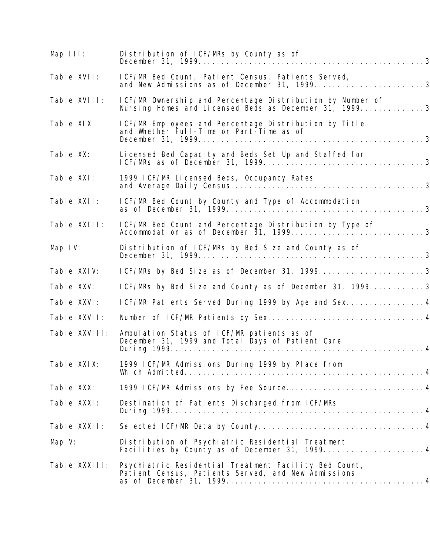| Map III:      | Distribution of ICF/MRs by County as of                                                                      |
|---------------|--------------------------------------------------------------------------------------------------------------|
| Table XVII:   | ICF/MR Bed Count, Patient Census, Patients Served,                                                           |
| Table XVIII:  | ICF/MR Ownership and Percentage Distribution by Number of                                                    |
| Table XIX     | ICF/MR Employees and Percentage Distribution by Title<br>and Whether Full-Time or Part-Time as of            |
| Table XX:     | Licensed Bed Capacity and Beds Set Up and Staffed for                                                        |
| Table XXI:    | 1999 I CF/MR Li censed Beds, Occupancy Rates                                                                 |
| Table XXII:   | ICF/MR Bed Count by County and Type of Accommodation                                                         |
| Table XXIII:  | ICF/MR Bed Count and Percentage Distribution by Type of                                                      |
| Map $IV:$     | Distribution of ICF/MRs by Bed Size and County as of                                                         |
| Table XXIV:   | ICF/MRs by Bed Size as of December 31, 19993                                                                 |
| Table XXV:    | ICF/MRs by Bed Size and County as of December 31, 19993                                                      |
| Table XXVI:   | ICF/MR Patients Served During 1999 by Age and Sex 4                                                          |
| Table XXVII:  |                                                                                                              |
| Table XXVIII: | Ambulation Status of ICF/MR patients as of<br>December 31, 1999 and Total Days of Patient Care               |
| Table XXIX:   | 1999 ICF/MR Admissions During 1999 by Place from                                                             |
| Table XXX:    | 1999 ICF/MR Admissions by Fee Source 4                                                                       |
| Table XXXI:   | Destination of Patients Discharged from ICF/MRs                                                              |
| Table XXXII:  |                                                                                                              |
| Map $V:$      | Distribution of Psychiatric Residential Treatment                                                            |
| Table XXXIII: | Psychiatric Residential Treatment Facility Bed Count,<br>Patient Census, Patients Served, and New Admissions |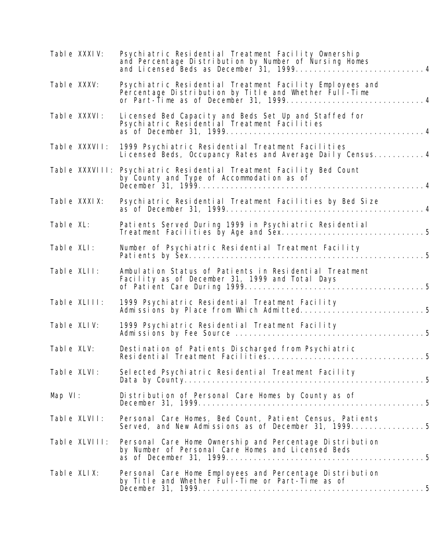| Table XXXIV:   | Psychiatric Residential Treatment Facility Ownership<br>and Percentage Distribution by Number of Nursing Homes<br>and Licensed Beds as December 31, 1999 |
|----------------|----------------------------------------------------------------------------------------------------------------------------------------------------------|
| Table XXXV:    | Psychiatric Residential Treatment Facility Employees and<br>Percentage Distribution by Title and Whether Full-Time                                       |
| Table XXXVI:   | Licensed Bed Capacity and Beds Set Up and Staffed for<br>Psychiatric Residential Treatment Facilities                                                    |
| Table XXXVII:  | 1999 Psychiatric Residential Treatment Facilities<br>Licensed Beds, Occupancy Rates and Average Daily Census 4                                           |
| Table XXXVIII: | Psychiatric Residential Treatment Facility Bed Count<br>by County and Type of Accommodation as of                                                        |
| Table XXXIX:   | Psychiatric Residential Treatment Facilities by Bed Size                                                                                                 |
| Table XL:      | Patients Served During 1999 in Psychiatric Residential                                                                                                   |
| Table XLI:     | Number of Psychiatric Residential Treatment Facility                                                                                                     |
| Table XLII:    | Ambulation Status of Patients in Residential Treatment<br>Facility as of December 31, 1999 and Total Days                                                |
| Table XLIII:   | 1999 Psychiatric Residential Treatment Facility                                                                                                          |
| Table XLIV:    | 1999 Psychiatric Residential Treatment Facility                                                                                                          |
| Table XLV:     | Destination of Patients Discharged from Psychiatric                                                                                                      |
| Table XLVI:    | Selected Psychiatric Residential Treatment Facility                                                                                                      |
| Map $VI$ :     | Distribution of Personal Care Homes by County as of                                                                                                      |
| Table XLVII:   | Personal Care Homes, Bed Count, Patient Census, Patients<br>Served, and New Admissions as of December 31, 19995                                          |
| Table XLVIII:  | Personal Care Home Ownership and Percentage Distribution<br>by Number of Personal Care Homes and Licensed Beds                                           |
| Table XLIX:    | Personal Care Home Employees and Percentage Distribution<br>by Title and Whether Full-Time or Part-Time as of                                            |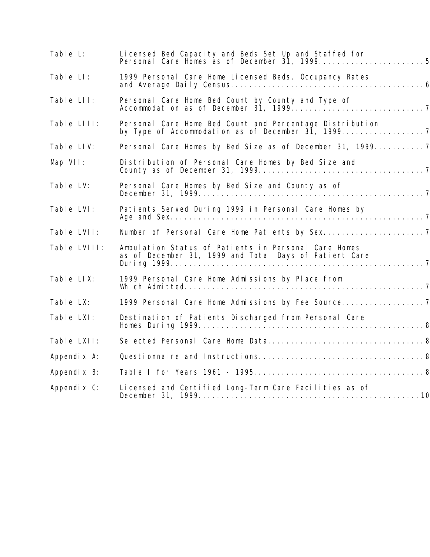| Table L:     | Licensed Bed Capacity and Beds Set Up and Staffed for                                                          |
|--------------|----------------------------------------------------------------------------------------------------------------|
| Table LI:    | 1999 Personal Care Home Licensed Beds, Occupancy Rates                                                         |
| Table LII:   |                                                                                                                |
| Table LIII:  | Personal Care Home Bed Count and Percentage Distribution                                                       |
| Table LIV:   |                                                                                                                |
| Map VII:     | Distribution of Personal Care Homes by Bed Size and                                                            |
| Table LV:    | Personal Care Homes by Bed Size and County as of                                                               |
| Table LVI:   | Patients Served During 1999 in Personal Care Homes by                                                          |
| Table LVII:  |                                                                                                                |
| Table LVIII: | Ambulation Status of Patients in Personal Care Homes<br>as of December 31, 1999 and Total Days of Patient Care |
| Table LIX:   | 1999 Personal Care Home Admissions by Place from                                                               |
| Table LX:    | 1999 Personal Care Home Admissions by Fee Source                                                               |
| Table LXI:   | Destination of Patients Discharged from Personal Care                                                          |
| Table LXII:  |                                                                                                                |
| Appendi x A: |                                                                                                                |
| Appendi x B: |                                                                                                                |
| Appendix C:  | Licensed and Certified Long-Term Care Facilities as of                                                         |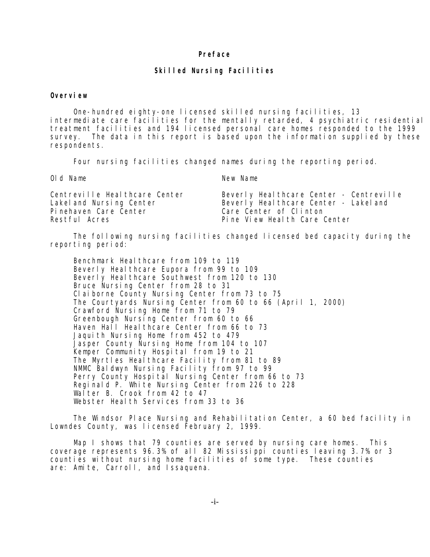### **Preface**

### **Skilled Nursing Facilities**

#### **Overview**

 One-hundred eighty-one licensed skilled nursing facilities, 13 intermediate care facilities for the mentally retarded, 4 psychiatric residential treatment facilities and 194 licensed personal care homes responded to the 1999 survey. The data in this report is based upon the information supplied by these respondents.

Four nursing facilities changed names during the reporting period.

Old Name New Name

| Centreville Heal thcare Center | Beverly Healthcare Center - Centreville |
|--------------------------------|-----------------------------------------|
| Lakel and Nursing Center       | Beverly Heal thcare Center - Lakel and  |
| Pinehaven Care Center          | Care Center of Clinton                  |
| Restful Acres                  | Pine View Health Care Center            |

 The following nursing facilities changed licensed bed capacity during the reporting period:

Benchmark Heal thcare from 109 to 119 Beverly Heal thcare Eupora from 99 to 109 Beverly Healthcare Southwest from 120 to 130 Bruce Nursing Center from 28 to 31 Claiborne County Nursing Center from 73 to 75 The Courtyards Nursing Center from 60 to 66 (April 1, 2000) Crawford Nursing Home from 71 to 79 Greenbough Nursing Center from 60 to 66 Haven Hall Healthcare Center from 66 to 73 Jaquith Nursing Home from 452 to 479 Jasper County Nursing Home from 104 to 107 Kemper Community Hospital from 19 to 21 The Myrtles Heal thcare Facility from 81 to 89 NMMC Baldwyn Nursing Facility from 97 to 99 Perry County Hospital Nursing Center from 66 to 73 Reginald P. White Nursing Center from 226 to 228 Walter B. Crook from 42 to 47 Webster Health Services from 33 to 36

 The Windsor Place Nursing and Rehabilitation Center, a 60 bed facility in Lowndes County, was licensed February 2, 1999.

 Map I shows that 79 counties are served by nursing care homes. This coverage represents 96.3% of all 82 Mississippi counties leaving 3.7% or 3 counties without nursing home facilities of some type. These counties are: Amite, Carroll, and Issaquena.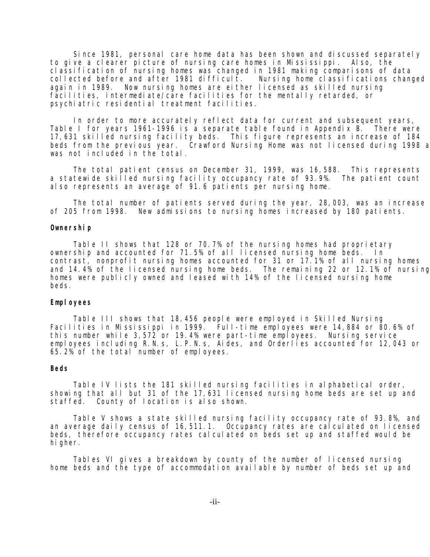Since 1981, personal care home data has been shown and discussed separately to give a clearer picture of nursing care homes in Mississippi. Also, the classification of nursing homes was changed in 1981 making comparisons of data collected before and after 1981 difficult. Nursing home classifications changed again in 1989. Now nursing homes are either licensed as skilled nursing facilities, intermediate/care facilities for the mentally retarded, or psychiatric residential treatment facilities.

 In order to more accurately reflect data for current and subsequent years, Table I for years 1961-1996 is a separate table found in Appendix B. There were 17,631 skilled nursing facility beds. This figure represents an increase of 184 beds from the previous year. Crawford Nursing Home was not licensed during 1998 a was not included in the total.

The total patient census on December 31, 1999, was 16,588. This represents a statewide skilled nursing facility occupancy rate of 93.9%. The patient count also represents an average of 91.6 patients per nursing home.

 The total number of patients served during the year, 28,003, was an increase of 205 from 1998. New admissions to nursing homes increased by 180 patients.

### **Ownership**

 Table II shows that 128 or 70.7% of the nursing homes had proprietary ownership and accounted for 71.5% of all licensed nursing home beds. In contrast, nonprofit nursing homes accounted for 31 or 17.1% of all nursing homes and 14.4% of the licensed nursing home beds. The remaining 22 or 12.1% of nursing homes were publicly owned and leased with 14% of the licensed nursing home beds.

### Employees

 Table III shows that 18,456 people were employed in Skilled Nursing Facilities in Mississippi in 1999. Full-time employees were 14,884 or 80.6% of this number while 3,572 or 19.4% were part-time employees. Nursing service employees including R.N.s, L.P.N.s, Aides, and Orderlies accounted for 12,043 or 65.2% of the total number of employees.

### **Beds**

 Table IV lists the 181 skilled nursing facilities in alphabetical order, showing that all but 31 of the 17,631 licensed nursing home beds are set up and staffed. County of location is also shown.

 Table V shows a state skilled nursing facility occupancy rate of 93.8%, and an average daily census of 16,511.1. Occupancy rates are calculated on licensed beds, therefore occupancy rates calculated on beds set up and staffed would be hi gher.

 Tables VI gives a breakdown by county of the number of licensed nursing home beds and the type of accommodation available by number of beds set up and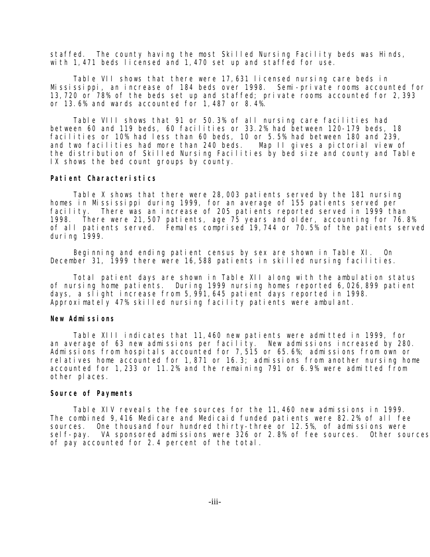staffed. The county having the most Skilled Nursing Facility beds was Hinds, with 1,471 beds licensed and 1,470 set up and staffed for use.

 Table VII shows that there were 17,631 licensed nursing care beds in Mississippi, an increase of 184 beds over 1998. Semi-private rooms accounted for 13,720 or 78% of the beds set up and staffed; private rooms accounted for 2,393 or 13.6% and wards accounted for 1,487 or 8.4%.

 Table VIII shows that 91 or 50.3% of all nursing care facilities had between 60 and 119 beds, 60 facilities or 33.2% had between 120-179 beds, 18 facilities or 10% had less than 60 beds, 10 or 5.5% had between 180 and 239, and two facilities had more than 240 beds. Map II gives a pictorial view of the distribution of Skilled Nursing Facilities by bed size and county and Table IX shows the bed count groups by county.

### **Patient Characteristics**

 Table X shows that there were 28,003 patients served by the 181 nursing homes in Mississippi during 1999, for an average of 155 patients served per facility. There was an increase of 205 patients reported served in 1999 than 1998. There were 21,507 patients, age 75 years and older, accounting for 76.8% of all patients served. Females comprised 19,744 or 70.5% of the patients served during 1999.

 Beginning and ending patient census by sex are shown in Table XI. On December 31, 1999 there were 16,588 patients in skilled nursing facilities.

 Total patient days are shown in Table XII along with the ambulation status of nursing home patients. During 1999 nursing homes reported 6,026,899 patient days, a slight increase from 5,991,645 patient days reported in 1998. Approximately 47% skilled nursing facility patients were ambulant.

#### **New Admissions**

 Table XIII indicates that 11,460 new patients were admitted in 1999, for an average of 63 new admissions per facility. New admissions increased by 280. Admissions from hospitals accounted for 7,515 or 65.6%; admissions from own or relatives home accounted for 1,871 or 16.3; admissions from another nursing home accounted for 1,233 or 11.2% and the remaining 791 or 6.9% were admitted from other places.

#### **Source of Payments**

 Table XIV reveals the fee sources for the 11,460 new admissions in 1999. The combined 9,416 Medicare and Medicaid funded patients were 82.2% of all fee sources. One thousand four hundred thirty-three or 12.5%, of admissions were sel f-pay. VA sponsored admissions were 326 or 2.8% of fee sources. Other sources of pay accounted for 2.4 percent of the total.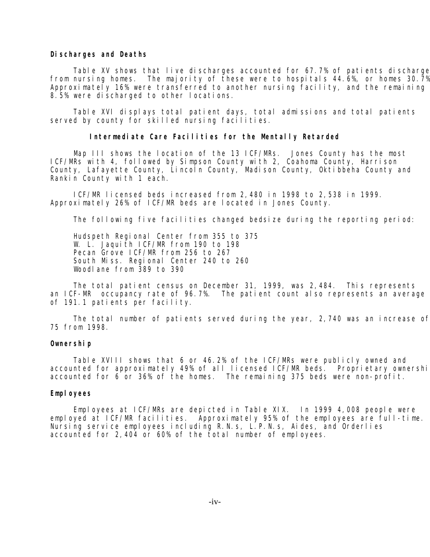#### **Discharges and Deaths**

Table XV shows that live discharges accounted for 67.7% of patients discharge from nursing homes. The majority of these were to hospitals 44.6%, or homes 30.7% Approximately 16% were transferred to another nursing facility, and the remaining 8.5% were discharged to other locations.

 Table XVI displays total patient days, total admissions and total patients served by county for skilled nursing facilities.

#### **Intermediate Care Facilities for the Mentally Retarded**

 Map III shows the location of the 13 ICF/MRs. Jones County has the most ICF/MRs with 4, followed by Simpson County with 2, Coahoma County, Harrison County, Lafayette County, Lincoln County, Madison County, Oktibbeha County and Rankin County with 1 each.

 ICF/MR licensed beds increased from 2,480 in 1998 to 2,538 in 1999. Approximately 26% of ICF/MR beds are located in Jones County.

The following five facilities changed bedsize during the reporting period:

 Hudspeth Regional Center from 355 to 375 W. L. Jaquith ICF/MR from 190 to 198 Pecan Grove ICF/MR from 256 to 267 South Miss. Regional Center 240 to 260 Woodlane from 389 to 390

The total patient census on December 31, 1999, was 2,484. This represents an ICF-MR occupancy rate of 96.7%. The patient count also represents an average of 191.1 patients per facility.

 The total number of patients served during the year, 2,740 was an increase of 75 from 1998.

### **Ownership**

 Table XVIII shows that 6 or 46.2% of the ICF/MRs were publicly owned and accounted for approximately 49% of all licensed ICF/MR beds. Proprietary ownershi accounted for 6 or 36% of the homes. The remaining 375 beds were non-profit.

#### **Employees**

Employees at ICF/MRs are depicted in Table XIX. In 1999 4,008 people were employed at ICF/MR facilities. Approximately 95% of the employees are full-time. Nursing service employees including R.N.s, L.P.N.s, Aides, and Orderlies accounted for 2,404 or 60% of the total number of employees.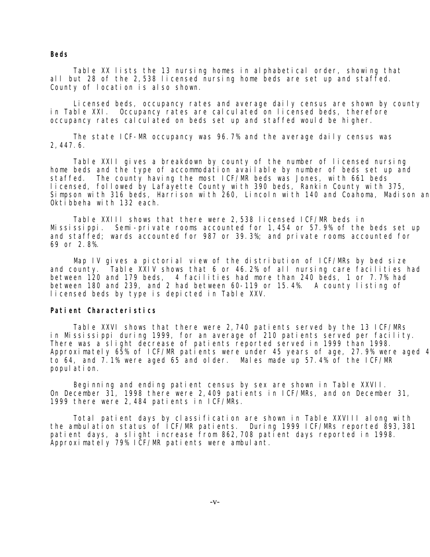### **Beds**

 Table XX lists the 13 nursing homes in alphabetical order, showing that all but 28 of the 2,538 licensed nursing home beds are set up and staffed. County of location is also shown.

 Licensed beds, occupancy rates and average daily census are shown by county in Table XXI. Occupancy rates are calculated on licensed beds, therefore occupancy rates calculated on beds set up and staffed would be higher.

 The state ICF-MR occupancy was 96.7% and the average daily census was 2,447.6.

 Table XXII gives a breakdown by county of the number of licensed nursing home beds and the type of accommodation available by number of beds set up and staffed. The county having the most ICF/MR beds was Jones, with 661 beds licensed, followed by Lafayette County with 390 beds, Rankin County with 375, Simpson with 316 beds, Harrison with 260, Lincoln with 140 and Coahoma, Madison an Oktibbeha with 132 each.

 Table XXIII shows that there were 2,538 licensed ICF/MR beds in Mississippi. Semi-private rooms accounted for 1,454 or 57.9% of the beds set up and staffed; wards accounted for 987 or 39.3%; and private rooms accounted for 69 or 2.8%.

 Map IV gives a pictorial view of the distribution of ICF/MRs by bed size and county. Table XXIV shows that 6 or 46.2% of all nursing care facilities had between 120 and 179 beds, 4 facilities had more than 240 beds, 1 or 7.7% had between 180 and 239, and 2 had between 60-119 or 15.4%. A county listing of licensed beds by type is depicted in Table XXV.

### **Patient Characteristics**

 Table XXVI shows that there were 2,740 patients served by the 13 ICF/MRs in Mississippi during 1999, for an average of 210 patients served per facility. There was a slight decrease of patients reported served in 1999 than 1998. Approximately 65% of ICF/MR patients were under 45 years of age, 27.9% were aged 4 to 64, and 7.1% were aged 65 and older. Males made up 57.4% of the ICF/MR population.

 Beginning and ending patient census by sex are shown in Table XXVII. On December 31, 1998 there were 2,409 patients in ICF/MRs, and on December 31, 1999 there were 2,484 patients in ICF/MRs.

 Total patient days by classification are shown in Table XXVIII along with the ambulation status of ICF/MR patients. During 1999 ICF/MRs reported 893,381 patient days, a slight increase from 862,708 patient days reported in 1998. Approximately 79% ICF/MR patients were ambulant.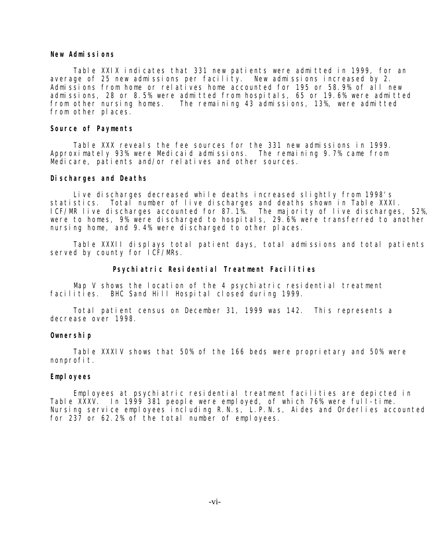### **New Admissions**

 Table XXIX indicates that 331 new patients were admitted in 1999, for an average of 25 new admissions per facility. New admissions increased by 2. Admissions from home or relatives home accounted for 195 or 58.9% of all new admissions, 28 or 8.5% were admitted from hospitals, 65 or 19.6% were admitted from other nursing homes. The remaining 43 admissions, 13%, were admitted from other places.

### **Source of Payments**

 Table XXX reveals the fee sources for the 331 new admissions in 1999. Approximately 93% were Medicaid admissions. The remaining 9.7% came from Medicare, patients and/or relatives and other sources.

#### **Discharges and Deaths**

 Live discharges decreased while deaths increased slightly from 1998's statistics. Total number of live discharges and deaths shown in Table XXXI. ICF/MR live discharges accounted for 87.1%. The majority of live discharges, 52%, were to homes, 9% were discharged to hospitals, 29.6% were transferred to another nursing home, and 9.4% were discharged to other places.

 Table XXXII displays total patient days, total admissions and total patients served by county for ICF/MRs.

#### **Psychiatric Residential Treatment Facilities**

Map V shows the location of the 4 psychiatric residential treatment facilities. BHC Sand Hill Hospital closed during 1999.

 Total patient census on December 31, 1999 was 142. This represents a decrease over 1998.

#### **Ownership**

 Table XXXIV shows that 50% of the 166 beds were proprietary and 50% were nonprofit.

### Employees

 Employees at psychiatric residential treatment facilities are depicted in Table XXXV. In 1999 381 people were employed, of which 76% were full-time. Nursing service employees including R.N.s, L.P.N.s, Aides and Orderlies accounted for 237 or 62.2% of the total number of employees.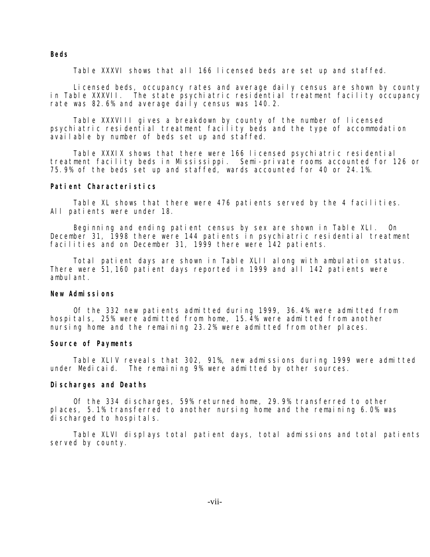### **Beds**

Table XXXVI shows that all 166 licensed beds are set up and staffed.

 Licensed beds, occupancy rates and average daily census are shown by county in Table XXXVII. The state psychiatric residential treatment facility occupancy rate was 82.6% and average daily census was 140.2.

 Table XXXVIII gives a breakdown by county of the number of licensed psychiatric residential treatment facility beds and the type of accommodation available by number of beds set up and staffed.

 Table XXXIX shows that there were 166 licensed psychiatric residential treatment facility beds in Mississippi. Semi-private rooms accounted for 126 or 75.9% of the beds set up and staffed, wards accounted for 40 or 24.1%.

### **Patient Characteristics**

 Table XL shows that there were 476 patients served by the 4 facilities. All patients were under 18.

 Beginning and ending patient census by sex are shown in Table XLI. On December 31, 1998 there were 144 patients in psychiatric residential treatment facilities and on December 31, 1999 there were 142 patients.

 Total patient days are shown in Table XLII along with ambulation status. There were 51,160 patient days reported in 1999 and all 142 patients were ambul ant.

### **New Admissions**

 Of the 332 new patients admitted during 1999, 36.4% were admitted from hospitals, 25% were admitted from home, 15.4% were admitted from another nursing home and the remaining 23.2% were admitted from other places.

### **Source of Payments**

 Table XLIV reveals that 302, 91%, new admissions during 1999 were admitted under Medicaid. The remaining 9% were admitted by other sources.

### **Discharges and Deaths**

 Of the 334 discharges, 59% returned home, 29.9% transferred to other places, 5.1% transferred to another nursing home and the remaining 6.0% was discharged to hospitals.

 Table XLVI displays total patient days, total admissions and total patients served by county.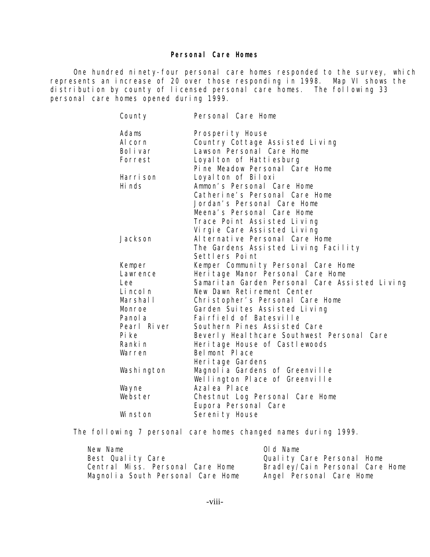### **Personal Care Homes**

One hundred ninety-four personal care homes responded to the survey, which represents an increase of 20 over those responding in 1998. Map VI shows the distribution by county of licensed personal care homes. The following 33 personal care homes opened during 1999.

| County                                                                                                              | Personal Care Home                                                                                                                                                                                                                                                                                                                                                                                               |
|---------------------------------------------------------------------------------------------------------------------|------------------------------------------------------------------------------------------------------------------------------------------------------------------------------------------------------------------------------------------------------------------------------------------------------------------------------------------------------------------------------------------------------------------|
| Adams<br>Al corn<br>Bol i var<br>Forrest                                                                            | Prosperity House<br>Country Cottage Assisted Living<br>Lawson Personal Care Home<br>Loyal ton of Hattiesburg<br>Pine Meadow Personal Care Home                                                                                                                                                                                                                                                                   |
| Harri son<br>Hi nds                                                                                                 | Loyal ton of Biloxi<br>Ammon's Personal Care Home<br>Catherine's Personal Care Home<br>Jordan's Personal Care Home<br>Meena's Personal Care Home<br>Trace Point Assisted Living<br>Vi rgi e Care Assisted Living                                                                                                                                                                                                 |
| Jackson                                                                                                             | Al ternative Personal Care Home<br>The Gardens Assisted Living Facility<br>Settlers Point                                                                                                                                                                                                                                                                                                                        |
| Kemper<br>Lawrence<br>Lee<br>Li ncol n<br>Marshall<br>Monroe<br>Panol a<br>Pearl River<br>Pi ke<br>Rankin<br>Warren | Kemper Community Personal Care Home<br>Heri tage Manor Personal Care Home<br>Samaritan Garden Personal Care Assisted Living<br>New Dawn Retirement Center<br>Christopher's Personal Care Home<br>Garden Suites Assisted Living<br>Fairfield of Batesville<br>Southern Pines Assisted Care<br>Beverly Heal thcare Southwest Personal Care<br>Heri tage House of Castlewoods<br>Belmont Place<br>Heri tage Gardens |
| Washi ngton                                                                                                         | Magnolia Gardens of Greenville<br>Wellington Place of Greenville                                                                                                                                                                                                                                                                                                                                                 |
| Wayne                                                                                                               | Azal ea Pl ace                                                                                                                                                                                                                                                                                                                                                                                                   |
| Webster                                                                                                             | Chestnut Log Personal Care Home<br>Eupora Personal Care                                                                                                                                                                                                                                                                                                                                                          |
| Wi nston                                                                                                            | Sereni ty House                                                                                                                                                                                                                                                                                                                                                                                                  |

The following 7 personal care homes changed names during 1999.

| New Name                          | Old Name                        |
|-----------------------------------|---------------------------------|
| Best Quality Care                 | Quality Care Personal Home      |
| Central Miss. Personal Care Home  | Bradley/Cain Personal Care Home |
| Magnolia South Personal Care Home | Angel Personal Care Home        |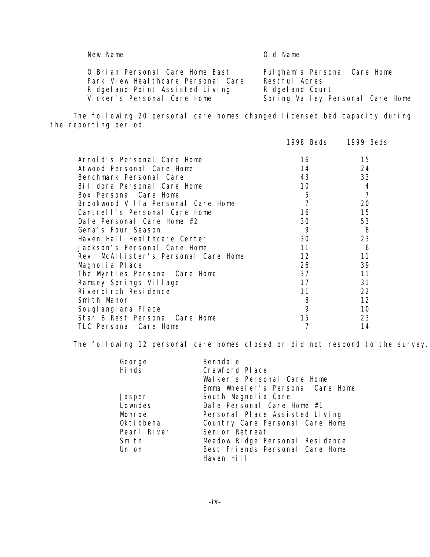| New Name                                                                                                  | Old Name                                                         |
|-----------------------------------------------------------------------------------------------------------|------------------------------------------------------------------|
| O'Brian Personal Care Home East<br>Park View Heal thcare Personal Care<br>Ridgeland Point Assisted Living | Fulgham's Personal Care Home<br>Restful Acres<br>Ridgeland Court |

Vicker's Personal Care Home Spring Valley Personal Care Home

 The following 20 personal care homes changed licensed bed capacity during the reporting period.

|                                      | 1998 Beds | 1999 Beds |
|--------------------------------------|-----------|-----------|
| Arnold's Personal Care Home          | 16        | 15        |
| Atwood Personal Care Home            | 14        | 24        |
| Benchmark Personal Care              | 43        | 33        |
| Billdora Personal Care Home          | 10        | 4         |
| Box Personal Care Home               | 5         |           |
| Brookwood Villa Personal Care Home   |           | 20        |
| Cantrell's Personal Care Home        | 16        | 15        |
| Dale Personal Care Home #2           | 30        | 53        |
| Gena's Four Season                   | 9         | 8         |
| Haven Hall Heal thcare Center        | 30        | 23        |
| Jackson's Personal Care Home         | 11        | 6         |
| Rev. McAllister's Personal Care Home | 12        | 11        |
| Magnolia Place                       | 26        | 39        |
| The Myrtles Personal Care Home       | 37        | 11        |
| Ramsey Springs Village               | 17        | 31        |
| Riverbirch Residence                 |           | 22        |
| Smith Manor                          | 8         | 12        |
| Sougl angi ana Pl ace                | 9         | 10        |
| Star B Rest Personal Care Home       | 15        | 23        |
| TLC Personal Care Home               |           | 14        |

The following 12 personal care homes closed or did not respond to the survey.

| George<br>Hi nds | Benndal e<br>Crawford Place       |
|------------------|-----------------------------------|
|                  | Walker's Personal Care Home       |
|                  | Emma Wheeler's Personal Care Home |
| Jasper           | South Magnolia Care               |
| Lowndes          | Dale Personal Care Home #1        |
| Monroe           | Personal Place Assisted Living    |
| Okti bbeha       | Country Care Personal Care Home   |
| Pearl River      | Seni or Retreat                   |
| Smi th           | Meadow Ridge Personal Residence   |
| Uni on           | Best Friends Personal Care Home   |
|                  | Haven Hill                        |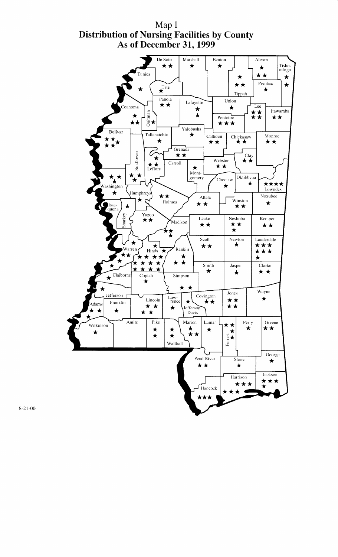

Map I Distribution of Nursing Facilities by County As of December 31, 1999

 $8 - 21 - 00$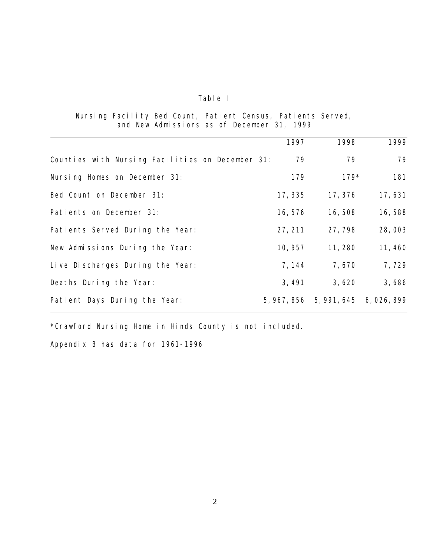### Table I

### Nursing Facility Bed Count, Patient Census, Patients Served, and New Admissions as of December 31, 1999

|                                                  | 1997    | 1998                                | 1999    |
|--------------------------------------------------|---------|-------------------------------------|---------|
| Counties with Nursing Facilities on December 31: | 79      | 79                                  | 79      |
| Nursing Homes on December 31:                    | 179     | $179*$                              | 181     |
| Bed Count on December 31:                        | 17, 335 | 17, 376                             | 17,631  |
| Patients on December 31:                         | 16, 576 | 16,508                              | 16,588  |
| Patients Served During the Year:                 | 27, 211 | 27,798                              | 28,003  |
| New Admissions During the Year:                  | 10, 957 | 11, 280                             | 11, 460 |
| Live Discharges During the Year:                 | 7, 144  | 7,670                               | 7,729   |
| Deaths During the Year:                          | 3, 491  | 3,620                               | 3,686   |
| Patient Days During the Year:                    |         | 5, 967, 856 5, 991, 645 6, 026, 899 |         |

\*Crawford Nursing Home in Hinds County is not included.

Appendix B has data for 1961-1996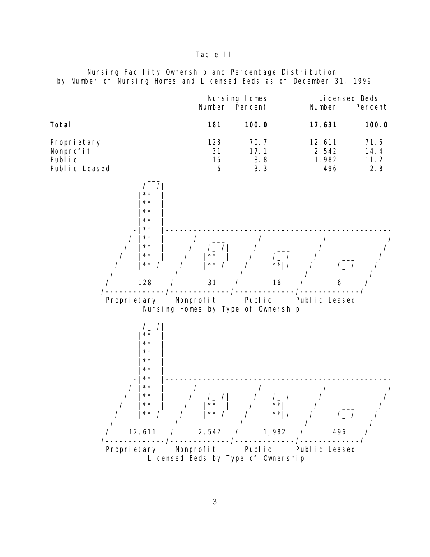### Table II

|                                                                                                                | Number                                           | Nursing Homes<br>Percent         | Li censed Beds<br>Number        | Percent                     |
|----------------------------------------------------------------------------------------------------------------|--------------------------------------------------|----------------------------------|---------------------------------|-----------------------------|
| Total                                                                                                          | 181                                              | 100.0                            | 17,631                          | 100.0                       |
| Propri etary<br>Nonprofit<br>Public<br>Public Leased                                                           | 128<br>31<br>16<br>6                             | 70.7<br>17.1<br>8.8<br>3.3       | 12,611<br>2,542<br>1,982<br>496 | 71.5<br>14.4<br>11.2<br>2.8 |
| $\star$ $\star$<br>$\star$ $\star$<br>$\star$ $\star$<br>$\star$ $\star$<br>$\star\,\star$                     |                                                  |                                  |                                 |                             |
| $\star\,\star$<br>$\star$ $\star$<br>$\star\star$<br>$\star\star$                                              | $\sqrt{ }$<br>$\star$ $\star$<br>$\star$ $\star$ | $\sqrt{2}$<br>$\vert ** \vert /$ |                                 |                             |
| 128                                                                                                            | 31                                               | 16                               | 6                               |                             |
| Proprietary                                                                                                    | Nonprofit<br>Nursing Homes by Type of Ownership  | Public                           | Public Leased                   |                             |
| $\star$ $\star$<br>$\star$ $\star$<br>$\star$ $\star$<br>$\star$ $\star$<br>$\star$ $\star$<br>$\star$ $\star$ |                                                  |                                  |                                 |                             |
| $\star\,\star$<br>$\star$ $\star$<br>$\star$ $\star$<br>$\star\star$                                           | $\star\star$                                     | $* *  $                          |                                 |                             |
| 12,611                                                                                                         | 2,542                                            | 1,982                            | 496                             |                             |
| Proprietary                                                                                                    | Nonprofit<br>Li censed Beds by Type of Ownership | Public                           | Public Leased                   |                             |

Nursing Facility Ownership and Percentage Distribution by Number of Nursing Homes and Licensed Beds as of December 31, 1999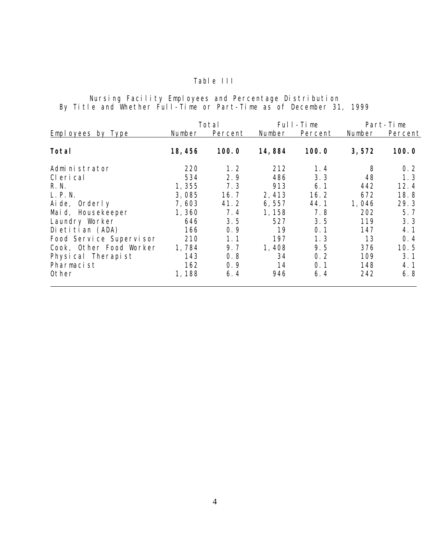### Table III

### Nursing Facility Employees and Percentage Distribution By Title and Whether Full-Time or Part-Time as of December 31, 1999

|                          |         | Total   |        | Full-Time |        | Part-Time |
|--------------------------|---------|---------|--------|-----------|--------|-----------|
| <b>Employees by Type</b> | Number  | Percent | Number | Percent   | Number | Percent   |
| Total                    | 18, 456 | 100.0   | 14,884 | 100.0     | 3,572  | 100.0     |
| Administrator            | 220     | 1.2     | 212    | 1.4       | 8      | 0.2       |
| CI eri cal               | 534     | 2.9     | 486    | 3.3       | 48     | 1.3       |
| R. N.                    | 1,355   | 7.3     | 913    | 6.1       | 442    | 12.4      |
| L. P. N.                 | 3,085   | 16.7    | 2,413  | 16.2      | 672    | 18.8      |
| Aide, Orderly            | 7,603   | 41.2    | 6,557  | 44.1      | 1,046  | 29.3      |
| Maid, Housekeeper        | 1,360   | 7.4     | 1,158  | 7.8       | 202    | 5.7       |
| Laundry Worker           | 646     | 3.5     | 527    | 3.5       | 119    | 3.3       |
| Dietitian (ADA)          | 166     | 0.9     | 19     | 0.1       | 147    | 4.1       |
| Food Service Supervisor  | 210     | 1. 1    | 197    | 1.3       | 13     | 0.4       |
| Cook, Other Food Worker  | 1,784   | 9.7     | 1,408  | 9.5       | 376    | 10.5      |
| Physical Therapist       | 143     | 0.8     | 34     | 0.2       | 109    | 3.1       |
| Pharmacist               | 162     | 0.9     | 14     | 0.1       | 148    | 4.1       |
| Other                    | 1,188   | 6.4     | 946    | 6.4       | 242    | 6.8       |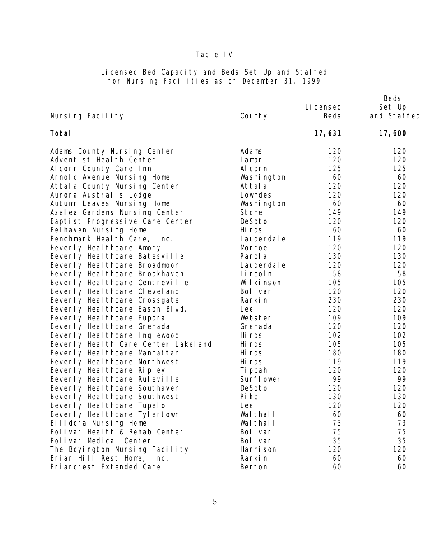### Table IV

| <u>Nursing Facility</u>               | County      | Li censed<br>Beds | Beds<br>Set Up<br>and Staffed |
|---------------------------------------|-------------|-------------------|-------------------------------|
| Total                                 |             | 17,631            | 17,600                        |
| Adams County Nursing Center           | Adams       | 120               | 120                           |
| Adventist Heal th Center              | Lamar       | 120               | 120                           |
| Al corn County Care Inn               | Al corn     | 125               | 125                           |
| Arnold Avenue Nursing Home            | Washi ngton | 60                | 60                            |
| Attal a County Nursing Center         | Attal a     | 120               | 120                           |
| Aurora Australis Lodge                | Lowndes     | 120               | 120                           |
| Autumn Leaves Nursing Home            | Washi ngton | 60                | 60                            |
| Azal ea Gardens Nursing Center        | Stone       | 149               | 149                           |
| Baptist Progressive Care Center       | DeSoto      | 120               | 120                           |
| Bel haven Nursing Home                | Hi nds      | 60                | 60                            |
| Benchmark Heal th Care, Inc.          | Lauderdal e | 119               | 119                           |
| Beverly Heal thcare Amory             | Monroe      | 120               | 120                           |
| Beverly Heal thcare Batesville        | Panol a     | 130               | 130                           |
| Beverly Heal thcare Broadmoor         | Lauderdal e | 120               | 120                           |
| Beverly Heal thcare Brookhaven        | Li ncol n   | 58                | 58                            |
| Beverly Heal thcare Centreville       | Wilkinson   | 105               | 105                           |
| Beverly Heal thcare Clevel and        | Bol i var   | 120               | 120                           |
| Beverly Heal thcare Crossgate         | Ranki n     | 230               | 230                           |
| Beverly Heal thcare Eason Blvd.       | Lee         | 120               | 120                           |
| Beverly Heal thcare Eupora            | Webster     | 109               | 109                           |
| Beverly Heal thcare Grenada           | Grenada     | 120               | 120                           |
| Beverly Heal thcare Inglewood         | Hi nds      | 102               | 102                           |
| Beverly Heal th Care Center Lakel and | Hi nds      | 105               | 105                           |
| Beverly Heal thcare Manhattan         | Hi nds      | 180               | 180                           |
| Beverly Heal thcare Northwest         | Hi nds      | 119               | 119                           |
| Beverly Heal thcare Ripley            | Ti ppah     | 120               | 120                           |
| Beverly Heal thcare Ruleville         | Sunfl ower  | 99                | 99                            |
| Beverly Heal thcare Southaven         | DeSoto      | 120               | 120                           |
| Beverly Heal thcare Southwest         | Pi ke       | 130               | 130                           |
| Beverly Heal thcare Tupelo            | Lee         | 120               | 120                           |
| Beverly Heal thcare Tylertown         | Wal thal I  | 60                | 60                            |
| Billdora Nursing Home                 | Wal thal I  | 73                | 73                            |
| Bolivar Health & Rehab Center         | Bol i var   | 75                | 75                            |
| Bolivar Medical Center                | Bol i var   | 35                | 35                            |
| The Boyington Nursing Facility        | Harri son   | 120               | 120                           |
| Briar Hill Rest Home, Inc.            | Ranki n     | 60                | 60                            |
| Bri arcrest Extended Care             | Benton      | 60                | 60                            |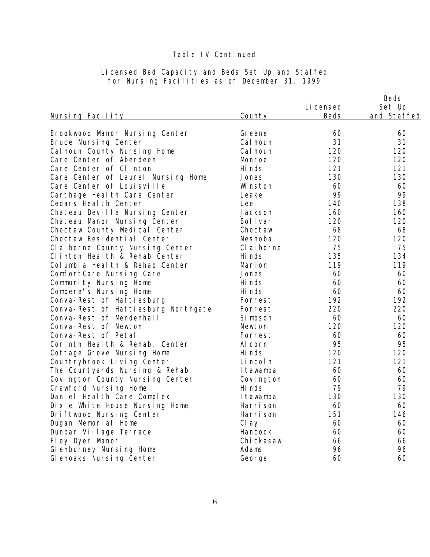|                                                                 |                        |            | Beds        |
|-----------------------------------------------------------------|------------------------|------------|-------------|
|                                                                 |                        | Li censed  | Set Up      |
| <u>Nursing Facility</u>                                         | County                 | Beds       | and Staffed |
|                                                                 | Greene                 | 60         | 60          |
| Brookwood Manor Nursing Center<br>Bruce Nursing Center          | Cal houn               | 31         | 31          |
|                                                                 | Cal houn               | 120        | 120         |
| Cal houn County Nursing Home<br>Care Center of Aberdeen         |                        | 120        | 120         |
|                                                                 | Monroe                 |            |             |
| Care Center of Clinton                                          | Hi nds                 | 121        | 121         |
| Care Center of Laurel Nursing Home<br>Care Center of Louisville | Jones                  | 130<br>60  | 130<br>60   |
|                                                                 | Wi nston               | 99         | 99          |
| Carthage Heal th Care Center                                    | Leake                  |            |             |
| Cedars Heal th Center                                           | Lee<br>Jackson         | 140<br>160 | 138         |
| Chateau Deville Nursing Center                                  |                        | 120        | 160         |
| Chateau Manor Nursing Center                                    | Bol i var              |            | 120         |
| Choctaw County Medical Center<br>Choctaw Residential Center     | Choctaw                | 68         | 68          |
|                                                                 | Neshoba                | 120        | 120         |
| Cl ai borne County Nursing Center                               | CI ai borne<br>Hi nds  | 75         | 75          |
| Clinton Health & Rehab Center                                   |                        | 135        | 134         |
| Col umbi a Heal th & Rehab Center                               | Mari on                | 119        | 119         |
| ComfortCare Nursing Care                                        | Jones                  | 60         | 60          |
| Community Nursing Home                                          | Hi nds                 | 60         | 60          |
| Compere's Nursing Home                                          | Hi nds                 | 60         | 60          |
| Conva-Rest of Hattiesburg                                       | Forrest                | 192        | 192         |
| Conva-Rest of Hattiesburg Northgate<br>Conva-Rest of Mendenhall | Forrest                | 220        | 220         |
|                                                                 | Si mpson               | 60         | 60          |
| Conva-Rest of Newton                                            | Newton                 | 120        | 120         |
| Conva-Rest of Petal                                             | Forrest                | 60<br>95   | 60          |
| Corinth Health & Rehab. Center                                  | Al corn                | 120        | 95<br>120   |
| Cottage Grove Nursing Home                                      | Hi nds                 | 121        |             |
| Countrybrook Living Center                                      | Li ncol n              | 60         | 121<br>60   |
| The Courtyards Nursing & Rehab                                  | I tawamba              |            |             |
| Covington County Nursing Center                                 | Covi ngton<br>Hi nds   | 60         | 60          |
| Crawford Nursing Home                                           |                        | 79         | 79          |
| Daniel Heal th Care Complex                                     | I tawamba<br>Harri son | 130        | 130         |
| Di xi e Whi te House Nursing Home                               |                        | 60<br>151  | 60<br>146   |
| Driftwood Nursing Center                                        | Harri son              |            |             |
| Dugan Memorial Home                                             | Cl ay                  | 60         | 60          |
| Dunbar Village Terrace                                          | Hancock                | 60         | 60          |
| Floy Dyer Manor                                                 | Chi ckasaw             | 66         | 66          |
| GI enburney Nursing Home                                        | Adams                  | 96         | 96          |
| Glenoaks Nursing Center                                         | George                 | 60         | 60          |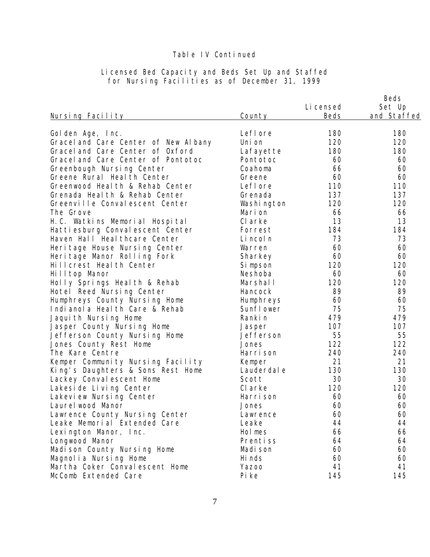|                                      |             | Li censed | Beds<br>Set Up |
|--------------------------------------|-------------|-----------|----------------|
| <u>Nursing Facility</u>              | County      | Beds      | and Staffed    |
| Golden Age, Inc.                     | Lefl ore    | 180       | 180            |
| Gracel and Care Center of New Albany | Uni on      | 120       | 120            |
| Gracel and Care Center of Oxford     | Lafayette   | 180       | 180            |
| Gracel and Care Center of Pontotoc   | Pontotoc    | 60        | 60             |
| Greenbough Nursing Center            | Coahoma     | 66        | 60             |
| Greene Rural Health Center           | Greene      | 60        | 60             |
| Greenwood Heal th & Rehab Center     | Lefl ore    | 110       | 110            |
| Grenada Heal th & Rehab Center       | Grenada     | 137       | 137            |
| Greenville Convalescent Center       | Washi ngton | 120       | 120            |
| The Grove                            | Marion      | 66        | 66             |
| H.C. Watkins Memorial Hospital       | CI arke     | 13        | 13             |
| Hattiesburg Convalescent Center      | Forrest     | 184       | 184            |
| Haven Hall Heal thcare Center        | Li ncol n   | 73        | 73             |
| Heri tage House Nursing Center       | Warren      | 60        | 60             |
| Heritage Manor Rolling Fork          | Sharkey     | 60        | 60             |
| Hill crest Heal th Center            | Si mpson    | 120       | 120            |
| Hilltop Manor                        | Neshoba     | 60        | 60             |
| Holly Springs Health & Rehab         | Marshall    | 120       | 120            |
| Hotel Reed Nursing Center            | Hancock     | 89        | 89             |
| Humphreys County Nursing Home        | Humphreys   | 60        | 60             |
| Indianol a Heal th Care & Rehab      | Sunfl ower  | 75        | 75             |
| Jaquith Nursing Home                 | Ranki n     | 479       | 479            |
| Jasper County Nursing Home           | Jasper      | 107       | 107            |
| Jefferson County Nursing Home        | Jefferson   | 55        | 55             |
| Jones County Rest Home               | Jones       | 122       | 122            |
| The Kare Centre                      | Harri son   | 240       | 240            |
| Kemper Community Nursing Facility    | Kemper      | 21        | 21             |
| King's Daughters & Sons Rest Home    | Lauderdal e | 130       | 130            |
| Lackey Conval escent Home            | Scott       | 30        | 30             |
| Lakesi de Living Center              | CI arke     | 120       | 120            |
| Lakeview Nursing Center              | Harri son   | 60        | 60             |
| Laurel wood Manor                    | Jones       | 60        | 60             |
| Lawrence County Nursing Center       | Lawrence    | 60        | 60             |
| Leake Memorial Extended Care         | Leake       | 44        | 44             |
| Lexington Manor, Inc.                | Hol mes     | 66        | 66             |
| Longwood Manor                       | Prentiss    | 64        | 64             |
| Madison County Nursing Home          | Madi son    | 60        | 60             |
| Magnolia Nursing Home                | Hi nds      | 60        | 60             |
| Martha Coker Conval escent Home      | Yazoo       | 41        | 41             |
| McComb Extended Care                 | Pi ke       | 145       | 145            |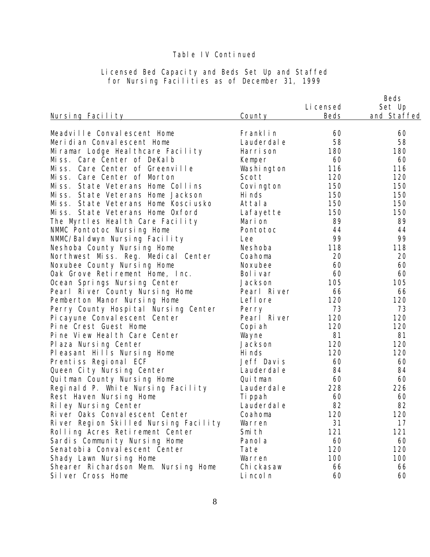|                                       |                         |           | Beds        |
|---------------------------------------|-------------------------|-----------|-------------|
|                                       |                         | Li censed | Set Up      |
| Nursing Facility                      | County                  | Beds      | and Staffed |
|                                       |                         |           |             |
| Meadville Convalescent Home           | Franklin<br>Lauderdal e | 60<br>58  | 60<br>58    |
| Meridian Convalescent Home            |                         |           |             |
| Miramar Lodge Heal thcare Facility    | Harri son               | 180       | 180<br>60   |
| Miss. Care Center of DeKalb           | Kemper                  | 60        |             |
| Miss. Care Center of Greenville       | Washi ngton             | 116       | 116         |
| Care Center of Morton<br>Mi ss.       | Scott                   | 120       | 120         |
| Miss. State Veterans Home Collins     | Covi ngton              | 150       | 150         |
| Miss. State Veterans Home Jackson     | Hi nds                  | 150       | 150         |
| Miss. State Veterans Home Kosciusko   | Attala                  | 150       | 150         |
| Miss. State Veterans Home Oxford      | Lafayette               | 150       | 150         |
| The Myrtles Health Care Facility      | Mari on                 | 89        | 89          |
| NMMC Pontotoc Nursing Home            | Pontotoc                | 44        | 44          |
| NMMC/Baldwyn Nursing Facility         | Lee                     | 99        | 99          |
| Neshoba County Nursing Home           | Neshoba                 | 118       | 118         |
| Northwest Miss. Reg. Medical Center   | Coahoma                 | 20        | 20          |
| Noxubee County Nursing Home           | Noxubee                 | 60        | 60          |
| Oak Grove Retirement Home, Inc.       | Bolivar                 | 60        | 60          |
| Ocean Springs Nursing Center          | Jackson                 | 105       | 105         |
| Pearl River County Nursing Home       | Pearl River             | 66        | 66          |
| Pemberton Manor Nursing Home          | Lefl ore                | 120       | 120         |
| Perry County Hospital Nursing Center  | Perry                   | 73        | 73          |
| Pi cayune Conval escent Center        | Pearl River             | 120       | 120         |
| Pine Crest Guest Home                 | Copi ah                 | 120       | 120         |
| Pine View Health Care Center          | Wayne                   | 81        | 81          |
| Plaza Nursing Center                  | Jackson                 | 120       | 120         |
| Pleasant Hills Nursing Home           | Hi nds                  | 120       | 120         |
| Prentiss Regional ECF                 | Jeff Davis              | 60        | 60          |
| Queen City Nursing Center             | Lauderdal e             | 84        | 84          |
| Quitman County Nursing Home           | Qui tman                | 60        | 60          |
| Reginald P. White Nursing Facility    | Lauderdal e             | 228       | 226         |
| Rest Haven Nursing Home               | Ti ppah                 | 60        | 60          |
| Riley Nursing Center                  | Lauderdal e             | 82        | 82          |
| River Oaks Conval escent Center       | Coahoma                 | 120       | 120         |
| River Region Skilled Nursing Facility | Warren                  | 31        | 17          |
| Rolling Acres Retirement Center       | Smi th                  | 121       | 121         |
| Sardis Community Nursing Home         | Panol a                 | 60        | 60          |
| Senatobi a Conval escent Center       | Tate                    | 120       | 120         |
| Shady Lawn Nursing Home               | Warren                  | 100       | 100         |
| Shearer Richardson Mem. Nursing Home  | Chi ckasaw              | 66        | 66          |
| Silver Cross Home                     | Li ncol n               | 60        | 60          |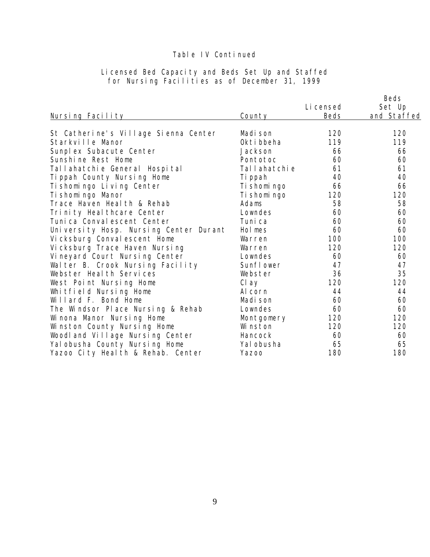|                                        |              |             | Beds        |
|----------------------------------------|--------------|-------------|-------------|
|                                        |              | Li censed   | Set Up      |
| Nursing Facility                       | County       | <b>Beds</b> | and Staffed |
|                                        |              |             |             |
| St Catherine's Village Sienna Center   | Madi son     | 120         | 120         |
| Starkville Manor                       | Okti bbeha   | 119         | 119         |
| Sunplex Subacute Center                | Jackson      | 66          | 66          |
| Sunshine Rest Home                     | Pontotoc     | 60          | 60          |
| Tallahatchie General Hospital          | Tallahatchie | 61          | 61          |
| Tippah County Nursing Home             | Ti ppah      | 40          | 40          |
| Ti shomingo Living Center              | Ti shomi ngo | 66          | 66          |
| Ti shomi ngo Manor                     | Ti shomi ngo | 120         | 120         |
| Trace Haven Heal th & Rehab            | Adams        | 58          | 58          |
| Trinity Heal thcare Center             | Lowndes      | 60          | 60          |
| Tuni ca Conval escent Center           | Tuni ca      | 60          | 60          |
| University Hosp. Nursing Center Durant | Hol mes      | 60          | 60          |
| Vicksburg Conval escent Home           | Warren       | 100         | 100         |
| Vicksburg Trace Haven Nursing          | Warren       | 120         | 120         |
| Vineyard Court Nursing Center          | Lowndes      | 60          | 60          |
| Walter B. Crook Nursing Facility       | Sunflower    | 47          | 47          |
| Webster Heal th Services               | Webster      | 36          | 35          |
| West Point Nursing Home                | Cl ay        | 120         | 120         |
| Whitfield Nursing Home                 | Al corn      | 44          | 44          |
| Willard F. Bond Home                   | Madi son     | 60          | 60          |
| The Windsor Place Nursing & Rehab      | Lowndes      | 60          | 60          |
| Winona Manor Nursing Home              | Montgomery   | 120         | 120         |
| Winston County Nursing Home            | Wi nston     | 120         | 120         |
| Woodl and Village Nursing Center       | Hancock      | 60          | 60          |
| Yal obusha County Nursing Home         | Yal obusha   | 65          | 65          |
| Yazoo City Health & Rehab. Center      | Yazoo        | 180         | 180         |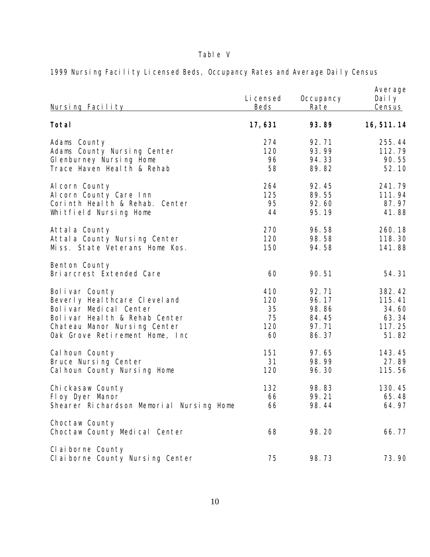# Table V

| Nursing Facility                                      | Li censed<br><b>Beds</b> | Occupancy<br>Rate | Average<br>Daily<br>Census |
|-------------------------------------------------------|--------------------------|-------------------|----------------------------|
| Total                                                 | 17,631                   | 93.89             | 16, 511. 14                |
| Adams County                                          | 274                      | 92.71             | 255.44                     |
| Adams County Nursing Center                           | 120                      | 93.99             | 112.79                     |
| Glenburney Nursing Home                               | 96                       | 94.33             | 90.55                      |
| Trace Haven Heal th & Rehab                           | 58                       | 89.82             | 52.10                      |
| Al corn County                                        | 264                      | 92.45             | 241.79                     |
| Al corn County Care Inn                               | 125                      | 89.55             | 111.94                     |
| Corinth Health & Rehab. Center                        | 95                       | 92.60             | 87.97                      |
| Whitfield Nursing Home                                | 44                       | 95.19             | 41.88                      |
| Attal a County                                        | 270                      | 96.58             | 260.18                     |
| Attal a County Nursing Center                         | 120                      | 98.58             | 118.30                     |
| Miss. State Veterans Home Kos.                        | 150                      | 94.58             | 141.88                     |
| Benton County<br>Bri arcrest Extended Care            | 60                       | 90.51             | 54.31                      |
| Bolivar County                                        | 410                      | 92.71             | 382.42                     |
| Beverly Heal thcare Clevel and                        | 120                      | 96.17             | 115.41                     |
| Bolivar Medical Center                                | 35                       | 98.86             | 34.60                      |
| Bolivar Health & Rehab Center                         | 75                       | 84.45             | 63.34                      |
| Chateau Manor Nursing Center                          | 120                      | 97.71             | 117.25                     |
| Oak Grove Retirement Home, Inc                        | 60                       | 86.37             | 51.82                      |
| Cal houn County                                       | 151                      | 97.65             | 143.45                     |
| Bruce Nursing Center                                  | 31                       | 98.99             | 27.89                      |
| Cal houn County Nursing Home                          | 120                      | 96.30             | 115.56                     |
| Chi ckasaw County                                     | 132                      | 98.83             | 130.45                     |
| Floy Dyer Manor                                       | 66                       | 99.21             | 65.48                      |
| Shearer Richardson Memorial Nursing Home              | 66                       | 98.44             | 64.97                      |
| Choctaw County<br>Choctaw County Medical Center       | 68                       | 98.20             | 66.77                      |
| Cl ai borne County<br>Claiborne County Nursing Center | 75                       | 98.73             | 73.90                      |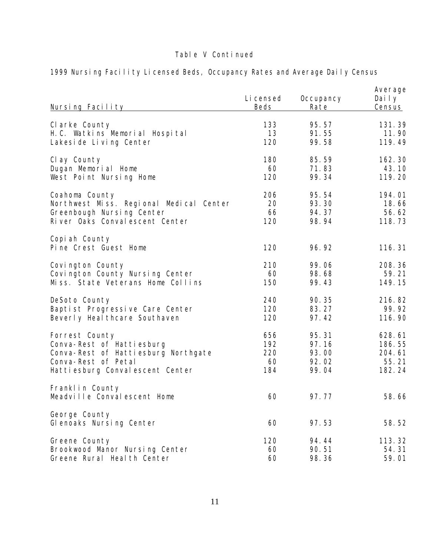| Nursing Facility                               | Li censed<br><b>Beds</b> | Occupancy<br>Rate | Average<br>Daily<br>Census |
|------------------------------------------------|--------------------------|-------------------|----------------------------|
| Clarke County                                  | 133                      | 95.57             | 131.39                     |
| H.C. Watkins Memorial Hospital                 | 13                       | 91.55             | 11.90                      |
| Lakesi de Living Center                        | 120                      | 99.58             | 119.49                     |
| Cl ay County                                   | 180                      | 85.59             | 162.30                     |
| Dugan Memorial Home                            | 60                       | 71.83             | 43.10                      |
| West Point Nursing Home                        | 120                      | 99.34             | 119.20                     |
| Coahoma County                                 | 206                      | 95.54             | 194.01                     |
| Northwest Miss. Regional Medical Center        | 20                       | 93.30             | 18.66                      |
| Greenbough Nursing Center                      | 66                       | 94.37             | 56.62                      |
| River Oaks Conval escent Center                | 120                      | 98.94             | 118.73                     |
| Copi ah County<br>Pine Crest Guest Home        | 120                      | 96.92             | 116.31                     |
| Covington County                               | 210                      | 99.06             | 208.36                     |
| Covington County Nursing Center                | 60                       | 98.68             | 59.21                      |
| Miss. State Veterans Home Collins              | 150                      | 99.43             | 149.15                     |
| DeSoto County                                  | 240                      | 90.35             | 216.82                     |
| Baptist Progressive Care Center                | 120                      | 83.27             | 99.92                      |
| Beverly Heal thcare Southaven                  | 120                      | 97.42             | 116.90                     |
| Forrest County                                 | 656                      | 95.31             | 628.61                     |
| Conva-Rest of Hattiesburg                      | 192                      | 97.16             | 186.55                     |
| Conva-Rest of Hattiesburg Northgate            | 220                      | 93.00             | 204.61                     |
| Conva-Rest of Petal                            | 60                       | 92.02             | 55.21                      |
| Hattiesburg Convalescent Center                | 184                      | 99.04             | 182.24                     |
| Franklin County<br>Meadville Convalescent Home | 60                       | 97.77             | 58.66                      |
| George County<br>Glenoaks Nursing Center       | 60                       | 97.53             | 58.52                      |
| Greene County                                  | 120                      | 94.44             | 113.32                     |
| Brookwood Manor Nursing Center                 | 60                       | 90.51             | 54.31                      |
| Greene Rural Heal th Center                    | 60                       | 98.36             | 59.01                      |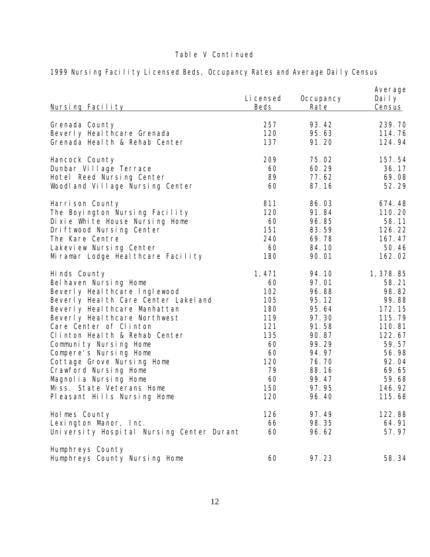| <u>Nursing Facility</u>                           | Li censed<br><b>Beds</b> | Occupancy<br>Rate | Average<br>Daily<br><u>Census</u> |
|---------------------------------------------------|--------------------------|-------------------|-----------------------------------|
| Grenada County                                    | 257                      | 93.42             | 239.70                            |
| Beverly Heal thcare Grenada                       | 120                      | 95.63             | 114.76                            |
| Grenada Heal th & Rehab Center                    | 137                      | 91.20             | 124.94                            |
| Hancock County                                    | 209                      | 75.02             | 157.54                            |
| Dunbar Village Terrace                            | 60                       | 60.29             | 36.17                             |
| Hotel Reed Nursing Center                         | 89                       | 77.62             | 69.08                             |
| Woodland Village Nursing Center                   | 60                       | 87.16             | 52.29                             |
| Harrison County                                   | 811                      | 86.03             | 674.48                            |
| The Boyington Nursing Facility                    | 120                      | 91.84             | 110.20                            |
| Di xi e Whi te House Nursing Home                 | 60                       | 96.85             | 58.11                             |
| Driftwood Nursing Center                          | 151                      | 83.59             | 126.22                            |
| The Kare Centre                                   | 240                      | 69.78             | 167.47                            |
| Lakevi ew Nursing Center                          | 60                       | 84.10             | 50.46                             |
| Miramar Lodge Heal thcare Facility                | 180                      | 90.01             | 162.02                            |
| Hinds County                                      | 1, 471                   | 94.10             | 1, 378.85                         |
| Bel haven Nursing Home                            | 60                       | 97.01             | 58.21                             |
| Beverly Heal thcare Inglewood                     | 102                      | 96.88             | 98.82                             |
| Beverly Heal th Care Center Lakel and             | 105                      | 95.12             | 99.88                             |
| Beverly Heal thcare Manhattan                     | 180                      | 95.64             | 172.15                            |
| Beverly Heal thcare Northwest                     | 119                      | 97.30             | 115.79                            |
| Care Center of Clinton                            | 121                      | 91.58             | 110.81                            |
| Clinton Health & Rehab Center                     | 135                      | 90.87             | 122.67                            |
| Community Nursing Home                            | 60                       | 99.29             | 59.57                             |
| Compere's Nursing Home                            | 60                       | 94.97             | 56.98                             |
| Cottage Grove Nursing Home                        | 120                      | 76.70             | 92.04                             |
| Crawford Nursing Home                             | 79                       | 88.16             | 69.65                             |
| Magnolia Nursing Home                             | 60                       | 99.47             | 59.68                             |
| Miss. State Veterans Home                         | 150                      | 97.95             | 146.92                            |
| Pleasant Hills Nursing Home                       | 120                      | 96.40             | 115.68                            |
| Holmes County                                     | 126                      | 97.49             | 122.88                            |
| Lexington Manor, Inc.                             | 66                       | 98.35             | 64.91                             |
| University Hospital Nursing Center Durant         | 60                       | 96.62             | 57.97                             |
| Humphreys County<br>Humphreys County Nursing Home | 60                       | 97.23             | 58.34                             |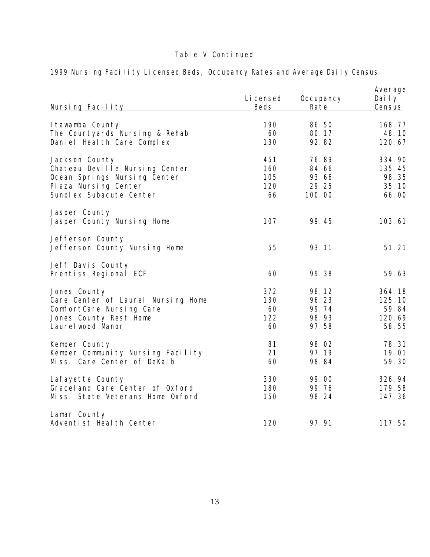| Nursing Facility                                  | Li censed<br>Beds | Occupancy<br>Rate | Average<br>Daily<br><b>Census</b> |
|---------------------------------------------------|-------------------|-------------------|-----------------------------------|
| I tawamba County                                  | 190               | 86.50             | 168.77                            |
| The Courtyards Nursing & Rehab                    | 60                | 80.17             | 48.10                             |
| Daniel Heal th Care Complex                       | 130               | 92.82             | 120.67                            |
| Jackson County                                    | 451               | 76.89             | 334.90                            |
| Chateau Deville Nursing Center                    | 160               | 84.66             | 135.45                            |
| Ocean Springs Nursing Center                      | 105               | 93.66             | 98.35                             |
| Plaza Nursing Center                              | 120               | 29.25             | 35.10                             |
| Sunplex Subacute Center                           | 66                | 100.00            | 66.00                             |
| Jasper County<br>Jasper County Nursing Home       | 107               | 99.45             | 103.61                            |
| Jefferson County<br>Jefferson County Nursing Home | 55                | 93.11             | 51.21                             |
| Jeff Davis County<br>Prentiss Regional ECF        | 60                | 99.38             | 59.63                             |
| Jones County                                      | 372               | 98.12             | 364.18                            |
| Care Center of Laurel Nursing Home                | 130               | 96.23             | 125.10                            |
| ComfortCare Nursing Care                          | 60                | 99.74             | 59.84                             |
| Jones County Rest Home                            | 122               | 98.93             | 120.69                            |
| Laurel wood Manor                                 | 60                | 97.58             | 58.55                             |
| Kemper County                                     | 81                | 98.02             | 78.31                             |
| Kemper Community Nursing Facility                 | 21                | 97.19             | 19.01                             |
| Miss. Care Center of DeKalb                       | 60                | 98.84             | 59.30                             |
| Lafayette County                                  | 330               | 99.00             | 326.94                            |
| Gracel and Care Center of Oxford                  | 180               | 99.76             | 179.58                            |
| Miss. State Veterans Home Oxford                  | 150               | 98.24             | 147.36                            |
| Lamar County<br>Adventist Heal th Center          | 120               | 97.91             | 117.50                            |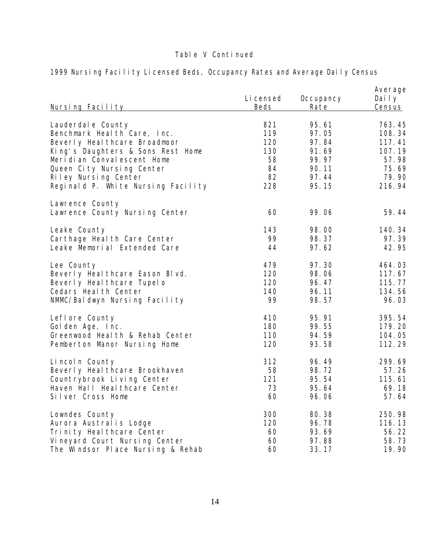| <u>Nursing Facility</u>                           | Li censed<br>Beds | Occupancy<br>Rate | Average<br>Daily<br>Census |
|---------------------------------------------------|-------------------|-------------------|----------------------------|
| Lauderdal e County                                | 821               | 95.61             | 763.45                     |
| Benchmark Heal th Care, Inc.                      | 119               | 97.05             | 108.34                     |
| Beverly Heal thcare Broadmoor                     | 120               | 97.84             | 117.41                     |
| King's Daughters & Sons Rest Home                 | 130               | 91.69             | 107.19                     |
| Meridian Convalescent Home                        | 58                | 99.97             | 57.98                      |
| Queen City Nursing Center                         | 84                | 90.11             | 75.69                      |
| Riley Nursing Center                              | 82                | 97.44             | 79.90                      |
| Reginald P. White Nursing Facility                | 228               | 95.15             | 216.94                     |
| Lawrence County<br>Lawrence County Nursing Center | 60                | 99.06             | 59.44                      |
| Leake County                                      | 143               | 98.00             | 140.34                     |
| Carthage Heal th Care Center                      | 99                | 98.37             | 97.39                      |
| Leake Memorial Extended Care                      | 44                | 97.62             | 42.95                      |
| Lee County                                        | 479               | 97.30             | 464.03                     |
| Beverly Heal thcare Eason Blvd.                   | 120               | 98.06             | 117.67                     |
| Beverly Heal thcare Tupelo                        | 120               | 96.47             | 115.77                     |
| Cedars Heal th Center                             | 140               | 96.11             | 134.56                     |
| NMMC/Baldwyn Nursing Facility                     | 99                | 98.57             | 96.03                      |
| Lefl ore County                                   | 410               | 95.91             | 395.54                     |
| Golden Age, Inc.                                  | 180               | 99.55             | 179.20                     |
| Greenwood Heal th & Rehab Center                  | 110               | 94.59             | 104.05                     |
| Pemberton Manor Nursing Home                      | 120               | 93.58             | 112.29                     |
| Lincoln County                                    | 312               | 96.49             | 299.69                     |
| Beverly Heal thcare Brookhaven                    | 58                | 98.72             | 57.26                      |
| Countrybrook Living Center                        | 121               | 95.54             | 115.61                     |
| Haven Hall Heal thcare Center                     | 73                | 95.64             | 69.18                      |
| Silver Cross Home                                 | 60                | 96.06             | 57.64                      |
| Lowndes County                                    | 300               | 80.38             | 250.98                     |
| Aurora Australis Lodge                            | 120               | 96.78             | 116.13                     |
| Tri ni ty Heal thcare Center                      | 60                | 93.69             | 56.22                      |
| Vineyard Court Nursing Center                     | 60                | 97.88             | 58.73                      |
| The Windsor Place Nursing & Rehab                 | 60                | 33.17             | 19.90                      |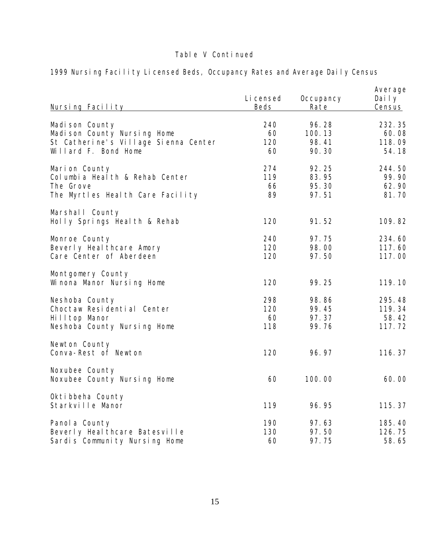| Nursing Facility                                                                                               | Li censed<br><b>Beds</b> | Occupancy<br>Rate                 | Average<br>Daily<br>Census          |
|----------------------------------------------------------------------------------------------------------------|--------------------------|-----------------------------------|-------------------------------------|
| Madi son County<br>Madison County Nursing Home<br>St Catherine's Village Sienna Center<br>Willard F. Bond Home | 240<br>60<br>120<br>60   | 96.28<br>100.13<br>98.41<br>90.30 | 232.35<br>60.08<br>118.09<br>54.18  |
| Marion County<br>Col umbi a Heal th & Rehab Center<br>The Grove<br>The Myrtles Health Care Facility            | 274<br>119<br>66<br>89   | 92.25<br>83.95<br>95.30<br>97.51  | 244.50<br>99.90<br>62.90<br>81.70   |
| Marshall County<br>Holly Springs Health & Rehab                                                                | 120                      | 91.52                             | 109.82                              |
| Monroe County<br>Beverly Heal thcare Amory<br>Care Center of Aberdeen                                          | 240<br>120<br>120        | 97.75<br>98.00<br>97.50           | 234.60<br>117.60<br>117.00          |
| Montgomery County<br>Winona Manor Nursing Home                                                                 | 120                      | 99.25                             | 119.10                              |
| Neshoba County<br>Choctaw Residential Center<br>Hilltop Manor<br>Neshoba County Nursing Home                   | 298<br>120<br>60<br>118  | 98.86<br>99.45<br>97.37<br>99.76  | 295.48<br>119.34<br>58.42<br>117.72 |
| Newton County<br>Conva-Rest of Newton                                                                          | 120                      | 96.97                             | 116.37                              |
| Noxubee County<br>Noxubee County Nursing Home                                                                  | 60                       | 100.00                            | 60.00                               |
| Okti bbeha County<br>Starkville Manor                                                                          | 119                      | 96.95                             | 115.37                              |
| Panol a County<br>Beverly Heal thcare Batesville<br>Sardis Community Nursing Home                              | 190<br>130<br>60         | 97.63<br>97.50<br>97.75           | 185.40<br>126.75<br>58.65           |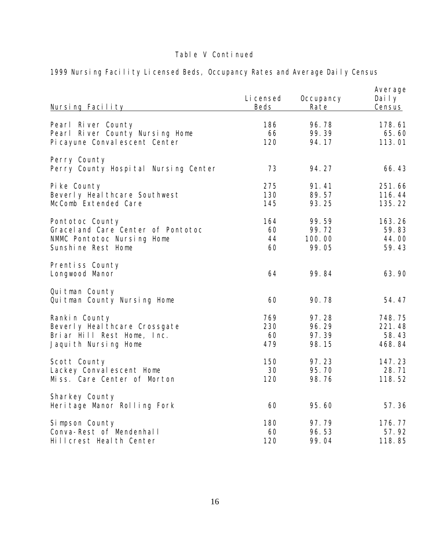| Nursing Facility                                     | Li censed<br><b>Beds</b> | Occupancy<br>Rate | Average<br>Daily<br>Census |
|------------------------------------------------------|--------------------------|-------------------|----------------------------|
| Pearl River County                                   | 186                      | 96.78             | 178.61                     |
| Pearl River County Nursing Home                      | 66                       | 99.39             | 65.60                      |
| Pi cayune Conval escent Center                       | 120                      | 94.17             | 113.01                     |
| Perry County<br>Perry County Hospital Nursing Center | 73                       | 94.27             | 66.43                      |
| Pike County                                          | 275                      | 91.41             | 251.66                     |
| Beverly Heal thcare Southwest                        | 130                      | 89.57             | 116.44                     |
| McComb Extended Care                                 | 145                      | 93.25             | 135.22                     |
| Pontotoc County                                      | 164                      | 99.59             | 163.26                     |
| Gracel and Care Center of Pontotoc                   | 60                       | 99.72             | 59.83                      |
| NMMC Pontotoc Nursing Home                           | 44                       | 100.00            | 44.00                      |
| Sunshine Rest Home                                   | 60                       | 99.05             | 59.43                      |
| Prentiss County<br>Longwood Manor                    | 64                       | 99.84             | 63.90                      |
| Qui tman County<br>Quitman County Nursing Home       | 60                       | 90.78             | 54.47                      |
| Rankin County                                        | 769                      | 97.28             | 748.75                     |
| Beverly Heal thcare Crossgate                        | 230                      | 96.29             | 221.48                     |
| Briar Hill Rest Home, Inc.                           | 60                       | 97.39             | 58.43                      |
| Jaquith Nursing Home                                 | 479                      | 98.15             | 468.84                     |
| Scott County                                         | 150                      | 97.23             | 147.23                     |
| Lackey Conval escent Home                            | 30                       | 95.70             | 28.71                      |
| Miss. Care Center of Morton                          | 120                      | 98.76             | 118.52                     |
| Sharkey County<br>Heritage Manor Rolling Fork        | 60                       | 95.60             | 57.36                      |
| Simpson County                                       | 180                      | 97.79             | 176.77                     |
| Conva-Rest of Mendenhall                             | 60                       | 96.53             | 57.92                      |
| Hillcrest Health Center                              | 120                      | 99.04             | 118.85                     |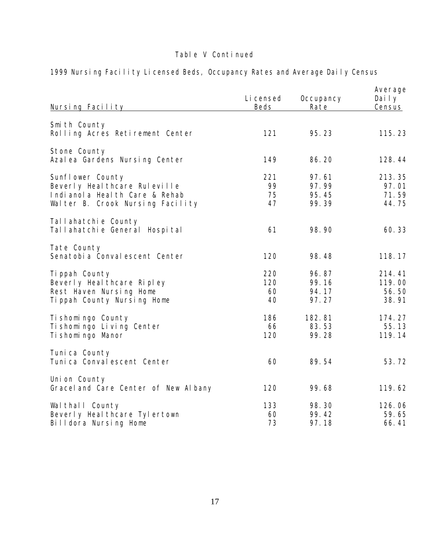| Nursing Facility                                                                                                        | Li censed<br><b>Beds</b> | Occupancy<br>Rate                | Average<br>Daily<br>Census         |
|-------------------------------------------------------------------------------------------------------------------------|--------------------------|----------------------------------|------------------------------------|
| Smith County<br>Rolling Acres Retirement Center                                                                         | 121                      | 95.23                            | 115.23                             |
| Stone County<br>Azal ea Gardens Nursing Center                                                                          | 149                      | 86.20                            | 128.44                             |
| Sunflower County<br>Beverly Heal thcare Ruleville<br>Indianola Heal th Care & Rehab<br>Walter B. Crook Nursing Facility | 221<br>99<br>75<br>47    | 97.61<br>97.99<br>95.45<br>99.39 | 213.35<br>97.01<br>71.59<br>44.75  |
| Tallahatchie County<br>Tallahatchie General Hospital                                                                    | 61                       | 98.90                            | 60.33                              |
| Tate County<br>Senatobi a Conval escent Center                                                                          | 120                      | 98.48                            | 118.17                             |
| Ti ppah County<br>Beverly Heal thcare Ripley<br>Rest Haven Nursing Home<br>Tippah County Nursing Home                   | 220<br>120<br>60<br>40   | 96.87<br>99.16<br>94.17<br>97.27 | 214.41<br>119.00<br>56.50<br>38.91 |
| Ti shomi ngo County<br>Ti shomi ngo Li vi ng Center<br>Ti shomi ngo Manor                                               | 186<br>66<br>120         | 182.81<br>83.53<br>99.28         | 174.27<br>55.13<br>119.14          |
| Tuni ca County<br>Tuni ca Conval escent Center                                                                          | 60                       | 89.54                            | 53.72                              |
| Uni on County<br>Gracel and Care Center of New Albany                                                                   | 120                      | 99.68                            | 119.62                             |
| Wal thall County<br>Beverly Heal thcare Tylertown<br>Billdora Nursing Home                                              | 133<br>60<br>73          | 98.30<br>99.42<br>97.18          | 126.06<br>59.65<br>66.41           |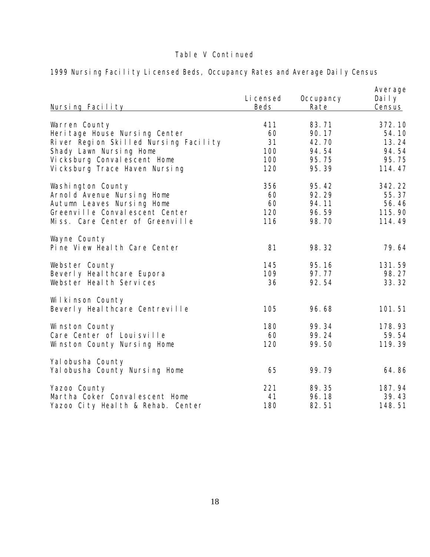| Nursing Facility                                    | Li censed<br><b>Beds</b> | Occupancy<br>Rate | Average<br>Daily<br><b>Census</b> |
|-----------------------------------------------------|--------------------------|-------------------|-----------------------------------|
| Warren County                                       | 411                      | 83.71             | 372.10                            |
| Heri tage House Nursing Center                      | 60                       | 90.17             | 54.10                             |
| River Region Skilled Nursing Facility               | 31                       | 42.70             | 13.24                             |
| Shady Lawn Nursing Home                             | 100                      | 94.54             | 94.54                             |
| Vicksburg Conval escent Home                        | 100                      | 95.75             | 95.75                             |
| Vicksburg Trace Haven Nursing                       | 120                      | 95.39             | 114.47                            |
| Washington County                                   | 356                      | 95.42             | 342.22                            |
| Arnold Avenue Nursing Home                          | 60                       | 92.29             | 55.37                             |
| Autumn Leaves Nursing Home                          | 60                       | 94.11             | 56.46                             |
| Greenville Convalescent Center                      | 120                      | 96.59             | 115.90                            |
| Miss. Care Center of Greenville                     | 116                      | 98.70             | 114.49                            |
| Wayne County<br>Pine View Health Care Center        | 81                       | 98.32             | 79.64                             |
| Webster County                                      | 145                      | 95.16             | 131.59                            |
| Beverly Heal thcare Eupora                          | 109                      | 97.77             | 98.27                             |
| Webster Heal th Services                            | 36                       | 92.54             | 33.32                             |
| Wilkinson County<br>Beverly Heal thcare Centreville | 105                      | 96.68             | 101.51                            |
| Winston County                                      | 180                      | 99.34             | 178.93                            |
| Care Center of Louisville                           | 60                       | 99.24             | 59.54                             |
| Winston County Nursing Home                         | 120                      | 99.50             | 119.39                            |
| Yal obusha County<br>Yal obusha County Nursing Home | 65                       | 99.79             | 64.86                             |
| Yazoo County                                        | 221                      | 89.35             | 187.94                            |
| Martha Coker Conval escent Home                     | 41                       | 96.18             | 39.43                             |
| Yazoo City Health & Rehab. Center                   | 180                      | 82.51             | 148.51                            |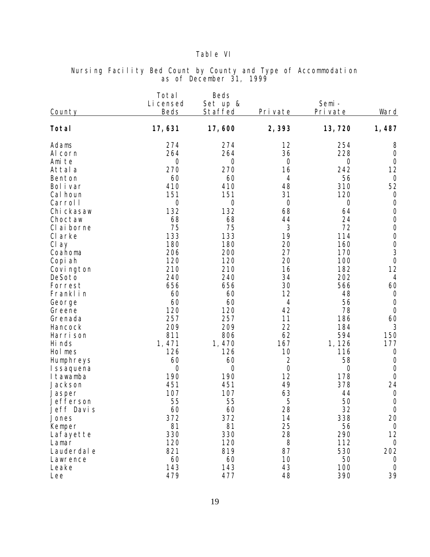### Table VI

| <b>County</b>                                                                                                                                                                                                                                                                                                                                                                                      | Total<br>Li censed<br><b>Beds</b>                                                                                                                                                                                                                                       | Beds<br>Set up &<br>Staffed                                                                                                                                                                                                                                     | Private                                                                                                                                                                                                                                                      | Semi-<br>Private                                                                                                                                                                                                                                                         | Ward                                                                                                                                                                                                                                                                                                                                                                                                                                |
|----------------------------------------------------------------------------------------------------------------------------------------------------------------------------------------------------------------------------------------------------------------------------------------------------------------------------------------------------------------------------------------------------|-------------------------------------------------------------------------------------------------------------------------------------------------------------------------------------------------------------------------------------------------------------------------|-----------------------------------------------------------------------------------------------------------------------------------------------------------------------------------------------------------------------------------------------------------------|--------------------------------------------------------------------------------------------------------------------------------------------------------------------------------------------------------------------------------------------------------------|--------------------------------------------------------------------------------------------------------------------------------------------------------------------------------------------------------------------------------------------------------------------------|-------------------------------------------------------------------------------------------------------------------------------------------------------------------------------------------------------------------------------------------------------------------------------------------------------------------------------------------------------------------------------------------------------------------------------------|
| Total                                                                                                                                                                                                                                                                                                                                                                                              | 17,631                                                                                                                                                                                                                                                                  | 17,600                                                                                                                                                                                                                                                          | 2,393                                                                                                                                                                                                                                                        | 13,720                                                                                                                                                                                                                                                                   | 1, 487                                                                                                                                                                                                                                                                                                                                                                                                                              |
| Adams<br>Al corn<br>Ami te<br>Attal a<br>Benton<br>Bol i var<br>Cal houn<br>Carrol I<br>Chi ckasaw<br>Choctaw<br>CI ai borne<br>CI arke<br>Cl ay<br>Coahoma<br>Copi ah<br>Covi ngton<br>DeSoto<br>Forrest<br>Franklin<br>George<br>Greene<br>Grenada<br>Hancock<br>Harri son<br>Hi nds<br>Hol mes<br>Humphreys<br>I ssaquena<br>I tawamba<br>Jackson<br>Jasper<br>Jefferson<br>Jeff Davis<br>Jones | 274<br>264<br>$\overline{O}$<br>270<br>60<br>410<br>151<br>$\bigcirc$<br>132<br>68<br>75<br>133<br>180<br>206<br>120<br>210<br>240<br>656<br>60<br>60<br>120<br>257<br>209<br>811<br>1,471<br>126<br>60<br>$\overline{O}$<br>190<br>451<br>107<br>55<br>60<br>372<br>81 | 274<br>264<br>$\bigcirc$<br>270<br>60<br>410<br>151<br>$\bigcirc$<br>132<br>68<br>75<br>133<br>180<br>200<br>120<br>210<br>240<br>656<br>60<br>60<br>120<br>257<br>209<br>806<br>1,470<br>126<br>60<br>$\bigcirc$<br>190<br>451<br>107<br>55<br>60<br>372<br>81 | 12<br>36<br>$\bigcirc$<br>16<br>4<br>48<br>31<br>$\bigcirc$<br>68<br>44<br>3<br>19<br>20<br>27<br>20<br>16<br>34<br>30<br>12<br>$\overline{4}$<br>42<br>11<br>22<br>62<br>167<br>10<br>$\overline{2}$<br>$\bigcirc$<br>12<br>49<br>63<br>5<br>28<br>14<br>25 | 254<br>228<br>$\overline{0}$<br>242<br>56<br>310<br>120<br>$\overline{0}$<br>64<br>24<br>72<br>114<br>160<br>170<br>100<br>182<br>202<br>566<br>48<br>56<br>78<br>186<br>184<br>594<br>1,126<br>116<br>58<br>$\overline{O}$<br>178<br>378<br>44<br>50<br>32<br>338<br>56 | 8<br>$\bigcirc$<br>$\bigcirc$<br>12<br>$\overline{O}$<br>52<br>$\bigcirc$<br>$\bigcirc$<br>$\bigcirc$<br>$\bigcirc$<br>$\cal O$<br>$\cal O$<br>$\begin{array}{c} 0 \\ 3 \end{array}$<br>$\bigcirc$<br>12<br>$\overline{4}$<br>60<br>$\overline{0}$<br>$\bigcirc$<br>$\bigcirc$<br>60<br>3<br>150<br>177<br>$\bigcirc$<br>$\bigcirc$<br>$\bigcirc$<br>$\bigcirc$<br>24<br>$\bigcirc$<br>$\bigcirc$<br>$\sqrt{a}$<br>20<br>$\bigcirc$ |
| Kemper<br>Lafayette<br>Lamar<br>Lauderdal e<br>Lawrence                                                                                                                                                                                                                                                                                                                                            | 330<br>120<br>821<br>60                                                                                                                                                                                                                                                 | 330<br>120<br>819<br>60                                                                                                                                                                                                                                         | 28<br>8<br>87<br>10                                                                                                                                                                                                                                          | 290<br>112<br>530<br>50                                                                                                                                                                                                                                                  | 12<br>$\overline{O}$<br>202<br>$\overline{O}$                                                                                                                                                                                                                                                                                                                                                                                       |
| Leake<br>Lee                                                                                                                                                                                                                                                                                                                                                                                       | 143<br>479                                                                                                                                                                                                                                                              | 143<br>477                                                                                                                                                                                                                                                      | 43<br>48                                                                                                                                                                                                                                                     | 100<br>390                                                                                                                                                                                                                                                               | $\overline{O}$<br>39                                                                                                                                                                                                                                                                                                                                                                                                                |

### Nursing Facility Bed Count by County and Type of Accommodation as of December 31, 1999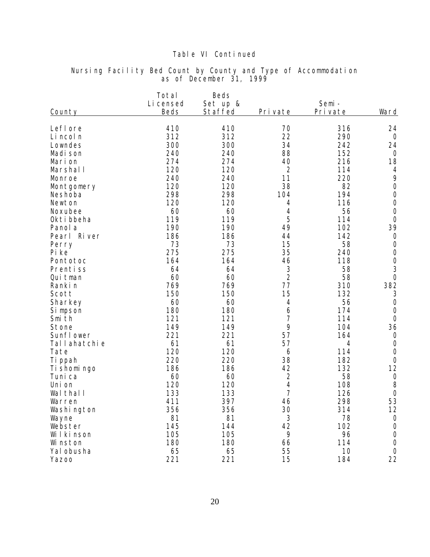| County       | Total<br>Li censed<br>Beds | Beds<br>Set up &<br>Staffed | Private        | Semi-<br>Private | Ward                                  |
|--------------|----------------------------|-----------------------------|----------------|------------------|---------------------------------------|
| LefI ore     | 410                        | 410                         | 70             | 316              | 24                                    |
| Li ncol n    | 312                        | 312                         | 22             | 290              | $\overline{O}$                        |
| Lowndes      | 300                        | 300                         | 34             | 242              | 24                                    |
| Madi son     | 240                        | 240                         | 88             | 152              | $\bigcirc$                            |
| Marion       | 274                        | 274                         | 40             | 216              | 18                                    |
| Marshal I    | 120                        | 120                         | $\overline{2}$ | 114              | $\overline{4}$                        |
| Monroe       | 240                        | 240                         | 11             | 220              | 9                                     |
| Montgomery   | 120                        | 120                         | 38             | 82               | $\bigcirc$                            |
| Neshoba      | 298                        | 298                         | 104            | 194              | $\bigcirc$                            |
| Newton       | 120                        | 120                         | 4              | 116              | $\bigcirc$                            |
| Noxubee      | 60                         | 60                          | 4              | 56               | $\bigcirc$                            |
| Okti bbeha   | 119                        | 119                         | 5              | 114              | $\overline{O}$                        |
| Panol a      | 190                        | 190                         | 49             | 102              | 39                                    |
| Pearl River  | 186                        | 186                         | 44             | 142              | $\bigcirc$                            |
| Perry        | 73                         | 73                          | 15             | 58               | $\bigcirc$                            |
| Pi ke        | 275                        | 275                         | 35             | 240              | $\bigcirc$                            |
| Pontotoc     | 164                        | 164                         | 46             | 118              |                                       |
| Prentiss     | 64                         | 64                          | 3              | 58               | $\begin{array}{c} 0 \\ 3 \end{array}$ |
| Qui tman     | 60                         | 60                          | $\overline{2}$ | 58               | $\overline{O}$                        |
| Ranki n      | 769                        | 769                         | 77             | 310              | 382                                   |
| Scott        | 150                        | 150                         | 15             | 132              | 3                                     |
| Sharkey      | 60                         | 60                          | $\sqrt{4}$     | 56               | $\bigcirc$                            |
| Si mpson     | 180                        | 180                         | 6              | 174              | $\bigcirc$                            |
| Smi th       | 121                        | 121                         | 7              | 114              | $\bigcirc$                            |
| Stone        | 149                        | 149                         | 9              | 104              | 36                                    |
| Sunfl ower   | 221                        | 221                         | 57             | 164              | $\bigcirc$                            |
| Tallahatchie | 61                         | 61                          | 57             | 4                | $\bigcirc$                            |
| Tate         | 120                        | 120                         | 6              | 114              | $\bigcirc$                            |
| Ti ppah      | 220                        | 220                         | 38             | 182              | $\bigcirc$                            |
| Ti shomi ngo | 186                        | 186                         | 42             | 132              | 12                                    |
| Tuni ca      | 60                         | 60                          | $\overline{2}$ | 58               | $\bigcirc$                            |
| Uni on       | 120                        | 120                         | 4              | 108              | 8                                     |
| Wal thal I   | 133                        | 133                         | $\overline{7}$ | 126              | $\bigcirc$                            |
| Warren       | 411                        | 397                         | 46             | 298              | 53                                    |
| Washi ngton  | 356                        | 356                         | 30             | 314              | 12                                    |
| Wayne        | 81                         | 81                          | $\mathfrak{Z}$ | 78               | $\overline{O}$                        |
| Webster      | 145                        | 144                         | 42             | 102              | $\bigcirc$                            |
| Wilkinson    | 105                        | 105                         | 9              | 96               | $\bigcirc$                            |
| Wi nston     | 180                        | 180                         | 66             | 114              | $\overline{O}$                        |
| Yal obusha   | 65                         | 65                          | 55             | 10               | $\overline{O}$                        |
| Yazoo        | 221                        | 221                         | 15             | 184              | 22                                    |

### Nursing Facility Bed Count by County and Type of Accommodation as of December 31, 1999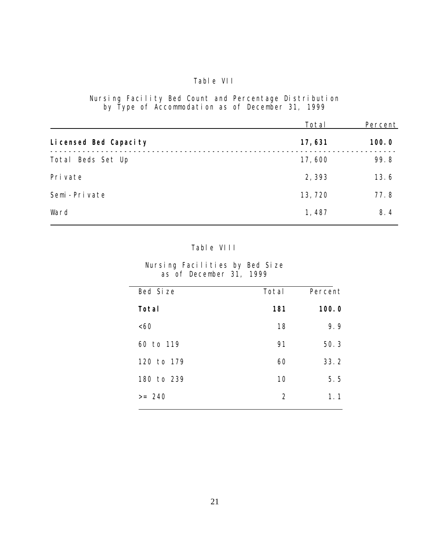### Table VII

Nursing Facility Bed Count and Percentage Distribution by Type of Accommodation as of December 31, 1999

|                        | Total   | Percent |
|------------------------|---------|---------|
| Li censed Bed Capacity | 17,631  | 100.0   |
| Beds Set Up<br>Total   | 17,600  | 99.8    |
| Pri vate               | 2,393   | 13.6    |
| Semi-Private           | 13, 720 | 77.8    |
| Ward                   | 1,487   | 8.4     |

### Table VIII

Nursing Facilities by Bed Size as of December 31, 1999

| Bed Size   | Total          | Percent |
|------------|----------------|---------|
| Total      | 181            | 100.0   |
| <60        | 18             | 9.9     |
| 60 to 119  | 91             | 50.3    |
| 120 to 179 | 60             | 33.2    |
| 180 to 239 | 10             | 5.5     |
| $>= 240$   | $\overline{2}$ | 1.1     |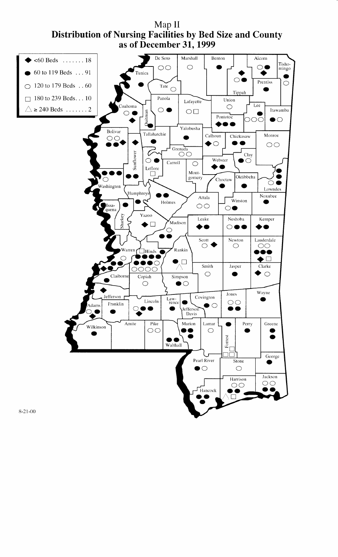

Map II **Distribution of Nursing Facilities by Bed Size and County**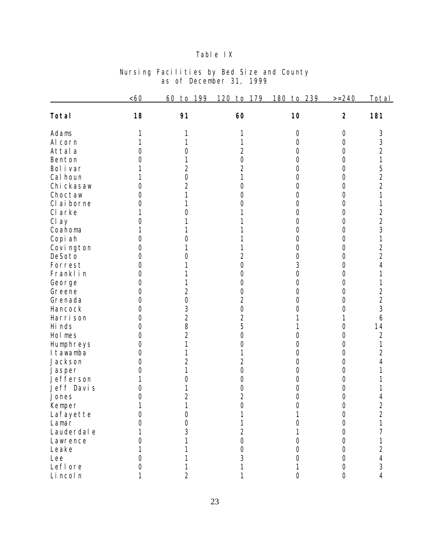### Table IX

|             | <60              | 60<br>199<br>to    | 120<br>179<br>to | 239<br>180<br>to | $>=240$        | Total          |
|-------------|------------------|--------------------|------------------|------------------|----------------|----------------|
| Total       | 18               | 91                 | 60               | 10               | $\overline{2}$ | 181            |
| Adams       |                  |                    |                  | 0                | $\bigcirc$     | 3              |
| Al corn     |                  |                    |                  | Ο                | $\bigcirc$     | 3              |
| Attal a     |                  | $\left(\right)$    | 2                | 0                | $\overline{O}$ | $\overline{2}$ |
| Benton      |                  |                    | $\bigcirc$       | 0                | $\bigcirc$     | 1              |
| Bol i var   |                  | 2                  | $\overline{2}$   | 0                | $\bigcirc$     | 5              |
| Cal houn    |                  | 0                  |                  | 0                | 0              |                |
| Chi ckasaw  | 0                | $\overline{2}$     | Ω                | Ο                | 0              | $\frac{2}{2}$  |
| Choctaw     | Ω                |                    | Ω                | Ω                | 0              | 1              |
| CI ai borne | 0                |                    |                  | 0                | $\overline{O}$ | 1              |
| CI arke     |                  |                    |                  | 0                | $\bigcirc$     | $\overline{2}$ |
| Cl ay       | 0                |                    |                  | 0                | 0              | $\overline{2}$ |
| Coahoma     |                  |                    |                  | 0                | 0              | 3              |
| Copi ah     | $\left( \right)$ | ( )                |                  | 0                | 0              | 1              |
| Covi ngton  | $\Omega$         |                    |                  | 0                | 0              | $\overline{2}$ |
| DeSoto      | Ω                | $\left( \ \right)$ | 2                | 0                | $\overline{O}$ | $\overline{2}$ |
| Forrest     | 0                |                    | 0                | 3                | $\bigcirc$     | 4              |
| Franklin    | 0                |                    | Ω                | 0                | 0              |                |
| George      | Ω                |                    | Ω                | 0                | 0              | 1              |
| Greene      | Ω                | 2                  | Ο                | Ο                | 0              |                |
| Grenada     | Ω                | $\overline{O}$     | $\overline{2}$   | Ω                | 0              | $\frac{2}{2}$  |
| Hancock     | Ω                | 3                  | 0                |                  | 0              | 3              |
| Harri son   | 0                | $\overline{2}$     | $\overline{2}$   |                  | 1              | 6              |
| Hi nds      | 0                | 8                  | 5                |                  | 0              | 14             |
| Hol mes     | 0                | $\overline{2}$     | 0                |                  | 0              | $\overline{2}$ |
| Humphreys   | 0                |                    | 0                | U                | 0              | 1              |
| I tawamba   | $\Omega$         |                    |                  | 0                | 0              | $\overline{2}$ |
| Jackson     | $\left( \right)$ | $\overline{2}$     | $\overline{2}$   | 0                | $\bigcirc$     | 4              |
| Jasper      | 0                |                    | $\bigcirc$       | 0                | $\bigcirc$     |                |
| Jefferson   |                  | Ω                  | 0                | Ο                | $\overline{O}$ |                |
| Jeff Davis  | 0                |                    | 0                | 0                | 0              |                |
| Jones       | 0                | $\overline{2}$     | $\overline{2}$   | O                | 0              | 4              |
| Kemper      |                  | 1                  | $\overline{O}$   | $\overline{O}$   | $\bigcirc$     | $\overline{2}$ |
| Lafayette   | $\left( \right)$ | 0                  |                  |                  | $\bigcirc$     | $\overline{2}$ |
| Lamar       |                  | Ω                  |                  |                  | 0              |                |
| Lauderdal e |                  | 3                  | 2                |                  | 0              |                |
| Lawrence    |                  |                    | 0                |                  | 0              |                |
| Leake       |                  |                    | 0                |                  | 0              | $\overline{2}$ |
| Lee         |                  |                    | 3                |                  | 0              | 4              |
| Lefl ore    |                  |                    |                  |                  | 0              | 3              |
| Li ncol n   |                  |                    |                  | 0                | $\overline{O}$ | 4              |

#### Nursing Facilities by Bed Size and County as of December 31, 1999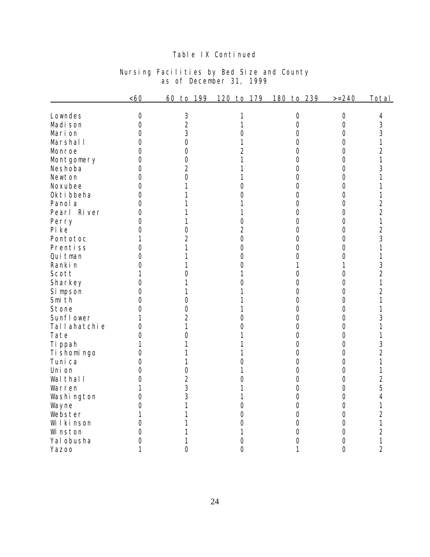### Table IX Continued

| Nursing Facilities by Bed Size and County |                         |  |  |  |
|-------------------------------------------|-------------------------|--|--|--|
|                                           | as of December 31, 1999 |  |  |  |

|                 | <60            | 199<br>60<br>to | 120<br>179<br>to | 239<br>180<br>to | $>=240$        | Total          |
|-----------------|----------------|-----------------|------------------|------------------|----------------|----------------|
| Lowndes         | $\bigcirc$     | 3               |                  | $\bigcirc$       | $\bigcirc$     | 4              |
| Madi son        | $\overline{O}$ | $\overline{2}$  |                  | $\overline{O}$   | $\bigcirc$     | 3              |
| Mari on         | $\overline{O}$ | 3               | 0                | $\overline{O}$   | $\overline{O}$ | 3              |
| Marshall        | $\overline{O}$ | $\overline{O}$  | 1                | $\overline{O}$   | $\overline{O}$ | 1              |
| Monroe          | $\bigcirc$     | $\overline{O}$  | $\overline{2}$   | $\bigcirc$       | $\bigcirc$     | $\overline{2}$ |
| Montgomery      | $\bigcirc$     | $\overline{O}$  | 1                | $\bigcirc$       | $\bigcirc$     | 1              |
| Neshoba         | $\overline{O}$ | $\overline{2}$  |                  | $\overline{O}$   | $\overline{O}$ | 3              |
| Newton          | $\overline{O}$ | $\overline{O}$  |                  | $\bigcirc$       | $\bigcirc$     | 1              |
| Noxubee         | 0              | 1               | 0                | $\overline{O}$   | $\bigcirc$     | 1              |
| Okti bbeha      | $\overline{O}$ |                 | Ω                | $\overline{O}$   | $\overline{O}$ | 1              |
| Panol a         | $\overline{O}$ |                 |                  | $\bigcirc$       | $\overline{O}$ | $\overline{2}$ |
| Pearl River     | $\overline{O}$ |                 |                  | $\overline{O}$   | $\bigcirc$     | $\overline{2}$ |
| Perry           | $\overline{O}$ |                 | 0                | $\bigcirc$       | $\bigcirc$     | 1              |
| Pi ke           | $\overline{O}$ | $\bigcirc$      | $\overline{2}$   | $\bigcirc$       | $\bigcirc$     | $\overline{2}$ |
| Pontotoc        | 1              | $\overline{2}$  | $\overline{O}$   | $\bigcirc$       | $\overline{O}$ | 3              |
| Prentiss        | $\overline{O}$ | 1               | $\overline{O}$   | $\bigcirc$       | $\bigcirc$     | 1              |
| Qui tman        | $\overline{O}$ | 1               | $\bigcirc$       | $\overline{O}$   | $\bigcirc$     | 1              |
| Ranki n         | $\overline{O}$ | 1               | 0                | 1                | 1              | 3              |
| Scott           | 1              | $\overline{O}$  |                  | $\overline{O}$   | $\bigcirc$     | $\overline{2}$ |
| Sharkey         | 0              | 1               | Ω                | $\overline{O}$   | $\overline{O}$ | 1              |
| Si mpson        | $\overline{O}$ | 1               |                  | $\overline{O}$   | $\bigcirc$     | $\overline{2}$ |
| Smi th          | $\overline{O}$ | $\bigcirc$      |                  | $\bigcirc$       | $\bigcirc$     | 1              |
| Stone           | $\overline{O}$ | $\overline{O}$  |                  | $\bigcirc$       | $\bigcirc$     | 1              |
| Sunfl ower      | 1              | $\overline{2}$  | 0                | $\overline{O}$   | $\bigcirc$     | 3              |
| Tal I ahatchi e | $\overline{O}$ | 1               | 0                | $\bigcirc$       | $\bigcirc$     | 1              |
| Tate            | $\overline{O}$ | $\overline{O}$  |                  | $\overline{O}$   | $\overline{O}$ | 1              |
| Ti ppah         | 1              | 1               |                  | $\overline{O}$   | $\overline{O}$ | 3              |
| Ti shomi ngo    | $\overline{O}$ |                 |                  | $\overline{O}$   | $\bigcirc$     | $\overline{2}$ |
| Tuni ca         | $\overline{O}$ | 1               | 0                | $\bigcirc$       | $\overline{O}$ | 1              |
| Uni on          | $\overline{O}$ | $\bigcirc$      |                  | $\bigcirc$       | $\bigcirc$     | 1              |
| Wal thal I      | $\overline{O}$ | $\overline{2}$  | 0                | $\bigcirc$       | $\bigcirc$     | $\overline{2}$ |
| Warren          | 1              | 3               |                  | $\overline{O}$   | $\overline{O}$ | 5              |
| Washi ngton     | $\overline{O}$ | 3               |                  | $\overline{O}$   | $\bigcirc$     | $\overline{4}$ |
| Wayne           | $\overline{O}$ | 1               | $\overline{O}$   | $\bigcirc$       | $\bigcirc$     | 1              |
| Webster         | 1              |                 | 0                | $\overline{O}$   | $\overline{O}$ | $\overline{2}$ |
| Wilkinson       | $\Omega$       |                 | 0                | $\bigcirc$       | $\bigcirc$     | 1              |
| Wi nston        | $\Omega$       |                 |                  | $\overline{O}$   | $\bigcirc$     | $\overline{2}$ |
| Yal obusha      | $\overline{O}$ |                 | 0                | 0                | $\overline{O}$ | 1              |
| <b>Yazoo</b>    | 1              | 0               | $\overline{O}$   | 1                | $\overline{O}$ | $\overline{2}$ |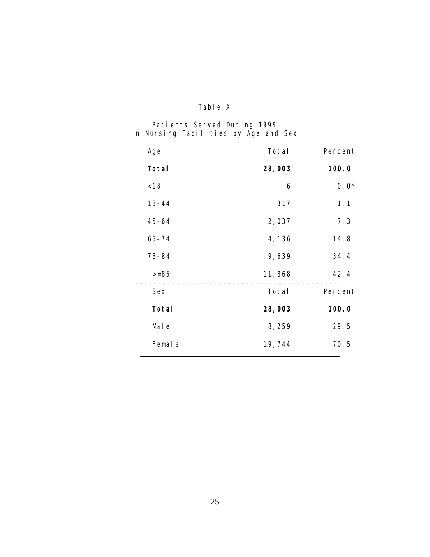# Table X

|  | Patients Served During 1999          |  |  |
|--|--------------------------------------|--|--|
|  | in Nursing Facilities by Age and Sex |  |  |

| Age       | Total  | Percent |
|-----------|--------|---------|
| Total     | 28,003 | 100.0   |
| < 18      | 6      | $0.0*$  |
| $18 - 44$ | 317    | 1.1     |
| $45 - 64$ | 2,037  | 7.3     |
| $65 - 74$ | 4,136  | 14.8    |
| $75 - 84$ | 9,639  | 34.4    |
| $>= 85$   | 11,868 | 42.4    |
| Sex       | Total  | Percent |
| Total     | 28,003 | 100.0   |
| Mal e     | 8,259  | 29.5    |
| Femal e   | 19,744 | 70.5    |
|           |        |         |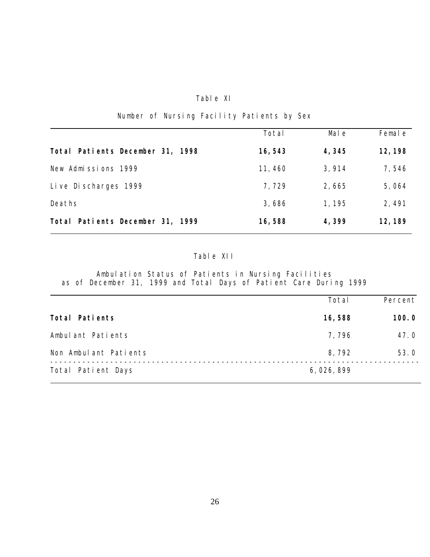#### Table XI

# Number of Nursing Facility Patients by Sex

|                                  | Total   | Mal e  | Femal e |
|----------------------------------|---------|--------|---------|
| Total Patients December 31, 1998 | 16, 543 | 4,345  | 12, 198 |
| New Admissions 1999              | 11, 460 | 3, 914 | 7,546   |
| Live Discharges 1999             | 7,729   | 2,665  | 5,064   |
| Deaths                           | 3,686   | 1, 195 | 2,491   |
| Total Patients December 31, 1999 | 16,588  | 4,399  | 12, 189 |

# Table XII

Ambulation Status of Patients in Nursing Facilities as of December 31, 1999 and Total Days of Patient Care During 1999

|                       | Total     | Percent |
|-----------------------|-----------|---------|
| Total Patients        | 16,588    | 100.0   |
| Ambulant Patients     | 7,796     | 47.0    |
| Non Ambulant Patients | 8,792     | 53.0    |
| Total Patient Days    | 6,026,899 |         |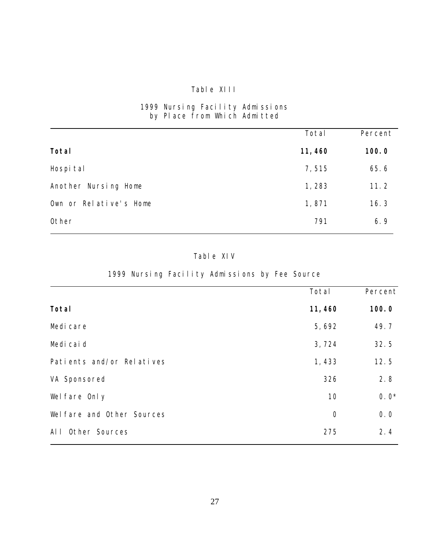### Table XIII

#### 1999 Nursing Facility Admissions by Place from Which Admitted

|                        | Total   | Percent |
|------------------------|---------|---------|
| Total                  | 11, 460 | 100.0   |
| Hospi tal              | 7,515   | 65.6    |
| Another Nursing Home   | 1,283   | 11.2    |
| Own or Relative's Home | 1,871   | 16.3    |
| Other                  | 791     | 6.9     |

### Table XIV

# 1999 Nursing Facility Admissions by Fee Source

|                            | Total      | Percent |
|----------------------------|------------|---------|
| Total                      | 11, 460    | 100.0   |
| Medi care                  | 5,692      | 49.7    |
| Medi cai d                 | 3,724      | 32.5    |
| Patients and/or Relatives  | 1,433      | 12.5    |
| VA Sponsored               | 326        | 2.8     |
| Wel fare Only              | 10         | $0.0*$  |
| Wel fare and Other Sources | $\bigcirc$ | 0.0     |
| Other Sources<br>$AI$ $I$  | 275        | 2.4     |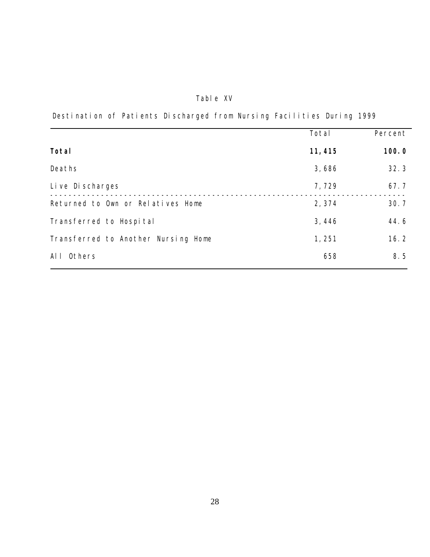# Table XV

Destination of Patients Discharged from Nursing Facilities During 1999

|                                     | Total   | Percent |
|-------------------------------------|---------|---------|
| Total                               | 11, 415 | 100.0   |
| Deaths                              | 3,686   | 32.3    |
| Live Discharges                     | 7,729   | 67.7    |
| Returned to Own or Relatives Home   | 2,374   | 30.7    |
| Transferred to Hospital             | 3,446   | 44.6    |
| Transferred to Another Nursing Home | 1,251   | 16.2    |
| Others<br>Al I                      | 658     | 8.5     |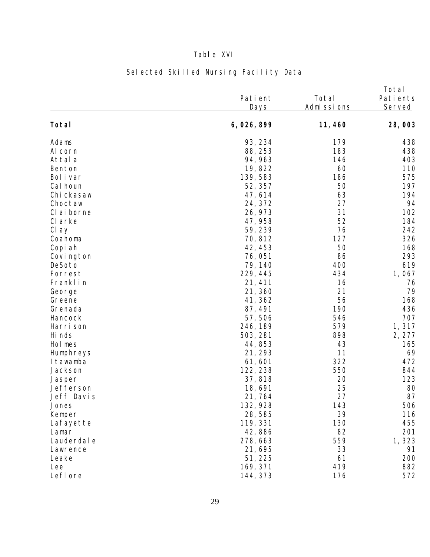# Table XVI

|             | Pati ent<br>Days | Total<br><u>Admissions</u> | Total<br>Pati ents<br>Served |
|-------------|------------------|----------------------------|------------------------------|
| Total       | 6, 026, 899      | 11, 460                    | 28,003                       |
| Adams       | 93, 234          | 179                        | 438                          |
| Al corn     | 88, 253          | 183                        | 438                          |
| Attal a     | 94, 963          | 146                        | 403                          |
| Benton      | 19,822           | 60                         | 110                          |
| Bol i var   | 139, 583         | 186                        | 575                          |
| Cal houn    | 52, 357          | 50                         | 197                          |
| Chi ckasaw  | 47, 614          | 63                         | 194                          |
| Choctaw     | 24, 372          | 27                         | 94                           |
| CI ai borne | 26, 973          | 31                         | 102                          |
| CI arke     | 47, 958          | 52                         | 184                          |
| Cl ay       | 59, 239          | 76                         | 242                          |
| Coahoma     | 70,812           | 127                        | 326                          |
| Copi ah     | 42, 453          | 50                         | 168                          |
| Covi ngton  | 76,051           | 86                         | 293                          |
| DeSoto      | 79, 140          | 400                        | 619                          |
| Forrest     | 229, 445         | 434                        | 1,067                        |
| Franklin    | 21, 411          | 16                         | 76                           |
| George      | 21,360           | 21                         | 79                           |
| Greene      | 41, 362          | 56                         | 168                          |
| Grenada     | 87, 491          | 190                        | 436                          |
| Hancock     | 57, 506          | 546                        | 707                          |
| Harri son   | 246, 189         | 579                        | 1,317                        |
| Hi nds      | 503, 281         | 898                        | 2, 277                       |
| Hol mes     | 44,853           | 43                         | 165                          |
| Humphreys   | 21, 293          | 11                         | 69                           |
| I tawamba   | 61,601           | 322                        | 472                          |
| Jackson     | 122, 238         | 550                        | 844                          |
| Jasper      | 37, 818          | 20                         | 123                          |
| Jefferson   | 18,691           | 25                         | 80                           |
| Jeff Davis  | 21,764           | 27                         | 87                           |
| Jones       | 132, 928         | 143                        | 506                          |
| Kemper      | 28, 585          | 39                         | 116                          |
| Lafayette   | 119, 331         | 130                        | 455                          |
| Lamar       | 42,886           | 82                         | 201                          |
| Lauderdal e | 278, 663         | 559                        | 1,323                        |
| Lawrence    | 21,695           | 33                         | 91                           |
| Leake       | 51, 225          | 61                         | 200                          |
| Lee         | 169, 371         | 419                        | 882                          |
| Lefl ore    | 144, 373         | 176                        | 572                          |

# Selected Skilled Nursing Facility Data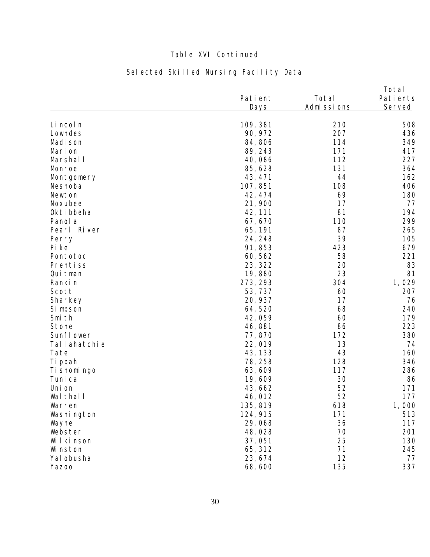# Table XVI Continued

# Selected Skilled Nursing Facility Data

|              | Pati ent | Total      | Total<br>Pati ents |
|--------------|----------|------------|--------------------|
|              | Days     | Admissions | Served             |
| Li ncol n    | 109, 381 | 210        | 508                |
| Lowndes      | 90, 972  | 207        | 436                |
| Madi son     | 84,806   | 114        | 349                |
| Marion       | 89, 243  | 171        | 417                |
| Marshal I    | 40,086   | 112        | 227                |
| Monroe       | 85, 628  | 131        | 364                |
| Montgomery   | 43, 471  | 44         | 162                |
| Neshoba      | 107, 851 | 108        | 406                |
| Newton       | 42, 474  | 69         | 180                |
| Noxubee      | 21,900   | 17         | 77                 |
| Okti bbeha   | 42, 111  | 81         | 194                |
| Panol a      | 67, 670  | 110        | 299                |
| Pearl River  | 65, 191  | 87         | 265                |
| Perry        | 24, 248  | 39         | 105                |
| Pi ke        | 91,853   | 423        | 679                |
| Pontotoc     | 60, 562  | 58         | 221                |
| Prentiss     | 23, 322  | 20         | 83                 |
| Qui tman     | 19,880   | 23         | 81                 |
| Ranki n      | 273, 293 | 304        | 1,029              |
| Scott        | 53, 737  | 60         | 207                |
| Sharkey      | 20, 937  | 17         | 76                 |
| Si mpson     | 64,520   | 68         | 240                |
| Smi th       | 42,059   | 60         | 179                |
| Stone        | 46,881   | 86         | 223                |
| Sunfl ower   | 77,870   | 172        | 380                |
| Tallahatchie | 22,019   | 13         | 74                 |
| Tate         | 43, 133  | 43         | 160                |
| Ti ppah      | 78, 258  | 128        | 346                |
| Ti shomi ngo | 63, 609  | 117        | 286                |
| Tuni ca      | 19,609   | 30         | 86                 |
| Uni on       | 43, 662  | 52         | 171                |
| Wal thal I   | 46, 012  | 52         | 177                |
| Warren       | 135, 819 | 618        | 1,000              |
| Washi ngton  | 124, 915 | 171        | 513                |
| Wayne        | 29,068   | 36         | 117                |
| Webster      | 48,028   | 70         | 201                |
| Wilkinson    | 37,051   | 25         | 130                |
| Wi nston     | 65, 312  | 71         | 245                |
| Yal obusha   | 23, 674  | 12         | 77                 |
| Yazoo        | 68,600   | 135        | 337                |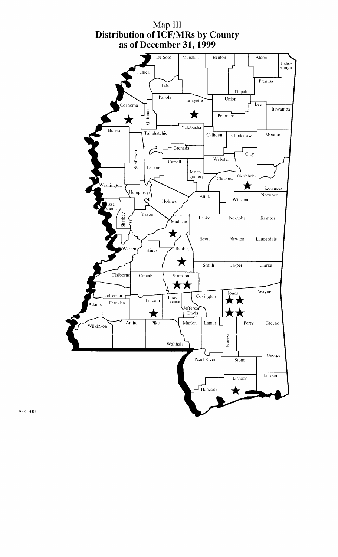

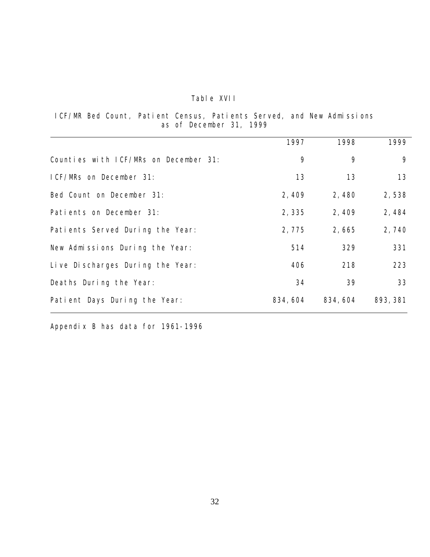## Table XVII

ICF/MR Bed Count, Patient Census, Patients Served, and New Admissions as of December 31, 1999

|                                       | 1997     | 1998     | 1999     |
|---------------------------------------|----------|----------|----------|
| Counties with ICF/MRs on December 31: | 9        | 9        | 9        |
| ICF/MRs on December 31:               | 13       | 13       | 13       |
| Bed Count on December 31:             | 2,409    | 2,480    | 2,538    |
| Patients on December 31:              | 2,335    | 2,409    | 2,484    |
| Patients Served During the Year:      | 2,775    | 2,665    | 2,740    |
| New Admissions During the Year:       | 514      | 329      | 331      |
| Live Discharges During the Year:      | 406      | 218      | 223      |
| Deaths During the Year:               | 34       | 39       | 33       |
| Patient Days During the Year:         | 834, 604 | 834, 604 | 893, 381 |

Appendix B has data for 1961-1996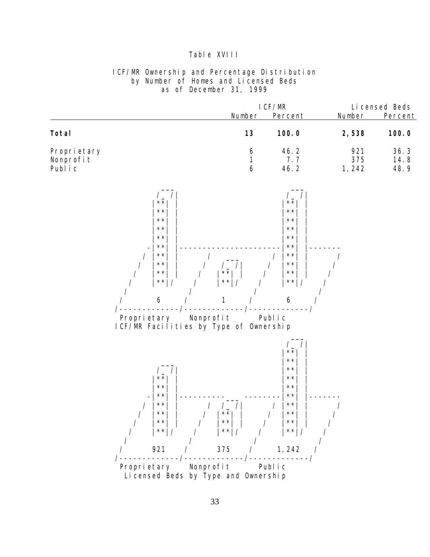#### Table XVIII

#### ICF/MR Ownership and Percentage Distribution by Number of Homes and Licensed Beds as of December 31, 1999

|                                       | I CF/MR |                    |                      | Li censed Beds       |
|---------------------------------------|---------|--------------------|----------------------|----------------------|
|                                       | Number  | Percent            | Number               | Percent              |
| Total                                 | 13      | 100.0              | 2,538                | 100.0                |
| Propri etary<br>Nonprofit<br>Publ i c | 6<br>6  | 46.2<br>77<br>46.2 | 921<br>375<br>1, 242 | 36.3<br>14.8<br>48.9 |

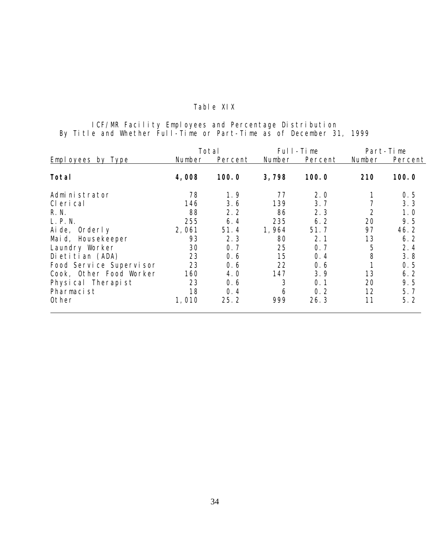### Table XIX

#### ICF/MR Facility Employees and Percentage Distribution By Title and Whether Full-Time or Part-Time as of December 31, 1999

|                         |        | Total   |        | Full-Time |        | Part-Time |  |
|-------------------------|--------|---------|--------|-----------|--------|-----------|--|
| Employees by Type       | Number | Percent | Number | Percent   | Number | Percent   |  |
| Total                   | 4,008  | 100.0   | 3,798  | 100.0     | 210    | 100.0     |  |
| Admi ni strator         | 78     | 1.9     | 77     | 2.0       |        | 0.5       |  |
| CI eri cal              | 146    | 3.6     | 139    | 3.7       |        | 3.3       |  |
| R. N.                   | 88     | 2.2     | 86     | 2.3       | 2      | 1.0       |  |
| L. P. N.                | 255    | 6.4     | 235    | 6.2       | 20     | 9.5       |  |
| Aide, Orderly           | 2,061  | 51.4    | 1,964  | 51.7      | 97     | 46.2      |  |
| Maid, Housekeeper       | 93     | 2.3     | 80     | 2.1       | 13     | 6.2       |  |
| Laundry Worker          | 30     | 0.7     | 25     | 0.7       | 5      | 2.4       |  |
| Dietitian (ADA)         | 23     | 0.6     | 15     | 0.4       | 8      | 3.8       |  |
| Food Service Supervisor | 23     | 0.6     | 22     | 0.6       |        | 0.5       |  |
| Cook, Other Food Worker | 160    | 4.0     | 147    | 3.9       | 13     | 6.2       |  |
| Physical Therapist      | 23     | 0.6     | 3      | 0.1       | 20     | 9.5       |  |
| Pharmacist              | 18     | 0.4     | 6      | 0.2       | 12     | 5.7       |  |
| Other                   | 1,010  | 25.2    | 999    | 26.3      | 11     | 5.2       |  |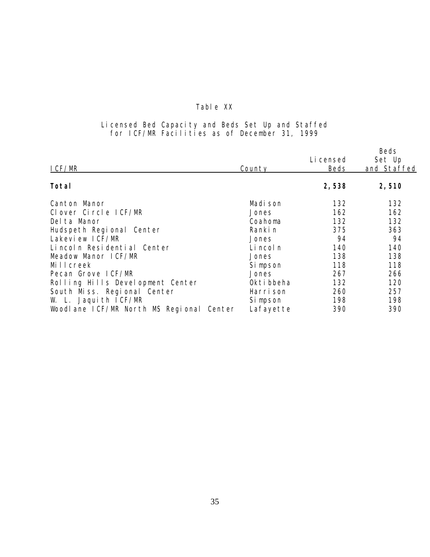### Table XX

#### Licensed Bed Capacity and Beds Set Up and Staffed for ICF/MR Facilities as of December 31, 1999

|                                                       |           | Beds        |
|-------------------------------------------------------|-----------|-------------|
|                                                       | Li censed | Set Up      |
| County                                                | Beds      | and Staffed |
|                                                       | 2,538     | 2,510       |
| Madi son                                              | 132       | 132         |
| Jones                                                 | 162       | 162         |
| Coahoma                                               | 132       | 132         |
| Ranki n                                               | 375       | 363         |
| Jones                                                 | 94        | 94          |
| Li ncol n                                             | 140       | 140         |
| Jones                                                 | 138       | 138         |
| Si mpson                                              | 118       | 118         |
| Jones                                                 | 267       | 266         |
| Okti bbeha                                            | 132       | 120         |
| Harri son                                             | 260       | 257         |
| Si mpson                                              | 198       | 198         |
| Woodlane ICF/MR North MS Regional Center<br>Lafayette | 390       | 390         |
|                                                       |           |             |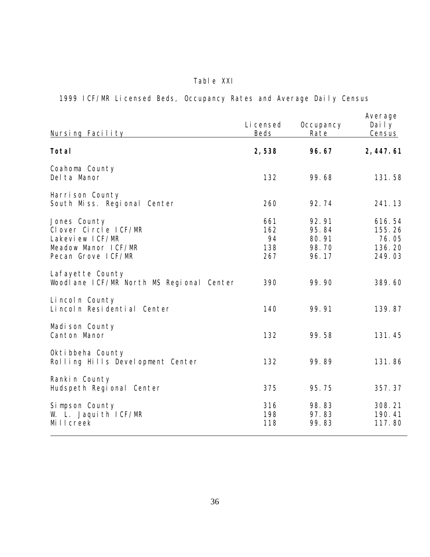# Table XXI

1999 ICF/MR Licensed Beds, Occupancy Rates and Average Daily Census

| Nursing Facility                                                                                      | Li censed<br>Beds              | Occupancy<br>Rate                         | Average<br>Daily<br>Census                    |
|-------------------------------------------------------------------------------------------------------|--------------------------------|-------------------------------------------|-----------------------------------------------|
| Total                                                                                                 | 2,538                          | 96.67                                     | 2, 447.61                                     |
| Coahoma County<br>Del ta Manor                                                                        | 132                            | 99.68                                     | 131.58                                        |
| Harrison County<br>South Miss. Regional Center                                                        | 260                            | 92.74                                     | 241.13                                        |
| Jones County<br>Clover Circle ICF/MR<br>Lakevi ew ICF/MR<br>Meadow Manor ICF/MR<br>Pecan Grove ICF/MR | 661<br>162<br>94<br>138<br>267 | 92.91<br>95.84<br>80.91<br>98.70<br>96.17 | 616.54<br>155.26<br>76.05<br>136.20<br>249.03 |
| Lafayette County<br>Woodlane ICF/MR North MS Regional Center                                          | 390                            | 99.90                                     | 389.60                                        |
| Lincoln County<br>Lincoln Residential Center                                                          | 140                            | 99.91                                     | 139.87                                        |
| Madi son County<br>Canton Manor                                                                       | 132                            | 99.58                                     | 131.45                                        |
| Okti bbeha County<br>Rolling Hills Development Center                                                 | 132                            | 99.89                                     | 131.86                                        |
| Rankin County<br>Hudspeth Regional Center                                                             | 375                            | 95.75                                     | 357.37                                        |
| Simpson County<br>W. L. Jaquith ICF/MR<br>Millcreek                                                   | 316<br>198<br>118              | 98.83<br>97.83<br>99.83                   | 308.21<br>190.41<br>117.80                    |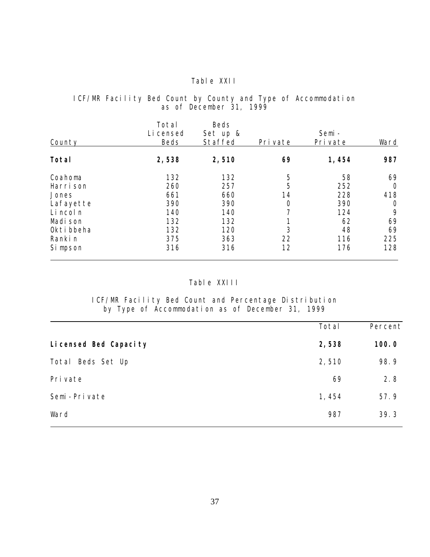#### Table XXII

#### ICF/MR Facility Bed Count by County and Type of Accommodation as of December 31, 1999

| County     | Total<br>Li censed<br>Beds | Beds<br>Set up &<br>Staffed | Pri vate | Semi-<br>Pri vate | Ward           |
|------------|----------------------------|-----------------------------|----------|-------------------|----------------|
| Total      | 2,538                      | 2,510                       | 69       | 1,454             | 987            |
| Coahoma    | 132                        | 132                         | 5        | 58                | 69             |
| Harri son  | 260                        | 257                         | 5        | 252               | $\Omega$       |
| Jones      | 661                        | 660                         | 14       | 228               | 418            |
| Lafayette  | 390                        | 390                         | 0        | 390               | $\overline{O}$ |
| Li ncol n  | 140                        | 140                         |          | 124               | 9              |
| Madi son   | 132                        | 132                         |          | 62                | 69             |
| Okti bbeha | 132                        | 120                         | 3        | 48                | 69             |
| Ranki n    | 375                        | 363                         | 22       | 116               | 225            |
| Si mpson   | 316                        | 316                         | 12       | 176               | 128            |

# Table XXIII

ICF/MR Facility Bed Count and Percentage Distribution by Type of Accommodation as of December 31, 1999

|                        | Total | Percent |
|------------------------|-------|---------|
| Li censed Bed Capacity | 2,538 | 100.0   |
| Total<br>Beds Set Up   | 2,510 | 98.9    |
| Pri vate               | 69    | 2.8     |
| Semi-Private           | 1,454 | 57.9    |
| Ward                   | 987   | 39.3    |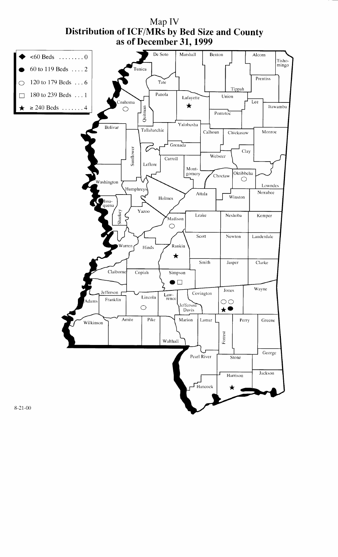

Map IV **Distribution of ICF/MRs by Bed Size and County**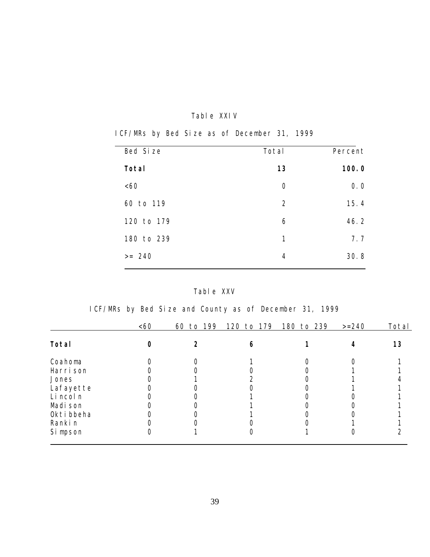### Table XXIV

ICF/MRs by Bed Size as of December 31, 1999

| Bed Size   | Total          | Percent |
|------------|----------------|---------|
| Total      | 13             | 100.0   |
| &50        | $\Omega$       | 0.0     |
| 60 to 119  | $\overline{2}$ | 15.4    |
| 120 to 179 | 6              | 46.2    |
| 180 to 239 | 1              | 7.7     |
| $>= 240$   | $\overline{4}$ | 30.8    |
|            |                |         |

# Table XXV

ICF/MRs by Bed Size and County as of December 31, 1999

|            | &50 | 199<br>60<br>to | 120 to 179 | 180 to 239 | $>=240$ | Total |
|------------|-----|-----------------|------------|------------|---------|-------|
| Total      |     |                 |            |            |         | 13    |
| Coahoma    |     |                 |            |            |         |       |
| Harri son  |     |                 |            |            |         |       |
| Jones      |     |                 |            |            |         |       |
| Lafayette  |     |                 |            |            |         |       |
| Li ncol n  |     |                 |            |            |         |       |
| Madi son   |     |                 |            |            |         |       |
| Okti bbeha |     |                 |            |            |         |       |
| Ranki n    |     |                 |            |            |         |       |
| Si mpson   |     |                 |            |            |         |       |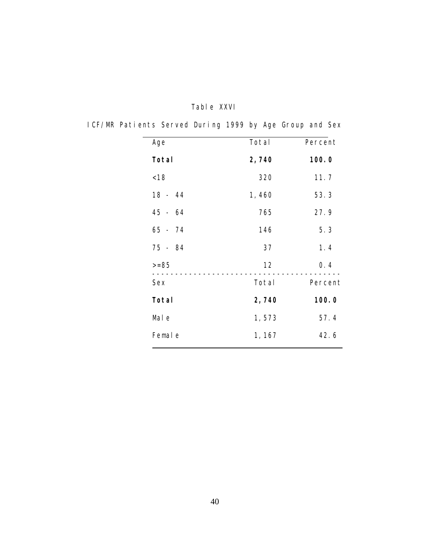| Age       | Total  | Percent |
|-----------|--------|---------|
| Total     | 2,740  | 100.0   |
| < 18      | 320    | 11.7    |
| $18 - 44$ | 1,460  | 53.3    |
| $45 - 64$ | 765    | 27.9    |
| 65 - 74   | 146    | 5.3     |
| 75 - 84   | 37     | 1.4     |
| $>= 85$   | 12     | 0.4     |
| Sex       | Total  | Percent |
| Total     | 2,740  | 100.0   |
| Mal e     | 1,573  | 57.4    |
| Femal e   | 1, 167 | 42.6    |
|           |        |         |

# Table XXVI

ICF/MR Patients Served During 1999 by Age Group and Sex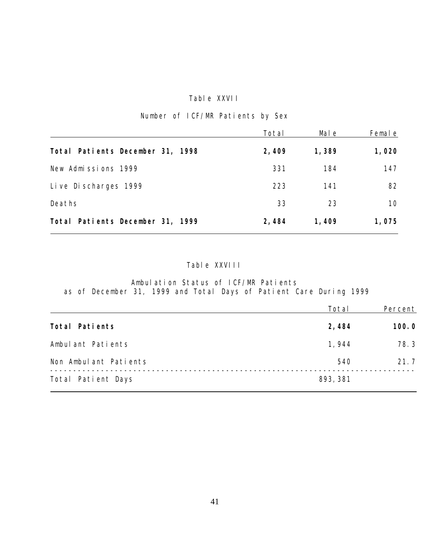### Table XXVII

|  |  |  | Number of ICF/MR Patients by Sex |  |  |
|--|--|--|----------------------------------|--|--|
|--|--|--|----------------------------------|--|--|

|                                  | Total | Mal e | Female |
|----------------------------------|-------|-------|--------|
| Total Patients December 31, 1998 | 2,409 | 1,389 | 1,020  |
| New Admissions 1999              | 331   | 184   | 147    |
| Live Discharges 1999             | 223   | 141   | 82     |
| Deaths                           | 33    | 23    | 10     |
| Total Patients December 31, 1999 | 2,484 | 1,409 | 1,075  |

# Table XXVIII

Ambulation Status of ICF/MR Patients as of December 31, 1999 and Total Days of Patient Care During 1999

|                       | Total    | Percent |
|-----------------------|----------|---------|
| Total Patients        | 2,484    | 100.0   |
| Ambulant Patients     | 1,944    | 78.3    |
| Non Ambulant Patients | 540      | 21.7    |
| Total Patient Days    | 893, 381 |         |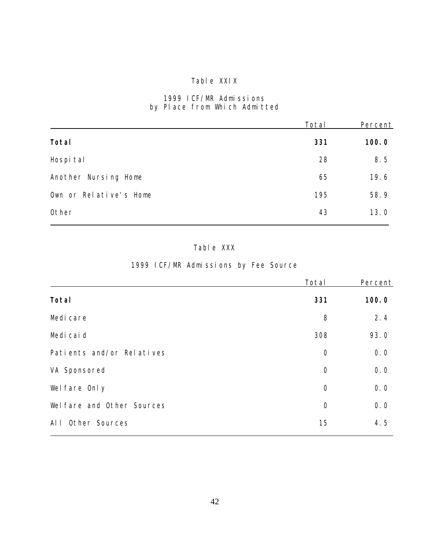# Table XXIX

### 1999 ICF/MR Admissions by Place from Which Admitted

|                        | Total | Percent |
|------------------------|-------|---------|
| Total                  | 331   | 100.0   |
| Hospi tal              | 28    | 8.5     |
| Another Nursing Home   | 65    | 19.6    |
| Own or Relative's Home | 195   | 58.9    |
| Other                  | 43    | 13.0    |

# Table XXX

# 1999 ICF/MR Admissions by Fee Source

|                            | Total          | Percent |
|----------------------------|----------------|---------|
| Total                      | 331            | 100.0   |
| Medi care                  | 8              | 2.4     |
| Medi cai d                 | 308            | 93.0    |
| Patients and/or Relatives  | $\overline{0}$ | 0.0     |
| VA Sponsored               | $\overline{0}$ | 0.0     |
| Wel fare Only              | $\overline{O}$ | 0.0     |
| Wel fare and Other Sources | $\overline{0}$ | 0.0     |
| Other Sources<br>Al I      | 15             | 4.5     |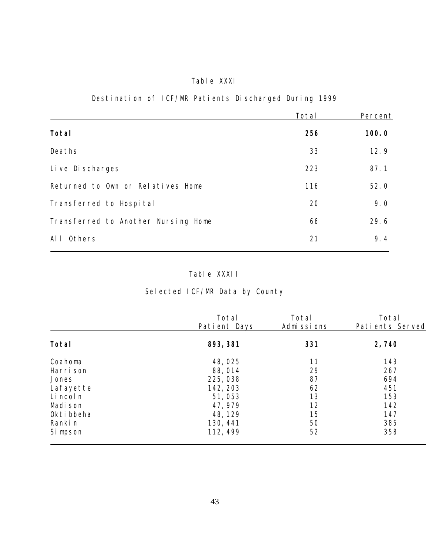# Table XXXI

# Destination of ICF/MR Patients Discharged During 1999

|                                     | Total | Percent |
|-------------------------------------|-------|---------|
| Total                               | 256   | 100.0   |
| Deaths                              | 33    | 12.9    |
| Live Discharges                     | 223   | 87.1    |
| Returned to Own or Relatives Home   | 116   | 52.0    |
| Transferred to Hospital             | 20    | 9.0     |
| Transferred to Another Nursing Home | 66    | 29.6    |
| AI<br>Others                        | 21    | 9.4     |

# Table XXXII

# Selected ICF/MR Data by County

|            | Total        | Total      | Total           |
|------------|--------------|------------|-----------------|
|            | Patient Days | Admissions | Patients Served |
| Total      | 893, 381     | 331        | 2,740           |
| Coahoma    | 48,025       | 11         | 143             |
| Harri son  | 88,014       | 29         | 267             |
| Jones      | 225,038      | 87         | 694             |
| Lafayette  | 142, 203     | 62         | 451             |
| Li ncol n  | 51,053       | 13         | 153             |
| Madi son   | 47, 979      | 12         | 142             |
| Okti bbeha | 48, 129      | 15         | 147             |
| Ranki n    | 130, 441     | 50         | 385             |
| Si mpson   | 112, 499     | 52         | 358             |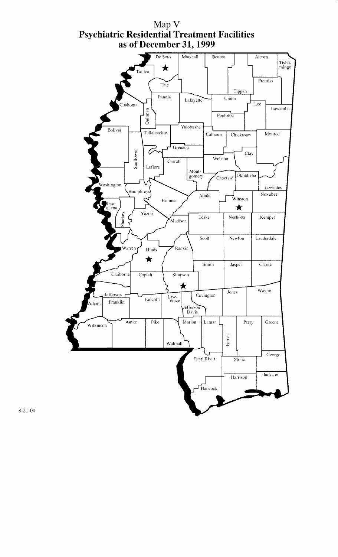

 $8 - 21 - 00$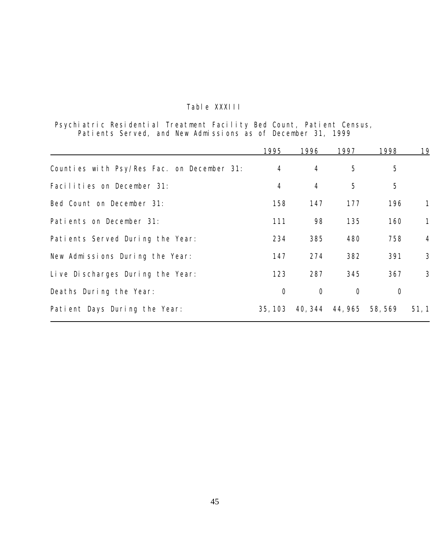# Table XXXIII

Psychiatric Residential Treatment Facility Bed Count, Patient Census, Patients Served, and New Admissions as of December 31, 1999

|                                            | 1995           | 1996           | 1997           | 1998                    | 19             |
|--------------------------------------------|----------------|----------------|----------------|-------------------------|----------------|
| Counties with Psy/Res Fac. on December 31: | $\overline{4}$ | $\overline{4}$ | 5              | 5                       |                |
| Facilities on December 31:                 | $\overline{4}$ | $\overline{4}$ | 5              | 5                       |                |
| Bed Count on December 31:                  | 158            | 147            | 177            | 196                     |                |
| Patients on December 31:                   | 111            | 98             | 135            | 160                     | 1              |
| Patients Served During the Year:           | 234            | 385            | 480            | 758                     | $\overline{4}$ |
| New Admissions During the Year:            | 147            | 274            | 382            | 391                     | 3              |
| Live Discharges During the Year:           | 123            | 287            | 345            | 367                     | 3              |
| Deaths During the Year:                    | $\overline{O}$ | $\overline{O}$ | $\overline{O}$ | $\overline{O}$          |                |
| Patient Days During the Year:              | 35, 103        |                |                | 40, 344 44, 965 58, 569 | 51, 1          |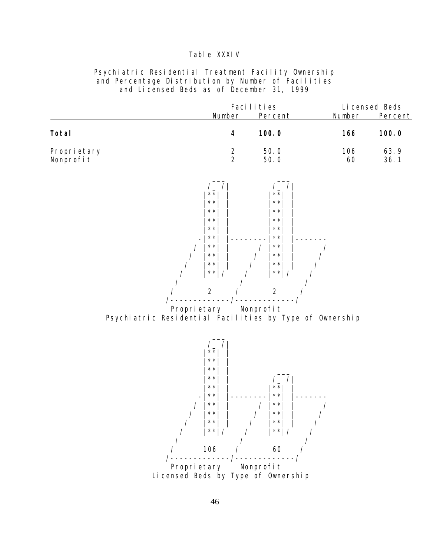#### Table XXXIV

#### Psychiatric Residential Treatment Facility Ownership and Percentage Distribution by Number of Facilities and Licensed Beds as of December 31, 1999

|                           |               | Facilities   |           | Li censed Beds |
|---------------------------|---------------|--------------|-----------|----------------|
|                           | Number        | Percent      | Number    | Percent        |
| Total                     | 4             | 100.0        | 166       | 100.0          |
| Propri etary<br>Nonprofit | $\mathcal{P}$ | 50.0<br>50.0 | 106<br>60 | 63.9<br>36.1   |
|                           |               |              |           |                |



Psychiatric Residential Facilities by Type of Ownership

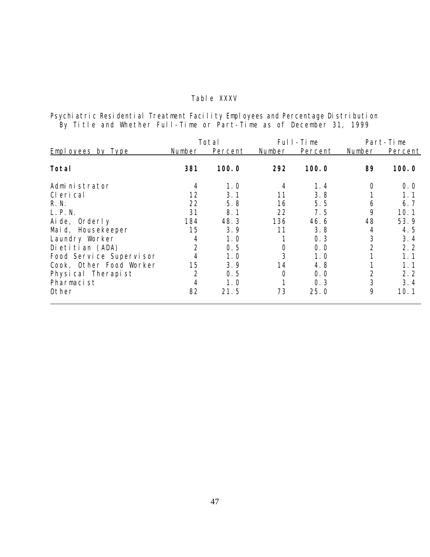### Table XXXV

Psychiatric Residential Treatment Facility Employees and Percentage Distribution By Title and Whether Full-Time or Part-Time as of December 31, 1999

|                         |                | Total   |        | Full-Time |                | Part-Time |
|-------------------------|----------------|---------|--------|-----------|----------------|-----------|
| Employees by Type       | Number         | Percent | Number | Percent   | Number         | Percent   |
| Total                   | 381            | 100.0   | 292    | 100.0     | 89             | 100.0     |
| Administrator           | 4              | 1.0     | 4      | 1.4       | $\circ$        | 0.0       |
| CI eri cal              | 12             | 3.1     | 11     | 3.8       |                | 1.1       |
| R. N.                   | 22             | 5.8     | 16     | 5.5       | 6              | 6.7       |
| L. P. N.                | 31             | 8.1     | 22     | 7.5       | 9              | 10.1      |
| Aide, Orderly           | 184            | 48.3    | 136    | 46.6      | 48             | 53.9      |
| Maid, Housekeeper       | 15             | 3.9     | 11     | 3.8       | 4              | 4.5       |
| Laundry Worker          | 4              | 1. 0    |        | 0.3       | 3              | 3.4       |
| Dietitian (ADA)         | $\overline{2}$ | 0.5     |        | 0.0       | $\overline{2}$ | 2.2       |
| Food Service Supervisor |                | 1. 0    | 3      | 1.0       |                | 1. 1      |
| Cook, Other Food Worker | 15             | 3.9     | 14     | 4.8       |                | 1. 1      |
| Physical Therapist      | $\overline{2}$ | 0.5     |        | 0.0       | $\overline{2}$ | 2.2       |
| Pharmacist              | 4              | 1.0     |        | 0.3       | 3              | 3.4       |
| Other                   | 82             | 21.5    | 73     | 25.0      | 9              | 10.1      |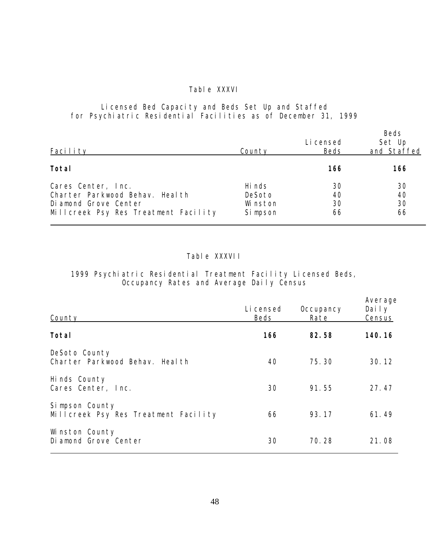#### Table XXXVI

#### Licensed Bed Capacity and Beds Set Up and Staffed for Psychiatric Residential Facilities as of December 31, 1999

| Facility                                                                                                              | County                                   | Li censed<br>Beds    | Beds<br>Set Up<br>and Staffed |
|-----------------------------------------------------------------------------------------------------------------------|------------------------------------------|----------------------|-------------------------------|
| Total                                                                                                                 |                                          | 166                  | 166                           |
| Cares Center, Inc.<br>Charter Parkwood Behay. Heal th<br>Diamond Grove Center<br>Millcreek Psy Res Treatment Facility | Hi nds<br>DeSoto<br>Wi nston<br>Si mpson | 30<br>40<br>30<br>66 | 30<br>40<br>30<br>66          |

#### Table XXXVII

#### 1999 Psychiatric Residential Treatment Facility Licensed Beds, Occupancy Rates and Average Daily Census

| County                                                 | Li censed<br>Beds | Occupancy<br>Rate | Average<br>Daily<br>Census |
|--------------------------------------------------------|-------------------|-------------------|----------------------------|
| Total                                                  | 166               | 82.58             | 140.16                     |
| DeSoto County<br>Charter Parkwood Behav. Heal th       | 40                | 75.30             | 30.12                      |
| Hinds County<br>Cares Center, Inc.                     | 30                | 91.55             | 27.47                      |
| Simpson County<br>Millcreek Psy Res Treatment Facility | 66                | 93.17             | 61.49                      |
| Winston County<br>Di amond Grove Center                | 30                | 70.28             | 21.08                      |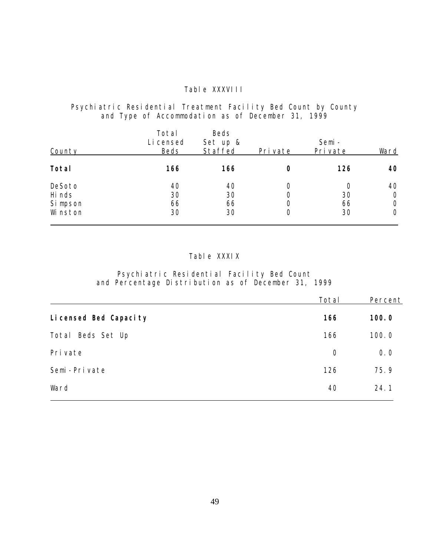#### Table XXXVIII

#### Psychiatric Residential Treatment Facility Bed Count by County and Type of Accommodation as of December 31, 1999

| County               | Total<br>Li censed<br>Beds | Beds<br>Set up &<br>Staffed | Pri vate | Semi-<br>Pri vate | Ward                            |
|----------------------|----------------------------|-----------------------------|----------|-------------------|---------------------------------|
| Total                | 166                        | 166                         |          | 126               | 40                              |
| DeSoto<br>Hi nds     | 40<br>30<br>66             | 40<br>30<br>66              |          | Ω<br>30<br>66     | 40<br>$\circ$<br>$\overline{O}$ |
| Si mpson<br>Wi nston | 30                         | 30                          | Ω        | 30                | $\overline{O}$                  |

#### Table XXXIX

#### Psychiatric Residential Facility Bed Count and Percentage Distribution as of December 31, 1999

|                        | Total          | Percent |
|------------------------|----------------|---------|
| Li censed Bed Capacity | 166            | 100.0   |
| Beds Set Up<br>Total   | 166            | 100.0   |
| Pri vate               | $\overline{O}$ | 0.0     |
| Semi-Private           | 126            | 75.9    |
| Ward                   | 40             | 24.1    |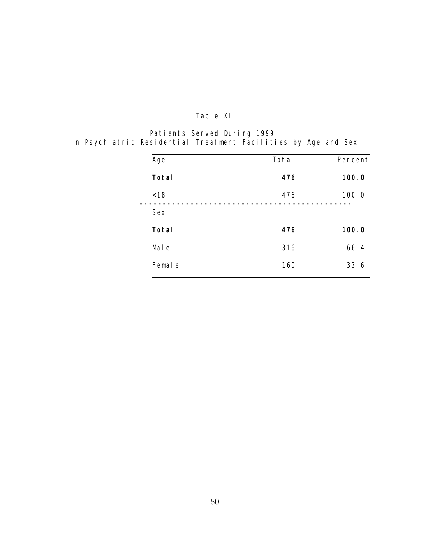# Table XL

Patients Served During 1999 in Psychiatric Residential Treatment Facilities by Age and Sex

| Age     | Total | Percent |
|---------|-------|---------|
| Total   | 476   | 100.0   |
| < 18    | 476   | 100.0   |
| Sex     |       |         |
| Total   | 476   | 100.0   |
| Mal e   | 316   | 66.4    |
| Femal e | 160   | 33.6    |
|         |       |         |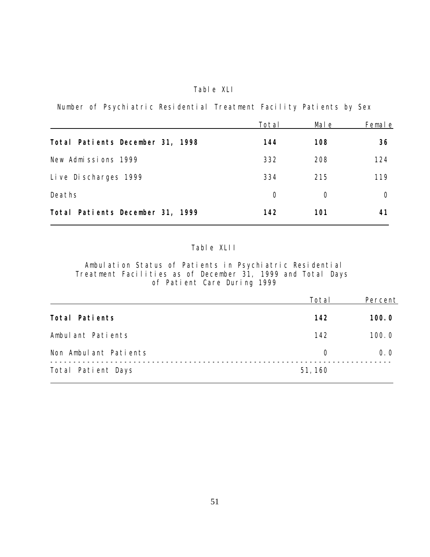### Table XLI

Number of Psychiatric Residential Treatment Facility Patients by Sex

|                                  | Total     | Mal e      | Femal e |
|----------------------------------|-----------|------------|---------|
| Total Patients December 31, 1998 | 144       | 108        | 36      |
| New Admissions 1999              | 332       | 208        | 124     |
| Live Discharges 1999             | 334       | 215        | 119     |
| Deaths                           | $\bigcap$ | $\bigcirc$ |         |
| Total Patients December 31, 1999 | 142       | 101        | 41      |

### Table XLII

Ambulation Status of Patients in Psychiatric Residential Treatment Facilities as of December 31, 1999 and Total Days of Patient Care During 1999

|                       | Total     | Percent |
|-----------------------|-----------|---------|
| Total Patients        | 142       | 100.0   |
| Ambulant Patients     | 142       | 100.0   |
| Non Ambulant Patients | $\bigcap$ | 0.0     |
| Total Patient Days    | 51, 160   |         |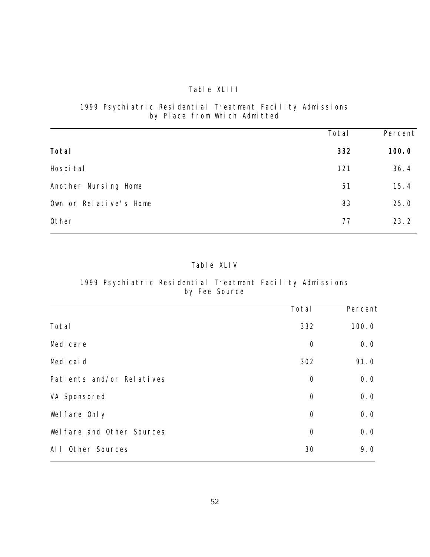#### Table XLIII

### 1999 Psychiatric Residential Treatment Facility Admissions by Place from Which Admitted

|                        | Total | Percent |
|------------------------|-------|---------|
| Total                  | 332   | 100.0   |
| Hospi tal              | 121   | 36.4    |
| Another Nursing Home   | 51    | 15.4    |
| Own or Relative's Home | 83    | 25.0    |
| Other                  | 77    | 23.2    |

# Table XLIV

### 1999 Psychiatric Residential Treatment Facility Admissions by Fee Source

|                            | Total          | Percent |
|----------------------------|----------------|---------|
| Total                      | 332            | 100.0   |
| Medi care                  | $\overline{O}$ | 0.0     |
| Medi cai d                 | 302            | 91.0    |
| Patients and/or Relatives  | $\overline{O}$ | 0.0     |
| VA Sponsored               | $\overline{O}$ | 0.0     |
| Wel fare Only              | $\overline{O}$ | 0.0     |
| Wel fare and Other Sources | $\overline{O}$ | 0.0     |
| Other Sources<br>$AI$ $I$  | 30             | 9.0     |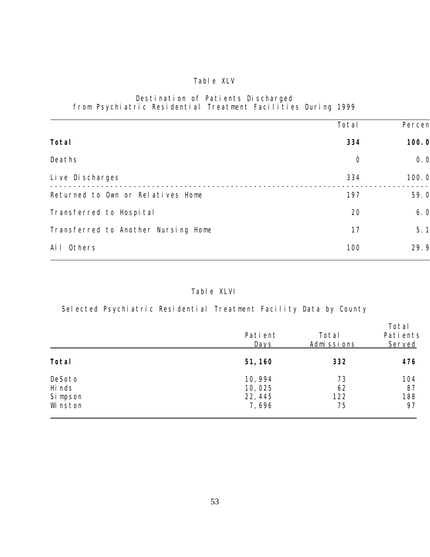# Table XLV

#### Destination of Patients Discharged from Psychiatric Residential Treatment Facilities During 1999

|                                     | Total          | Percen |
|-------------------------------------|----------------|--------|
|                                     |                |        |
| Total                               | 334            | 100.0  |
| Deaths                              | $\overline{0}$ | 0.0    |
| Live Discharges                     | 334            | 100.0  |
| Returned to Own or Relatives Home   | 197            | 59.0   |
| Transferred to Hospi tal            | 20             | 6.0    |
| Transferred to Another Nursing Home | 17             | 5.1    |
| Others<br>AI I                      | 100            | 29.9   |

### Table XLVI

Selected Psychiatric Residential Treatment Facility Data by County

|                                          | Pati ent<br>Days                      | Total<br>Admissions   | Total<br>Pati ents<br>Served |
|------------------------------------------|---------------------------------------|-----------------------|------------------------------|
| Total                                    | 51, 160                               | 332                   | 476                          |
| DeSoto<br>Hi nds<br>Si mpson<br>Wi nston | 10, 994<br>10,025<br>22, 445<br>7,696 | 73<br>62<br>122<br>75 | 104<br>87<br>188<br>97       |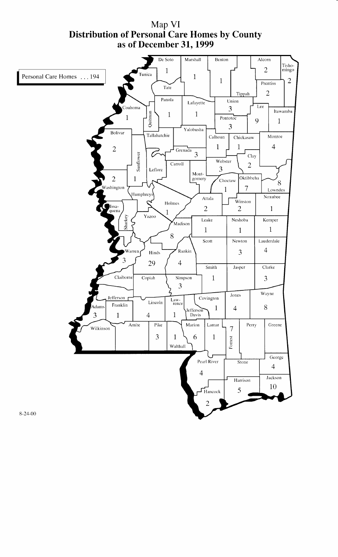Map VI<br>Distribution of Personal Care Homes by County as of December 31, 1999

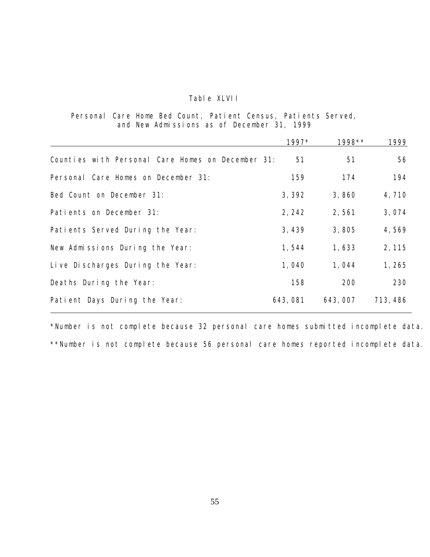### Table XLVII

#### Personal Care Home Bed Count, Patient Census, Patients Served, and New Admissions as of December 31, 1999

|                                                   | 1997*   | 1998**  | 1999     |
|---------------------------------------------------|---------|---------|----------|
| Counties with Personal Care Homes on December 31: | 51      | 51      | 56       |
| Personal Care Homes on December 31:               | 159     | 174     | 194      |
| Bed Count on December 31:                         | 3,392   | 3,860   | 4,710    |
| Patients on December 31:                          | 2, 242  | 2,561   | 3,074    |
| Patients Served During the Year:                  | 3,439   | 3,805   | 4,569    |
| New Admissions During the Year:                   | 1,544   | 1,633   | 2, 115   |
| Live Discharges During the Year:                  | 1,040   | 1,044   | 1,265    |
| Deaths During the Year:                           | 158     | 200     | 230      |
| Patient Days During the Year:                     | 643,081 | 643,007 | 713, 486 |

\*Number is not complete because 32 personal care homes submitted incomplete data. \*\*Number is not complete because 56 personal care homes reported incomplete data.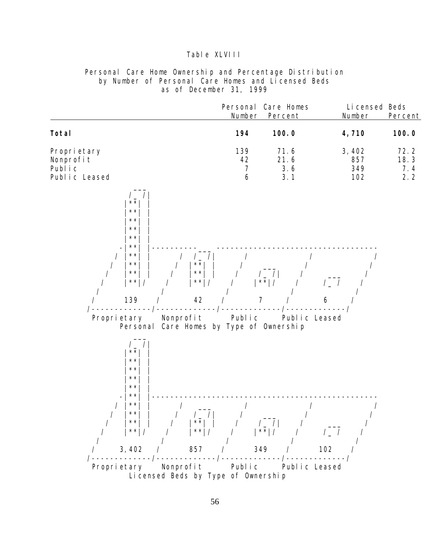#### Table XLVIII

Personal Care Home Ownership and Percentage Distribution by Number of Personal Care Homes and Licensed Beds as of December 31, 1999

|                                                                                                                                                                                                                                                                                                                                | Personal<br>Number               | Care Homes<br>Percent                            | Li censed Beds<br>Number   | Percent                    |
|--------------------------------------------------------------------------------------------------------------------------------------------------------------------------------------------------------------------------------------------------------------------------------------------------------------------------------|----------------------------------|--------------------------------------------------|----------------------------|----------------------------|
| Total                                                                                                                                                                                                                                                                                                                          | 194                              | 100.0                                            | 4,710                      | 100.0                      |
| Propri etary<br>Nonprofit<br>Public<br>Public Leased                                                                                                                                                                                                                                                                           | 139<br>42<br>$\overline{7}$<br>6 | 71.6<br>21.6<br>3.6<br>3.1                       | 3,402<br>857<br>349<br>102 | 72.2<br>18.3<br>7.4<br>2.2 |
| $\mathcal{L}_{\perp}$<br>$\star$ $\star$<br>$\star$ $\star$<br>$\star$ $\star$<br>$\star\star$<br>$\star$ $\star$<br>$\star\,\star$<br>$\star$ $\star$<br>$\sqrt{2}$<br>$\overline{\phantom{a}}$<br>$\star$ $\star$<br>$\star$ $\star$<br>$\star$ $\star$<br>$\star$ $\star$<br>$\star$ $\star$<br>$\star\,\star$<br>139<br>42 |                                  | $\frac{1}{x}$<br>$\frac{1}{x}$<br>$\overline{7}$ | 6                          |                            |
| Proprietary<br>Nonprofit<br>Care Homes by Type of Ownership<br>Personal                                                                                                                                                                                                                                                        | Public                           | Public Leased                                    |                            |                            |
| $\sqrt{\phantom{a}}$<br>$\star$ $\star$<br>$\star\star$<br>$\star\star$<br>$\star$ $\star$<br>$\star$ $\star$<br>$\star\star$<br>$\star$ $\star$<br>$\star\star$<br>$\prime$  <br>$\sqrt{2}$<br>$\star$ $\star$<br>$\star\star$<br>$\star\star$<br>$\star \star$                                                               |                                  | $\prime$<br>$ ** $                               | $\left/$                   |                            |
| 3,402<br>857                                                                                                                                                                                                                                                                                                                   |                                  | 349                                              | 102                        |                            |
| Proprietary<br>Nonprofit<br>Li censed Beds by Type of Ownership                                                                                                                                                                                                                                                                | Public                           | Public Leased                                    |                            |                            |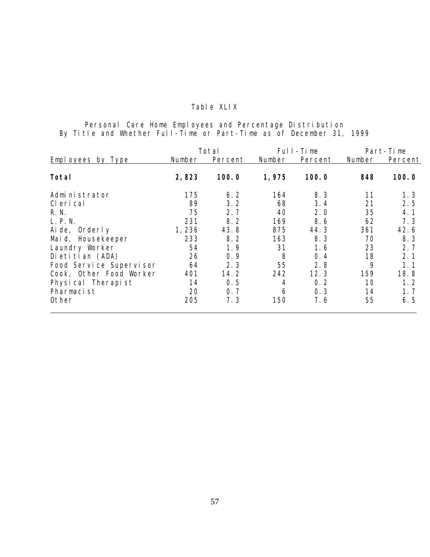# Table XLIX

Personal Care Home Employees and Percentage Distribution By Title and Whether Full-Time or Part-Time as of December 31, 1999

|                         |        | Total   |        | Full-Time |        | Part-Time |
|-------------------------|--------|---------|--------|-----------|--------|-----------|
| Employees by Type       | Number | Percent | Number | Percent   | Number | Percent   |
| Total                   | 2,823  | 100.0   | 1,975  | 100.0     | 848    | 100.0     |
| Admi ni strator         | 175    | 6.2     | 164    | 8.3       | 11     | 1.3       |
| CI eri cal              | 89     | 3.2     | 68     | 3.4       | 21     | 2.5       |
| R. N.                   | 75     | 2.7     | 40     | 2.0       | 35     | 4.1       |
| L. P. N.                | 231    | 8.2     | 169    | 8.6       | 62     | 7.3       |
| Aide, Orderly           | 1,236  | 43.8    | 875    | 44.3      | 361    | 42.6      |
| Maid, Housekeeper       | 233    | 8.2     | 163    | 8.3       | 70     | 8.3       |
| Laundry Worker          | 54     | 1.9     | 31     | 1.6       | 23     | 2.7       |
| Dietitian (ADA)         | 26     | 0.9     | 8      | 0.4       | 18     | 2.1       |
| Food Service Supervisor | 64     | 2.3     | 55     | 2.8       | 9      | 1.1       |
| Cook, Other Food Worker | 401    | 14.2    | 242    | 12.3      | 159    | 18.8      |
| Physical Therapist      | 14     | 0.5     | 4      | 0.2       | 10     | 1.2       |
| Pharmacist              | 20     | 0.7     | 6      | 0.3       | 14     | 1.7       |
| Other                   | 205    | 7.3     | 150    | 7.6       | 55     | 6.5       |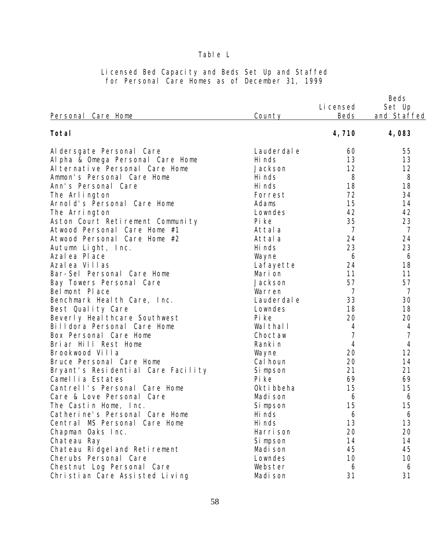## Table L

| Personal Care Home                 | County      | Li censed<br><b>Beds</b> | Beds<br>Set Up<br>and Staffed |
|------------------------------------|-------------|--------------------------|-------------------------------|
| Total                              |             | 4,710                    | 4,083                         |
| Al dersgate Personal Care          | Lauderdal e | 60                       | 55                            |
| Al pha & Omega Personal Care Home  | Hi nds      | 13                       | 13                            |
| Al ternative Personal Care Home    | Jackson     | 12                       | 12                            |
| Ammon's Personal Care Home         | Hi nds      | 8                        | 8                             |
| Ann's Personal Care                | Hi nds      | 18                       | 18                            |
| The Arlington                      | Forrest     | 72                       | 34                            |
| Arnold's Personal Care Home        | Adams       | 15                       | 14                            |
| The Arrington                      | Lowndes     | 42                       | 42                            |
| Aston Court Retirement Community   | Pi ke       | 35                       | 23                            |
| Atwood Personal Care Home #1       | Attal a     | $\overline{7}$           | $\overline{7}$                |
| Atwood Personal Care Home #2       | Attala      | 24                       | 24                            |
| Autumn Light, Inc.                 | Hi nds      | 23                       | 23                            |
| Azal ea Pl ace                     | Wayne       | 6                        | 6                             |
| Azalea Villas                      | Lafayette   | 24                       | 18                            |
| Bar-Sel Personal Care Home         | Mari on     | 11                       | 11                            |
| Bay Towers Personal Care           | Jackson     | 57                       | 57                            |
| Bel mont Place                     | Warren      | $\overline{7}$           | 7                             |
| Benchmark Heal th Care, Inc.       | Lauderdal e | 33                       | 30                            |
| Best Quality Care                  | Lowndes     | 18                       | 18                            |
| Beverly Heal thcare Southwest      | Pi ke       | 20                       | 20                            |
| Billdora Personal Care Home        | Wal thal I  | $\overline{4}$           | $\overline{4}$                |
| Box Personal Care Home             | Choctaw     | $\overline{7}$           | $\overline{7}$                |
| Briar Hill Rest Home               | Ranki n     | $\overline{4}$           | $\overline{4}$                |
| Brookwood Villa                    | Wayne       | 20                       | 12                            |
| Bruce Personal Care Home           | Cal houn    | 20                       | 14                            |
| Bryant's Residential Care Facility | Si mpson    | 21                       | 21                            |
| Camellia Estates                   | Pi ke       | 69                       | 69                            |
| Cantrell's Personal Care Home      | Okti bbeha  | 15                       | 15                            |
| Care & Love Personal Care          | Madi son    | 6                        | 6                             |
| The Castin Home, Inc.              | Si mpson    | 15                       | 15                            |
| Catherine's Personal Care Home     | Hi nds      | 6                        | 6                             |
| Central MS Personal Care Home      | Hi nds      | 13                       | 13                            |
| Chapman Oaks Inc.                  | Harri son   | 20                       | 20                            |
| Chateau Ray                        | Si mpson    | 14                       | 14                            |
| Chateau Ridgel and Retirement      | Madi son    | 45                       | 45                            |
| Cherubs Personal Care              | Lowndes     | 10                       | 10                            |
| Chestnut Log Personal Care         | Webster     | 6                        | 6                             |
| Christian Care Assisted Living     | Madi son    | 31                       | 31                            |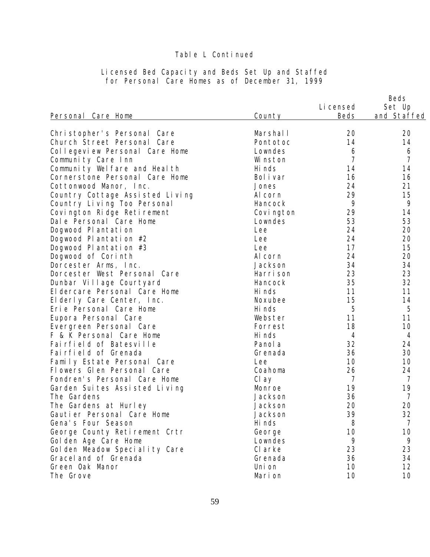| Personal Care Home              | County     | Li censed<br><b>Beds</b> | Beds<br>Set Up<br>and Staffed |
|---------------------------------|------------|--------------------------|-------------------------------|
| Christopher's Personal Care     | Marshal I  | 20                       | 20                            |
| Church Street Personal Care     | Pontotoc   | 14                       | 14                            |
| Collegeview Personal Care Home  | Lowndes    | 6                        | 6                             |
| Community Care Inn              | Wi nston   | $\overline{7}$           | $\overline{7}$                |
| Community Welfare and Health    | Hi nds     | 14                       | 14                            |
| Cornerstone Personal Care Home  | Bol i var  | 16                       | 16                            |
| Cottonwood Manor, Inc.          | Jones      | 24                       | 21                            |
| Country Cottage Assisted Living | Al corn    | 29                       | 15                            |
| Country Living Too Personal     | Hancock    | 9                        | 9                             |
| Covington Ridge Retirement      | Covi ngton | 29                       | 14                            |
| Dale Personal Care Home         | Lowndes    | 53                       | 53                            |
| Dogwood Plantation              | Lee        | 24                       | 20                            |
| Dogwood Plantation #2           | Lee        | 24                       | 20                            |
| Dogwood Plantation #3           | Lee        | 17                       | 15                            |
| Dogwood of Corinth              | Al corn    | 24                       | 20                            |
| Dorcester Arms, Inc.            | Jackson    | 34                       | 34                            |
| Dorcester West Personal Care    | Harri son  | 23                       | 23                            |
| Dunbar Village Courtyard        | Hancock    | 35                       | 32                            |
| El dercare Personal Care Home   | Hi nds     | 11                       | 11                            |
| Elderly Care Center, Inc.       | Noxubee    | 15                       | 14                            |
| Erie Personal Care Home         | Hi nds     | 5                        | 5                             |
| Eupora Personal Care            | Webster    | 11                       | 11                            |
| Evergreen Personal Care         | Forrest    | 18                       | 10                            |
| F & K Personal Care Home        | Hi nds     | $\overline{4}$           | $\overline{4}$                |
| Fairfield of Batesville         | Panol a    | 32                       | 24                            |
| Fairfield of Grenada            | Grenada    | 36                       | 30                            |
| Family Estate Personal Care     | Lee        | 10                       | 10                            |
| Flowers Glen Personal Care      | Coahoma    | 26                       | 24                            |
| Fondren's Personal Care Home    | Cl ay      | $\overline{7}$           | $\overline{7}$                |
| Garden Suites Assisted Living   | Monroe     | 19                       | 19                            |
| The Gardens                     | Jackson    | 36                       | 7                             |
| The Gardens at Hurley           | Jackson    | 20                       | 20                            |
| Gautier Personal Care Home      | Jackson    | 39                       | 32                            |
| Gena's Four Season              | Hi nds     | 8                        | $\overline{7}$                |
| George County Retirement Crtr   | George     | 10                       | 10                            |
| Golden Age Care Home            | Lowndes    | 9                        | 9                             |
| Golden Meadow Speciality Care   | CI arke    | 23                       | 23                            |
| Gracel and of Grenada           | Grenada    | 36                       | 34                            |
| Green Oak Manor                 | Uni on     | 10                       | 12                            |
| The Grove                       | Marion     | 10                       | 10                            |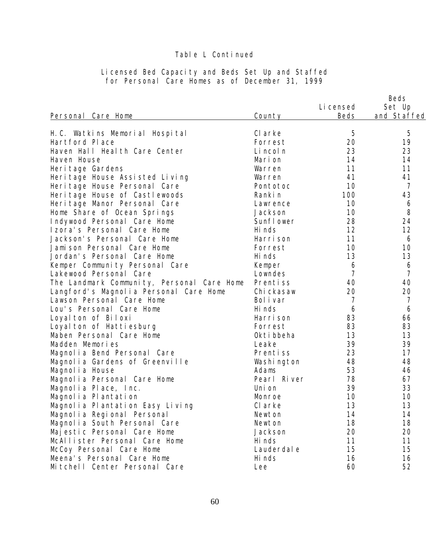| Personal Care Home                         | County      | Li censed<br><b>Beds</b> | Beds<br>Set Up<br>and Staffed |
|--------------------------------------------|-------------|--------------------------|-------------------------------|
| H.C. Watkins Memorial Hospital             | CI arke     | 5                        | 5                             |
| Hartford Place                             | Forrest     | 20                       | 19                            |
| Haven Hall Health Care Center              | Li ncol n   | 23                       | 23                            |
| Haven House                                | Marion      | 14                       | 14                            |
| Heri tage Gardens                          | Warren      | 11                       | 11                            |
| Heri tage House Assisted Living            | Warren      | 41                       | 41                            |
| Heri tage House Personal Care              | Pontotoc    | 10                       | $\overline{7}$                |
| Heri tage House of Castlewoods             | Ranki n     | 100                      | 43                            |
| Heri tage Manor Personal Care              | Lawrence    | 10                       | 6                             |
| Home Share of Ocean Springs                | Jackson     | 10                       | 8                             |
| Indywood Personal Care Home                | Sunfl ower  | 28                       | 24                            |
| Izora's Personal Care Home                 | Hi nds      | 12                       | 12                            |
| Jackson's Personal Care Home               | Harri son   | 11                       | 6                             |
| Jamison Personal Care Home                 | Forrest     | 10                       | 10                            |
| Jordan's Personal Care Home                | Hi nds      | 13                       | 13                            |
| Kemper Community Personal Care             | Kemper      | 6                        | 6                             |
| Lakewood Personal Care                     | Lowndes     | $\overline{7}$           | $\overline{7}$                |
| The Landmark Community, Personal Care Home | Prentiss    | 40                       | 40                            |
| Langford's Magnolia Personal Care Home     | Chi ckasaw  | 20                       | 20                            |
| Lawson Personal Care Home                  | Bol i var   | $\overline{7}$           | $\overline{7}$                |
| Lou's Personal Care Home                   | Hi nds      | 6                        | 6                             |
| Loyal ton of Biloxi                        | Harri son   | 83                       | 66                            |
| Loyal ton of Hattiesburg                   | Forrest     | 83                       | 83                            |
| Maben Personal Care Home                   | Okti bbeha  | 13                       | 13                            |
| Madden Memories                            | Leake       | 39                       | 39                            |
| Magnolia Bend Personal Care                | Prentiss    | 23                       | 17                            |
| Magnolia Gardens of Greenville             | Washi ngton | 48                       | 48                            |
| Magnol i a House                           | Adams       | 53                       | 46                            |
| Magnolia Personal Care Home                | Pearl River | 78                       | 67                            |
| Magnolia Place, Inc.                       | Uni on      | 39                       | 33                            |
| Magnolia Plantation                        | Monroe      | 10                       | 10                            |
| Magnolia Plantation Easy Living            | CI arke     | 13                       | 13                            |
| Magnolia Regional Personal                 | Newton      | 14                       | 14                            |
| Magnolia South Personal Care               | Newton      | 18                       | 18                            |
| Majestic Personal Care Home                | Jackson     | 20                       | 20                            |
| McAllister Personal Care Home              | Hi nds      | 11                       | 11                            |
| McCoy Personal Care Home                   | Lauderdal e | 15                       | 15                            |
| Meena's Personal Care Home                 | Hi nds      | 16                       | 16                            |
| Mitchell Center Personal Care              | Lee         | 60                       | 52                            |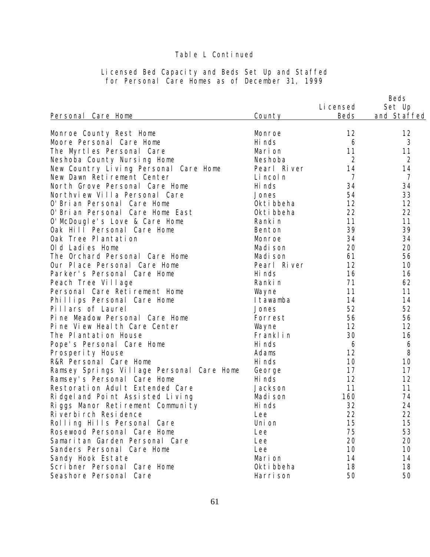| Personal Care Home                        | County      | Li censed<br><b>Beds</b> | Beds<br>Set Up<br>and Staffed |
|-------------------------------------------|-------------|--------------------------|-------------------------------|
|                                           |             |                          |                               |
| Monroe County Rest Home                   | Monroe      | 12                       | 12                            |
| Moore Personal Care Home                  | Hi nds      | 6                        | 3                             |
| The Myrtles Personal Care                 | Mari on     | 11                       | 11                            |
| Neshoba County Nursing Home               | Neshoba     | $\overline{2}$           | $\overline{2}$                |
| New Country Living Personal Care Home     | Pearl River | 14                       | 14                            |
| New Dawn Retirement Center                | Li ncol n   | $\overline{7}$           | $\overline{7}$                |
| North Grove Personal Care Home            | Hi nds      | 34                       | 34                            |
| Northview Villa Personal Care             | Jones       | 54                       | 33                            |
| O' Bri an Personal Care Home              | Okti bbeha  | 12                       | 12                            |
| O' Brian Personal Care Home East          | Okti bbeha  | 22                       | 22                            |
| O' McDougle's Love & Care Home            | Ranki n     | 11                       | 11                            |
| Oak Hill Personal Care Home               | Benton      | 39                       | 39                            |
| Oak Tree Plantation                       | Monroe      | 34                       | 34                            |
| Old Ladies Home                           | Madi son    | 20                       | 20                            |
| The Orchard Personal Care Home            | Madi son    | 61                       | 56                            |
| Our Place Personal Care Home              | Pearl River | 12                       | 10                            |
| Parker's Personal Care Home               | Hi nds      | 16                       | 16                            |
| Peach Tree Village                        | Ranki n     | 71                       | 62                            |
| Personal Care Retirement Home             | Wayne       | 11                       | 11                            |
| Phillips Personal Care Home               | I tawamba   | 14                       | 14                            |
| Pillars of Laurel                         | Jones       | 52                       | 52                            |
| Pine Meadow Personal Care Home            | Forrest     | 56                       | 56                            |
| Pine View Heal th Care Center             | Wayne       | 12                       | 12                            |
| The Plantation House                      | Franklin    | 30                       | 16                            |
| Pope's Personal Care Home                 | Hi nds      | 6                        | 6                             |
| Prosperity House                          | Adams       | 12                       | 8                             |
| R&R Personal Care Home                    | Hi nds      | 10                       | 10                            |
| Ramsey Springs Village Personal Care Home | George      | 17                       | 17                            |
| Ramsey's Personal Care Home               | Hi nds      | 12                       | 12                            |
| Restoration Adult Extended Care           | Jackson     | 11                       | 11                            |
| Ridgel and Point Assisted Living          | Madi son    | 160                      | 74                            |
| Riggs Manor Retirement Community          | Hi nds      | 32                       | 24                            |
| Ri verbi rch Resi dence                   | Lee         | 22                       | 22                            |
| Rolling Hills Personal Care               | Uni on      | 15                       | 15                            |
| Rosewood Personal Care Home               | Lee         | 75                       | 53                            |
| Samaritan Garden Personal Care            | Lee         | 20                       | 20                            |
| Sanders Personal Care Home                | Lee         | 10                       | 10                            |
| Sandy Hook Estate                         | Mari on     | 14                       | 14                            |
| Scribner Personal Care Home               | Okti bbeha  | 18                       | 18                            |
| Seashore Personal Care                    | Harri son   | 50                       | 50                            |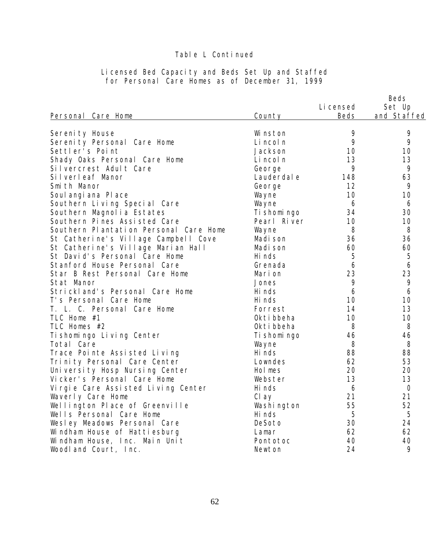|                                        |              |                   | Beds                  |
|----------------------------------------|--------------|-------------------|-----------------------|
| Personal Care Home                     | County       | Li censed<br>Beds | Set Up<br>and Staffed |
|                                        |              |                   |                       |
| Sereni ty House                        | Wi nston     | 9                 | 9                     |
| Serenity Personal Care Home            | Li ncol n    | 9                 | 9                     |
| Settler's Point                        | Jackson      | 10                | 10                    |
| Shady Oaks Personal Care Home          | Li ncol n    | 13                | 13                    |
| Silvercrest Adult Care                 | George       | 9                 | 9                     |
| Silverleaf Manor                       | Lauderdal e  | 148               | 63                    |
| Smi th Manor                           | George       | 12                | 9                     |
| Soul angi ana PI ace                   | Wayne        | 10                | 10                    |
| Southern Living Special Care           | Wayne        | 6                 | 6                     |
| Southern Magnolia Estates              | Ti shomi ngo | 34                | 30                    |
| Southern Pines Assisted Care           | Pearl River  | 10                | 10                    |
| Southern Plantation Personal Care Home | Wayne        | 8                 | 8                     |
| St Catherine's Village Campbell Cove   | Madi son     | 36                | 36                    |
| St Catherine's Village Marian Hall     | Madi son     | 60                | 60                    |
| St David's Personal Care Home          | Hi nds       | 5                 | 5                     |
| Stanford House Personal Care           | Grenada      | 6                 | 6                     |
| Star B Rest Personal Care Home         | Mari on      | 23                | 23                    |
| Stat Manor                             | Jones        | 9                 | 9                     |
| Strickland's Personal Care Home        | Hi nds       | 6                 | 6                     |
| T's Personal Care Home                 | Hi nds       | 10                | 10                    |
| T. L. C. Personal Care Home            | Forrest      | 14                | 13                    |
| TLC Home #1                            | Okti bbeha   | 10                | 10                    |
| TLC Homes #2                           | Okti bbeha   | 8                 | 8                     |
| Ti shomingo Living Center              | Ti shomi ngo | 46                | 46                    |
| Total Care                             | Wayne        | 8                 | 8                     |
| Trace Pointe Assisted Living           | Hi nds       | 88                | 88                    |
| Trinity Personal Care Center           | Lowndes      | 62                | 53                    |
| University Hosp Nursing Center         | Hol mes      | 20                | 20                    |
| Vicker's Personal Care Home            | Webster      | 13                | 13                    |
| Vi rgi e Care Assi sted Living Center  | Hi nds       | 6                 | $\bigcirc$            |
| Waverly Care Home                      | Cl ay        | 21                | 21                    |
| Wellington Place of Greenville         | Washi ngton  | 55                | 52                    |
| Wells Personal Care Home               | Hi nds       | 5                 | 5                     |
| Wesley Meadows Personal Care           | DeSoto       | 30                | 24                    |
| Windham House of Hattiesburg           | Lamar        | 62                | 62                    |
| Windham House, Inc. Main Unit          | Pontotoc     | 40                | 40                    |
| Woodland Court, Inc.                   | Newton       | 24                | 9                     |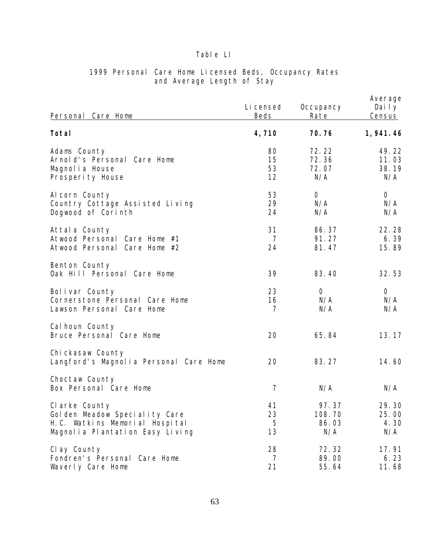| Personal Care Home                                                                                                   | Li censed<br>Beds          | Occupancy<br>Rate               | Average<br>Daily<br><b>Census</b> |
|----------------------------------------------------------------------------------------------------------------------|----------------------------|---------------------------------|-----------------------------------|
| Total                                                                                                                | 4,710                      | 70.76                           | 1, 941. 46                        |
| Adams County<br>Arnold's Personal Care Home<br>Magnol i a House<br>Prosperity House                                  | 80<br>15<br>53<br>12       | 72.22<br>72.36<br>72.07<br>N/A  | 49.22<br>11.03<br>38.19<br>N/A    |
| Al corn County<br>Country Cottage Assisted Living<br>Dogwood of Corinth                                              | 53<br>29<br>24             | $\overline{O}$<br>N/A<br>N/A    | $\overline{O}$<br>N/A<br>N/A      |
| Attal a County<br>Atwood Personal Care Home #1<br>Care Home #2<br>Atwood Personal                                    | 31<br>7<br>24              | 86.37<br>91.27<br>81.47         | 22.28<br>6.39<br>15.89            |
| Benton County<br>Oak Hill Personal Care Home                                                                         | 39                         | 83.40                           | 32.53                             |
| Bolivar County<br>Cornerstone Personal Care Home<br>Lawson Personal Care Home                                        | 23<br>16<br>$\overline{7}$ | $\overline{O}$<br>N/A<br>N/A    | $\overline{O}$<br>N/A<br>N/A      |
| Cal houn County<br>Bruce Personal Care Home                                                                          | 20                         | 65.84                           | 13.17                             |
| Chi ckasaw County<br>Langford's Magnolia Personal Care Home                                                          | 20                         | 83.27                           | 14.60                             |
| Choctaw County<br>Box Personal Care Home                                                                             | $\overline{7}$             | N/A                             | N/A                               |
| Clarke County<br>Golden Meadow Speciality Care<br>H. C. Watkins Memorial Hospital<br>Magnolia Plantation Easy Living | 41<br>23<br>5<br>13        | 97.37<br>108.70<br>86.03<br>N/A | 29.30<br>25.00<br>4.30<br>N/A     |
| Cl ay County<br>Fondren's Personal Care Home<br>Waverly Care Home                                                    | 28<br>7<br>21              | 72.32<br>89.00<br>55.64         | 17.91<br>6.23<br>11.68            |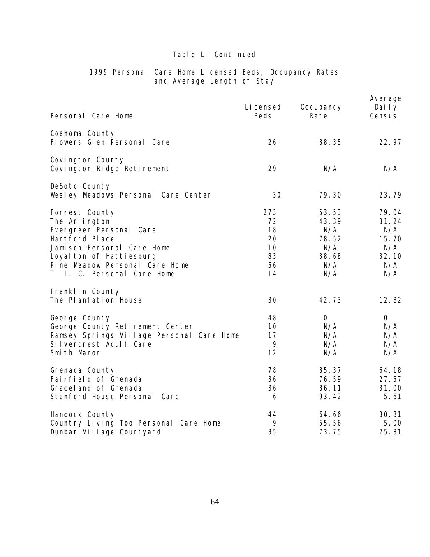| Personal Care Home                                                                                                                                                                                      | Li censed<br><b>Beds</b>                      | Occupancy<br>Rate                                            | Average<br>Daily<br>Census                                   |
|---------------------------------------------------------------------------------------------------------------------------------------------------------------------------------------------------------|-----------------------------------------------|--------------------------------------------------------------|--------------------------------------------------------------|
| Coahoma County<br>Flowers Glen Personal Care                                                                                                                                                            | 26                                            | 88.35                                                        | 22.97                                                        |
| Covington County<br>Covington Ridge Retirement                                                                                                                                                          | 29                                            | N/A                                                          | N/A                                                          |
| DeSoto County<br>Wesley Meadows Personal Care Center                                                                                                                                                    | 30                                            | 79.30                                                        | 23.79                                                        |
| Forrest County<br>The Arlington<br>Evergreen Personal Care<br>Hartford Place<br>Jamison Personal Care Home<br>Loyal ton of Hattiesburg<br>Pine Meadow Personal Care Home<br>T. L. C. Personal Care Home | 273<br>72<br>18<br>20<br>10<br>83<br>56<br>14 | 53.53<br>43.39<br>N/A<br>78.52<br>N/A<br>38.68<br>N/A<br>N/A | 79.04<br>31.24<br>N/A<br>15.70<br>N/A<br>32.10<br>N/A<br>N/A |
| Franklin County<br>The Plantation House                                                                                                                                                                 | 30                                            | 42.73                                                        | 12.82                                                        |
| George County<br>George County Retirement Center<br>Ramsey Springs Village Personal Care Home<br>Silvercrest Adult Care<br>Smith Manor                                                                  | 48<br>10<br>17<br>9<br>12                     | $\overline{O}$<br>N/A<br>N/A<br>N/A<br>N/A                   | $\overline{O}$<br>N/A<br>N/A<br>N/A<br>N/A                   |
| Grenada County<br>Fairfield of Grenada<br>Gracel and of Grenada<br>Stanford House Personal Care                                                                                                         | 78<br>36<br>36<br>6                           | 85.37<br>76.59<br>86.11<br>93.42                             | 64.18<br>27.57<br>31.00<br>5.61                              |
| Hancock County<br>Country Living Too Personal Care Home<br>Dunbar Village Courtyard                                                                                                                     | 44<br>9<br>35                                 | 64.66<br>55.56<br>73.75                                      | 30.81<br>5.00<br>25.81                                       |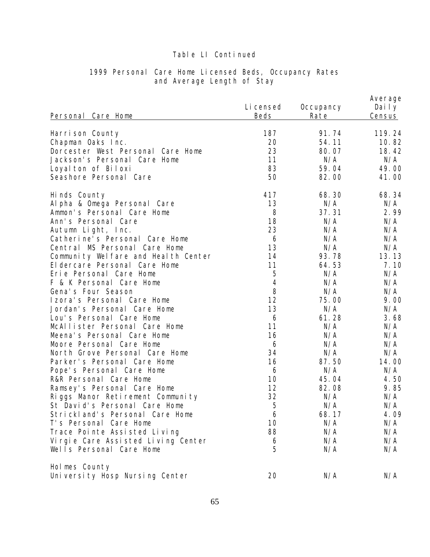| Personal Care Home                    | Li censed<br>Beds | Occupancy<br>Rate | Average<br>Daily<br><b>Census</b> |
|---------------------------------------|-------------------|-------------------|-----------------------------------|
| Harrison County                       | 187               | 91.74             | 119.24                            |
| Chapman Oaks Inc.                     | 20                | 54.11             | 10.82                             |
| Dorcester West Personal Care Home     | 23                | 80.07             | 18.42                             |
| Jackson's Personal Care Home          | 11                | N/A               | N/A                               |
| Loyal ton of Biloxi                   | 83                | 59.04             | 49.00                             |
| Seashore Personal Care                | 50                | 82.00             | 41.00                             |
| Hinds County                          | 417               | 68.30             | 68.34                             |
| Al pha & Omega Personal Care          | 13                | N/A               | N/A                               |
| Ammon's Personal Care Home            | 8                 | 37.31             | 2.99                              |
| Ann's Personal Care                   | 18                | N/A               | N/A                               |
| Autumn Light, Inc.                    | 23                | N/A               | N/A                               |
| Catherine's Personal Care Home        | 6                 | N/A               | N/A                               |
| Central MS Personal Care Home         | 13                | N/A               | N/A                               |
| Community Welfare and Health Center   | 14                | 93.78             | 13.13                             |
| El dercare Personal Care Home         | 11                | 64.53             | 7.10                              |
| Erie Personal Care Home               | 5                 | N/A               | N/A                               |
| F & K Personal Care Home              | $\overline{4}$    | N/A               | N/A                               |
| Gena's Four Season                    | 8                 | N/A               | N/A                               |
| Izora's Personal Care Home            | 12                | 75.00             | 9.00                              |
| Jordan's Personal Care Home           | 13                | N/A               | N/A                               |
| Lou's Personal Care Home              | 6                 | 61.28             | 3.68                              |
| McAllister Personal Care Home         | 11                | N/A               | N/A                               |
| Meena's Personal Care Home            | 16                | N/A               | N/A                               |
| Moore Personal Care Home              | 6                 | N/A               | N/A                               |
| North Grove Personal Care Home        | 34                | N/A               | N/A                               |
| Parker's Personal Care Home           | 16                | 87.50             | 14.00                             |
| Pope's Personal Care Home             | 6                 | N/A               | N/A                               |
| R&R Personal Care Home                | 10                | 45.04             | 4.50                              |
| Ramsey's Personal Care Home           | 12                | 82.08             | 9.85                              |
| Riggs Manor Retirement Community      | 32                | N/A               | N/A                               |
| St David's Personal Care Home         | 5                 | N/A               | N/A                               |
| Strickland's Personal Care Home       | 6                 | 68.17             | 4.09                              |
| T's Personal Care Home                | 10                | N/A               | N/A                               |
| Trace Pointe Assisted Living          | 88                | N/A               | N/A                               |
| Vi rgi e Care Assi sted Living Center | 6                 | N/A               | N/A                               |
| Wells Personal Care Home              | 5                 | N/A               | N/A                               |
| Holmes County                         |                   |                   |                                   |
| University Hosp Nursing Center        | 20                | N/A               | N/A                               |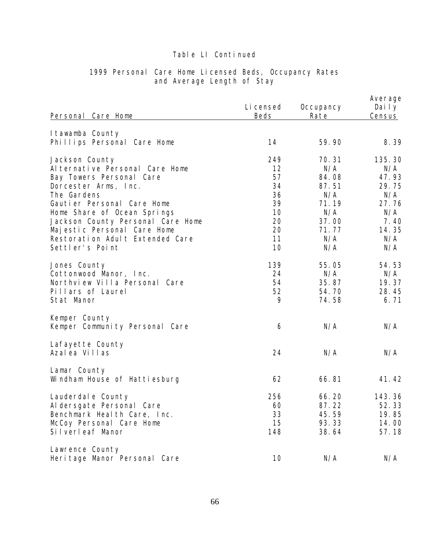| Personal Care Home                                                                                                                                                                                                                                                                                          | Li censed<br>Beds                                               | Occupancy<br>Rate                                                                     | Average<br>Daily<br>Census                                                            |
|-------------------------------------------------------------------------------------------------------------------------------------------------------------------------------------------------------------------------------------------------------------------------------------------------------------|-----------------------------------------------------------------|---------------------------------------------------------------------------------------|---------------------------------------------------------------------------------------|
|                                                                                                                                                                                                                                                                                                             |                                                                 |                                                                                       |                                                                                       |
| I tawamba County<br>Phillips Personal Care Home                                                                                                                                                                                                                                                             | 14                                                              | 59.90                                                                                 | 8.39                                                                                  |
| Jackson County<br>Al ternative Personal Care Home<br>Bay Towers Personal Care<br>Dorcester Arms, Inc.<br>The Gardens<br>Gautier Personal Care Home<br>Home Share of Ocean Springs<br>Jackson County Personal Care Home<br>Majestic Personal Care Home<br>Restoration Adult Extended Care<br>Settler's Point | 249<br>12<br>57<br>34<br>36<br>39<br>10<br>20<br>20<br>11<br>10 | 70.31<br>N/A<br>84.08<br>87.51<br>N/A<br>71.19<br>N/A<br>37.00<br>71.77<br>N/A<br>N/A | 135.30<br>N/A<br>47.93<br>29.75<br>N/A<br>27.76<br>N/A<br>7.40<br>14.35<br>N/A<br>N/A |
| Jones County<br>Cottonwood Manor, Inc.<br>Northview Villa Personal Care<br>Pillars of Laurel<br>Stat Manor                                                                                                                                                                                                  | 139<br>24<br>54<br>52<br>9                                      | 55.05<br>N/A<br>35.87<br>54.70<br>74.58                                               | 54.53<br>N/A<br>19.37<br>28.45<br>6.71                                                |
| Kemper County<br>Kemper Community Personal Care                                                                                                                                                                                                                                                             | 6                                                               | N/A                                                                                   | N/A                                                                                   |
| Lafayette County<br>Azal ea Villas                                                                                                                                                                                                                                                                          | 24                                                              | N/A                                                                                   | N/A                                                                                   |
| Lamar County<br>Windham House of Hattiesburg                                                                                                                                                                                                                                                                | 62                                                              | 66.81                                                                                 | 41.42                                                                                 |
| Lauderdal e County<br>Al dersgate Personal Care<br>Benchmark Heal th Care, Inc.<br>McCoy Personal Care Home<br>Silverleaf Manor                                                                                                                                                                             | 256<br>60<br>33<br>15<br>148                                    | 66.20<br>87.22<br>45.59<br>93.33<br>38.64                                             | 143.36<br>52.33<br>19.85<br>14.00<br>57.18                                            |
| Lawrence County<br>Heri tage Manor Personal Care                                                                                                                                                                                                                                                            | 10                                                              | N/A                                                                                   | N/A                                                                                   |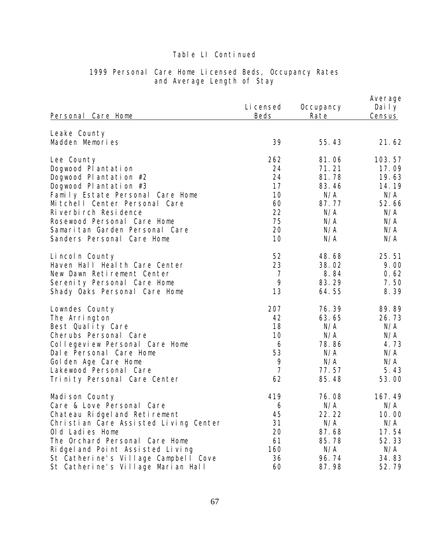| Personal Care Home                                            | Li censed<br><b>Beds</b> | Occupancy<br>Rate | Average<br>Daily<br>Census |
|---------------------------------------------------------------|--------------------------|-------------------|----------------------------|
| Leake County                                                  |                          |                   |                            |
| Madden Memories                                               | 39                       | 55.43             | 21.62                      |
| Lee County                                                    | 262                      | 81.06             | 103.57                     |
| Dogwood Plantation                                            | 24                       | 71.21             | 17.09                      |
| Dogwood Plantation #2                                         | 24                       | 81.78             | 19.63                      |
| Dogwood Plantation #3                                         | 17                       | 83.46             | 14.19                      |
| Family Estate Personal Care Home                              | 10                       | N/A               | N/A                        |
| Mitchell Center Personal Care                                 | 60                       | 87.77             | 52.66                      |
| Ri verbi rch Resi dence                                       | 22<br>75                 | N/A               | N/A                        |
| Rosewood Personal Care Home<br>Samaritan Garden Personal Care | 20                       | N/A<br>N/A        | N/A<br>N/A                 |
| Sanders Personal Care Home                                    | 10                       | N/A               | N/A                        |
| Lincoln County                                                | 52                       | 48.68             | 25.51                      |
| Haven Hall Health Care Center                                 | 23                       | 38.02             | 9.00                       |
| New Dawn Retirement Center                                    | $\overline{7}$           | 8.84              | 0.62                       |
| Serenity Personal Care Home                                   | 9                        | 83.29             | 7.50                       |
| Shady Oaks Personal Care Home                                 | 13                       | 64.55             | 8.39                       |
| Lowndes County                                                | 207                      | 76.39             | 89.89                      |
| The Arrington                                                 | 42                       | 63.65             | 26.73                      |
| Best Quality Care                                             | 18                       | N/A               | N/A                        |
| Cherubs Personal Care                                         | 10                       | N/A               | N/A                        |
| Collegeview Personal Care Home                                | 6                        | 78.86             | 4.73                       |
| Dale Personal Care Home                                       | 53<br>9                  | N/A<br>N/A        | N/A<br>N/A                 |
| Golden Age Care Home<br>Lakewood Personal Care                | $\overline{7}$           | 77.57             | 5.43                       |
| Trinity Personal Care Center                                  | 62                       | 85.48             | 53.00                      |
|                                                               |                          |                   |                            |
| Madi son County                                               | 419                      | 76.08             | 167.49                     |
| Care & Love Personal Care                                     | 6                        | N/A               | N/A                        |
| Chateau Ridgel and Retirement                                 | 45                       | 22.22             | 10.00                      |
| Christian Care Assisted Living Center                         | 31                       | N/A               | N/A                        |
| Old Ladies Home                                               | 20                       | 87.68             | 17.54                      |
| The Orchard Personal Care Home                                | 61                       | 85.78             | 52.33                      |
| Ridgel and Point Assisted Living                              | 160                      | N/A               | N/A                        |
| St Catherine's Village Campbell Cove                          | 36                       | 96.74             | 34.83                      |
| St Catherine's Village Marian Hall                            | 60                       | 87.98             | 52.79                      |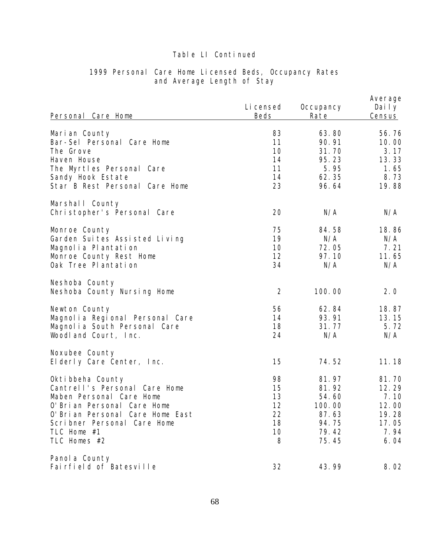| Personal Care Home                                                                                                                                                                                                | Li censed<br>Beds                           | Occupancy<br>Rate                                                     | Average<br>Daily<br>Census                                        |
|-------------------------------------------------------------------------------------------------------------------------------------------------------------------------------------------------------------------|---------------------------------------------|-----------------------------------------------------------------------|-------------------------------------------------------------------|
| Marian County<br>Bar-Sel Personal Care Home<br>The Grove<br>Haven House<br>The Myrtles Personal Care<br>Sandy Hook Estate<br>Star B Rest Personal Care Home                                                       | 83<br>11<br>10<br>14<br>11<br>14<br>23      | 63.80<br>90.91<br>31.70<br>95.23<br>5.95<br>62.35<br>96.64            | 56.76<br>10.00<br>3.17<br>13.33<br>1.65<br>8.73<br>19.88          |
| Marshall County<br>Christopher's Personal Care                                                                                                                                                                    | 20                                          | N/A                                                                   | N/A                                                               |
| Monroe County<br>Garden Suites Assisted Living<br>Magnolia Plantation<br>Monroe County Rest Home<br>Oak Tree Plantation                                                                                           | 75<br>19<br>10<br>12<br>34                  | 84.58<br>N/A<br>72.05<br>97.10<br>N/A                                 | 18.86<br>N/A<br>7.21<br>11.65<br>N/A                              |
| Neshoba County<br>Neshoba County Nursing Home                                                                                                                                                                     | $\overline{2}$                              | 100.00                                                                | 2.0                                                               |
| Newton County<br>Magnolia Regional Personal Care<br>Magnolia South Personal Care<br>Woodland Court, Inc.                                                                                                          | 56<br>14<br>18<br>24                        | 62.84<br>93.91<br>31.77<br>N/A                                        | 18.87<br>13.15<br>5.72<br>N/A                                     |
| Noxubee County<br>Elderly Care Center, Inc.                                                                                                                                                                       | 15                                          | 74.52                                                                 | 11.18                                                             |
| Okti bbeha County<br>Cantrell's Personal Care Home<br>Maben Personal Care Home<br>O' Bri an Personal Care Home<br>O' Bri an Personal Care Home East<br>Scribner Personal Care Home<br>TLC Home #1<br>TLC Homes #2 | 98<br>15<br>13<br>12<br>22<br>18<br>10<br>8 | 81.97<br>81.92<br>54.60<br>100.00<br>87.63<br>94.75<br>79.42<br>75.45 | 81.70<br>12.29<br>7.10<br>12.00<br>19.28<br>17.05<br>7.94<br>6.04 |
| Panol a County<br>Fairfield of Batesville                                                                                                                                                                         | 32                                          | 43.99                                                                 | 8.02                                                              |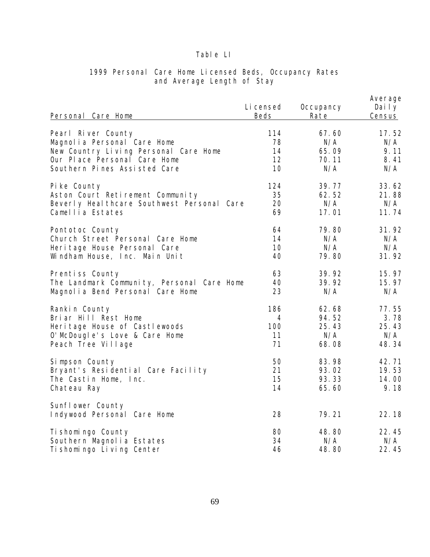| Personal Care Home                              | Li censed<br>Beds | Occupancy<br>Rate | Average<br>Daily<br>Census |
|-------------------------------------------------|-------------------|-------------------|----------------------------|
| Pearl River County                              | 114               | 67.60             | 17.52                      |
| Magnolia Personal Care Home                     | 78                | N/A               | N/A                        |
| New Country Living Personal Care Home           | 14                | 65.09             | 9.11                       |
| Our Place Personal Care Home                    | 12                | 70.11             | 8.41                       |
| Southern Pines Assisted Care                    | 10                | N/A               | N/A                        |
| Pike County                                     | 124               | 39.77             | 33.62                      |
| Aston Court Retirement Community                | 35                | 62.52             | 21.88                      |
| Beverly Heal thcare Southwest Personal Care     | 20                | N/A               | N/A                        |
| Camellia Estates                                | 69                | 17.01             | 11.74                      |
| Pontotoc County                                 | 64                | 79.80             | 31.92                      |
| Church Street Personal Care Home                | 14                | N/A               | N/A                        |
| Heri tage House Personal Care                   | 10                | N/A               | N/A                        |
| Windham House, Inc. Main Unit                   | 40                | 79.80             | 31.92                      |
| Prentiss County                                 | 63                | 39.92             | 15.97                      |
| The Landmark Community, Personal Care Home      | 40                | 39.92             | 15.97                      |
| Magnolia Bend Personal Care Home                | 23                | N/A               | N/A                        |
| Rankin County                                   | 186               | 62.68             | 77.55                      |
| Briar Hill Rest Home                            | 4                 | 94.52             | 3.78                       |
| Heri tage House of Castlewoods                  | 100               | 25.43             | 25.43                      |
| O' McDougle's Love & Care Home                  | 11                | N/A               | N/A                        |
| Peach Tree Village                              | 71                | 68.08             | 48.34                      |
| Simpson County                                  | 50                | 83.98             | 42.71                      |
| Bryant's Residential Care Facility              | 21                | 93.02             | 19.53                      |
| The Castin Home, Inc.                           | 15                | 93.33             | 14.00                      |
| Chateau Ray                                     | 14                | 65.60             | 9.18                       |
| Sunflower County<br>Indywood Personal Care Home | 28                | 79.21             | 22.18                      |
| Ti shomi ngo County                             | 80                | 48.80             | 22.45                      |
| Southern Magnolia Estates                       | 34                | N/A               | N/A                        |
| Ti shomingo Living Center                       | 46                | 48.80             | 22.45                      |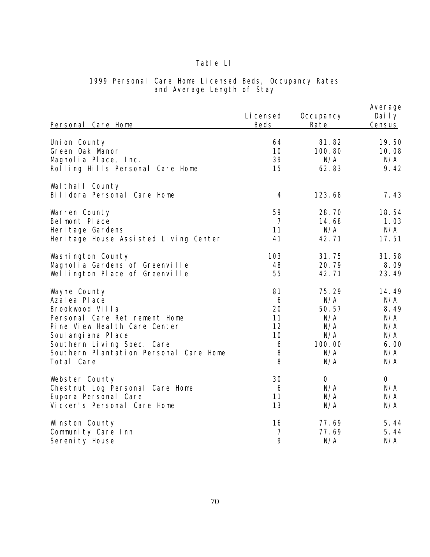| Personal Care Home                              | Li censed<br>Beds | Occupancy<br>Rate | Average<br>Daily<br>Census |
|-------------------------------------------------|-------------------|-------------------|----------------------------|
| Uni on County                                   | 64                | 81.82             | 19.50                      |
| Green Oak Manor                                 | 10                | 100.80            | 10.08                      |
| Magnolia Place, Inc.                            | 39                | N/A               | N/A                        |
| Rolling Hills Personal Care Home                | 15                | 62.83             | 9.42                       |
| Wal thall County<br>Billdora Personal Care Home | $\overline{4}$    | 123.68            | 7.43                       |
| Warren County                                   | 59                | 28.70             | 18.54                      |
| Bel mont Place                                  | $\overline{7}$    | 14.68             | 1.03                       |
| Heri tage Gardens                               | 11                | N/A               | N/A                        |
| Heri tage House Assisted Living Center          | 41                | 42.71             | 17.51                      |
| Washington County                               | 103               | 31.75             | 31.58                      |
| Magnolia Gardens of Greenville                  | 48                | 20.79             | 8.09                       |
| Wellington Place of Greenville                  | 55                | 42.71             | 23.49                      |
| Wayne County                                    | 81                | 75.29             | 14.49                      |
| Azal ea Pl ace                                  | 6                 | N/A               | N/A                        |
| Brookwood Villa                                 | 20                | 50.57             | 8.49                       |
| Personal Care Retirement Home                   | 11                | N/A               | N/A                        |
| Pine View Heal th Care Center                   | 12                | N/A               | N/A                        |
| Soul angi ana PI ace                            | 10                | N/A               | N/A                        |
| Southern Living Spec. Care                      | 6                 | 100.00            | 6.00                       |
| Southern Plantation Personal Care Home          | 8                 | N/A               | N/A                        |
| Total Care                                      | 8                 | N/A               | N/A                        |
| Webster County                                  | 30                | $\overline{O}$    | $\overline{O}$             |
| Chestnut Log Personal Care Home                 | 6                 | N/A               | N/A                        |
| Eupora Personal Care                            | 11                | N/A               | N/A                        |
| Vicker's Personal Care Home                     | 13                | N/A               | N/A                        |
| Winston County                                  | 16                | 77.69             | 5.44                       |
| Community Care Inn                              | $\overline{7}$    | 77.69             | 5.44                       |
| Sereni ty House                                 | 9                 | N/A               | N/A                        |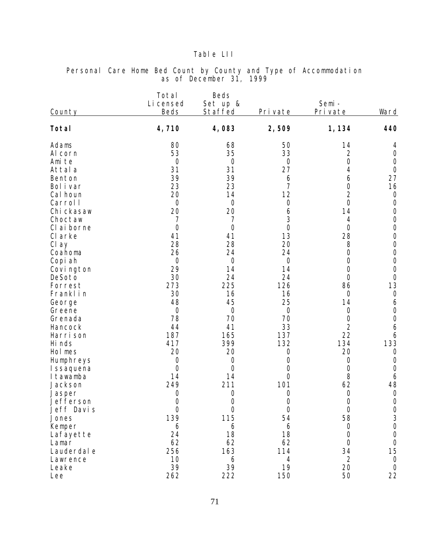### Table LII

| County           | Total<br>Li censed<br><b>Beds</b> | Beds<br>Set up &<br>Staffed | Private          | Semi-<br>Pri vate    | Ward                                      |
|------------------|-----------------------------------|-----------------------------|------------------|----------------------|-------------------------------------------|
| Total            | 4,710                             | 4,083                       | 2,509            | 1, 134               | 440                                       |
| Adams<br>Al corn | 80<br>53                          | 68<br>35                    | 50<br>33         | 14<br>$\overline{c}$ | 4<br>$\bigcirc$                           |
| Ami te           | $\bigcirc$                        | $\bigcirc$                  | $\bigcirc$       | $\overline{O}$       | $\bigcirc$                                |
| Attal a          | 31                                | 31                          | 27               | 4                    | $\theta$                                  |
| Benton           | 39                                | 39                          | 6                | 6                    | 27                                        |
| Bol i var        | 23                                | 23                          | $\overline{7}$   | $\overline{O}$       | 16                                        |
| Cal houn         | 20                                | 14                          | 12               | $\overline{2}$       | $\bigcirc$                                |
| Carrol I         | $\bigcirc$                        | $\bigcirc$                  | $\bigcirc$       | $\overline{O}$       | $\bigcirc$                                |
| Chi ckasaw       | 20                                | 20                          | 6                | 14                   | $\bigcirc$                                |
| Choctaw          | 7                                 | 7                           | 3                | 4                    | $\bigcirc$                                |
| CI ai borne      | $\bigcirc$                        | $\overline{O}$              | $\overline{O}$   | $\overline{O}$       | $\bigcirc$                                |
| CI arke          | 41                                | 41                          | 13               | 28                   | $\bigcirc$                                |
| Cl ay            | 28                                | 28                          | 20               | 8                    | $\bigcirc$                                |
| Coahoma          | 26                                | 24                          | 24               | $\overline{O}$       | $\bigcirc$                                |
| Copi ah          | $\bigcirc$                        | $\bigcirc$                  | $\bigcirc$       | $\bigcirc$           | $\bigcirc$                                |
| Covi ngton       | 29                                | 14                          | 14               | $\overline{O}$       | $\bigcirc$                                |
| DeSoto           | 30                                | 24                          | 24               | $\bigcirc$           | $\bigcirc$                                |
| Forrest          | 273                               | 225                         | 126              | 86                   | 13                                        |
| Franklin         | 30<br>48                          | 16                          | 16               | $\bigcirc$           | $\bigcirc$                                |
| George<br>Greene | $\overline{O}$                    | 45<br>$\overline{O}$        | 25<br>$\bigcirc$ | 14<br>$\bigcirc$     | 6<br>$\bigcirc$                           |
| Grenada          | 78                                | 70                          | 70               | $\bigcirc$           | $\bigcirc$                                |
| Hancock          | 44                                | 41                          | 33               | $\overline{2}$       | 6                                         |
| Harri son        | 187                               | 165                         | 137              | 22                   | 6                                         |
| Hi nds           | 417                               | 399                         | 132              | 134                  | 133                                       |
| Hol mes          | 20                                | 20                          | $\bigcirc$       | 20                   | $\mathcal{O}$                             |
| Humphreys        | $\bigcirc$                        | $\bigcirc$                  | $\bigcirc$       | $\bigcirc$           | $\bigcirc$                                |
| I ssaquena       | $\bigcirc$                        | $\bigcirc$                  | $\bigcirc$       | $\bigcirc$           | $\bigcirc$                                |
| I tawamba        | 14                                | 14                          | $\bigcirc$       | 8                    | 6                                         |
| Jackson          | 249                               | 211                         | 101              | 62                   | 48                                        |
| Jasper           | $\bigcirc$                        | $\bigcirc$                  | $\bigcirc$       | $\bigcirc$           | $\theta$                                  |
| Jefferson        | $\Omega$                          | $\Omega$                    | $\bigcirc$       | $\overline{O}$       | $\Omega$                                  |
| Jeff Davis       | $\bigcirc$                        | $\overline{O}$              | $\bigcirc$       | $\overline{O}$       | $\begin{matrix} 0 \\ 3 \\ 0 \end{matrix}$ |
| Jones            | 139                               | 115                         | 54               | 58                   |                                           |
| Kemper           | 6                                 | 6                           | 6                | $\bigcirc$           |                                           |
| Lafayette        | 24                                | 18                          | 18               | $\overline{O}$       | $\bigcirc$                                |
| Lamar            | 62                                | 62                          | 62               | $\Omega$             | $\bigcirc$                                |
| Lauderdal e      | 256                               | 163                         | 114              | 34                   | 15                                        |
| Lawrence         | 10                                | 6                           | 4                | $\overline{2}$       | $\bigcirc$                                |
| Leake            | 39                                | 39                          | 19               | 20                   | $\overline{O}$                            |
| Lee              | 262                               | 222                         | 150              | 50                   | 22                                        |

#### Personal Care Home Bed Count by County and Type of Accommodation as of December 31, 1999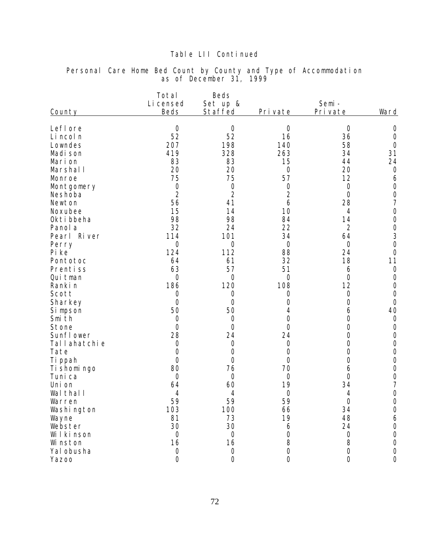|  |  |                         |  | Personal Care Home Bed Count by County and Type of Accommodation |  |
|--|--|-------------------------|--|------------------------------------------------------------------|--|
|  |  | as of December 31, 1999 |  |                                                                  |  |

| LefI ore<br>$\mathcal{O}$<br>$\bigcirc$<br>$\bigcirc$<br>$\overline{0}$<br>52<br>52<br>16<br>36<br>Li ncol n<br>207<br>198<br>58<br>140<br>Lowndes<br>419<br>328<br>263<br>34<br>Madi son<br>83<br>83<br>15<br>44<br>Marion<br>20<br>20<br>20<br>Marshal I<br>$\bigcirc$<br>75<br>75<br>57<br>12<br>Monroe<br>$\bigcirc$<br>$\bigcirc$<br>$\bigcirc$<br>Montgomery<br>0<br>$\overline{2}$<br>$\overline{2}$<br>$\overline{2}$<br>$\overline{O}$<br>Neshoba<br>28<br>56<br>41<br>6<br>Newton<br>15<br>14<br>10<br>Noxubee<br>$\overline{4}$<br>98<br>98<br>84<br>Okti bbeha<br>14<br>32<br>22<br>$\overline{2}$<br>24<br>Panol a<br>34<br>114<br>101<br>64<br>Pearl River<br>$\overline{O}$<br>$\sqrt{a}$<br>$\bigcirc$<br>$\bigcirc$<br>Perry<br>124<br>112<br>88<br>24<br>Pi ke<br>32<br>18<br>Pontotoc<br>64<br>61<br>63<br>57<br>51<br>Prentiss<br>6<br>$\overline{O}$<br>$\bigcirc$<br>$\bigcirc$<br>$\bigcirc$<br>Qui tman<br>186<br>12<br>120<br>108 | County  | Ward                                      |
|------------------------------------------------------------------------------------------------------------------------------------------------------------------------------------------------------------------------------------------------------------------------------------------------------------------------------------------------------------------------------------------------------------------------------------------------------------------------------------------------------------------------------------------------------------------------------------------------------------------------------------------------------------------------------------------------------------------------------------------------------------------------------------------------------------------------------------------------------------------------------------------------------------------------------------------------------------|---------|-------------------------------------------|
|                                                                                                                                                                                                                                                                                                                                                                                                                                                                                                                                                                                                                                                                                                                                                                                                                                                                                                                                                            |         | $\bigcirc$                                |
|                                                                                                                                                                                                                                                                                                                                                                                                                                                                                                                                                                                                                                                                                                                                                                                                                                                                                                                                                            |         | $\bigcirc$                                |
|                                                                                                                                                                                                                                                                                                                                                                                                                                                                                                                                                                                                                                                                                                                                                                                                                                                                                                                                                            |         | $\bigcirc$                                |
|                                                                                                                                                                                                                                                                                                                                                                                                                                                                                                                                                                                                                                                                                                                                                                                                                                                                                                                                                            |         | 31                                        |
|                                                                                                                                                                                                                                                                                                                                                                                                                                                                                                                                                                                                                                                                                                                                                                                                                                                                                                                                                            |         | 24                                        |
|                                                                                                                                                                                                                                                                                                                                                                                                                                                                                                                                                                                                                                                                                                                                                                                                                                                                                                                                                            |         | $\circ$                                   |
|                                                                                                                                                                                                                                                                                                                                                                                                                                                                                                                                                                                                                                                                                                                                                                                                                                                                                                                                                            |         | 6                                         |
|                                                                                                                                                                                                                                                                                                                                                                                                                                                                                                                                                                                                                                                                                                                                                                                                                                                                                                                                                            |         | $\bigcirc$                                |
|                                                                                                                                                                                                                                                                                                                                                                                                                                                                                                                                                                                                                                                                                                                                                                                                                                                                                                                                                            |         | $\bigcirc$                                |
|                                                                                                                                                                                                                                                                                                                                                                                                                                                                                                                                                                                                                                                                                                                                                                                                                                                                                                                                                            |         | $\overline{7}$                            |
|                                                                                                                                                                                                                                                                                                                                                                                                                                                                                                                                                                                                                                                                                                                                                                                                                                                                                                                                                            |         | $\bigcirc$                                |
|                                                                                                                                                                                                                                                                                                                                                                                                                                                                                                                                                                                                                                                                                                                                                                                                                                                                                                                                                            |         | $\bigcirc$                                |
|                                                                                                                                                                                                                                                                                                                                                                                                                                                                                                                                                                                                                                                                                                                                                                                                                                                                                                                                                            |         |                                           |
|                                                                                                                                                                                                                                                                                                                                                                                                                                                                                                                                                                                                                                                                                                                                                                                                                                                                                                                                                            |         | $\begin{matrix} 0 \\ 3 \\ 0 \end{matrix}$ |
|                                                                                                                                                                                                                                                                                                                                                                                                                                                                                                                                                                                                                                                                                                                                                                                                                                                                                                                                                            |         |                                           |
|                                                                                                                                                                                                                                                                                                                                                                                                                                                                                                                                                                                                                                                                                                                                                                                                                                                                                                                                                            |         | $\bigcirc$                                |
|                                                                                                                                                                                                                                                                                                                                                                                                                                                                                                                                                                                                                                                                                                                                                                                                                                                                                                                                                            |         | 11                                        |
|                                                                                                                                                                                                                                                                                                                                                                                                                                                                                                                                                                                                                                                                                                                                                                                                                                                                                                                                                            |         | $\bigcirc$                                |
|                                                                                                                                                                                                                                                                                                                                                                                                                                                                                                                                                                                                                                                                                                                                                                                                                                                                                                                                                            |         | $\bigcirc$                                |
|                                                                                                                                                                                                                                                                                                                                                                                                                                                                                                                                                                                                                                                                                                                                                                                                                                                                                                                                                            | Ranki n | $\bigcirc$                                |
| $\bigcirc$<br>Scott<br>$\bigcirc$<br>$\bigcirc$<br>$\bigcirc$                                                                                                                                                                                                                                                                                                                                                                                                                                                                                                                                                                                                                                                                                                                                                                                                                                                                                              |         | $\bigcirc$                                |
| $\bigcirc$<br>Sharkey<br>$\bigcirc$<br>$\bigcirc$<br>0                                                                                                                                                                                                                                                                                                                                                                                                                                                                                                                                                                                                                                                                                                                                                                                                                                                                                                     |         | $\bigcirc$                                |
| 50<br>50<br>Si mpson<br>4<br>6                                                                                                                                                                                                                                                                                                                                                                                                                                                                                                                                                                                                                                                                                                                                                                                                                                                                                                                             |         | 40                                        |
| Smi th<br>$\bigcirc$<br>$\bigcirc$<br>0<br>$\overline{O}$                                                                                                                                                                                                                                                                                                                                                                                                                                                                                                                                                                                                                                                                                                                                                                                                                                                                                                  |         | $\theta$                                  |
| Stone<br>$\bigcirc$<br>$\overline{O}$<br>$\bigcirc$<br>$\bigcirc$                                                                                                                                                                                                                                                                                                                                                                                                                                                                                                                                                                                                                                                                                                                                                                                                                                                                                          |         | $\bigcirc$                                |
| Sunfl ower<br>28<br>$\bigcirc$<br>24<br>24                                                                                                                                                                                                                                                                                                                                                                                                                                                                                                                                                                                                                                                                                                                                                                                                                                                                                                                 |         | $\bigcirc$                                |
| Tallahatchie<br>$\bigcirc$<br>$\overline{0}$<br>$\bigcirc$<br>$\bigcirc$                                                                                                                                                                                                                                                                                                                                                                                                                                                                                                                                                                                                                                                                                                                                                                                                                                                                                   |         | $\bigcirc$                                |
| $\bigcirc$<br>Tate<br>$\overline{O}$<br>$\bigcirc$<br>$\bigcirc$                                                                                                                                                                                                                                                                                                                                                                                                                                                                                                                                                                                                                                                                                                                                                                                                                                                                                           |         | $\bigcirc$                                |
| $\bigcirc$<br>$\overline{O}$<br>$\bigcirc$<br>Ti ppah<br>$\bigcirc$                                                                                                                                                                                                                                                                                                                                                                                                                                                                                                                                                                                                                                                                                                                                                                                                                                                                                        |         | $\bigcirc$                                |
| 80<br>Ti shomi ngo<br>76<br>70<br>6<br>$\overline{O}$                                                                                                                                                                                                                                                                                                                                                                                                                                                                                                                                                                                                                                                                                                                                                                                                                                                                                                      |         | $\bigcirc$                                |
| Tuni ca<br>$\bigcirc$<br>$\bigcirc$<br>$\bigcirc$<br>60<br>19<br>34<br>64                                                                                                                                                                                                                                                                                                                                                                                                                                                                                                                                                                                                                                                                                                                                                                                                                                                                                  |         | $\bigcirc$<br>$\overline{7}$              |
| Uni on<br>Wal thal I<br>4<br>4<br>$\bigcirc$<br>4                                                                                                                                                                                                                                                                                                                                                                                                                                                                                                                                                                                                                                                                                                                                                                                                                                                                                                          |         | $\bigcirc$                                |
| 59<br>59<br>59<br>$\bigcirc$<br>Warren                                                                                                                                                                                                                                                                                                                                                                                                                                                                                                                                                                                                                                                                                                                                                                                                                                                                                                                     |         | $\overline{O}$                            |
| 103<br>34<br>100<br>Washi ngton                                                                                                                                                                                                                                                                                                                                                                                                                                                                                                                                                                                                                                                                                                                                                                                                                                                                                                                            |         | $\mathcal O$                              |
| 66<br>19<br>81<br>73<br>48<br>Wayne                                                                                                                                                                                                                                                                                                                                                                                                                                                                                                                                                                                                                                                                                                                                                                                                                                                                                                                        |         | 6                                         |
| 30<br>30<br>24<br>Webster<br>6                                                                                                                                                                                                                                                                                                                                                                                                                                                                                                                                                                                                                                                                                                                                                                                                                                                                                                                             |         | $\bigcirc$                                |
| $\bigcirc$<br>Wilkinson<br>$\overline{O}$<br>$\bigcirc$<br>$\overline{0}$                                                                                                                                                                                                                                                                                                                                                                                                                                                                                                                                                                                                                                                                                                                                                                                                                                                                                  |         | $\mathcal O$                              |
| $\,8\,$<br>16<br>16<br>8<br>Wi nston                                                                                                                                                                                                                                                                                                                                                                                                                                                                                                                                                                                                                                                                                                                                                                                                                                                                                                                       |         | $\mathcal O$                              |
| $\bigcirc$<br>Yal obusha<br>$\bigcirc$<br>$\bigcirc$<br>$\bigcirc$                                                                                                                                                                                                                                                                                                                                                                                                                                                                                                                                                                                                                                                                                                                                                                                                                                                                                         |         | $\bigcirc$                                |
| $\overline{O}$<br>$\overline{O}$<br>$\overline{O}$<br>$\overline{O}$<br>Yazoo                                                                                                                                                                                                                                                                                                                                                                                                                                                                                                                                                                                                                                                                                                                                                                                                                                                                              |         | $\mathbf 0$                               |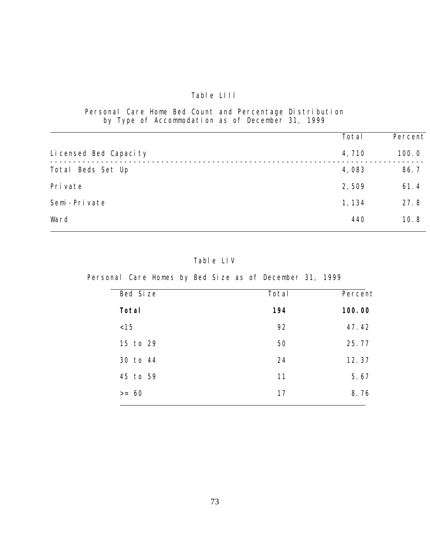# Table LIII

Personal Care Home Bed Count and Percentage Distribution by Type of Accommodation as of December 31, 1999

i<br>L

|                         | Total  | Percent |
|-------------------------|--------|---------|
| Li censed Bed Capaci ty | 4,710  | 100.0   |
| Total Beds Set Up       | 4,083  | 86.7    |
| Pri vate                | 2,509  | 61.4    |
| Semi-Private            | 1, 134 | 27.8    |
| Ward                    | 440    | 10.8    |

Table LIV

Personal Care Homes by Bed Size as of December 31, 1999

| Bed Size | Total | Percent |
|----------|-------|---------|
| Total    | 194   | 100.00  |
| < 15     | 92    | 47.42   |
| 15 to 29 | 50    | 25.77   |
| 30 to 44 | 24    | 12.37   |
| 45 to 59 | 11    | 5.67    |
| $>= 60$  | 17    | 8.76    |
|          |       |         |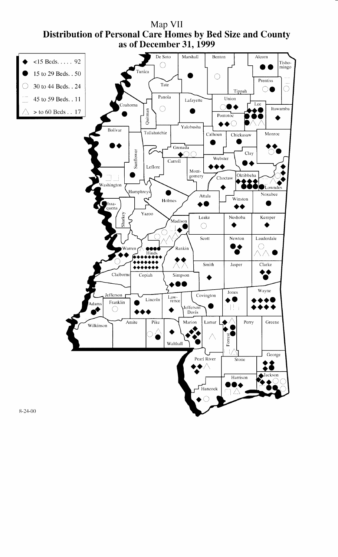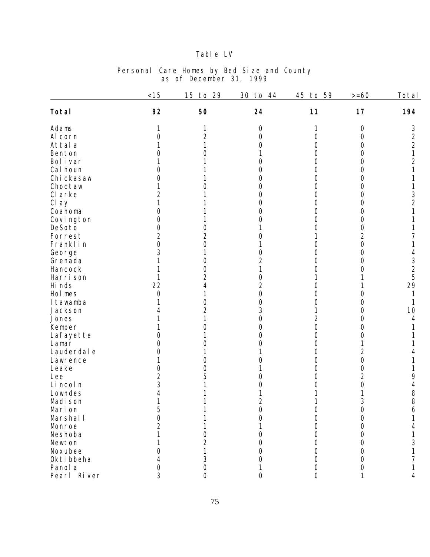# Table LV

|                       | < 15           | 15<br>29<br>$t_{0}$ | 30<br>to 44         | 45<br>to 59      | $>= 60$        | Total          |
|-----------------------|----------------|---------------------|---------------------|------------------|----------------|----------------|
| Total                 | 92             | 50                  | 24                  | 11               | 17             | 194            |
| Adams                 |                |                     | 0                   |                  | $\circ$        | 3              |
| Al corn               | $\overline{O}$ | 2                   | Ω                   | 0                | $\bigcirc$     | $\overline{c}$ |
| Attal a               |                |                     | Ω                   | Ω                | $\overline{O}$ | $\overline{2}$ |
| Benton                | ()             |                     |                     | $\left( \right)$ | $\overline{O}$ | 1              |
| Bol i var             |                |                     | $\left( \right)$    | Ω                | $\overline{O}$ | 2              |
| Cal houn              | Ω              |                     | O                   | $\left( \right)$ | 0              |                |
| Chi ckasaw            | 0              |                     | 0                   | 0                | $\bigcirc$     |                |
| Choctaw               |                |                     | 0                   | 0                | $\bigcirc$     |                |
| CI arke               | $\overline{2}$ |                     | 0                   | 0                | $\bigcirc$     | 3              |
| Cl ay                 | 1              |                     | 0                   | 0                | $\bigcirc$     | $\overline{2}$ |
| Coahoma               | 0              |                     | 0                   | 0                | $\bigcirc$     |                |
| Covi ngton            | 0              |                     | 0                   | 0                | $\bigcirc$     |                |
| DeSoto                | $\overline{O}$ | 0                   |                     | 0                | $\bigcirc$     |                |
| Forrest               | $\overline{2}$ | $\overline{2}$      |                     |                  | $\overline{2}$ |                |
| Franklin              | $\overline{O}$ | 0                   |                     | 0                | $\bigcirc$     |                |
| George                | 3              |                     | 0                   | Ω                | 0              |                |
| Grenada               |                | 0                   | $\overline{2}$      |                  | 0              | 3              |
| Hancock               |                | 0                   |                     |                  | Ω              | $\overline{2}$ |
| Harri son             |                | 2                   | 0                   |                  |                | 5              |
| Hi nds                | 22             |                     | $\overline{2}$      | $\left( \right)$ |                | 29             |
| Hol mes               | $\bigcirc$     |                     | 0                   | Ω                | O              |                |
| I tawamba             |                | $\left( \right)$    | 0                   | Ο                | 0              |                |
| Jackson               |                | 2                   | 3                   |                  | 0              | 10             |
| Jones                 |                |                     | 0                   | $\overline{2}$   | 0              | 4              |
| Kemper                |                | $\left( \right)$    | 0                   | $\overline{O}$   | 0              |                |
|                       | Ω              |                     | 0                   | 0                | 0              |                |
| Lafayette<br>Lamar    | Ω              |                     | Ο                   | 0                |                |                |
| Lauderdal e           | 0              |                     |                     | 0                | $\overline{2}$ |                |
| Lawrence              |                | $\left( \right)$    |                     | 0                | $\bigcirc$     |                |
| Leake                 | 0              | Ω                   |                     | 0                | $\bigcirc$     |                |
| Lee                   | $\overline{2}$ | 5                   | ( )                 | 0                | $\overline{2}$ | 9              |
| Li ncol n             | 3              |                     |                     | 0                | O              |                |
| Lowndes               | $\overline{4}$ |                     |                     |                  |                | 4<br>$\,8\,$   |
| Madi son              |                |                     | $\overline{2}$      |                  | 3              | 8              |
| Marion                | 5              |                     |                     | 0                |                |                |
| Marshal I             | $\overline{O}$ |                     | 0<br>0              | Ω                | O<br>0         | 6              |
| Monroe                | $\overline{2}$ |                     |                     |                  |                |                |
|                       |                |                     |                     |                  | 0              |                |
| Neshoba<br>Newton     |                |                     | Ω                   |                  | 0              |                |
| Noxubee               |                | 2                   |                     |                  | 0              | 3              |
|                       |                |                     | Ω                   |                  | 0              |                |
| Okti bbeha<br>Panol a |                | 3<br>$\bigcirc$     | Ω                   |                  | 0              |                |
| Pearl River           | 0<br>3         | 0                   | 1<br>$\overline{O}$ | 0<br>$\Omega$    | $\circ$        | 4              |
|                       |                |                     |                     |                  |                |                |

### Personal Care Homes by Bed Size and County as of December 31, 1999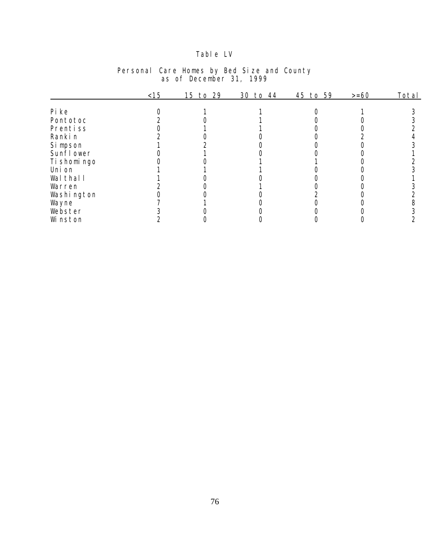# Table LV

|              | < 15 | 15 to 29 | 30 to 44 | 45 to 59 | $>= 60$ | Total |
|--------------|------|----------|----------|----------|---------|-------|
|              |      |          |          |          |         |       |
| Pi ke        |      |          |          |          |         |       |
| Pontotoc     |      |          |          |          |         |       |
| Prentiss     |      |          |          |          |         |       |
| Ranki n      |      |          |          |          |         |       |
| Si mpson     |      |          |          |          |         |       |
| Sunfl ower   |      |          |          |          |         |       |
| Ti shomi ngo |      |          |          |          |         |       |
| Uni on       |      |          |          |          |         |       |
| Wal thal I   |      |          |          |          |         |       |
| Warren       |      |          |          |          |         |       |
| Washi ngton  |      |          |          |          |         |       |
| Wayne        |      |          |          |          |         |       |
| Webster      |      |          |          |          |         |       |
| Wi nston     |      |          |          |          |         |       |

### Personal Care Homes by Bed Size and County as of December 31, 1999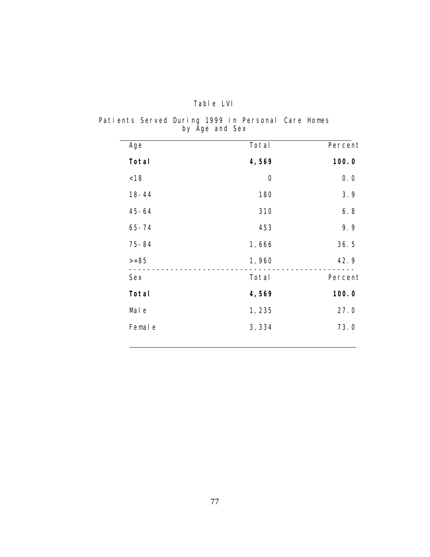| Tabl e | I VI |
|--------|------|
|        |      |

Patients Served During 1999 in Personal Care Homes by Age and Sex

| Age       | Total      | Percent |
|-----------|------------|---------|
| Total     | 4,569      | 100.0   |
| < 18      | $\bigcirc$ | 0.0     |
| $18 - 44$ | 180        | 3.9     |
| $45 - 64$ | 310        | 6.8     |
| $65 - 74$ | 453        | 9.9     |
| $75 - 84$ | 1,666      | 36.5    |
| $>= 85$   | 1,960      | 42.9    |
| Sex       | Total      | Percent |
| Total     | 4,569      | 100.0   |
| Mal e     | 1,235      | 27.0    |
| Femal e   | 3, 334     | 73.0    |
|           |            |         |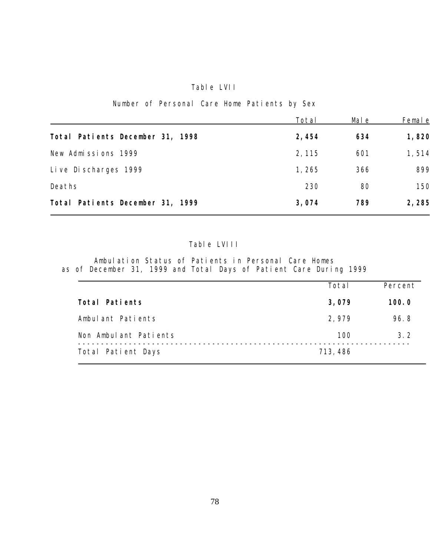## Table LVII

### Number of Personal Care Home Patients by Sex

|                                  | Total  | Mal e | Femal e |
|----------------------------------|--------|-------|---------|
| Total Patients December 31, 1998 | 2,454  | 634   | 1,820   |
| New Admissions 1999              | 2, 115 | 601   | 1,514   |
| Live Discharges 1999             | 1, 265 | 366   | 899     |
| Deaths                           | 230    | 80    | 150     |
| Total Patients December 31, 1999 | 3,074  | 789   | 2,285   |

### Table LVIII

Ambulation Status of Patients in Personal Care Homes as of December 31, 1999 and Total Days of Patient Care During 1999

|                       | Total    | Percent |
|-----------------------|----------|---------|
| Total Patients        | 3,079    | 100.0   |
| Ambulant Patients     | 2,979    | 96.8    |
| Non Ambulant Patients | 100      | 3.2     |
| Total Patient Days    | 713, 486 |         |
|                       |          |         |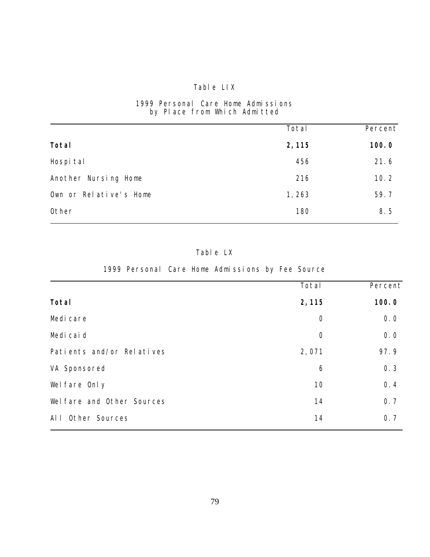# Table LIX

### 1999 Personal Care Home Admissions by Place from Which Admitted

|                        | Total  | Percent |
|------------------------|--------|---------|
| Total                  | 2, 115 | 100.0   |
| Hospi tal              | 456    | 21.6    |
| Another Nursing Home   | 216    | 10.2    |
| Own or Relative's Home | 1,263  | 59.7    |
| Other                  | 180    | 8.5     |

### Table LX

1999 Personal Care Home Admissions by Fee Source

|                            | Total          | Percent |
|----------------------------|----------------|---------|
| Total                      | 2, 115         | 100.0   |
| Medi care                  | $\bigcirc$     | 0.0     |
| Medi cai d                 | $\overline{O}$ | 0.0     |
| Patients and/or Relatives  | 2,071          | 97.9    |
| VA Sponsored               | 6              | 0.3     |
| Wel fare Only              | 10             | 0.4     |
| Wel fare and Other Sources | 14             | 0.7     |
| AI I<br>Other Sources      | 14             | 0.7     |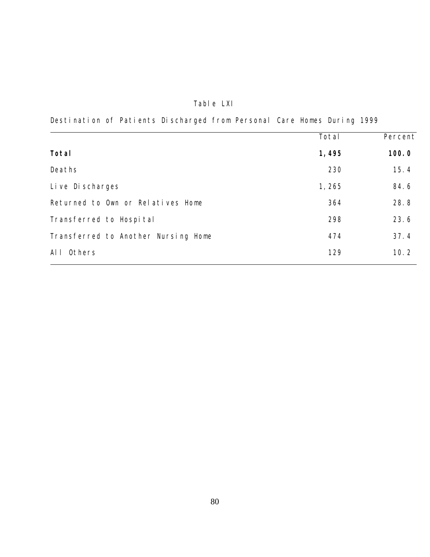# Table LXI

Destination of Patients Discharged from Personal Care Homes During 1999

|                                     | Total | Percent |
|-------------------------------------|-------|---------|
| Total                               | 1,495 | 100.0   |
| Deaths                              | 230   | 15.4    |
| Live Discharges                     | 1,265 | 84.6    |
| Returned to Own or Relatives Home   | 364   | 28.8    |
| Transferred to Hospital             | 298   | 23.6    |
| Transferred to Another Nursing Home | 474   | 37.4    |
| Others<br>AI I                      | 129   | 10.2    |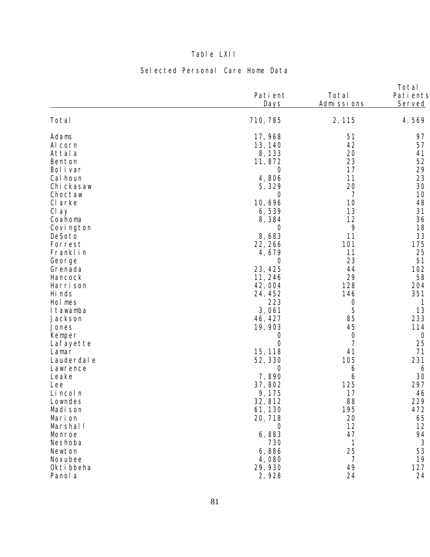# Table LXII

# Selected Personal Care Home Data

| Total<br>710, 785<br>2, 115<br>4,569<br>Adams<br>17,968<br>51<br>97<br>42<br>57<br>Al corn<br>13, 140<br>20<br>Attal a<br>8, 133<br>41<br>23<br>52<br>Benton<br>11,872<br>29<br>17<br>Bol i var<br>O<br>23<br>11<br>4,806<br>Cal houn<br>20<br>30<br>5,329<br>Chi ckasaw<br>Choctaw<br>7<br>10<br>O<br>48<br>10,696<br>10<br>CI arke<br>13<br>31<br>Cl ay<br>6,539<br>12<br>36<br>Coahoma<br>8,384<br>$\circ$<br>18<br>Covi ngton<br>$\circ$<br>33<br>11<br>8,683<br>DeSoto<br>101<br>175<br>22, 266<br>Forrest<br>25<br>Franklin<br>11<br>4,679<br>23<br>51<br>George<br>$\overline{O}$<br>23, 425<br>44<br>102<br>Grenada<br>29<br>58<br>11, 246<br>Hancock<br>128<br>Harri son<br>42,004<br>204<br>351<br>Hi nds<br>24, 452<br>146<br>223<br>Hol mes<br>$\bigcirc$<br>5<br>13<br>3,061<br>I tawamba<br>85<br>233<br>46, 427<br>Jackson<br>19,903<br>45<br>114<br>Jones<br>Kemper<br>$\bigcirc$<br>$\theta$<br>$\circ$<br>7<br>$\overline{0}$<br>25<br>Lafayette<br>15, 118<br>41<br>71<br>Lamar<br>231<br>52, 330<br>105<br>Lauderdal e<br>Lawrence<br>O<br>6<br>6<br>7,890<br>30<br>Leake<br>6<br>125<br>297<br>37,802<br>Lee<br>17<br>Li ncol n<br>9,175<br>46<br>88<br>229<br>32, 812<br>Lowndes<br>195<br>61, 130<br>472<br>Madi son<br>20<br>Marion<br>20, 718<br>65<br>12<br>12<br>Marshall<br>$\circ$<br>47<br>6,883<br>94<br>Monroe<br>$\mathfrak{Z}$<br>$\mathbf{1}$<br>Neshoba<br>730<br>25<br>53<br>6,886<br>Newton<br>$\overline{7}$<br>19<br>Noxubee<br>4,080<br>49<br>29, 930<br>127<br>Okti bbeha<br>24<br>2,928<br>24<br>Panol a | Pati ent<br>Days | Total<br>Admissions | Total<br>Pati ents<br>Served |
|-----------------------------------------------------------------------------------------------------------------------------------------------------------------------------------------------------------------------------------------------------------------------------------------------------------------------------------------------------------------------------------------------------------------------------------------------------------------------------------------------------------------------------------------------------------------------------------------------------------------------------------------------------------------------------------------------------------------------------------------------------------------------------------------------------------------------------------------------------------------------------------------------------------------------------------------------------------------------------------------------------------------------------------------------------------------------------------------------------------------------------------------------------------------------------------------------------------------------------------------------------------------------------------------------------------------------------------------------------------------------------------------------------------------------------------------------------------------------------------------------------------------------------------------------------|------------------|---------------------|------------------------------|
|                                                                                                                                                                                                                                                                                                                                                                                                                                                                                                                                                                                                                                                                                                                                                                                                                                                                                                                                                                                                                                                                                                                                                                                                                                                                                                                                                                                                                                                                                                                                                     |                  |                     |                              |
|                                                                                                                                                                                                                                                                                                                                                                                                                                                                                                                                                                                                                                                                                                                                                                                                                                                                                                                                                                                                                                                                                                                                                                                                                                                                                                                                                                                                                                                                                                                                                     |                  |                     |                              |
|                                                                                                                                                                                                                                                                                                                                                                                                                                                                                                                                                                                                                                                                                                                                                                                                                                                                                                                                                                                                                                                                                                                                                                                                                                                                                                                                                                                                                                                                                                                                                     |                  |                     |                              |
|                                                                                                                                                                                                                                                                                                                                                                                                                                                                                                                                                                                                                                                                                                                                                                                                                                                                                                                                                                                                                                                                                                                                                                                                                                                                                                                                                                                                                                                                                                                                                     |                  |                     |                              |
|                                                                                                                                                                                                                                                                                                                                                                                                                                                                                                                                                                                                                                                                                                                                                                                                                                                                                                                                                                                                                                                                                                                                                                                                                                                                                                                                                                                                                                                                                                                                                     |                  |                     |                              |
|                                                                                                                                                                                                                                                                                                                                                                                                                                                                                                                                                                                                                                                                                                                                                                                                                                                                                                                                                                                                                                                                                                                                                                                                                                                                                                                                                                                                                                                                                                                                                     |                  |                     |                              |
|                                                                                                                                                                                                                                                                                                                                                                                                                                                                                                                                                                                                                                                                                                                                                                                                                                                                                                                                                                                                                                                                                                                                                                                                                                                                                                                                                                                                                                                                                                                                                     |                  |                     |                              |
|                                                                                                                                                                                                                                                                                                                                                                                                                                                                                                                                                                                                                                                                                                                                                                                                                                                                                                                                                                                                                                                                                                                                                                                                                                                                                                                                                                                                                                                                                                                                                     |                  |                     |                              |
|                                                                                                                                                                                                                                                                                                                                                                                                                                                                                                                                                                                                                                                                                                                                                                                                                                                                                                                                                                                                                                                                                                                                                                                                                                                                                                                                                                                                                                                                                                                                                     |                  |                     |                              |
|                                                                                                                                                                                                                                                                                                                                                                                                                                                                                                                                                                                                                                                                                                                                                                                                                                                                                                                                                                                                                                                                                                                                                                                                                                                                                                                                                                                                                                                                                                                                                     |                  |                     |                              |
|                                                                                                                                                                                                                                                                                                                                                                                                                                                                                                                                                                                                                                                                                                                                                                                                                                                                                                                                                                                                                                                                                                                                                                                                                                                                                                                                                                                                                                                                                                                                                     |                  |                     |                              |
|                                                                                                                                                                                                                                                                                                                                                                                                                                                                                                                                                                                                                                                                                                                                                                                                                                                                                                                                                                                                                                                                                                                                                                                                                                                                                                                                                                                                                                                                                                                                                     |                  |                     |                              |
|                                                                                                                                                                                                                                                                                                                                                                                                                                                                                                                                                                                                                                                                                                                                                                                                                                                                                                                                                                                                                                                                                                                                                                                                                                                                                                                                                                                                                                                                                                                                                     |                  |                     |                              |
|                                                                                                                                                                                                                                                                                                                                                                                                                                                                                                                                                                                                                                                                                                                                                                                                                                                                                                                                                                                                                                                                                                                                                                                                                                                                                                                                                                                                                                                                                                                                                     |                  |                     |                              |
|                                                                                                                                                                                                                                                                                                                                                                                                                                                                                                                                                                                                                                                                                                                                                                                                                                                                                                                                                                                                                                                                                                                                                                                                                                                                                                                                                                                                                                                                                                                                                     |                  |                     |                              |
|                                                                                                                                                                                                                                                                                                                                                                                                                                                                                                                                                                                                                                                                                                                                                                                                                                                                                                                                                                                                                                                                                                                                                                                                                                                                                                                                                                                                                                                                                                                                                     |                  |                     |                              |
|                                                                                                                                                                                                                                                                                                                                                                                                                                                                                                                                                                                                                                                                                                                                                                                                                                                                                                                                                                                                                                                                                                                                                                                                                                                                                                                                                                                                                                                                                                                                                     |                  |                     |                              |
|                                                                                                                                                                                                                                                                                                                                                                                                                                                                                                                                                                                                                                                                                                                                                                                                                                                                                                                                                                                                                                                                                                                                                                                                                                                                                                                                                                                                                                                                                                                                                     |                  |                     |                              |
|                                                                                                                                                                                                                                                                                                                                                                                                                                                                                                                                                                                                                                                                                                                                                                                                                                                                                                                                                                                                                                                                                                                                                                                                                                                                                                                                                                                                                                                                                                                                                     |                  |                     |                              |
|                                                                                                                                                                                                                                                                                                                                                                                                                                                                                                                                                                                                                                                                                                                                                                                                                                                                                                                                                                                                                                                                                                                                                                                                                                                                                                                                                                                                                                                                                                                                                     |                  |                     |                              |
|                                                                                                                                                                                                                                                                                                                                                                                                                                                                                                                                                                                                                                                                                                                                                                                                                                                                                                                                                                                                                                                                                                                                                                                                                                                                                                                                                                                                                                                                                                                                                     |                  |                     |                              |
|                                                                                                                                                                                                                                                                                                                                                                                                                                                                                                                                                                                                                                                                                                                                                                                                                                                                                                                                                                                                                                                                                                                                                                                                                                                                                                                                                                                                                                                                                                                                                     |                  |                     |                              |
|                                                                                                                                                                                                                                                                                                                                                                                                                                                                                                                                                                                                                                                                                                                                                                                                                                                                                                                                                                                                                                                                                                                                                                                                                                                                                                                                                                                                                                                                                                                                                     |                  |                     |                              |
|                                                                                                                                                                                                                                                                                                                                                                                                                                                                                                                                                                                                                                                                                                                                                                                                                                                                                                                                                                                                                                                                                                                                                                                                                                                                                                                                                                                                                                                                                                                                                     |                  |                     |                              |
|                                                                                                                                                                                                                                                                                                                                                                                                                                                                                                                                                                                                                                                                                                                                                                                                                                                                                                                                                                                                                                                                                                                                                                                                                                                                                                                                                                                                                                                                                                                                                     |                  |                     |                              |
|                                                                                                                                                                                                                                                                                                                                                                                                                                                                                                                                                                                                                                                                                                                                                                                                                                                                                                                                                                                                                                                                                                                                                                                                                                                                                                                                                                                                                                                                                                                                                     |                  |                     |                              |
|                                                                                                                                                                                                                                                                                                                                                                                                                                                                                                                                                                                                                                                                                                                                                                                                                                                                                                                                                                                                                                                                                                                                                                                                                                                                                                                                                                                                                                                                                                                                                     |                  |                     |                              |
|                                                                                                                                                                                                                                                                                                                                                                                                                                                                                                                                                                                                                                                                                                                                                                                                                                                                                                                                                                                                                                                                                                                                                                                                                                                                                                                                                                                                                                                                                                                                                     |                  |                     |                              |
|                                                                                                                                                                                                                                                                                                                                                                                                                                                                                                                                                                                                                                                                                                                                                                                                                                                                                                                                                                                                                                                                                                                                                                                                                                                                                                                                                                                                                                                                                                                                                     |                  |                     |                              |
|                                                                                                                                                                                                                                                                                                                                                                                                                                                                                                                                                                                                                                                                                                                                                                                                                                                                                                                                                                                                                                                                                                                                                                                                                                                                                                                                                                                                                                                                                                                                                     |                  |                     |                              |
|                                                                                                                                                                                                                                                                                                                                                                                                                                                                                                                                                                                                                                                                                                                                                                                                                                                                                                                                                                                                                                                                                                                                                                                                                                                                                                                                                                                                                                                                                                                                                     |                  |                     |                              |
|                                                                                                                                                                                                                                                                                                                                                                                                                                                                                                                                                                                                                                                                                                                                                                                                                                                                                                                                                                                                                                                                                                                                                                                                                                                                                                                                                                                                                                                                                                                                                     |                  |                     |                              |
|                                                                                                                                                                                                                                                                                                                                                                                                                                                                                                                                                                                                                                                                                                                                                                                                                                                                                                                                                                                                                                                                                                                                                                                                                                                                                                                                                                                                                                                                                                                                                     |                  |                     |                              |
|                                                                                                                                                                                                                                                                                                                                                                                                                                                                                                                                                                                                                                                                                                                                                                                                                                                                                                                                                                                                                                                                                                                                                                                                                                                                                                                                                                                                                                                                                                                                                     |                  |                     |                              |
|                                                                                                                                                                                                                                                                                                                                                                                                                                                                                                                                                                                                                                                                                                                                                                                                                                                                                                                                                                                                                                                                                                                                                                                                                                                                                                                                                                                                                                                                                                                                                     |                  |                     |                              |
|                                                                                                                                                                                                                                                                                                                                                                                                                                                                                                                                                                                                                                                                                                                                                                                                                                                                                                                                                                                                                                                                                                                                                                                                                                                                                                                                                                                                                                                                                                                                                     |                  |                     |                              |
|                                                                                                                                                                                                                                                                                                                                                                                                                                                                                                                                                                                                                                                                                                                                                                                                                                                                                                                                                                                                                                                                                                                                                                                                                                                                                                                                                                                                                                                                                                                                                     |                  |                     |                              |
|                                                                                                                                                                                                                                                                                                                                                                                                                                                                                                                                                                                                                                                                                                                                                                                                                                                                                                                                                                                                                                                                                                                                                                                                                                                                                                                                                                                                                                                                                                                                                     |                  |                     |                              |
|                                                                                                                                                                                                                                                                                                                                                                                                                                                                                                                                                                                                                                                                                                                                                                                                                                                                                                                                                                                                                                                                                                                                                                                                                                                                                                                                                                                                                                                                                                                                                     |                  |                     |                              |
|                                                                                                                                                                                                                                                                                                                                                                                                                                                                                                                                                                                                                                                                                                                                                                                                                                                                                                                                                                                                                                                                                                                                                                                                                                                                                                                                                                                                                                                                                                                                                     |                  |                     |                              |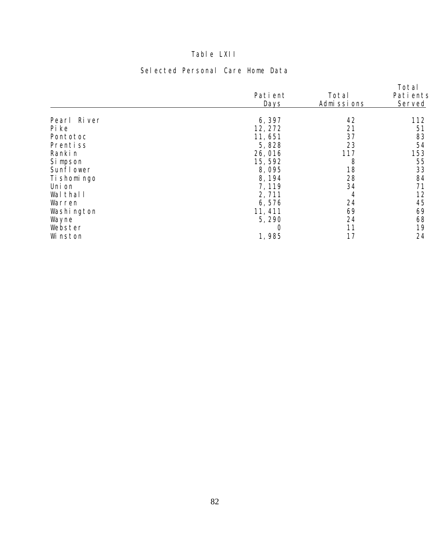# Table LXII

# Selected Personal Care Home Data

|                 |             |            | Total     |
|-----------------|-------------|------------|-----------|
|                 | Pati ent    | Total      | Pati ents |
|                 | <b>Days</b> | Admissions | Served    |
|                 |             |            |           |
| Ri ver<br>Pearl | 6,397       | 42         | 112       |
| Pi ke           | 12, 272     | 21         | 51        |
| Pontotoc        | 11,651      | 37         | 83        |
| Prentiss        | 5,828       | 23         | 54        |
| Ranki n         | 26,016      | 117        | 153       |
| Si mpson        | 15,592      | 8          | 55        |
| Sunfl ower      | 8,095       | 18         | 33        |
| Ti shomi ngo    | 8, 194      | 28         | 84        |
| Uni on          | 7, 119      | 34         | 71        |
| Wal thal I      | 2,711       | 4          | 12        |
| Warren          | 6,576       | 24         | 45        |
| Washi ngton     | 11, 411     | 69         | 69        |
| Wayne           | 5,290       | 24         | 68        |
| Webster         |             | 11         | 19        |
| Wi nston        | 1,985       | 17         | 24        |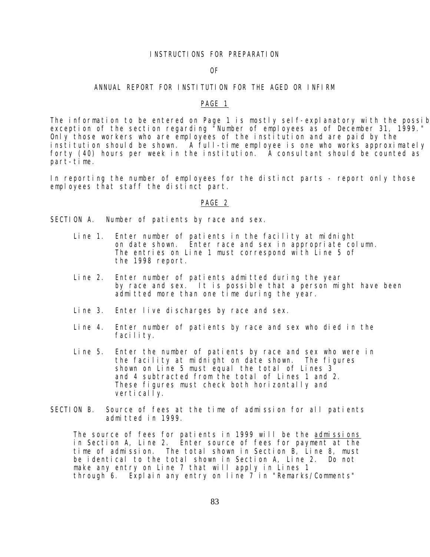#### INSTRUCTIONS FOR PREPARATION

#### OF

#### ANNUAL REPORT FOR INSTITUTION FOR THE AGED OR INFIRM

#### PAGE 1

The information to be entered on Page 1 is mostly self-explanatory with the possib exception of the section regarding "Number of employees as of December 31, 1999." Only those workers who are employees of the institution and are paid by the institution should be shown. A full-time employee is one who works approximately forty (40) hours per week in the institution. A consultant should be counted as part-time.

In reporting the number of employees for the distinct parts - report only those employees that staff the distinct part.

#### PAGE 2

SECTION A. Number of patients by race and sex.

- Line 1. Enter number of patients in the facility at midnight on date shown. Enter race and sex in appropriate column. The entries on Line 1 must correspond with Line 5 of the 1998 report.
- Line 2. Enter number of patients admitted during the year by race and sex. It is possible that a person might have been admitted more than one time during the year.
- Line 3. Enter live discharges by race and sex.
- Line 4. Enter number of patients by race and sex who died in the facility.
- Line 5. Enter the number of patients by race and sex who were in the facility at midnight on date shown. The figures shown on Line 5 must equal the total of Lines 3 and 4 subtracted from the total of Lines 1 and 2. These figures must check both horizontally and vertically.
- SECTION B. Source of fees at the time of admission for all patients admitted in 1999.

The source of fees for patients in 1999 will be the admissions in Section A, Line 2. Enter source of fees for payment at the time of admission. The total shown in Section B, Line 8, must be identical to the total shown in Section A, Line 2. Do not make any entry on Line 7 that will apply in Lines 1 through 6. Explain any entry on line 7 in "Remarks/Comments"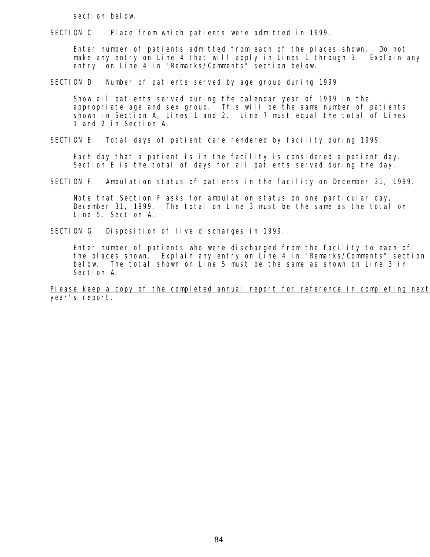section below.

SECTION C. Place from which patients were admitted in 1999.

 Enter number of patients admitted from each of the places shown. Do not make any entry on Line 4 that will apply in Lines 1 through 3. Explain any entry on Line 4 in "Remarks/Comments" section below.

SECTION D. Number of patients served by age group during 1999

 Show all patients served during the calendar year of 1999 in the appropriate age and sex group. This will be the same number of patients shown in Section A, Lines 1 and 2. Line 7 must equal the total of Lines 1 and 2 in Section A.

SECTION E. Total days of patient care rendered by facility during 1999.

 Each day that a patient is in the facility is considered a patient day. Section E is the total of days for all patients served during the day.

SECTION F. Ambulation status of patients in the facility on December 31, 1999.

 Note that Section F asks for ambulation status on one particular day, December 31, 1999. The total on Line 3 must be the same as the total on Line 5, Section A.

SECTION G. Disposition of live discharges in 1999.

 Enter number of patients who were discharged from the facility to each of the places shown. Explain any entry on Line 4 in "Remarks/Comments" section below. The total shown on Line 5 must be the same as shown on Line 3 in Section A.

Please keep a copy of the completed annual report for reference in completing next year's report.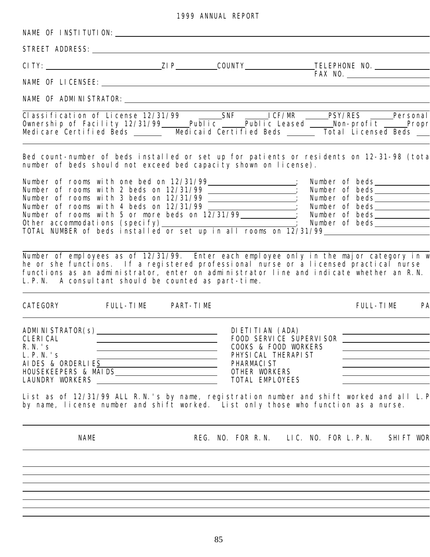|  |  | 1999 ANNUAL REPORT |  |
|--|--|--------------------|--|
|--|--|--------------------|--|

| NAME OF INSTITUTION: University of the MAME OF INSTITUTION:                                                                                                                                                                                                                                                                          |                                                                                                                       |                                                                                                                          |  |                        |  |
|--------------------------------------------------------------------------------------------------------------------------------------------------------------------------------------------------------------------------------------------------------------------------------------------------------------------------------------|-----------------------------------------------------------------------------------------------------------------------|--------------------------------------------------------------------------------------------------------------------------|--|------------------------|--|
|                                                                                                                                                                                                                                                                                                                                      |                                                                                                                       |                                                                                                                          |  |                        |  |
|                                                                                                                                                                                                                                                                                                                                      |                                                                                                                       |                                                                                                                          |  |                        |  |
|                                                                                                                                                                                                                                                                                                                                      |                                                                                                                       |                                                                                                                          |  | <b>EXAMPLE REPORTS</b> |  |
| NAME OF ADMINISTRATOR: CONTRATT ON A CONTRACT OF ADMINISTRATION                                                                                                                                                                                                                                                                      |                                                                                                                       |                                                                                                                          |  |                        |  |
| Medicare Certified Beds ______ Medicaid Certified Beds ______ Total Licensed Beds __                                                                                                                                                                                                                                                 |                                                                                                                       |                                                                                                                          |  |                        |  |
| Bed count-number of beds installed or set up for patients or residents on 12-31-98 (tota<br>number of beds should not exceed bed capacity shown on license).                                                                                                                                                                         |                                                                                                                       |                                                                                                                          |  |                        |  |
| Number of rooms with 2 beds on 12/31/99<br>Number of rooms with 2 beds on 12/31/99<br>Number of rooms with 3 beds on 12/31/99<br>Number of beds<br>Number of beds<br>Number of beds<br>Number of beds<br>Number of beds<br>Other accommodation                                                                                       |                                                                                                                       |                                                                                                                          |  |                        |  |
| Number of employees as of 12/31/99. Enter each employee only in the major category in w<br>he or she functions. If a registered professional nurse or a licensed practical nurse<br>functions as an administrator, enter on administrator line and indicate whether an R.N.<br>L. P. N. A consultant should be counted as part-time. |                                                                                                                       |                                                                                                                          |  |                        |  |
| CATEGORY FULL-TIME PART-TIME                                                                                                                                                                                                                                                                                                         |                                                                                                                       |                                                                                                                          |  | FULL-TIME PA           |  |
| CLERI CAL<br>R. N. ' s<br>L. P. N. 's<br>AI DES & ORDERLIES<br>HOUSEKEEPERS & MAIDS___________________________<br>List as of 12/31/99 ALL R.N.'s by name, registration number and shift worked and all L.P<br>by name, license number and shift worked. List only those who function as a nurse.                                     | <u> 1989 - Johann Barbara, martin amerikan basar dan basa dan basa dan basa dan basa dan basa dalam basa dan basa</u> | FOOD SERVICE SUPERVISOR<br>COOKS & FOOD WORKERS<br>PHYSICAL THERAPIST<br>PHARMACI ST<br>OTHER WORKERS<br>TOTAL EMPLOYEES |  |                        |  |
| <b>NAME</b>                                                                                                                                                                                                                                                                                                                          |                                                                                                                       | REG. NO. FOR R.N. LIC. NO. FOR L.P.N. SHIFT WOR                                                                          |  |                        |  |
|                                                                                                                                                                                                                                                                                                                                      |                                                                                                                       |                                                                                                                          |  |                        |  |
|                                                                                                                                                                                                                                                                                                                                      |                                                                                                                       |                                                                                                                          |  |                        |  |
|                                                                                                                                                                                                                                                                                                                                      |                                                                                                                       |                                                                                                                          |  |                        |  |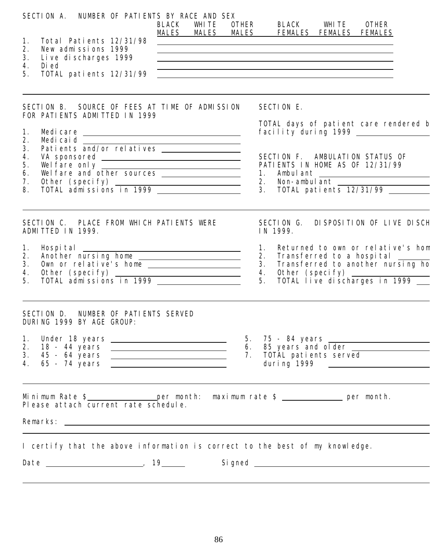| SECTION A. NUMBER OF PATIENTS BY RACE AND SEX                                                                                                                                                                                                               | BLACK WHITE OTHER BLACK WHITE OTHER<br>MALES MALES MALES FEMALES FEMALES FEMALES                                                                                                                                                                                                                                                                                                                                                                                                               |
|-------------------------------------------------------------------------------------------------------------------------------------------------------------------------------------------------------------------------------------------------------------|------------------------------------------------------------------------------------------------------------------------------------------------------------------------------------------------------------------------------------------------------------------------------------------------------------------------------------------------------------------------------------------------------------------------------------------------------------------------------------------------|
| Total Patients 12/31/98<br>1.<br>2.<br>New admissions 1999<br>3.<br>Live discharges 1999<br>4.<br>Di ed<br>5.<br>TOTAL patients 12/31/99                                                                                                                    | <u> 1989 - Johann Stein, marwolaethau a bhann an t-Amhainn an t-Amhainn an t-Amhainn an t-Amhainn an t-Amhainn a</u><br><u> 1980 - Johann Stoff, deutscher Stoffen und der Stoffen und der Stoffen und der Stoffen und der Stoffen und d</u><br><u> 1989 - Johann Stoff, deutscher Stoffen und der Stoffen und der Stoffen und der Stoffen und der Stoffen und der</u><br><u> Alexandria de la contrada de la contrada de la contrada de la contrada de la contrada de la contrada de la c</u> |
| SECTION B. SOURCE OF FEES AT TIME OF ADMISSION<br>FOR PATIENTS ADMITTED IN 1999                                                                                                                                                                             | SECTION E.                                                                                                                                                                                                                                                                                                                                                                                                                                                                                     |
| 1.                                                                                                                                                                                                                                                          | TOTAL days of patient care rendered b                                                                                                                                                                                                                                                                                                                                                                                                                                                          |
| 2.<br>3.<br>4.<br>Wel fare only well fare and other sources well fare and other sources<br>5.<br>6.<br>7.<br>0ther (specify)<br>TOTAL admissions in 1999<br>8.                                                                                              | SECTION F. AMBULATION STATUS OF<br>PATI ENTS IN HOME AS OF 12/31/99<br>1. Ambulant<br>2. Non-ambulant<br>3. TOTAL patients 12/31/99                                                                                                                                                                                                                                                                                                                                                            |
| SECTION C. PLACE FROM WHICH PATIENTS WERE<br>ADMITTED IN 1999.                                                                                                                                                                                              | DI SPOSITION OF LIVE DI SCH<br>SECTION G.<br>IN 1999.                                                                                                                                                                                                                                                                                                                                                                                                                                          |
| Hospital<br>Another nursing home<br>Own or relative's home<br>Other (specify)<br>TOTAL admissions in 1999<br>1.<br>2.<br>3.<br>4.<br>5.                                                                                                                     | 1. Returned to own or relative's hom<br>2. Transferred to a hospital ______<br>3. Transferred to another nursing ho<br>4. Other (specify)<br>5. TOTAL live discharges in 1999 _                                                                                                                                                                                                                                                                                                                |
| SECTION D. NUMBER OF PATIENTS SERVED<br>DURING 1999 BY AGE GROUP:                                                                                                                                                                                           |                                                                                                                                                                                                                                                                                                                                                                                                                                                                                                |
| 1.<br>2.<br>3.<br>65 - 74 years <b>example 14 years</b> and the set of the set of the set of the set of the set of the set of the set of the set of the set of the set of the set of the set of the set of the set of the set of the set of the set o<br>4. | 6. 85 years and older<br>7. TOTĂL patients served                                                                                                                                                                                                                                                                                                                                                                                                                                              |
| Minimum Rate $\frac{1}{2}$ per month: maximum rate $\frac{1}{2}$ per month.<br>Please attach current rate schedule.                                                                                                                                         |                                                                                                                                                                                                                                                                                                                                                                                                                                                                                                |
| I certify that the above information is correct to the best of my knowledge.                                                                                                                                                                                | Signed Later and the state of the state of the state of the state of the state of the state of the state of the                                                                                                                                                                                                                                                                                                                                                                                |
|                                                                                                                                                                                                                                                             |                                                                                                                                                                                                                                                                                                                                                                                                                                                                                                |

86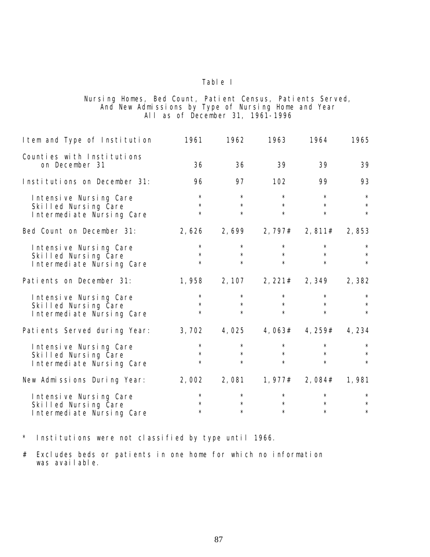#### Nursing Homes, Bed Count, Patient Census, Patients Served, And New Admissions by Type of Nursing Home and Year All as of December 31, 1961-1996

| I tem and Type of Institution                                               | 1961                          | 1962                          | 1963                                | 1964                          | 1965                          |
|-----------------------------------------------------------------------------|-------------------------------|-------------------------------|-------------------------------------|-------------------------------|-------------------------------|
| Counties with Institutions<br>on December 31                                | 36                            | 36                            | 39                                  | 39                            | 39                            |
| Institutions on December 31:                                                | 96                            | 97                            | 102                                 | 99                            | 93                            |
| Intensive Nursing Care<br>Skilled Nursing Care<br>Intermediate Nursing Care | $\star$<br>$\star$<br>$\star$ | $\star$<br>$\star$<br>$\star$ | $\star$<br>$\star$<br>$\star$       | $\star$<br>$\star$<br>$\star$ | $\star$<br>$\star$<br>$\star$ |
| Bed Count on December 31:                                                   | 2,626                         | 2,699                         | 2, 797#                             | 2,811#                        | 2,853                         |
| Intensive Nursing Care<br>Skilled Nursing Care<br>Intermediate Nursing Care | $\star$<br>$\star$<br>$\star$ | $\star$<br>$\star$<br>$\star$ | $\star$<br>$\star$<br>$\star$       | $\star$<br>$\star$<br>$\star$ | $\star$<br>$\star$<br>$\star$ |
| Patients on December 31:                                                    |                               |                               | 1, 958 2, 107 2, 221# 2, 349 2, 382 |                               |                               |
| Intensive Nursing Care<br>Skilled Nursing Care<br>Intermediate Nursing Care | $\star$<br>$\star$<br>$\star$ | $\star$<br>$\star$<br>$\star$ | $\star$<br>$\star$<br>$\star$       | $\star$<br>$\star$<br>$\star$ | $\star$<br>$\star$<br>$\star$ |
| Patients Served during Year:                                                | 3,702                         | 4,025                         | 4,063#                              | 4, 259#                       | 4,234                         |
| Intensive Nursing Care<br>Skilled Nursing Care<br>Intermediate Nursing Care | $\star$<br>$\star$<br>$\star$ | $\star$<br>$\star$<br>$\star$ | $\star$<br>$\star$<br>$\star$       | $\star$<br>$\star$<br>$\star$ | $\star$<br>$\star$<br>$\star$ |
| New Admissions During Year:                                                 |                               |                               | $2,002$ $2,081$ $1,977#$            | 2, 084# 1, 981                |                               |
| Intensive Nursing Care<br>Skilled Nursing Care<br>Intermediate Nursing Care | $\star$<br>$\star$<br>$\star$ | $\star$<br>$\star$<br>$\star$ | $\star$<br>$\star$<br>$\star$       | $\star$<br>$\star$<br>$\star$ | $\star$<br>$\star$<br>$\star$ |

 $\star$ Institutions were not classified by type until 1966.

# Excludes beds or patients in one home for which no information was available.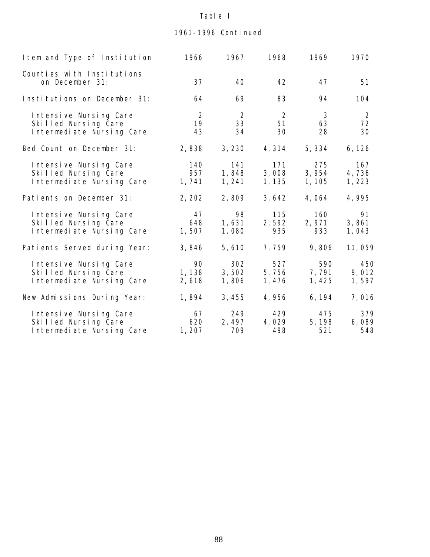# 1961-1996 Continued

| I tem and Type of Institution                                               | 1966                  | 1967                   | 1968                   | 1969                    | 1970                  |
|-----------------------------------------------------------------------------|-----------------------|------------------------|------------------------|-------------------------|-----------------------|
| Counties with Institutions<br>on December 31:                               | 37                    | 40                     | 42                     | 47                      | 51                    |
| Institutions on December 31:                                                | 64                    | 69                     | 83                     | 94                      | 104                   |
| Intensive Nursing Care<br>Skilled Nursing Care<br>Intermediate Nursing Care | 2<br>19<br>43         | 2<br>33<br>34          | 2<br>51<br>30          | 3<br>63<br>28           | 2<br>72<br>30         |
| Bed Count on December 31:                                                   | 2,838                 | 3, 230                 | 4,314                  | 5, 334                  | 6, 126                |
| Intensive Nursing Care<br>Skilled Nursing Care<br>Intermediate Nursing Care | 140<br>957<br>1,741   | 141<br>1,848<br>1, 241 | 171<br>3,008<br>1, 135 | 275<br>3,954<br>1, 105  | 167<br>4,736<br>1,223 |
| Patients on December 31:                                                    | 2, 202                | 2,809                  | 3,642                  | 4,064                   | 4,995                 |
| Intensive Nursing Care<br>Skilled Nursing Care<br>Intermediate Nursing Care | 47<br>648<br>1,507    | 98<br>1,631<br>1,080   | 115<br>2,592<br>935    | 160<br>2,971<br>933     | 91<br>3,861<br>1,043  |
| Patients Served during Year:                                                | 3,846                 | 5,610                  | 7,759                  | 9,806                   | 11,059                |
| Intensive Nursing Care<br>Skilled Nursing Care<br>Intermediate Nursing Care | 90<br>1, 138<br>2,618 | 302<br>3,502<br>1,806  | 527<br>5,756<br>1, 476 | 590<br>7, 791<br>1, 425 | 450<br>9,012<br>1,597 |
| New Admissions During Year:                                                 | 1,894                 | 3,455                  | 4,956                  | 6, 194                  | 7,016                 |
| Intensive Nursing Care<br>Skilled Nursing Care<br>Intermediate Nursing Care | 67<br>620<br>1, 207   | 249<br>2, 497<br>709   | 429<br>4,029<br>498    | 475<br>5, 198<br>521    | 379<br>6,089<br>548   |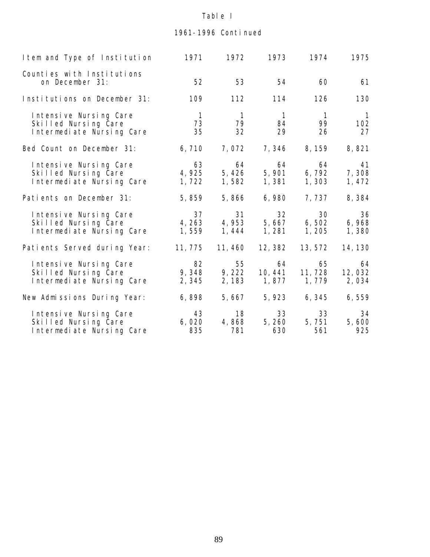# 1961-1996 Continued

| I tem and Type of Institution                                               | 1971                       | 1972                          | 1973                       | 1974                       | 1975                        |
|-----------------------------------------------------------------------------|----------------------------|-------------------------------|----------------------------|----------------------------|-----------------------------|
| Counties with Institutions<br>on December 31:                               | 52                         | 53                            | 54                         | 60                         | 61                          |
| Institutions on December 31:                                                | 109                        | 112                           | 114                        | 126                        | 130                         |
| Intensive Nursing Care<br>Skilled Nursing Care<br>Intermediate Nursing Care | $\overline{1}$<br>73<br>35 | $\overline{1}$<br>79<br>32    | $\overline{1}$<br>84<br>29 | $\overline{1}$<br>99<br>26 | $\overline{1}$<br>102<br>27 |
| Bed Count on December 31:                                                   | 6,710                      | 7,072                         | 7,346                      | 8, 159                     | 8,821                       |
| Intensive Nursing Care<br>Skilled Nursing Care<br>Intermediate Nursing Care | 63<br>4,925<br>1,722       | 64<br>5,426<br>1,582          | 64<br>5,901<br>1,381       | 64<br>6, 792<br>1, 303     | 41<br>7,308<br>1,472        |
| Patients on December 31:                                                    | 5,859                      | 5,866                         | 6,980                      | 7, 737                     | 8,384                       |
| Intensive Nursing Care<br>Skilled Nursing Care<br>Intermediate Nursing Care | 37<br>4, 263<br>1,559      | 31<br>4,953<br>1, 444         | 32<br>5,667<br>1, 281      | 30<br>6,502<br>1,205       | 36<br>6,968<br>1,380        |
| Patients Served during Year:                                                | 11, 775                    | 11, 460                       | 12, 382                    | 13, 572                    | 14, 130                     |
| Intensive Nursing Care<br>Skilled Nursing Care<br>Intermediate Nursing Care | 82<br>2,345                | 55<br>9, 348 9, 222<br>2, 183 | 64<br>10, 441<br>1, 877    | 65<br>11, 728<br>1, 779    | 64<br>12,032<br>2,034       |
| New Admissions During Year:                                                 | 6,898                      | 5,667                         | 5,923                      | 6,345                      | 6,559                       |
| Intensive Nursing Care<br>Skilled Nursing Care<br>Intermediate Nursing Care | 43<br>6,020<br>835         | 18<br>4,868<br>781            | 33<br>5,260<br>630         | 33<br>5,751<br>561         | 34<br>5,600<br>925          |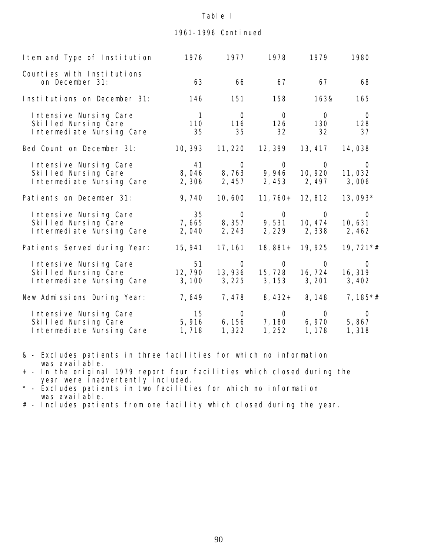### 1961-1996 Continued

| I tem and Type of Institution                                               | 1976                        | 1977                        | 1978                                                                                            | 1979                            | 1980                               |
|-----------------------------------------------------------------------------|-----------------------------|-----------------------------|-------------------------------------------------------------------------------------------------|---------------------------------|------------------------------------|
| Counties with Institutions<br>on December 31:                               | 63                          | 66                          | 67                                                                                              | 67                              | 68                                 |
| Institutions on December 31:                                                | 146                         | 151                         | 158                                                                                             | 163&                            | 165                                |
| Intensive Nursing Care<br>Skilled Nursing Care<br>Intermediate Nursing Care | $\overline{1}$<br>110<br>35 | $\overline{O}$<br>116<br>35 | $\overline{O}$<br>126<br>32                                                                     | $\overline{O}$<br>130<br>32     | $\overline{0}$<br>128<br>37        |
| Bed Count on December 31:                                                   | 10, 393                     | 11, 220                     | 12, 399                                                                                         | 13, 417                         | 14,038                             |
| Intensive Nursing Care<br>Skilled Nursing Care<br>Intermediate Nursing Care | 41<br>2,306                 | 2, 457                      | $\begin{matrix} 0 & 0 & 0 \end{matrix}$<br>8, 046 8, 763 9, 946 10, 920 11, 032<br>2,453        | 2, 497                          | $\overline{O}$<br>3,006            |
| Patients on December 31:                                                    | 9,740                       | 10,600                      |                                                                                                 | 11, 760+ 12, 812                | 13,093*                            |
| Intensive Nursing Care<br>Skilled Nursing Care<br>Intermediate Nursing Care | 2,040                       | 2, 243                      | 35 0 0 0<br>7, 665 8, 357 9, 531 10, 474 10, 631                                                | 2, 229 2, 338 2, 462            | $\overline{0}$                     |
| Patients Served during Year:                                                | 15, 941                     | 17, 161                     | 18, 881+                                                                                        | 19, 925                         | $19,721**$                         |
| Intensive Nursing Care<br>Skilled Nursing Care<br>Intermediate Nursing Care | 51<br>12, 790<br>3, 100     | $\overline{O}$<br>3,225     | $\overline{O}$<br>13, 936  15, 728  16, 724                                                     | $\overline{O}$<br>3, 153 3, 201 | $\overline{O}$<br>16, 319<br>3,402 |
| New Admissions During Year:                                                 | 7,649                       |                             | 7, 478 8, 432+ 8, 148                                                                           |                                 | 7, $185*$ #                        |
| Intensive Nursing Care<br>Skilled Nursing Care<br>Intermediate Nursing Care | 15<br>1, 718                | 1,322                       | $\begin{matrix} 0 & 0 & 0 \end{matrix}$<br>$5,916$ $6,156$ $7,180$ $6,970$<br>$1, 252$ $1, 178$ |                                 | $\overline{O}$<br>5,867<br>1,318   |

& - Excludes patients in three facilities for which no information was available.

+ - In the original 1979 report four facilities which closed during the year were inadvertently included.

\* - Excludes patients in two facilities for which no information was available.

# - Includes patients from one facility which closed during the year.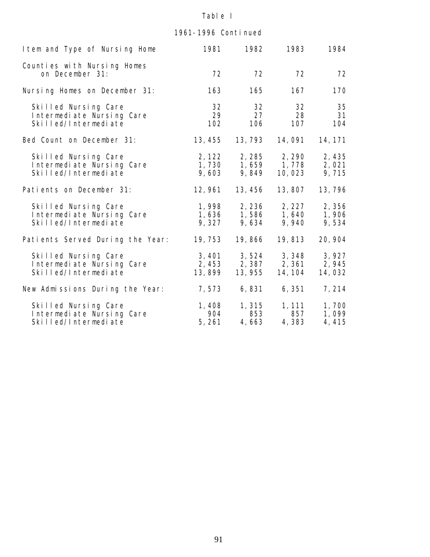# 1961-1996 Continued

| I tem and Type of Nursing Home                                            | 1981                      | 1982                      | 1983                                            | 1984                     |
|---------------------------------------------------------------------------|---------------------------|---------------------------|-------------------------------------------------|--------------------------|
| Counties with Nursing Homes<br>on December 31:                            | 72                        | 72                        | 72                                              | 72                       |
| Nursing Homes on December 31:                                             | 163                       | 165                       | 167                                             | 170                      |
| Skilled Nursing Care<br>Intermediate Nursing Care<br>Skilled/Intermediate | 32<br>29<br>102           | 32<br>27<br>106           | 32<br>28<br>107                                 | 35<br>31<br>104          |
| Bed Count on December 31:                                                 | 13, 455                   | 13, 793                   | 14, 091                                         | 14, 171                  |
| Skilled Nursing Care<br>Intermediate Nursing Care<br>Skilled/Intermediate | 2, 122<br>9,603           | 9,849                     | 2, 285 2, 290<br>1, 730 1, 659 1, 778<br>10,023 | 2,435<br>2,021<br>9,715  |
| Patients on December 31:                                                  | 12, 961                   | 13, 456                   | 13,807                                          | 13,796                   |
| Skilled Nursing Care<br>Intermediate Nursing Care<br>Skilled/Intermediate | 1,998<br>9,327            | 9,634                     | 2, 236 2, 227<br>1,636 1,586 1,640<br>9,940     | 2,356<br>1,906<br>9,534  |
| Patients Served During the Year:                                          | 19, 753                   | 19,866                    | 19,813                                          | 20, 904                  |
| Skilled Nursing Care<br>Intermediate Nursing Care<br>Skilled/Intermediate | 3, 401<br>2,453<br>13,899 | 3,524<br>2,387<br>13, 955 | 3,348<br>2,361<br>14, 104                       | 3,927<br>2,945<br>14,032 |
| New Admissions During the Year:                                           | 7,573                     | 6,831                     | 6, 351                                          | 7, 214                   |
| Skilled Nursing Care<br>Intermediate Nursing Care<br>Skilled/Intermediate | 1,408<br>904<br>5,261     | 1,315<br>853<br>4,663     | 1, 111<br>857<br>4,383                          | 1,700<br>1,099<br>4,415  |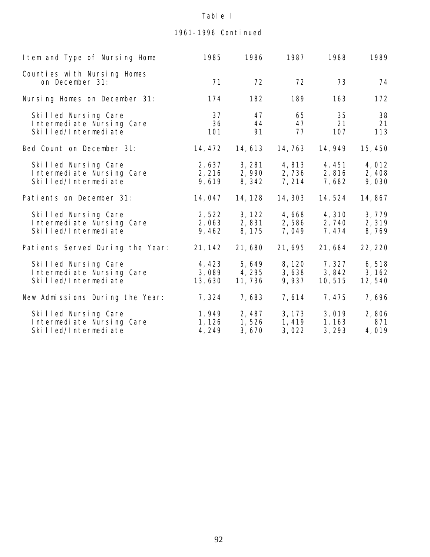# 1961-1996 Continued

| I tem and Type of Nursing Home                                            | 1985                      | 1986                      | 1987                      | 1988                       | 1989                      |
|---------------------------------------------------------------------------|---------------------------|---------------------------|---------------------------|----------------------------|---------------------------|
| Counties with Nursing Homes<br>on December 31:                            | 71                        | 72                        | 72                        | 73                         | 74                        |
| Nursing Homes on December 31:                                             | 174                       | 182                       | 189                       | 163                        | 172                       |
| Skilled Nursing Care<br>Intermediate Nursing Care<br>Skilled/Intermediate | 37<br>36<br>101           | 47<br>44<br>91            | 65<br>47<br>77            | 35<br>21<br>107            | 38<br>21<br>113           |
| Bed Count on December 31:                                                 | 14, 472                   | 14, 613                   | 14, 763                   | 14, 949                    | 15, 450                   |
| Skilled Nursing Care<br>Intermediate Nursing Care<br>Skilled/Intermediate | 2,637<br>2, 216<br>9,619  | 3, 281<br>2,990<br>8,342  | 4,813<br>2,736<br>7, 214  | 4, 451<br>2,816<br>7,682   | 4,012<br>2,408<br>9,030   |
| Patients on December 31:                                                  | 14, 047                   | 14, 128                   | 14, 303                   | 14, 524                    | 14,867                    |
| Skilled Nursing Care<br>Intermediate Nursing Care<br>Skilled/Intermediate | 2,522<br>2,063<br>9,462   | 3, 122<br>2,831<br>8, 175 | 4,668<br>2,586<br>7,049   | 4,310<br>2,740<br>7, 474   | 3,779<br>2,319<br>8,769   |
| Patients Served During the Year:                                          | 21, 142                   | 21,680                    | 21,695                    | 21,684                     | 22, 220                   |
| Skilled Nursing Care<br>Intermediate Nursing Care<br>Skilled/Intermediate | 4,423<br>3,089<br>13,630  | 5,649<br>4,295<br>11, 736 | 8, 120<br>3,638<br>9,937  | 7, 327<br>3,842<br>10, 515 | 6,518<br>3, 162<br>12,540 |
| New Admissions During the Year:                                           | 7,324                     | 7,683                     | 7, 614                    | 7, 475                     | 7,696                     |
| Skilled Nursing Care<br>Intermediate Nursing Care<br>Skilled/Intermediate | 1,949<br>1, 126<br>4, 249 | 2,487<br>1,526<br>3,670   | 3, 173<br>1, 419<br>3,022 | 3,019<br>1, 163<br>3, 293  | 2,806<br>871<br>4,019     |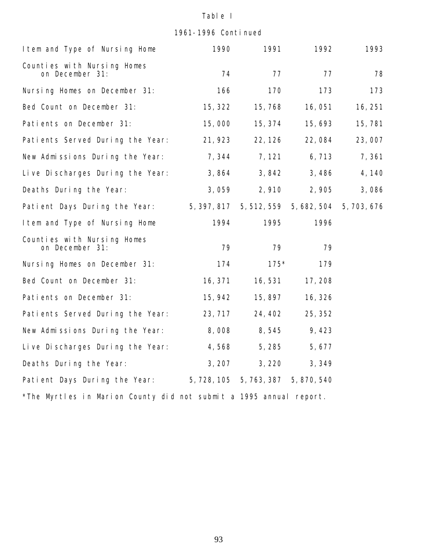1961-1996 Continued

| I tem and Type of Nursing Home                                     | 1990        | 1991                    | 1992        | 1993      |  |  |  |
|--------------------------------------------------------------------|-------------|-------------------------|-------------|-----------|--|--|--|
| Counties with Nursing Homes<br>on December 31:                     | 74          | 77                      | 77          | 78        |  |  |  |
| Nursing Homes on December 31:                                      | 166         | 170                     | 173         | 173       |  |  |  |
| Bed Count on December 31:                                          | 15, 322     | 15,768                  | 16,051      | 16, 251   |  |  |  |
| Patients on December 31:                                           | 15,000      | 15, 374                 | 15,693      | 15, 781   |  |  |  |
| Patients Served During the Year:                                   | 21, 923     | 22, 126                 | 22,084      | 23,007    |  |  |  |
| New Admissions During the Year:                                    | 7,344       | 7, 121                  | 6,713       | 7,361     |  |  |  |
| Live Discharges During the Year:                                   | 3,864       | 3,842                   | 3,486       | 4, 140    |  |  |  |
| Deaths During the Year:                                            | 3,059       | 2,910                   | 2,905       | 3,086     |  |  |  |
| Patient Days During the Year:                                      | 5, 397, 817 | 5, 512, 559             | 5, 682, 504 | 5,703,676 |  |  |  |
| I tem and Type of Nursing Home                                     | 1994        | 1995                    | 1996        |           |  |  |  |
| Counties with Nursing Homes<br>on December 31:                     | 79          | 79                      | 79          |           |  |  |  |
| Nursing Homes on December 31:                                      | 174         | $175*$                  | 179         |           |  |  |  |
| Bed Count on December 31:                                          | 16, 371     | 16,531                  | 17,208      |           |  |  |  |
| Patients on December 31:                                           | 15, 942     | 15,897                  | 16, 326     |           |  |  |  |
| Patients Served During the Year:                                   | 23, 717     | 24, 402                 | 25, 352     |           |  |  |  |
| New Admissions During the Year:                                    | 8,008       | 8,545                   | 9,423       |           |  |  |  |
| Live Discharges During the Year:                                   | 4,568       | 5,285                   | 5,677       |           |  |  |  |
| Deaths During the Year:                                            | 3, 207      | 3, 220                  | 3,349       |           |  |  |  |
| Patient Days During the Year:                                      | 5, 728, 105 | 5, 763, 387 5, 870, 540 |             |           |  |  |  |
| *The Myrtles in Marion County did not submit a 1995 annual report. |             |                         |             |           |  |  |  |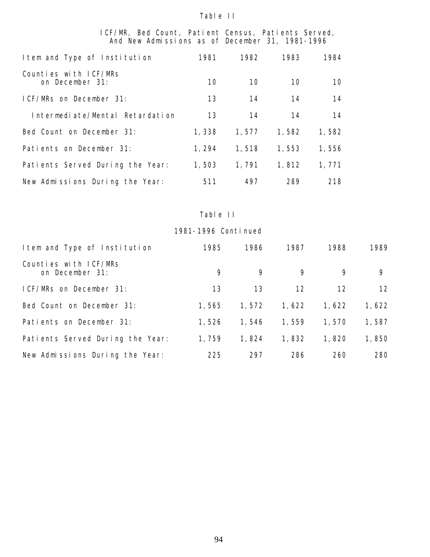#### Table II

#### ICF/MR, Bed Count, Patient Census, Patients Served, And New Admissions as of December 31, 1981-1996

| I tem and Type of Institution            | 1981  | 1982  | 1983  | 1984  |
|------------------------------------------|-------|-------|-------|-------|
| Counties with ICF/MRs<br>on December 31: | 10    | 10    | 10    | 10    |
| ICF/MRs on December 31:                  | 13    | 14    | 14    | 14    |
| Intermediate/Mental Retardation          | 13    | 14    | 14    | 14    |
| Bed Count on December 31:                | 1,338 | 1,577 | 1,582 | 1,582 |
| Patients on December 31:                 | 1,294 | 1,518 | 1,553 | 1,556 |
| Patients Served During the Year:         | 1,503 | 1,791 | 1,812 | 1,771 |
| New Admissions During the Year:          | 511   | 497   | 289   | 218   |

# Table II

| I tem and Type of Institution            | 1985  | 1986  | 1987  | 1988  | 1989  |
|------------------------------------------|-------|-------|-------|-------|-------|
| Counties with ICF/MRs<br>on December 31: | 9     | 9     | 9     | 9     | 9     |
| ICF/MRs on December 31:                  | 13    | 13    | 12    | 12    | 12    |
| Bed Count on December 31:                | 1,565 | 1,572 | 1,622 | 1,622 | 1,622 |
| Patients on December 31:                 | 1,526 | 1.546 | 1,559 | 1.570 | 1,587 |
| Patients Served During the Year:         | 1,759 | 1,824 | 1,832 | 1,820 | 1,850 |
| New Admissions During the Year:          | 225   | 297   | 286   | 260   | 280   |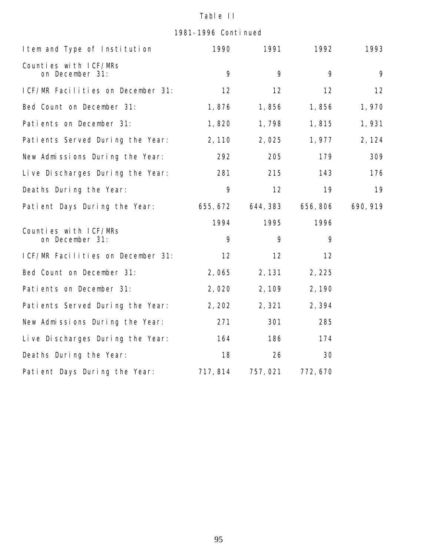# Table II

1981-1996 Continued

| I tem and Type of Institution            | 1990     | 1991     | 1992     | 1993     |
|------------------------------------------|----------|----------|----------|----------|
| Counties with ICF/MRs<br>on December 31: | 9        | 9        | 9        | 9        |
| ICF/MR Facilities on December 31:        | 12       | 12       | 12       | 12       |
| Bed Count on December 31:                | 1,876    | 1,856    | 1,856    | 1,970    |
| Patients on December 31:                 | 1,820    | 1,798    | 1,815    | 1,931    |
| Patients Served During the Year:         | 2,110    | 2,025    | 1,977    | 2, 124   |
| New Admissions During the Year:          | 292      | 205      | 179      | 309      |
| Live Discharges During the Year:         | 281      | 215      | 143      | 176      |
| Deaths During the Year:                  | 9        | 12       | 19       | 19       |
| Patient Days During the Year:            | 655, 672 | 644, 383 | 656, 806 | 690, 919 |
|                                          | 1994     | 1995     | 1996     |          |
| Counties with ICF/MRs<br>on December 31: | 9        | 9        | 9        |          |
| ICF/MR Facilities on December 31:        | 12       | 12       | 12       |          |
| Bed Count on December 31:                | 2,065    | 2, 131   | 2, 225   |          |
| Patients on December 31:                 | 2,020    | 2, 109   | 2,190    |          |
| Patients Served During the Year:         | 2, 202   | 2,321    | 2,394    |          |
| New Admissions During the Year:          | 271      | 301      | 285      |          |
| Live Discharges During the Year:         | 164      | 186      | 174      |          |
| Deaths During the Year:                  | 18       | 26       | 30       |          |
| Patient Days During the Year:            | 717, 814 | 757,021  | 772,670  |          |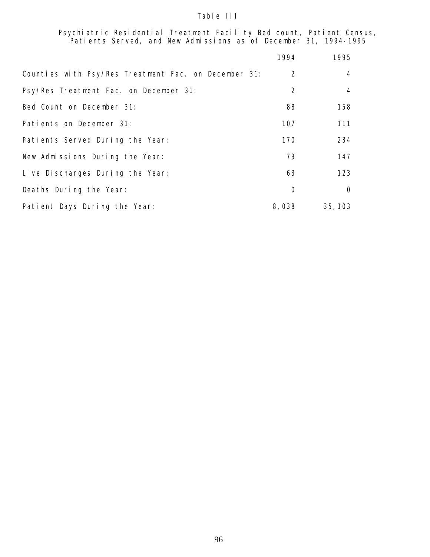#### Table III

Psychiatric Residential Treatment Facility Bed count, Patient Census, Patients Served, and New Admissions as of December 31, 1994-1995

|                                                      | 1994           | 1995           |
|------------------------------------------------------|----------------|----------------|
| Counties with Psy/Res Treatment Fac. on December 31: | 2              | 4              |
| Psy/Res Treatment Fac. on December 31:               | $\overline{2}$ | $\overline{4}$ |
| Bed Count on December 31:                            | 88             | 158            |
| Patients on December 31:                             | 107            | 111            |
| Patients Served During the Year:                     | 170            | 234            |
| New Admissions During the Year:                      | 73             | 147            |
| Live Discharges During the Year:                     | 63             | 123            |
| Deaths During the Year:                              | $\circ$        | $\Omega$       |
| Patient Days During the Year:                        | 8,038          | 35, 103        |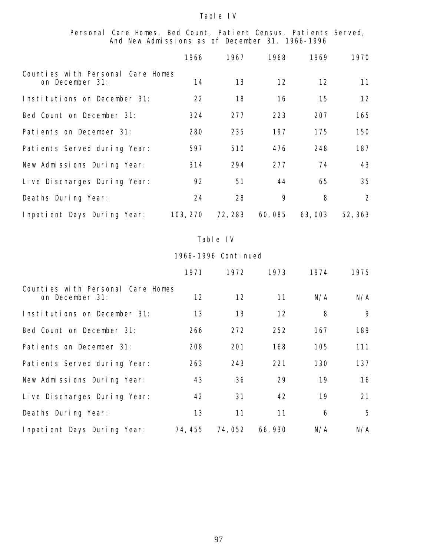#### Personal Care Homes, Bed Count, Patient Census, Patients Served, And New Admissions as of December 31, 1966-1996

|                                                      | 1966     | 1967    | 1968   | 1969   | 1970           |
|------------------------------------------------------|----------|---------|--------|--------|----------------|
| Counties with Personal Care Homes<br>on December 31: | 14       | 13      | 12     | 12     | 11             |
| Institutions on December 31:                         | 22       | 18      | 16     | 15     | 12             |
| Bed Count on December 31:                            | 324      | 277     | 223    | 207    | 165            |
| Patients on December 31:                             | 280      | 235     | 197    | 175    | 150            |
| Patients Served during Year:                         | 597      | 510     | 476    | 248    | 187            |
| New Admissions During Year:                          | 314      | 294     | 277    | 74     | 43             |
| Live Discharges During Year:                         | 92       | 51      | 44     | 65     | 35             |
| Deaths During Year:                                  | 24       | 28      | 9      | 8      | $\overline{2}$ |
| Inpatient Days During Year:                          | 103, 270 | 72, 283 | 60,085 | 63,003 | 52, 363        |

#### Table IV

|                                                      | 1971    | 1972   | 1973    | 1974 | 1975         |
|------------------------------------------------------|---------|--------|---------|------|--------------|
| Counties with Personal Care Homes<br>on December 31: | 12      | 12     | 11      | N/A  | N/A          |
| Institutions on December 31:                         | 13      | 13     | 12      | 8    | $\mathsf{Q}$ |
| Bed Count on December 31:                            | 266     | 272    | 252     | 167  | 189          |
| Patients on December 31:                             | 208     | 201    | 168     | 105  | 111          |
| Patients Served during Year:                         | 263     | 243    | 221     | 130  | 137          |
| New Admissions During Year:                          | 43      | 36     | 29      | 19   | 16           |
| Live Discharges During Year:                         | 42      | 31     | 42      | 19   | 21           |
| Deaths During Year:                                  | 13      | 11     | 11      | 6    | 5            |
| Inpatient Days During Year:                          | 74, 455 | 74,052 | 66, 930 | N/A  | N/A          |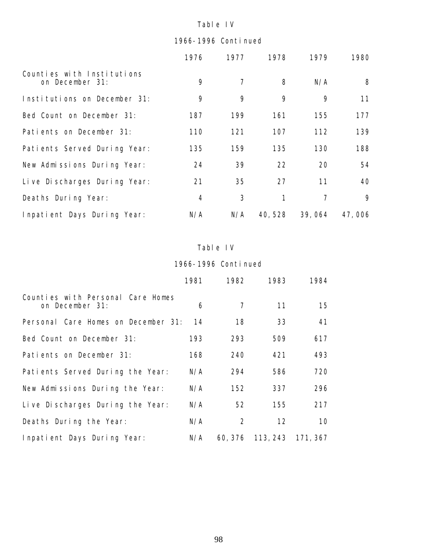# 1966-1996 Continued

|                                               | 1976 | 1977 | 1978   | 1979   | 1980   |
|-----------------------------------------------|------|------|--------|--------|--------|
| Counties with Institutions<br>on December 31: | 9    | 7    | 8      | N/A    | 8      |
| Institutions on December 31:                  | 9    | 9    | 9      | 9      | 11     |
| Bed Count on December 31:                     | 187  | 199  | 161    | 155    | 177    |
| Patients on December 31:                      | 110  | 121  | 107    | 112    | 139    |
| Patients Served During Year:                  | 135  | 159  | 135    | 130    | 188    |
| New Admissions During Year:                   | 24   | 39   | 22     | 20     | 54     |
| Live Discharges During Year:                  | 21   | 35   | 27     | 11     | 40     |
| Deaths During Year:                           | 4    | 3    | 1      | 7      | 9      |
| Inpatient Days During Year:                   | N/A  | N/A  | 40,528 | 39,064 | 47,006 |

#### Table IV

|                                                      | 1981 | 1982           | 1983                      | 1984 |
|------------------------------------------------------|------|----------------|---------------------------|------|
| Counties with Personal Care Homes<br>on December 31: | 6    | $\overline{7}$ | 11                        | 15   |
| Personal Care Homes on December 31:                  | 14   | 18             | 33                        | 41   |
| Bed Count on December 31:                            | 193  | 293            | 509                       | 617  |
| Patients on December 31:                             | 168  | 240            | 421                       | 493  |
| Patients Served During the Year:                     | N/A  | 294            | 586                       | 720  |
| New Admissions During the Year:                      | N/A  | 152            | 337                       | 296  |
| Live Discharges During the Year:                     | N/A  | 52             | 155                       | 217  |
| Deaths During the Year:                              | N/A  | 2              | 12                        | 10   |
| Inpatient Days During Year:                          | N/A  |                | 60, 376 113, 243 171, 367 |      |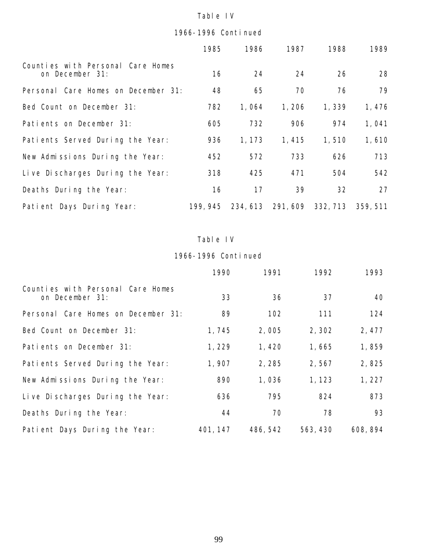# 1966-1996 Continued

|                                                      | 1985     | 1986     | 1987     | 1988     | 1989     |
|------------------------------------------------------|----------|----------|----------|----------|----------|
| Counties with Personal Care Homes<br>on December 31: | 16       | 24       | 24       | 26       | 28       |
| Personal Care Homes on December 31:                  | 48       | 65       | 70       | 76       | 79       |
| Bed Count on December 31:                            | 782      | 1,064    | 1,206    | 1,339    | 1,476    |
| Patients on December 31:                             | 605      | 732      | 906      | 974      | 1,041    |
| Patients Served During the Year:                     | 936      | 1, 173   | 1,415    | 1,510    | 1,610    |
| New Admissions During the Year:                      | 452      | 572      | 733      | 626      | 713      |
| Live Discharges During the Year:                     | 318      | 425      | 471      | 504      | 542      |
| Deaths During the Year:                              | 16       | 17       | 39       | 32       | 27       |
| Patient Days During Year:                            | 199, 945 | 234, 613 | 291, 609 | 332, 713 | 359, 511 |

# Table IV

|                                                      | 1990     | 1991     | 1992     | 1993     |
|------------------------------------------------------|----------|----------|----------|----------|
| Counties with Personal Care Homes<br>on December 31: | 33       | 36       | 37       | 40       |
| Personal Care Homes on December 31:                  | 89       | 102      | 111      | 124      |
| Bed Count on December 31:                            | 1,745    | 2,005    | 2,302    | 2, 477   |
| Patients on December 31:                             | 1,229    | 1,420    | 1,665    | 1,859    |
| Patients Served During the Year:                     | 1,907    | 2,285    | 2,567    | 2,825    |
| New Admissions During the Year:                      | 890      | 1,036    | 1,123    | 1,227    |
| Live Discharges During the Year:                     | 636      | 795      | 824      | 873      |
| Deaths During the Year:                              | 44       | 70       | 78       | 93       |
| Patient Days During the Year:                        | 401, 147 | 486, 542 | 563, 430 | 608, 894 |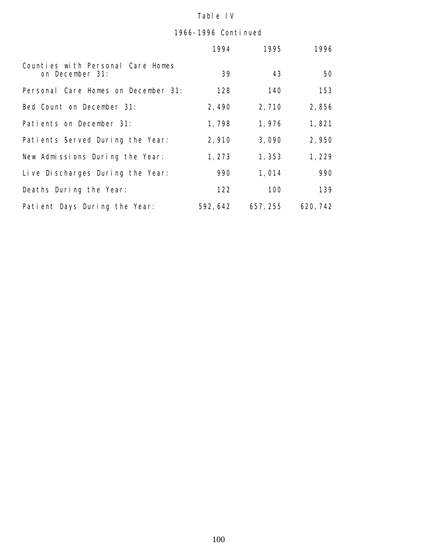|                                                      | 1994     | 1995     | 1996     |
|------------------------------------------------------|----------|----------|----------|
| Counties with Personal Care Homes<br>on December 31: | 39       | 43       | 50       |
| Personal Care Homes on December 31:                  | 128      | 140      | 153      |
| Bed Count on December 31:                            | 2,490    | 2,710    | 2,856    |
| Patients on December 31:                             | 1,798    | 1,976    | 1,821    |
| Patients Served During the Year:                     | 2,910    | 3,090    | 2,950    |
| New Admissions During the Year:                      | 1,273    | 1,353    | 1,229    |
| Live Discharges During the Year:                     | 990      | 1,014    | 990      |
| Deaths During the Year:                              | 122      | 100      | 139      |
| Patient Days During the Year:                        | 592, 642 | 657, 255 | 620, 742 |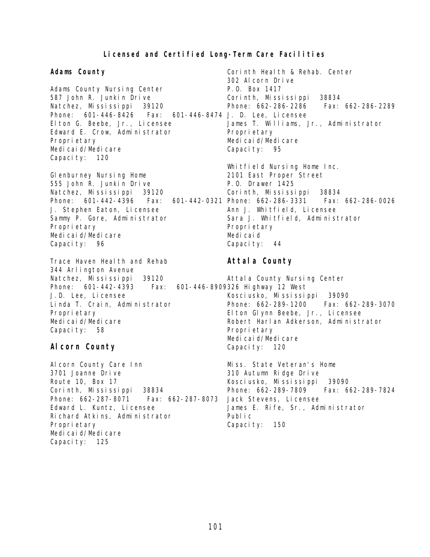# **Licensed and Certified Long-Term Care Facilities**

| Adams County                                                                                                                                                                                                                                                                       | Corinth Health & Rehab. Center<br>302 Alcorn Drive                                                                                                                                                                                                                             |
|------------------------------------------------------------------------------------------------------------------------------------------------------------------------------------------------------------------------------------------------------------------------------------|--------------------------------------------------------------------------------------------------------------------------------------------------------------------------------------------------------------------------------------------------------------------------------|
| Adams County Nursing Center<br>587 John R. Junkin Drive<br>Natchez, Mississippi<br>39120<br>Phone: 601-446-8426  Fax: 601-446-8474  J. D. Lee, Licensee<br>El ton G. Beebe, Jr., Licensee<br>Edward E. Crow, Administrator<br>Proprietary<br>Medi cai d/Medi care<br>Capacity: 120 | P.O. Box 1417<br>Corinth, Mississippi 38834<br>Phone: 662-286-2286    Fax: 662-286-2289<br>James T. Williams, Jr., Administrator<br>Proprietary<br>Medi cai d/Medi care<br>Capacity: 95                                                                                        |
| GI enburney Nursing Home<br>555 John R. Junkin Drive<br>Natchez, Mississippi<br>39120<br>Phone: 601-442-4396<br>Fax:<br>J. Stephen Eaton, Licensee<br>Sammy P. Gore, Administrator<br>Proprietary<br>Medi cai d/Medi care<br>Capacity: 96                                          | Whitfield Nursing Home Inc.<br>2101 East Proper Street<br>P.O. Drawer 1425<br>Corinth, Mississippi 38834<br>601-442-0321 Phone: 662-286-3331    Fax: 662-286-0026<br>Ann J. Whitfield, Licensee<br>Sara J. Whitfield, Administrator<br>Proprietary<br>Medicaid<br>Capacity: 44 |
| Trace Haven Heal th and Rehab                                                                                                                                                                                                                                                      | Attal a County                                                                                                                                                                                                                                                                 |
| 344 Arlington Avenue<br>Natchez, Mississippi 39120<br>Phone: 601-442-4393    Fax: 601-446-8909326    Highway 12    West<br>J.D. Lee, Licensee<br>Linda T. Crain, Administrator<br>Proprietary<br>Medi cai d/Medi care<br>Capacity: 58<br>Al corn County                            | Attal a County Nursing Center<br>Kosci usko, Missi ssi ppi 39090<br>Phone: 662-289-1200    Fax: 662-289-3070<br>El ton Glynn Beebe, Jr., Licensee<br>Robert Harl an Adkerson, Administrator<br>Proprietary<br>Medi cai d/Medi care<br>Capacity: 120                            |
| Al corn County Care Inn<br>3701 Joanne Drive<br>Route 10, Box 17<br>Corinth, Mississippi 38834<br>Phone: 662-287-8071    Fax: 662-287-8073<br>Edward L. Kuntz, Licensee<br>Richard Atkins, Administrator<br>Proprietary                                                            | Miss. State Veteran's Home<br>310 Autumn Ridge Drive<br>Kosci usko, Missi ssi ppi 39090<br>Phone: 662-289-7809    Fax: 662-289-7824<br>Jack Stevens, Licensee<br>James E. Rife, Sr., Administrator<br>Publ i c<br>Capacity:<br>150                                             |

Medicaid/Medicare Capacity: 125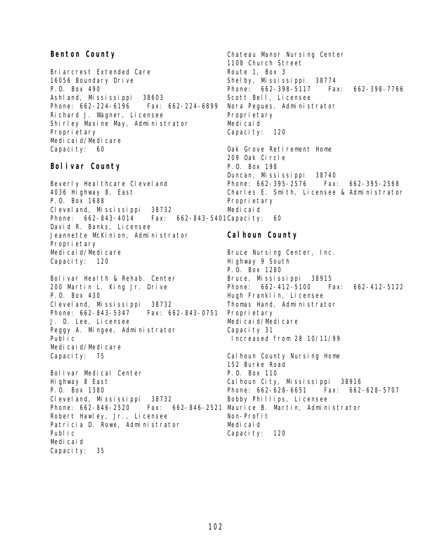#### **Benton County**

Briarcrest Extended Care 16056 Boundary Drive P.O. Box 490 Ashland, Mississippi 38603 Phone: 662-224-6196 Fax: 662-224-6899 Richard J. Wagner, Licensee Shirley Maxine May, Administrator Proprietary Medi cai d/Medi care Capacity: 60

#### **Bolivar County**

Beverly Healthcare Cleveland 4036 Highway 8, East P.O. Box 1688 Cleveland, Mississippi 38732 Phone: 662-843-4014 David R. Banks, Licensee Jeannette McKinion, Administrator Propri etary Medicaid/Medicare Capacity: 120 Fax: 662-843-5401 Capacity: 60

Bolivar Health & Rehab. Center 200 Martin L. King Jr. Drive P.O. Box 430 Cleveland, Mississippi 38732 Phone: 662-843-5347 J. D. Lee, Licensee Peggy A. Mingee, Administrator Public Medicaid/Medicare Capacity: 75 Fax: 662-843-0751 Proprietary

Bolivar Medical Center Highway 8 East P.O. Box 1380 Cleveland, Mississippi 38732 Phone: 662-846-2520 Fax: 662-846-2521 Maurice B. Martin, Administrator Robert Hawley, Jr., Licensee Patricia D. Rowe, Administrator Public Medicaid Capacity: 35

Chateau Manor Nursing Center 1108 Church Street Route 1, Box 3 Shelby, Mississippi 38774 Phone: 662-398-5117 Fax: 662-398-7766 Scott Bell, Licensee Nora Pegues, Administrator Proprietary Medicaid Capacity: 120 Oak Grove Retirement Home 209 Oak Circle P.O. Box 198 Duncan, Mississippi 38740 Phone: 662-395-2576 Fax: 662-395-2568 Charles E. Smith, Licensee & Administrator Proprietary Medicaid

#### **Calhoun County**

Bruce Nursing Center, Inc. Highway 9 South P.O. Box 1280 Bruce, Mississippi 38915 Phone: 662-412-5100 Fax: 662-412-5122 Hugh Franklin, Licensee Thomas Hand, Administrator Medicaid/Medicare Capacity 31 Increased from 28 10/11/99

Cal houn County Nursing Home 152 Burke Road P.O. Box 110 Cal houn City, Mississippi 38916 Phone: 662-628-6651 Fax: 662-628-5707 Bobby Phillips, Licensee Non-Profit Medicaid Capacity: 120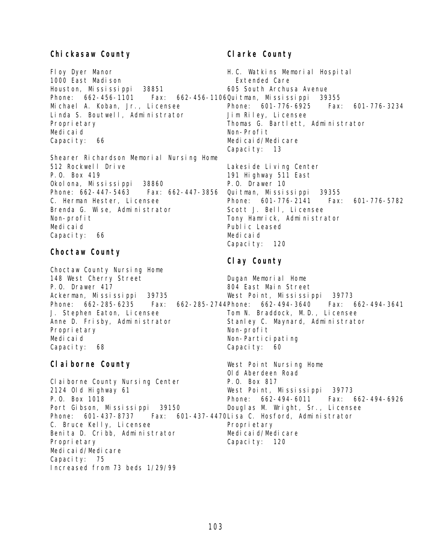#### **Chickasaw County**

Floy Dyer Manor 1000 East Madison Houston, Mississippi 38851 Phone: 662-456-1101 Michael A. Koban, Jr., Licensee Linda S. Boutwell, Administrator Proprietary Medicaid Capacity: 66

Shearer Richardson Memorial Nursing Home 512 Rockwell Drive P.O. Box 419 Okolona, Mississippi 38860 Phone: 662-447-5463 Fax: 662-447-3856 C. Herman Hester, Licensee Brenda G. Wise, Administrator Non-profit Medicaid Capacity: 66

#### **Choctaw County**

Choctaw County Nursing Home 148 West Cherry Street P.O. Drawer 417 Ackerman, Mississippi 39735 J. Stephen Eaton, Licensee Anne D. Frisby, Administrator Proprietary Medicaid Capacity: 68

# **Claiborne County**

**Clarke County**

H.C. Watkins Memorial Hospital Extended Care 605 South Archusa Avenue Fax: 662-456-1106Quitman, Mississippi 39355 Phone: 601-776-6925 Fax: 601-776-3234 Jim Riley, Licensee Thomas G. Bartlett, Administrator Non-Profit Medicaid/Medicare Capacity: 13 Lakeside Living Center 191 Highway 511 East P.O. Drawer 10 Quitman, Mississippi 39355 Phone: 601-776-2141 Fax: 601-776-5782 Scott J. Bell, Licensee Tony Hamrick, Administrator Public Leased

# **Clay County**

Capacity: 120

Medicaid

Phone: 662-285-6235 Fax: 662-285-2744 Phone: 662-494-3640 Fax: 662-494-3641 Dugan Memorial Home 804 East Main Street West Point, Mississippi 39773 Tom N. Braddock, M.D., Licensee Stanley C. Maynard, Administrator Non-profit Non-Participating Capacity: 60

Claiborne County Nursing Center 2124 Old Highway 61 P.O. Box 1018 Port Gibson, Mississippi 39150 Phone: 601-437-8737 Fax: 601-437-4470 Lisa C. Hosford, Administrator C. Bruce Kelly, Licensee Benita D. Cribb, Administrator Proprietary Medicaid/Medicare Capacity: 75 Increased from 73 beds 1/29/99 West Point Nursing Home Old Aberdeen Road P.O. Box 817 West Point, Mississippi 39773 Phone: 662-494-6011 Fax: 662-494-6926 Douglas M. Wright, Sr., Licensee Proprietary Medicaid/Medicare Capacity: 120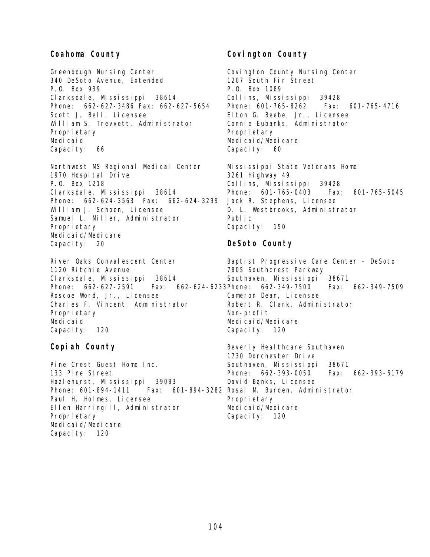#### **Coahoma County**

Greenbough Nursing Center 340 DeSoto Avenue, Extended P.O. Box 939 Clarksdale, Mississippi 38614 Phone: 662-627-3486 Fax: 662-627-5654 Scott J. Bell, Licensee William S. Trevvett, Administrator Proprietary Medicaid Capacity: 66

Northwest MS Regional Medical Center 1970 Hospital Drive P.O. Box 1218 Clarksdale, Mississippi 38614 Phone: 662-624-3563 Fax: 662-624-3299 William J. Schoen, Licensee Samuel L. Miller, Administrator Proprietary Medicaid/Medicare Capacity: 20

River Oaks Convalescent Center 1120 Ritchie Avenue Clarksdale, Mississippi 38614 Phone: 662-627-2591 Fax: 662-624-6233 Phone: 662-349-7500 Fax: 662-349-7509 Roscoe Word, Jr., Licensee Charles F. Vincent, Administrator Proprietary Medicaid Capacity: 120 7805 Southcrest Parkway Southaven, Mississippi 38671 Cameron Dean, Licensee Robert R. Clark, Administrator Non-profit Medicaid/Medicare Capacity: 120

#### **Copiah County**

Pine Crest Guest Home Inc. 133 Pine Street Hazlehurst, Mississippi 39083 Phone: 601-894-1411 Paul H. Holmes, Licensee Ellen Harringill, Administrator Proprietary Medicaid/Medicare Capacity: 120

# **Covington County**

Covington County Nursing Center 1207 South Fir Street P.O. Box 1089 Collins, Mississippi 39428 Phone: 601-765-8262 Fax: 601-765-4716 Elton G. Beebe, Jr., Licensee Connie Eubanks, Administrator Propri etary Medi cai d/Medi care Capacity: 60

Mississippi State Veterans Home 3261 Highway 49 Collins, Mississippi 39428 Phone: 601-765-0403 Fax: 601-765-5045 Jack R. Stephens, Licensee D. L. Westbrooks, Administrator Public Capacity: 150

# **DeSoto County**

Baptist Progressive Care Center - DeSoto

Beverly Heal thcare Southaven 1730 Dorchester Drive Southaven, Mississippi 38671 Phone: 662-393-0050 Fax: 662-393-5179 David Banks, Licensee Fax: 601-894-3282 Rosal M. Burden, Administrator Proprietary Medicaid/Medicare Capacity: 120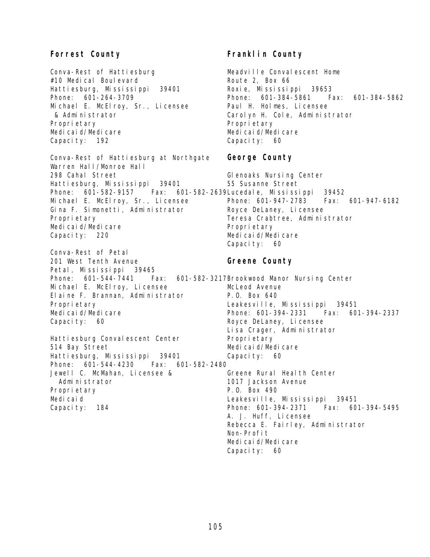# **Forrest County**

Conva-Rest of Hattiesburg #10 Medical Boulevard Hattiesburg, Mississippi 39401 Phone: 601-264-3709 Michael E. McElroy, Sr., Licensee & Administrator Proprietary Medicaid/Medicare Capacity: 192

Conva-Rest of Hattiesburg at Northgate Warren Hall/Monroe Hall 298 Cahal Street Hattiesburg, Mississippi 39401 Phone: 601-582-9157 Fax: 601-582-2639 Lucedale, Mississippi 39452 Michael E. McElroy, Sr., Licensee Gina F. Simonetti, Administrator Proprietary Medicaid/Medicare Capacity: 220

Conva-Rest of Petal 201 West Tenth Avenue Petal, Mississippi 39465 Phone: 601-544-7441 Michael E. McElroy, Licensee Elaine F. Brannan, Administrator Proprietary Medicaid/Medicare Capacity: 60

Hattiesburg Convalescent Center 514 Bay Street Hattiesburg, Mississippi 39401 Phone: 601-544-4230 Fax: 601-582-2480 Jewell C. McMahan, Licensee & Administrator Proprietary Medicaid Capacity: 184

# **Franklin County**

Meadville Convalescent Home Route 2, Box 66 Roxie, Mississippi 39653 Phone: 601-384-5861 Fax: 601-384-5862 Paul H. Holmes, Licensee Carolyn H. Cole, Administrator Propri etary Medicaid/Medicare Capacity: 60

#### **George County**

Glenoaks Nursing Center 55 Susanne Street Phone: 601-947-2783 Fax: 601-947-6182 Royce DeLaney, Licensee Teresa Crabtree, Administrator Proprietary Medicaid/Medicare Capacity: 60

#### **Greene County**

Fax: 601-582-3217Brookwood Manor Nursing Center McLeod Avenue P.O. Box 640 Leakesville, Mississippi 39451 Phone: 601-394-2331 Fax: 601-394-2337 Royce DeLaney, Licensee Lisa Crager, Administrator Propri etary Medicaid/Medicare Capacity: 60 Greene Rural Health Center 1017 Jackson Avenue P.O. Box 490 Leakesville, Mississippi 39451 Phone: 601-394-2371 Fax: 601-394-5495 A. J. Huff, Licensee Rebecca E. Fairley, Administrator Non-Profit Medicaid/Medicare Capacity: 60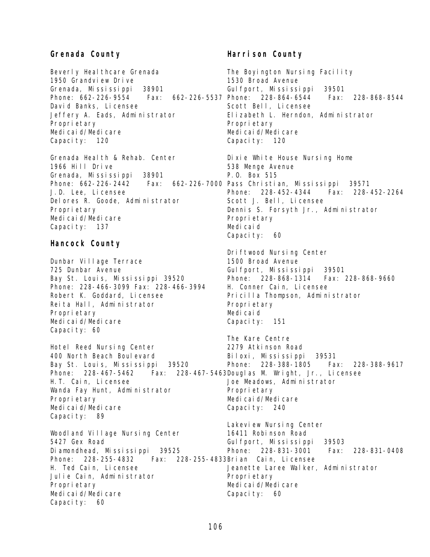#### **Grenada County**

Beverly Healthcare Grenada 1950 Grandview Drive Grenada, Mississippi 38901 Phone: 662-226-9554 David Banks, Licensee Jeffery A. Eads, Administrator Proprietary Medicaid/Medicare Capacity: 120

Grenada Health & Rehab. Center 1966 Hill Drive Grenada, Mississippi 38901 Phone: 662-226-2442 Fax: 662-226-7000 Pass Christian, Mississippi 39571 J.D. Lee, Licensee Delores R. Goode, Administrator Proprietary Medicaid/Medicare Capacity: 137

#### **Hancock County**

Dunbar Village Terrace 725 Dunbar Avenue Bay St. Louis, Mississippi 39520 Phone: 228-466-3099 Fax: 228-466-3994 Robert K. Goddard, Licensee Reita Hall, Administrator Proprietary Medicaid/Medicare Capacity: 60

Hotel Reed Nursing Center 400 North Beach Boulevard Bay St. Louis, Mississippi 39520 Phone: 228-467-5462 Fax: 228-467-5463 Douglas M. Wright, Jr., Licensee H.T. Cain, Licensee Wanda Fay Hunt, Administrator Proprietary Medicaid/Medicare Capacity: 89 Proprietary Capacity: 240

Woodland Village Nursing Center 5427 Gex Road Diamondhead, Mississippi 39525 Phone: 228-255-4832 H. Ted Cain, Licensee Julie Cain, Administrator Proprietary Medicaid/Medicare Capacity: 60

#### **Harrison County**

The Boyington Nursing Facility 1530 Broad Avenue Gulfport, Mississippi 39501 Fax: 662-226-5537 Phone: 228-864-6544 Fax: 228-868-8544 Scott Bell, Licensee Elizabeth L. Herndon, Administrator Proprietary Medicaid/Medicare Capacity: 120 Dixie White House Nursing Home 538 Menge Avenue P.O. Box 515 Phone: 228-452-4344 Fax: 228-452-2264 Scott J. Bell, Licensee Dennis S. Forsyth Jr., Administrator Proprietary Medicaid Capacity: 60 Driftwood Nursing Center

1500 Broad Avenue Gulfport, Mississippi 39501 Phone: 228-868-1314 Fax: 228-868-9660 H. Conner Cain, Licensee Pricilla Thompson, Administrator Proprietary Medicaid Capacity: 151

The Kare Centre 2279 Atkinson Road Biloxi, Mississippi 39531 Phone: 228-388-1805 Fax: 228-388-9617 Joe Meadows, Administrator Medicaid/Medicare Lakeview Nursing Center 16411 Robinson Road Gulfport, Mississippi 39503

Phone: 228-831-3001 Fax: 228-831-0408 Fax: 228-255-4833Brian Cain, Licensee Jeanette Laree Walker, Administrator Proprietary Medicaid/Medicare

Capacity: 60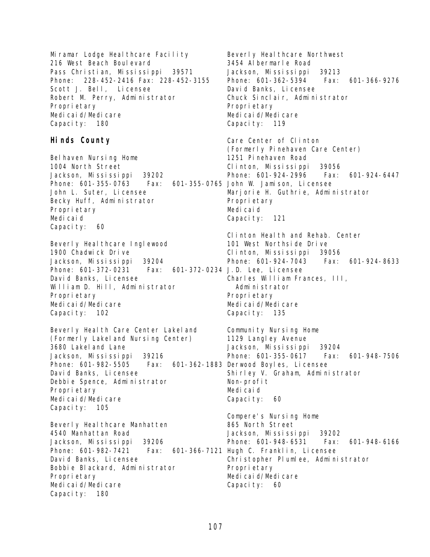Miramar Lodge Healthcare Facility 216 West Beach Boulevard Pass Christian, Mississippi 39571 Phone: 228-452-2416 Fax: 228-452-3155 Scott J. Bell, Licensee Robert M. Perry, Administrator Proprietary Medicaid/Medicare Capacity: 180

# **Hinds County**

Belhaven Nursing Home 1004 North Street Jackson, Mississippi 39202 Phone: 601-355-0763 Fax: John L. Suter, Licensee Becky Huff, Administrator Proprietary Medicaid Capacity: 60

Beverly Healthcare Inglewood 1900 Chadwick Drive Jackson, Mississippi 39204 Phone: 601-372-0231 Fax: David Banks, Licensee William D. Hill, Administrator Proprietary Medicaid/Medicare Capacity: 102

Beverly Health Care Center Lakeland (Formerly Lakeland Nursing Center) 3680 Lakel and Lane Jackson, Mississippi 39216 Phone: 601-982-5505 Fax: 601-362-1883 Derwood Boyles, Licensee David Banks, Licensee Debbie Spence, Administrator Proprietary Medicaid/Medicare Capacity: 105

Beverly Healthcare Manhatten 4540 Manhattan Road Jackson, Mississippi 39206 Phone: 601-982-7421 Fax: 601-366-7121 Hugh C. Franklin, Licensee David Banks, Licensee Bobbie Blackard, Administrator Proprietary Medicaid/Medicare Capacity: 180

Beverly Heal thcare Northwest 3454 Albermarle Road Jackson, Mississippi 39213 Phone: 601-362-5394 Fax: 601-366-9276 David Banks, Licensee Chuck Sinclair, Administrator Proprietary Medicaid/Medicare Capacity: 119 Care Center of Clinton (Formerly Pinehaven Care Center) 1251 Pinehaven Road Clinton, Mississippi 39056 Phone: 601-924-2996 Fax: 601-924-6447 601-355-0765 John W. Jamison, Licensee Marjorie H. Guthrie, Administrator Proprietary Medicaid Capacity: 121 Clinton Health and Rehab. Center 101 West Northside Drive Clinton, Mississippi 39056 Phone: 601-924-7043 Fax: 601-924-8633 601-372-0234 J.D. Lee, Licensee Charles William Frances, III, Administrator Proprietary Medicaid/Medicare Capacity: 135 Community Nursing Home 1129 Langley Avenue Jackson, Mississippi 39204 Phone: 601-355-0617 Fax: 601-948-7506 Shirley V. Graham, Administrator Non-profit Medicaid Capacity: 60 Compere's Nursing Home 865 North Street Jackson, Mississippi 39202 Phone: 601-948-6531 Fax: 601-948-6166 Christopher Plumlee, Administrator Proprietary Medicaid/Medicare Capacity: 60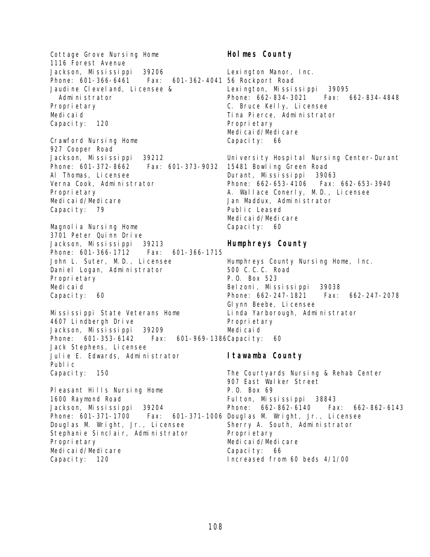Cottage Grove Nursing Home 1116 Forest Avenue Jackson, Mississippi 39206 Phone: 601-366-6461 Fax: Jaudine Cleveland, Licensee & Administrator Proprietary Medicaid Capacity: 120 Crawford Nursing Home 927 Cooper Road Jackson, Mississippi 39212 Phone: 601-372-8662 Fax: 601-373-9032 Al Thomas, Licensee Verna Cook, Administrator Proprietary Medicaid/Medicare Capacity: 79 Magnolia Nursing Home 3701 Peter Quinn Drive Jackson, Mississippi 39213 Phone: 601-366-1712 Fax: 601-366-1715 John L. Suter, M.D., Licensee Daniel Logan, Administrator Proprietary Medicaid Capacity: 60 Mississippi State Veterans Home 4607 Lindbergh Drive Jackson, Mississippi 39209 Phone: 601-353-6142 Fax: Jack Stephens, Licensee Julie E. Edwards, Administrator Public Capacity: 150 Pleasant Hills Nursing Home 1600 Raymond Road Jackson, Mississippi 39204 Phone: 601-371-1700 Fax: Douglas M. Wright, Jr., Licensee Stephanie Sinclair, Administrator Proprietary Medicaid/Medicare Capacity: 120 601-362-4041 56 Rockport Road 601-969-1386 Capacity: 60

# **Holmes County**

Lexington Manor, Inc. Lexington, Mississippi 39095 Phone: 662-834-3021 Fax: 662-834-4848 C. Bruce Kelly, Licensee Tina Pierce, Administrator Proprietary Medicaid/Medicare Capacity: 66

University Hospital Nursing Center-Durant 15481 Bowling Green Road Durant, Mississippi 39063 Phone: 662-653-4106 Fax: 662-653-3940 A. Wallace Conerly, M.D., Licensee Jan Maddux, Administrator Public Leased Medicaid/Medicare Capacity: 60

# **Humphreys County**

Humphreys County Nursing Home, Inc. 500 C.C.C. Road P.O. Box 523 Belzoni, Mississippi 39038 Phone: 662-247-1821 Fax: 662-247-2078 Glynn Beebe, Licensee Linda Yarborough, Administrator Proprietary Medicaid

# **Itawamba County**

The Courtyards Nursing & Rehab Center 907 East Walker Street P.O. Box 69 Fulton, Mississippi 38843 Phone: 662-862-6140 Fax: 662-862-6143 601-371-1006 Douglas M. Wright, Jr., Licensee Sherry A. South, Administrator Propri etary Medicaid/Medicare Capacity: 66 Increased from 60 beds 4/1/00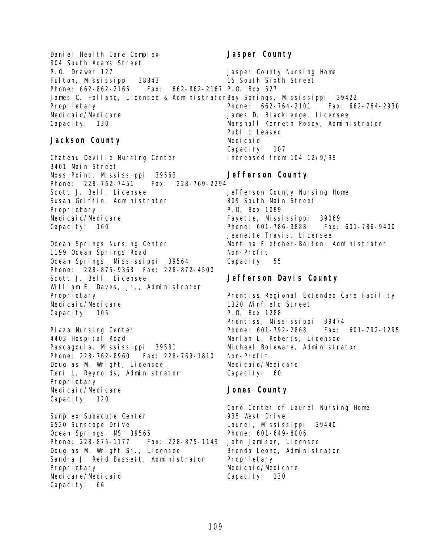Daniel Health Care Complex 804 South Adams Street P.O. Drawer 127 Fulton, Mississippi 38843 Phone: 662-862-2165 Fax: 662-862-2167 P.O. Box 527 James C. Holland, Licensee & Administrator Bay Springs, Mississippi 39422 Proprietary Medicaid/Medicare Capacity: 130 **Jasper County** Jasper County Nursing Home 15 South Sixth Street

#### **Jackson County**

Chateau Deville Nursing Center 3401 Main Street Moss Point, Mississippi 39563 Phone: 228-762-7451 Fax: 228-769-2294 Scott J. Bell, Licensee Susan Griffin, Administrator Proprietary Medicaid/Medicare Capacity: 160

Ocean Springs Nursing Center 1199 Ocean Springs Road Ocean Springs, Mississippi 39564 Phone: 228-875-9363 Fax: 228-872-4500 Scott J. Bell, Licensee William E. Daves, Jr., Administrator Proprietary Medicaid/Medicare Capacity: 105

Plaza Nursing Center 4403 Hospital Road Pascagoula, Mississippi 39581 Phone: 228-762-8960 Fax: 228-769-1810 Douglas M. Wright, Licensee Teri L. Reynolds, Administrator Proprietary Medicaid/Medicare Capacity: 120

Sunplex Subacute Center 6520 Sunscope Drive Ocean Springs, MS 39565 Phone: 228-875-1177 Fax: 228-875-1149 Douglas M. Wright Sr., Licensee Sandra J. Reid Bassett, Administrator Proprietary Medicare/Medicaid Capacity: 66

Phone: 662-764-2101 Fax: 662-764-2930 James D. Blackledge, Licensee Marshall Kenneth Posey, Administrator Public Leased Medicaid Capacity: 107 Increased from 104 12/9/99

#### **Jefferson County**

Jefferson County Nursing Home 809 South Main Street P.O. Box 1089 Fayette, Mississippi 39069 Phone: 601-786-3888 Fax: 601-786-9400 Jeanette Travis, Licensee Montina Fletcher-Bolton, Administrator Non-Profit Capacity: 55

#### **Jefferson Davis County**

Prentiss Regional Extended Care Facility 1320 Winfield Street P.O. Box 1288 Prentiss, Mississippi 39474 Phone: 601-792-2868 Fax: 601-792-1295 Marlan L. Roberts, Licensee Michael Boleware, Administrator Non-Profit Medicaid/Medicare Capacity: 60

#### **Jones County**

Care Center of Laurel Nursing Home 935 West Drive Laurel, Mississippi 39440 Phone: 601-649-8006 John Jamison, Licensee Brenda Leone, Administrator Proprietary Medicaid/Medicare Capacity: 130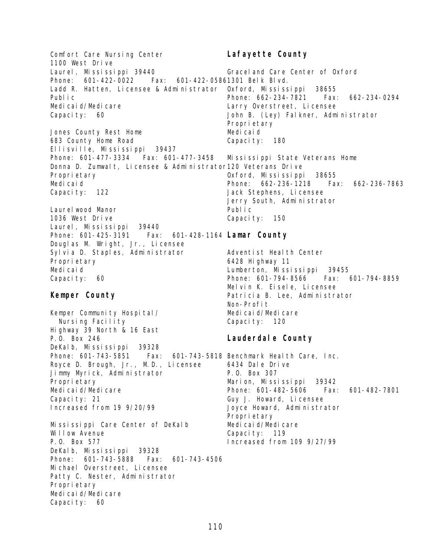Comfort Care Nursing Center 1100 West Drive Laurel, Mississippi 39440 Phone: 601-422-0022 Ladd R. Hatten, Licensee & Administrator Public Medicaid/Medicare Capacity: 60 Jones County Rest Home 683 County Home Road Ellisville, Mississippi 39437 Phone: 601-477-3334 Fax: 601-477-3458 Donna D. Zumwalt, Licensee & Administrator 120 Veterans Drive Proprietary Medicaid Capacity: 122 Laurelwood Manor 1036 West Drive Laurel, Mississippi 39440 Phone: 601-425-3191 Fax: Douglas M. Wright, Jr., Licensee Sylvia D. Staples, Administrator Proprietary Medi cai d Capacity: 60 **Kemper County** Kemper Community Hospital/ Nursing Facility Highway 39 North & 16 East P.O. Box 246 DeKalb, Mississippi 39328 Phone: 601-743-5851 Royce D. Brough, Jr., M.D., Licensee Jimmy Myrick, Administrator Proprietary Medicaid/Medicare Capacity: 21 Increased from 19 9/20/99 Mississippi Care Center of DeKalb Willow Avenue P.O. Box 577 DeKalb, Mississippi 39328 Phone: 601-743-5888 Fax: 601-743-4506 Michael Overstreet, Licensee Patty C. Nester, Administrator Proprietary Medicaid/Medicare Capacity: 60 **Lafayette County** Graceland Care Center of Oxford Fax: 601-422-05861301 Belk Blvd. Oxford, Mississippi 38655 Phone: 662-234-7821 Fax: 662-234-0294 Larry Overstreet, Licensee John B. (Ley) Falkner, Administrator Propri etary Medicaid Capacity: 180 Mississippi State Veterans Home Oxford, Mississippi 38655 Phone: 662-236-1218 Fax: 662-236-7863 Jack Stephens, Licensee Jerry South, Administrator Public Capacity: 150 **Lamar County** Adventist Health Center 6428 Highway 11 Lumberton, Mississippi 39455 Phone: 601-794-8566 Fax: 601-794-8859 Melvin K. Eisele, Licensee Patricia B. Lee, Administrator Non-Profit Medicaid/Medicare Capacity: 120 **Lauderdale County** Fax: 601-743-5818 Benchmark Health Care, Inc. 6434 Dale Drive P.O. Box 307 Marion, Mississippi 39342 Phone: 601-482-5606 Fax: 601-482-7801 Guy J. Howard, Licensee Joyce Howard, Administrator Propri etary Medicaid/Medicare Capacity: 119 Increased from 109 9/27/99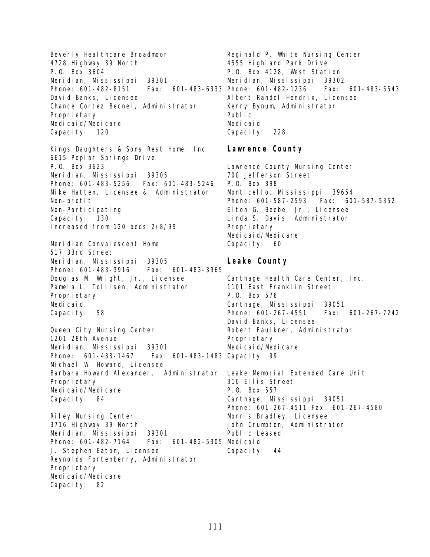Beverly Heal thcare Broadmoor 4728 Highway 39 North P.O. Box 3604 Meridian, Mississippi 39301 Phone: 601-482-8151 David Banks, Licensee Chance Cortez Becnel, Administrator Proprietary Medicaid/Medicare Capacity: 120 Kings Daughters & Sons Rest Home, Inc. 6615 Poplar Springs Drive P.O. Box 3623 Meridian, Mississippi 39305 Phone: 601-483-5256 Fax: 601-483-5246 Mike Hatten, Licensee & Administrator Non-profit Non-Participating Capacity: 130 Increased from 120 beds 2/8/99 Meridian Convalescent Home 517 33rd Street Meridian, Mississippi 39305 Phone: 601-483-3916 Fax: 601-483-3965 Douglas M. Wright, Jr., Licensee Pamela L. Tollisen, Administrator Proprietary Medicaid Capacity: 58 Queen City Nursing Center 1201 28th Avenue Meridian, Mississippi 39301 Phone: 601-483-1467 Fax: 601-483-1483 Capacity 99 Michael W. Howard, Licensee Barbara Howard Alexander, Administrator Leake Memorial Extended Care Unit Proprietary Medicaid/Medicare Capacity: 84 Riley Nursing Center 3716 Highway 39 North Meridian, Mississippi 39301 Phone: 601-482-7164 J. Stephen Eaton, Licensee Reynolds Fortenberry, Administrator Proprietary Medicaid/Medicare Capacity: 82 Reginald P. White Nursing Center 4555 Highland Park Drive P.O. Box 4128, West Station Meridian, Mississippi 39302 Fax: 601-483-6333 Phone: 601-482-1236 Fax: 601-483-5543 Albert Randel Hendrix, Licensee Kerry Bynum, Administrator Public Medicaid Capacity: 228 **Lawrence County** Lawrence County Nursing Center 700 Jefferson Street P.O. Box 398 Monticello, Mississippi 39654 Phone: 601-587-2593 Fax: 601-587-5352 Elton G. Beebe, Jr., Licensee Linda S. Davis, Administrator Proprietary Medicaid/Medicare Capacity: 60 **Leake County** Carthage Health Care Center, Inc. 1101 East Franklin Street P.O. Box 576 Carthage, Mississippi 39051 Phone: 601-267-4551 Fax: 601-267-7242 David Banks, Licensee Robert Faulkner, Administrator Proprietary Medicaid/Medicare 310 Ellis Street P.O. Box 557 Carthage, Mississippi 39051 Phone: 601-267-4511 Fax: 601-267-4580 Morris Bradley, Licensee John Crumpton, Administrator Public Leased Fax: 601-482-5305 Medicaid Capacity: 44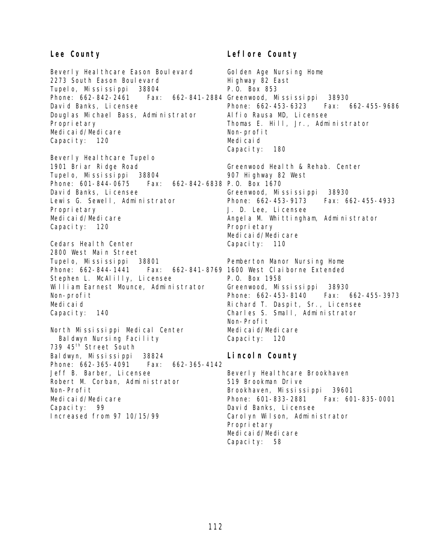#### **Lee County**

Beverly Healthcare Eason Boulevard 2273 South Eason Boulevard Tupelo, Mississippi 38804 Phone: 662-842-2461 Fax: David Banks, Licensee Douglas Michael Bass, Administrator Proprietary Medicaid/Medicare Capacity: 120

Beverly Heal thcare Tupelo 1901 Briar Ridge Road Tupelo, Mississippi 38804 Phone: 601-844-0675 Fax: David Banks, Licensee Lewis G. Sewell, Administrator Proprietary Medicaid/Medicare Capacity: 120

Cedars Health Center 2800 West Main Street Tupelo, Mississippi 38801 Phone: 662-844-1441 Stephen L. McAlilly, Licensee William Earnest Mounce, Administrator Non-profit Medicaid Capacity: 140

North Mississippi Medical Center Baldwyn Nursing Facility 739 45th Street South Baldwyn, Mississippi 38824 Phone: 662-365-4091 Fax: 662-365-4142 Jeff B. Barber, Licensee Robert M. Corban, Administrator Non-Profit Medicaid/Medicare Capacity: 99 Increased from 97 10/15/99

# **Leflore County**

Golden Age Nursing Home Highway 82 East P.O. Box 853 662-841-2884 Greenwood, Mississippi 38930 Phone: 662-453-6323 Fax: 662-455-9686 Alfio Rausa MD, Licensee Thomas E. Hill, Jr., Administrator Non-profit Medicaid Capacity: 180 Greenwood Health & Rehab. Center 907 Highway 82 West 662-842-6838 P.O. Box 1670 Greenwood, Mississippi 38930 Phone: 662-453-9173 Fax: 662-455-4933 J. D. Lee, Licensee Angela M. Whittingham, Administrator Propri etary Medicaid/Medicare Capacity: 110 Pemberton Manor Nursing Home Fax: 662-841-8769 1600 West Claiborne Extended P.O. Box 1958 Greenwood, Mississippi 38930 Phone: 662-453-8140 Fax: 662-455-3973 Richard T. Daspit, Sr., Licensee Charles S. Small, Administrator

Non-Profit Medicaid/Medicare Capacity: 120

#### **Lincoln County**

Beverly Heal thcare Brookhaven 519 Brookman Drive Brookhaven, Mississippi 39601 Phone: 601-833-2881 Fax: 601-835-0001 David Banks, Licensee Carolyn Wilson, Administrator Propri etary Medicaid/Medicare Capacity: 58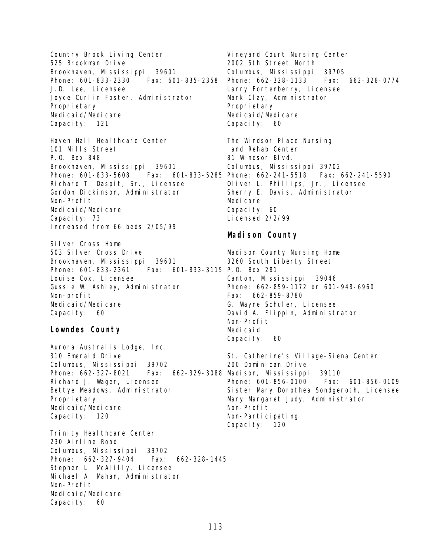Country Brook Living Center 525 Brookman Drive Brookhaven, Mississippi 39601 Phone: 601-833-2330 Fax: 601-835-2358 J.D. Lee, Licensee Joyce Curlin Foster, Administrator Proprietary Medicaid/Medicare Capacity: 121

Haven Hall Healthcare Center 101 Mills Street P.O. Box 848 Brookhaven, Mississippi 39601 Phone: 601-833-5608 Fax: 601-833-5285 Phone: 662-241-5518 Fax: 662-241-5590 Richard T. Daspit, Sr., Licensee Gordon Dickinson, Administrator Non-Profit Medicaid/Medicare Capacity: 73 Increased from 66 beds 2/05/99

Silver Cross Home 503 Silver Cross Drive Brookhaven, Mississippi 39601 Phone: 601-833-2361 Louise Cox, Licensee Gussie W. Ashley, Administrator Non-profit Medicaid/Medicare Capacity: 60 Fax: 601-833-3115 P.O. Box 281

#### **Lowndes County**

Aurora Australis Lodge, Inc. 310 Emerald Drive Columbus, Mississippi 39702 Phone: 662-327-8021 Richard J. Wager, Licensee Bettye Meadows, Administrator Proprietary Medicaid/Medicare Capacity: 120

Trinity Healthcare Center 230 Airline Road Columbus, Mississippi 39702 Phone: 662-327-9404 Fax: 662-328-1445 Stephen L. McAlilly, Licensee Michael A. Mahan, Administrator Non-Profit Medicaid/Medicare Capacity: 60

Vineyard Court Nursing Center 2002 5th Street North Columbus, Mississippi 39705 Phone: 662-328-1133 Fax: 662-328-0774 Larry Fortenberry, Licensee Mark Clay, Administrator Propri etary Medicaid/Medicare Capacity: 60

The Windsor Place Nursing and Rehab Center 81 Windsor Blvd. Columbus, Mississippi 39702 Oliver L. Phillips, Jr., Licensee Sherry E. Davis, Administrator Medi care Capacity: 60 Licensed 2/2/99

# **Madison County**

Madison County Nursing Home 3260 South Liberty Street Canton, Mississippi 39046 Phone: 662-859-1172 or 601-948-6960 Fax: 662-859-8780 G. Wayne Schuler, Licensee David A. Flippin, Administrator Non-Profit Medicaid Capacity: 60

St. Catherine's Village-Siena Center 200 Dominican Drive Fax: 662-329-3088 Madison, Mississippi 39110 Phone: 601-856-0100 Fax: 601-856-0109 Sister Mary Dorothea Sondgeroth, Licensee Mary Margaret Judy, Administrator Non-Profit Non-Participating Capacity: 120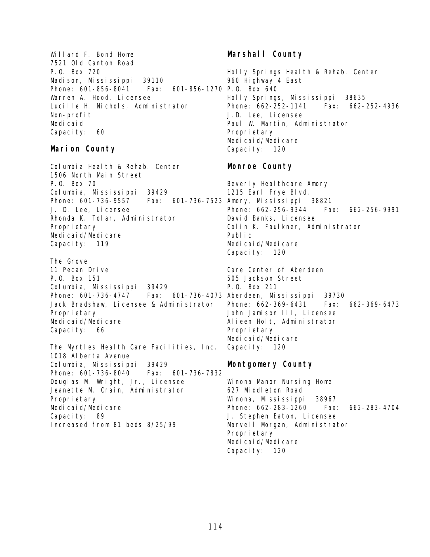Willard F. Bond Home 7521 Old Canton Road P.O. Box 720 Madison, Mississippi 39110 Phone: 601-856-8041 Fax: Warren A. Hood, Licensee Lucille H. Nichols, Administrator Non-profit Medicaid Capacity: 60

#### **Marion County**

Columbia Health & Rehab. Center 1506 North Main Street P.O. Box 70 Columbia, Mississippi 39429 Phone: 601-736-9557 Fax: 601-736-7523 Amory, Mississippi 38821 J. D. Lee, Licensee Rhonda K. Tolar, Administrator Proprietary Medicaid/Medicare Capacity: 119

The Grove 11 Pecan Drive P.O. Box 151 Columbia, Mississippi 39429 Phone: 601-736-4747 Fax: 601-736-4073 Aberdeen, Mississippi 39730 Jack Bradshaw, Licensee & Administrator Proprietary Medicaid/Medicare Capacity: 66

The Myrtles Health Care Facilities, Inc. 1018 Alberta Avenue Columbia, Mississippi 39429 Phone: 601-736-8040 Fax: 601-736-7832 Douglas M. Wright, Jr., Licensee Jeanette M. Crain, Administrator Proprietary Medicaid/Medicare Capacity: 89 Increased from 81 beds 8/25/99

# **Marshall County**

Holly Springs Health & Rehab. Center 960 Highway 4 East 601-856-1270 P.O. Box 640 Holly Springs, Mississippi 38635 Phone: 662-252-1141 Fax: 662-252-4936 J.D. Lee, Licensee Paul W. Martin, Administrator Propri etary Medi cai d/Medi care Capacity: 120

# **Monroe County**

Beverly Healthcare Amory 1215 Earl Frye Blvd. Phone: 662-256-9344 Fax: 662-256-9991 David Banks, Licensee Colin K. Faulkner, Administrator Public Medicaid/Medicare Capacity: 120

Care Center of Aberdeen 505 Jackson Street P.O. Box 211 Phone: 662-369-6431 Fax: 662-369-6473 John Jamison III, Licensee Alieen Holt, Administrator Proprietary Medicaid/Medicare Capacity: 120

# **Montgomery County**

Winona Manor Nursing Home 627 Middleton Road Winona, Mississippi 38967 Phone: 662-283-1260 Fax: 662-283-4704 J. Stephen Eaton, Licensee Marvell Morgan, Administrator Propri etary Medicaid/Medicare Capacity: 120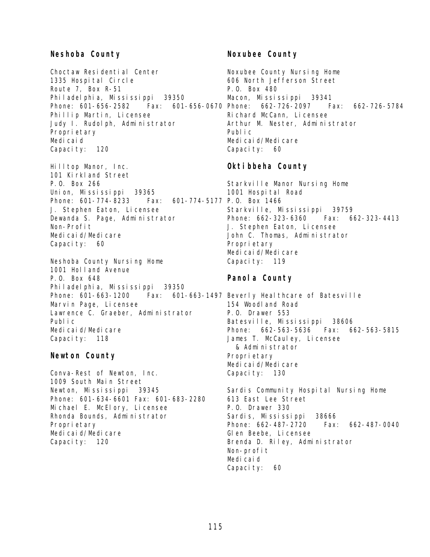#### **Neshoba County**

Choctaw Residential Center 1335 Hospital Circle Route 7, Box R-51 Philadelphia, Mississippi 39350 Phillip Martin, Licensee Judy I. Rudolph, Administrator Proprietary Medicaid Capacity: 120

Hilltop Manor, Inc. 101 Kirkland Street P.O. Box 266 Union, Mississippi 39365 Phone: 601-774-8233 J. Stephen Eaton, Licensee Dewanda S. Page, Administrator Non-Profit Medicaid/Medicare Capacity: 60 Fax: 601-774-5177 P.O. Box 1466

Neshoba County Nursing Home 1001 Holland Avenue P.O. Box 648 Philadelphia, Mississippi 39350 Phone: 601-663-1200 Fax: 601-663-1497 Beverly Healthcare of Batesville Marvin Page, Licensee Lawrence C. Graeber, Administrator Public Medicaid/Medicare Capacity: 118

#### **Newton County**

Conva-Rest of Newton, Inc. 1009 South Main Street Newton, Mississippi 39345 Phone: 601-634-6601 Fax: 601-683-2280 Michael E. McElory, Licensee Rhonda Bounds, Administrator Proprietary Medicaid/Medicare Capacity: 120

#### **Noxubee County**

Phone: 601-656-2582 Fax: 601-656-0670 Phone: 662-726-2097 Fax: 662-726-5784 Noxubee County Nursing Home 606 North Jefferson Street P.O. Box 480 Macon, Mississippi 39341 Richard McCann, Licensee Arthur M. Nester, Administrator Public Medicaid/Medicare Capacity: 60

# **Oktibbeha County**

Starkville Manor Nursing Home 1001 Hospital Road Starkville, Mississippi 39759 Phone: 662-323-6360 Fax: 662-323-4413 J. Stephen Eaton, Licensee John C. Thomas, Administrator Proprietary Medicaid/Medicare Capacity: 119

#### **Panola County**

154 Woodland Road P.O. Drawer 553 Batesville, Mississippi 38606 Phone: 662-563-5636 Fax: 662-563-5815 James T. McCauley, Licensee & Administrator Propri etary Medicaid/Medicare Capacity: 130

Sardis Community Hospital Nursing Home 613 East Lee Street P.O. Drawer 330 Sardis, Mississippi 38666 Phone: 662-487-2720 Fax: 662-487-0040 Glen Beebe, Licensee Brenda D. Riley, Administrator Non-profit Medicaid Capacity: 60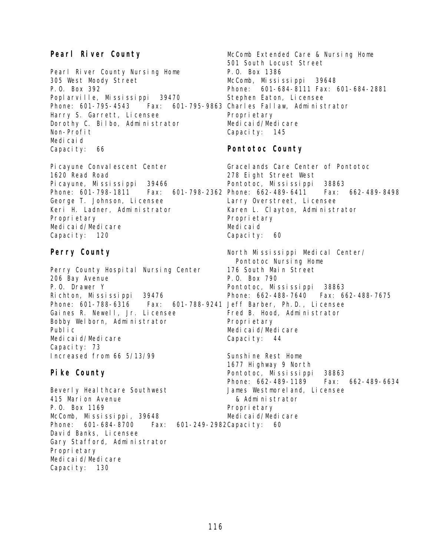# **Pearl River County**

Pearl River County Nursing Home 305 West Moody Street P.O. Box 392 Poplarville, Mississippi 39470 Phone: 601-795-4543 Fax: 601-795-9863 Charles Fallaw, Administrator Harry S. Garrett, Licensee Dorothy C. Bilbo, Administrator Non-Profit Medicaid Capacity: 66

Pi cayune Conval escent Center 1620 Read Road Picayune, Mississippi 39466 Phone: 601-798-1811 George T. Johnson, Licensee Keri H. Ladner, Administrator Propri etary Medicaid/Medicare Capacity: 120

#### **Perry County**

Perry County Hospital Nursing Center 206 Bay Avenue P.O. Drawer Y Richton, Mississippi 39476 Phone: 601-788-6316 Fax: Gaines R. Newell, Jr. Licensee Bobby Welborn, Administrator Public Medicaid/Medicare Capacity: 73 Increased from 66 5/13/99

# **Pike County**

Beverly Heal thcare Southwest 415 Marion Avenue P.O. Box 1169 McComb, Mississippi, 39648 Phone: 601-684-8700 Fax: David Banks, Licensee Gary Stafford, Administrator Proprietary Medicaid/Medicare Capacity: 130

McComb Extended Care & Nursing Home 501 South Locust Street P.O. Box 1386 McComb, Mississippi 39648 Phone: 601-684-8111 Fax: 601-684-2881 Stephen Eaton, Licensee Propri etary Medicaid/Medicare Capacity: 145

# **Pontotoc County**

Gracelands Care Center of Pontotoc 278 Eight Street West Pontotoc, Mississippi 38863 Fax: 601-798-2362 Phone: 662-489-6411 Fax: 662-489-8498 Larry Overstreet, Licensee Karen L. Clayton, Administrator Propri etary Medicaid Capacity: 60

> North Mississippi Medical Center/ Pontotoc Nursing Home 176 South Main Street P.O. Box 790 Pontotoc, Mississippi 38863 Phone: 662-488-7640 Fax: 662-488-7675 601-788-9241 Jeff Barber, Ph.D., Licensee Fred B. Hood, Administrator Propri etary Medicaid/Medicare Capacity: 44

> > Sunshine Rest Home 1677 Highway 9 North Pontotoc, Mississippi 38863 Phone: 662-489-1189 Fax: 662-489-6634 James Westmoreland, Licensee & Administrator Proprietary Medicaid/Medicare

#### 601-249-2982 Capacity: 60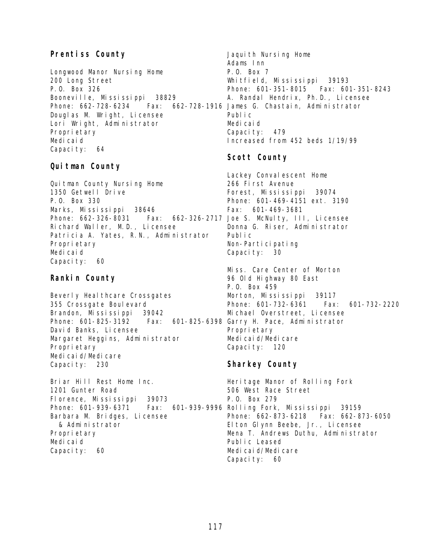# **Prentiss County**

Longwood Manor Nursing Home 200 Long Street P.O. Box 326 Booneville, Mississippi 38829 Phone: 662-728-6234 Fax: 662-728-1916 James G. Chastain, Administrator Douglas M. Wright, Licensee Lori Wright, Administrator Proprietary Medicaid Capacity: 64

#### **Quitman County**

Quitman County Nursing Home 1350 Getwell Drive P.O. Box 330 Marks, Mississippi 38646 Phone: 662-326-8031 Fax: 662-326-2717 Joe S. McNulty, III, Licensee Richard Waller, M.D., Licensee Patricia A. Yates, R.N., Administrator Proprietary Medicaid Capacity: 60

# **Rankin County**

Beverly Heal thcare Crossgates 355 Crossgate Boulevard Brandon, Mississippi 39042 Phone: 601-825-3192 Fax: David Banks, Licensee Margaret Heggins, Administrator Proprietary Medicaid/Medicare Capacity: 230

Briar Hill Rest Home Inc. 1201 Gunter Road Florence, Mississippi 39073 Phone: 601-939-6371 Fax: 601-939-9996 Rolling Fork, Mississippi 39159 Barbara M. Bridges, Licensee & Administrator Proprietary Medicaid Capacity: 60

Jaquith Nursing Home Adams Inn P.O. Box 7 Whitfield, Mississippi 39193 Phone: 601-351-8015 Fax: 601-351-8243 A. Randal Hendrix, Ph.D., Licensee Public Medicaid Capacity: 479 Increased from 452 beds 1/19/99

# **Scott County**

Lackey Conval escent Home 266 First Avenue Forest, Mississippi 39074 Phone: 601-469-4151 ext. 3190 Fax: 601-469-3681 Donna G. Riser, Administrator Public Non-Participating Capacity: 30

Miss. Care Center of Morton 96 Old Highway 80 East P.O. Box 459 Morton, Mississippi 39117 Phone: 601-732-6361 Fax: 601-732-2220 Michael Overstreet, Licensee 601-825-6398 Garry H. Pace, Administrator Propri etary Medicaid/Medicare Capacity: 120

# **Sharkey County**

Heritage Manor of Rolling Fork 506 West Race Street P.O. Box 279 Phone: 662-873-6218 Fax: 662-873-6050 Elton Glynn Beebe, Jr., Licensee Mena T. Andrews Duthu, Administrator Public Leased Medicaid/Medicare Capacity: 60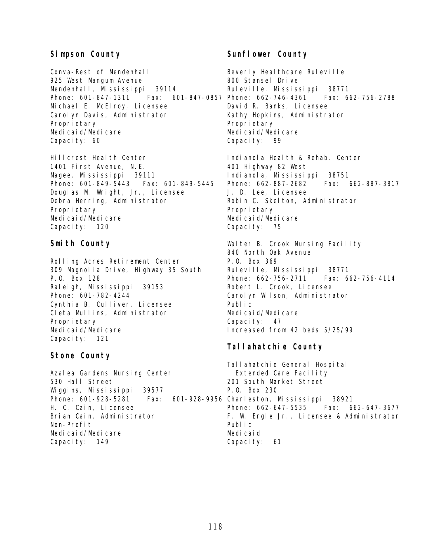# **Simpson County**

Conva-Rest of Mendenhall 925 West Mangum Avenue Mendenhall, Mississippi 39114 Michael E. McElroy, Licensee Carolyn Davis, Administrator Proprietary Medicaid/Medicare Capacity: 60

Hillcrest Health Center 1401 First Avenue, N.E. Magee, Mississippi 39111 Phone: 601-849-5443 Fax: 601-849-5445 Douglas M. Wright, Jr., Licensee Debra Herring, Administrator Proprietary Medicaid/Medicare Capacity: 120

#### **Smith County**

Rolling Acres Retirement Center 309 Magnolia Drive, Highway 35 South P.O. Box 128 Raleigh, Mississippi 39153 Phone: 601-782-4244 Cynthia B. Culliver, Licensee Cleta Mullins, Administrator Proprietary Medicaid/Medicare Capacity: 121

# **Stone County**

Azalea Gardens Nursing Center 530 Hall Street Wiggins, Mississippi 39577 Phone: 601-928-5281 Fax: 601-928-9956 Charleston, Mississippi 38921 H. C. Cain, Licensee Brian Cain, Administrator Non-Profit Medicaid/Medicare Capacity: 149

# Sunflower County

Phone: 601-847-1311 Fax: 601-847-0857 Phone: 662-746-4361 Fax: 662-756-2788 Beverly Healthcare Ruleville 800 Stansel Drive Ruleville, Mississippi 38771 David R. Banks, Licensee Kathy Hopkins, Administrator Propri etary Medicaid/Medicare Capacity: 99

> Indianol a Health & Rehab. Center 401 Highway 82 West Indianola, Mississippi 38751 Phone: 662-887-2682 Fax: 662-887-3817 J. D. Lee, Licensee Robin C. Skelton, Administrator Propri etary Medicaid/Medicare Capacity: 75

Walter B. Crook Nursing Facility 840 North Oak Avenue P.O. Box 369 Ruleville, Mississippi 38771 Phone: 662-756-2711 Fax: 662-756-4114 Robert L. Crook, Licensee Carolyn Wilson, Administrator Public Medicaid/Medicare Capacity: 47 Increased from 42 beds 5/25/99

# **Tallahatchie County**

Tallahatchie General Hospital Extended Care Facility 201 South Market Street P.O. Box 230 Phone: 662-647-5535 Fax: 662-647-3677 F. W. Ergle Jr., Licensee & Administrator Public Medicaid Capacity: 61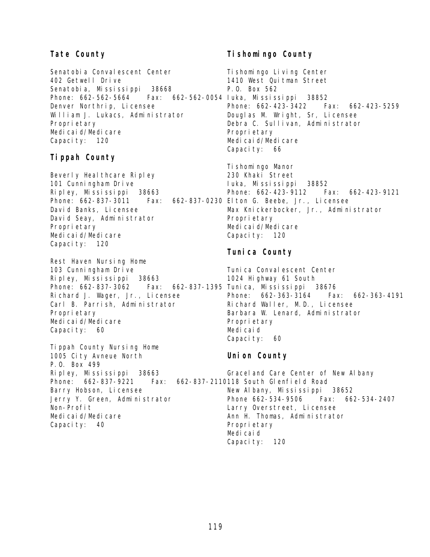# **Tate County**

Senatobia Convalescent Center 402 Getwell Drive Senatobia, Mississippi 38668 Phone: 662-562-5664 Fax: 662-562-0054 Iuka, Mississippi 38852 Denver Northrip, Licensee William J. Lukacs, Administrator Proprietary Medicaid/Medicare Capacity: 120

# **Tippah County**

Beverly Heal thcare Ripley 101 Cunningham Drive Ripley, Mississippi 38663 Phone: 662-837-3011 David Banks, Licensee David Seay, Administrator Proprietary Medicaid/Medicare Capacity: 120

Rest Haven Nursing Home 103 Cunningham Drive Ripley, Mississippi 38663 Phone: 662-837-3062 Fax: 662-837-1395 Tunica, Mississippi 38676 Richard J. Wager, Jr., Licensee Carl B. Parrish, Administrator Proprietary Medicaid/Medicare Capacity: 60

Tippah County Nursing Home 1005 City Avneue North P.O. Box 499 Ripley, Mississippi 38663 Phone: 662-837-9221 Barry Hobson, Licensee Jerry Y. Green, Administrator Non-Profit Medicaid/Medicare Capacity: 40

# **Tishomingo County**

Tishomingo Living Center 1410 West Quitman Street P.O. Box 562 Phone: 662-423-3422 Fax: 662-423-5259 Douglas M. Wright, Sr, Licensee Debra C. Sullivan, Administrator Propri etary Medi cai d/Medi care Capacity: 66

Ti shomi ngo Manor 230 Khaki Street Iuka, Mississippi 38852 Phone: 662-423-9112 Fax: 662-423-9121 Fax: 662-837-0230 Elton G. Beebe, Jr., Licensee Max Knickerbocker, Jr., Administrator Proprietary Medicaid/Medicare Capacity: 120

# **Tunica County**

Tunica Convalescent Center 1024 Highway 61 South Phone: 662-363-3164 Fax: 662-363-4191 Richard Waller, M.D., Licensee Barbara W. Lenard, Administrator Proprietary Medicaid Capacity: 60

# **Union County**

Graceland Care Center of New Albany Fax: 662-837-2110118 South Glenfield Road New Albany, Mississippi 38652 Phone 662-534-9506 Fax: 662-534-2407 Larry Overstreet, Licensee Ann H. Thomas, Administrator Proprietary Medicaid Capacity: 120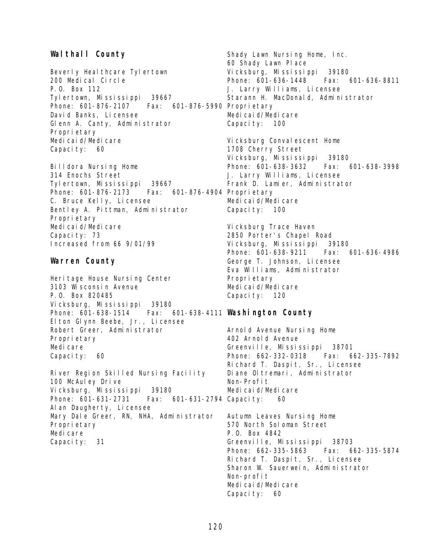#### **Walthall County**

Beverly Heal thcare Tylertown 200 Medical Circle P.O. Box 112 Tylertown, Mississippi 39667 Phone: 601-876-2107 Fax: 601-876-5990 Proprietary David Banks, Licensee Glenn A. Canty, Administrator Proprietary Medicaid/Medicare Capacity: 60

Billdora Nursing Home 314 Enochs Street Tylertown, Mississippi 39667 Phone: 601-876-2173 Fax: 601-876-4904 Proprietary C. Bruce Kelly, Licensee Bentley A. Pittman, Administrator Proprietary Medicaid/Medicare Capacity: 73 Increased from 66 9/01/99

#### **Warren County**

Heritage House Nursing Center 3103 Wisconsin Avenue P.O. Box 820485 Vicksburg, Mississippi 39180 Phone: 601-638-1514 Fax: 601-638-4111 **Washington County** Elton Glynn Beebe, Jr., Licensee Robert Greer, Administrator Proprietary Medi care Capacity: 60

River Region Skilled Nursing Facility 100 McAuley Drive Vicksburg, Mississippi 39180 Phone: 601-631-2731 Fax: 601-631-2794 Capacity: 60 Alan Daugherty, Licensee Mary Dale Greer, RN, NHA, Administrator Proprietary Medi care Capacity: 31

Shady Lawn Nursing Home, Inc. 60 Shady Lawn Place Vicksburg, Mississippi 39180 Phone: 601-636-1448 Fax: 601-636-8811 J. Larry Williams, Licensee Starann H. MacDonald, Administrator Medicaid/Medicare Capacity: 100

Vicksburg Convalescent Home 1708 Cherry Street Vicksburg, Mississippi 39180 Phone: 601-638-3632 Fax: 601-638-3998 J. Larry Williams, Licensee Frank D. Lamier, Administrator Medicaid/Medicare Capacity: 100

Vicksburg Trace Haven 2850 Porter's Chapel Road Vicksburg, Mississippi 39180 Phone: 601-638-9211 Fax: 601-636-4986 George T. Johnson, Licensee Eva Williams, Administrator Propri etary Medicaid/Medicare Capacity: 120

Arnold Avenue Nursing Home 402 Arnold Avenue Greenville, Mississippi 38701 Phone: 662-332-0318 Fax: 662-335-7892 Richard T. Daspit, Sr., Licensee Diane Oltremari, Administrator Non-Profit Medicaid/Medicare

Autumn Leaves Nursing Home 570 North Soloman Street P.O. Box 4842 Greenville, Mississippi 38703 Phone: 662-335-5863 Fax: 662-335-5874 Richard T. Daspit, Sr., Licensee Sharon W. Sauerwein, Administrator Non-profit Medicaid/Medicare Capacity: 60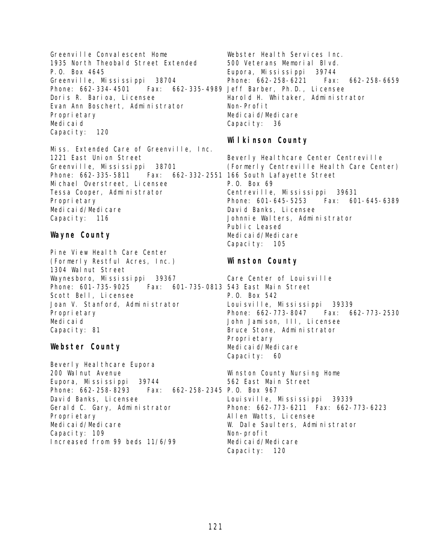Greenville Convalescent Home 1935 North Theobald Street Extended P.O. Box 4645 Greenville, Mississippi 38704 Phone: 662-334-4501 Fax: 662-335-4989 Jeff Barber, Ph.D., Licensee Doris R. Barioa, Licensee Evan Ann Boschert, Administrator Proprietary Medicaid Capacity: 120

Miss. Extended Care of Greenville, Inc. 1221 East Union Street Greenville, Mississippi 38701 Phone: 662-335-5811 Fax: 662-332-2551 166 South Lafayette Street Michael Overstreet, Licensee Tessa Cooper, Administrator Proprietary Medicaid/Medicare Capacity: 116

# **Wayne County**

Pine View Health Care Center (Formerly Restful Acres, Inc.) 1304 Walnut Street Waynesboro, Mississippi 39367 Phone: 601-735-9025 Fax: 601-735-0813 543 East Main Street Scott Bell, Licensee Joan V. Stanford, Administrator Proprietary Medicaid Capacity: 81

#### **Webster County**

Beverly Heal thcare Eupora 200 Walnut Avenue Eupora, Mississippi 39744 Phone: 662-258-8293 Fax: 662-258-2345 P.O. Box 967 David Banks, Licensee Gerald C. Gary, Administrator Proprietary Medicaid/Medicare Capacity: 109 Increased from 99 beds 11/6/99

Webster Health Services Inc. 500 Veterans Memorial Blvd. Eupora, Mississippi 39744 Phone: 662-258-6221 Fax: 662-258-6659 Harold H. Whitaker, Administrator Non-Profit Medicaid/Medicare Capacity: 36

# **Wilkinson County**

Beverly Healthcare Center Centreville (Formerly Centreville Health Care Center) P.O. Box 69 Centreville, Mississippi 39631 Phone: 601-645-5253 Fax: 601-645-6389 David Banks, Licensee Johnnie Walters, Administrator Public Leased Medicaid/Medicare Capacity: 105

# **Winston County**

Care Center of Louisville P.O. Box 542 Louisville, Mississippi 39339 Phone: 662-773-8047 Fax: 662-773-2530 John Jamison, III, Licensee Bruce Stone, Administrator Propri etary Medicaid/Medicare Capacity: 60

Winston County Nursing Home 562 East Main Street Louisville, Mississippi 39339 Phone: 662-773-6211 Fax: 662-773-6223 Allen Watts, Licensee W. Dale Saulters, Administrator Non-profit Medicaid/Medicare Capacity: 120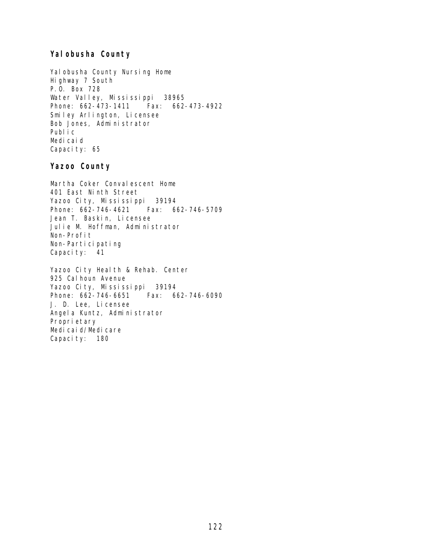# **Yalobusha County**

Yal obusha County Nursing Home Highway 7 South P.O. Box 728 Water Valley, Mississippi 38965 Phone: 662-473-1411 Fax: 662-473-4922 Smiley Arlington, Licensee Bob Jones, Administrator Public Medicaid Capacity: 65

#### **Yazoo County**

Martha Coker Convalescent Home 401 East Ninth Street Yazoo City, Mississippi 39194 Phone: 662-746-4621 Fax: 662-746-5709 Jean T. Baskin, Licensee Julie M. Hoffman, Administrator Non-Profit Non-Participating Capacity: 41

Yazoo City Health & Rehab. Center 925 Cal houn Avenue Yazoo City, Mississippi 39194 Phone: 662-746-6651 Fax: 662-746-6090 J. D. Lee, Licensee Angela Kuntz, Administrator Proprietary Medicaid/Medicare Capacity: 180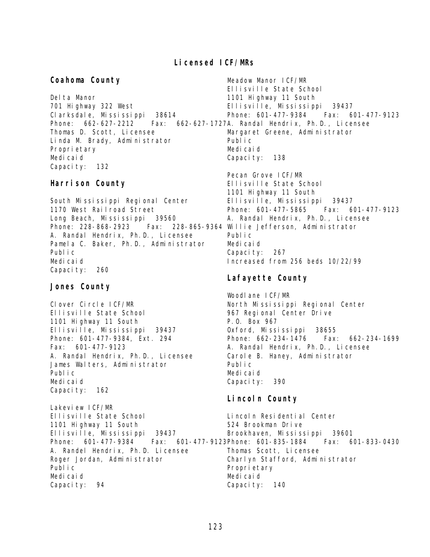#### **Licensed ICF/MRs**

**Coahoma County** Del ta Manor 701 Highway 322 West Clarksdale, Mississippi 38614 Phone: 662-627-2212 Fax: 662-627-1727 A. Randal Hendrix, Ph.D., Licensee Thomas D. Scott, Licensee Linda M. Brady, Administrator Proprietary Medicaid Capacity: 132 Meadow Manor ICF/MR Ellisville State School 1101 Highway 11 South Ellisville, Mississippi 39437 Phone: 601-477-9384 Fax: 601-477-9123 Margaret Greene, Administrator Public Medicaid Capacity: 138

#### **Harrison County**

South Mississippi Regional Center 1170 West Railroad Street Long Beach, Mississippi 39560 Phone: 228-868-2923 A. Randal Hendrix, Ph.D., Licensee Pamela C. Baker, Ph.D., Administrator Public Medicaid Capacity: 260

#### **Jones County**

Lakeview ICF/MR

Clover Circle ICF/MR Ellisville State School 1101 Highway 11 South Ellisville, Mississippi 39437 Phone: 601-477-9384, Ext. 294 Fax: 601-477-9123 A. Randal Hendrix, Ph.D., Licensee James Walters, Administrator Public Medicaid Capacity: 162

Pecan Grove ICF/MR Ellisville State School 1101 Highway 11 South Ellisville, Mississippi 39437 Phone: 601-477-5865 Fax: 601-477-9123 A. Randal Hendrix, Ph.D., Licensee Fax: 228-865-9364 Willie Jefferson, Administrator Public Medicaid Capacity: 267 Increased from 256 beds 10/22/99

#### **Lafayette County**

Woodlane ICF/MR North Mississippi Regional Center 967 Regional Center Drive P.O. Box 967 Oxford, Mississippi 38655 Phone: 662-234-1476 Fax: 662-234-1699 A. Randal Hendrix, Ph.D., Licensee Carole B. Haney, Administrator Public Medicaid Capacity: 390

# **Lincoln County**

Ellisville State School 1101 Highway 11 South Ellisville, Mississippi 39437 Phone: 601-477-9384 A. Randel Hendrix, Ph.D. Licensee Roger Jordan, Administrator Public Medicaid Capacity: 94 Lincoln Residential Center 524 Brookman Drive Brookhaven, Mississippi 39601 Fax: 601-477-9123Phone: 601-835-1884 Fax: 601-833-0430 Thomas Scott, Licensee Charlyn Stafford, Administrator Propri etary Medicaid Capacity: 140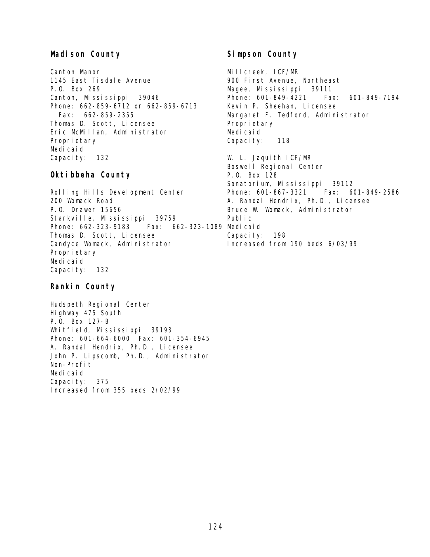# **Madison County**

Canton Manor 1145 East Tisdale Avenue P.O. Box 269 Canton, Mississippi 39046 Phone: 662-859-6712 or 662-859-6713 Fax: 662-859-2355 Thomas D. Scott, Licensee Eric McMillan, Administrator Proprietary Medicaid Capacity: 132

#### **Oktibbeha County**

Rolling Hills Development Center 200 Womack Road P.O. Drawer 15656 Starkville, Mississippi 39759 Phone: 662-323-9183 Thomas D. Scott, Licensee Candyce Womack, Administrator Proprietary Medicaid Capacity: 132 Fax: 662-323-1089 Medicaid

#### **Rankin County**

Hudspeth Regional Center Highway 475 South P.O. Box 127-B Whitfield, Mississippi 39193 Phone: 601-664-6000 Fax: 601-354-6945 A. Randal Hendrix, Ph.D., Licensee John P. Lipscomb, Ph.D., Administrator Non-Profit Medicaid Capacity: 375 Increased from 355 beds 2/02/99

# **Simpson County**

Millcreek, ICF/MR 900 First Avenue, Northeast Magee, Mississippi 39111 Phone: 601-849-4221 Fax: 601-849-7194 Kevin P. Sheehan, Licensee Margaret F. Tedford, Administrator Proprietary Medicaid Capacity: 118

W. L. Jaquith ICF/MR Boswell Regional Center P.O. Box 128 Sanatorium, Mississippi 39112 Phone: 601-867-3321 Fax: 601-849-2586 A. Randal Hendrix, Ph.D., Licensee Bruce W. Womack, Administrator Public Capacity: 198 Increased from 190 beds 6/03/99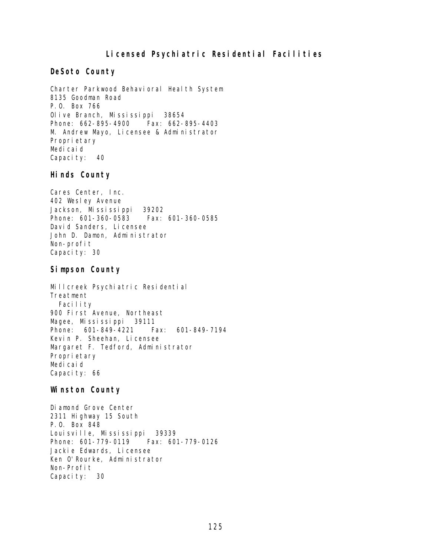# **Licensed Psychiatric Residential Facilities**

#### **DeSoto County**

Charter Parkwood Behavioral Health System 8135 Goodman Road P.O. Box 766 Olive Branch, Mississippi 38654 Phone: 662-895-4900 Fax: 662-895-4403 M. Andrew Mayo, Licensee & Administrator Proprietary Medicaid Capacity: 40

#### **Hinds County**

Cares Center, Inc. 402 Wesley Avenue Jackson, Mississippi 39202 Phone: 601-360-0583 Fax: 601-360-0585 David Sanders, Licensee John D. Damon, Administrator Non-profit Capacity: 30

#### **Simpson County**

Millcreek Psychiatric Residential Treatment Facility 900 First Avenue, Northeast Magee, Mississippi 39111 Phone: 601-849-4221 Fax: 601-849-7194 Kevin P. Sheehan, Licensee Margaret F. Tedford, Administrator Proprietary Medicaid Capacity: 66

#### **Winston County**

Diamond Grove Center 2311 Highway 15 South P.O. Box 848 Louisville, Mississippi 39339 Phone: 601-779-0119 Fax: 601-779-0126 Jackie Edwards, Licensee Ken O'Rourke, Administrator Non-Profit Capacity: 30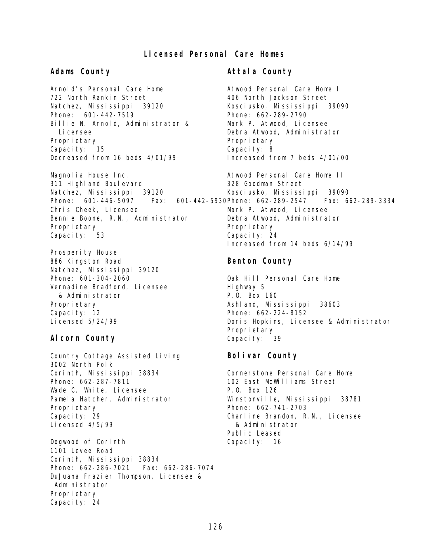# **Licensed Personal Care Homes**

#### **Adams County**

Arnold's Personal Care Home 722 North Rankin Street Natchez, Mississippi 39120 Phone: 601-442-7519 Billie N. Arnold, Administrator & Licensee Proprietary Capacity: 15 Decreased from 16 beds 4/01/99

Magnolia House Inc. 311 Highland Boulevard Natchez, Mississippi 39120 Phone: 601-446-5097 Chris Cheek, Licensee Bennie Boone, R.N., Administrator Proprietary Capacity: 53

Prosperity House 886 Kingston Road Natchez, Mississippi 39120 Phone: 601-304-2060 Vernadine Bradford, Licensee & Administrator Proprietary Capacity: 12 Licensed 5/24/99

#### **Alcorn County**

Country Cottage Assisted Living 3002 North Polk Corinth, Mississippi 38834 Phone: 662-287-7811 Wade C. White, Licensee Pamela Hatcher, Administrator Proprietary Capacity: 29 Licensed 4/5/99

Dogwood of Corinth 1101 Levee Road Corinth, Mississippi 38834 Phone: 662-286-7021 Fax: 662-286-7074 DuJuana Frazier Thompson, Licensee & Administrator Proprietary Capacity: 24

#### **Attala County**

Atwood Personal Care Home I 406 North Jackson Street Kosciusko, Mississippi 39090 Phone: 662-289-2790 Mark P. Atwood, Licensee Debra Atwood, Administrator Proprietary Capacity: 8 Increased from 7 beds 4/01/00

Atwood Personal Care Home II 328 Goodman Street Kosciusko, Mississippi 39090 Fax: 601-442-5930Phone: 662-289-2547 Fax: 662-289-3334 Mark P. Atwood, Licensee Debra Atwood, Administrator Proprietary Capacity: 24 Increased from 14 beds 6/14/99

#### **Benton County**

Oak Hill Personal Care Home Highway 5 P.O. Box 160 Ashland, Mississippi 38603 Phone: 662-224-8152 Doris Hopkins, Licensee & Administrator Proprietary Capacity: 39

#### **Bolivar County**

Cornerstone Personal Care Home 102 East McWilliams Street P.O. Box 126 Winstonville, Mississippi 38781 Phone: 662-741-2703 Charline Brandon, R.N., Licensee & Administrator Public Leased Capacity: 16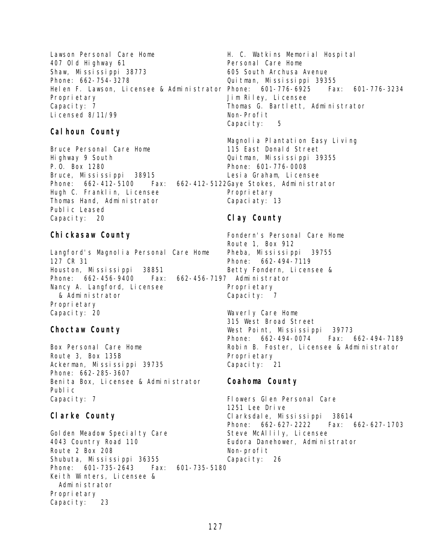Lawson Personal Care Home 407 Old Highway 61 Shaw, Mississippi 38773 Phone: 662-754-3278 Proprietary Capacity: 7 Licensed 8/11/99

# **Calhoun County**

Bruce Personal Care Home Highway 9 South P.O. Box 1280 Bruce, Mississippi 38915 Phone: 662-412-5100 Fax: 662-412-5122 Gaye Stokes, Administrator Hugh C. Franklin, Licensee Thomas Hand, Administrator Public Leased Capacity: 20

# **Chickasaw County**

Langford's Magnolia Personal Care Home 127 CR 31 Houston, Mississippi 38851 Phone: 662-456-9400 Fax: Nancy A. Langford, Licensee & Administrator Proprietary Capacity: 20

# **Choctaw County**

Box Personal Care Home Route 3, Box 135B Ackerman, Mississippi 39735 Phone: 662-285-3607 Benita Box, Licensee & Administrator Public Capacity: 7

# **Clarke County**

Golden Meadow Specialty Care 4043 Country Road 110 Route 2 Box 208 Shubuta, Mississippi 36355 Phone: 601-735-2643 Fax: 601-735-5180 Keith Winters, Licensee & Administrator Proprietary Capacity: 23

Helen F. Lawson, Licensee & Administrator Phone: 601-776-6925 Fax: 601-776-3234 H. C. Watkins Memorial Hospital Personal Care Home 605 South Archusa Avenue Quitman, Mississippi 39355 Jim Riley, Licensee Thomas G. Bartlett, Administrator Non-Profit Capacity: 5

> Magnolia Plantation Easy Living 115 East Donald Street Quitman, Mississippi 39355 Phone: 601-776-0008 Lesia Graham, Licensee Proprietary

# Capaciaty: 13

# **Clay County**

Fondern's Personal Care Home Route 1, Box 912 Pheba, Mississippi 39755 Phone: 662-494-7119 Betty Fondern, Licensee & 662-456-7197 Administrator Proprietary Capacity: 7 Waverly Care Home

315 West Broad Street West Point, Mississippi 39773 Phone: 662-494-0074 Fax: 662-494-7189 Robin B. Foster, Licensee & Administrator Propri etary Capacity: 21

# **Coahoma County**

Flowers Glen Personal Care 1251 Lee Drive Clarksdale, Mississippi 38614 Phone: 662-627-2222 Fax: 662-627-1703 Steve McAllily, Licensee Eudora Danehower, Administrator Non-profit Capacity: 26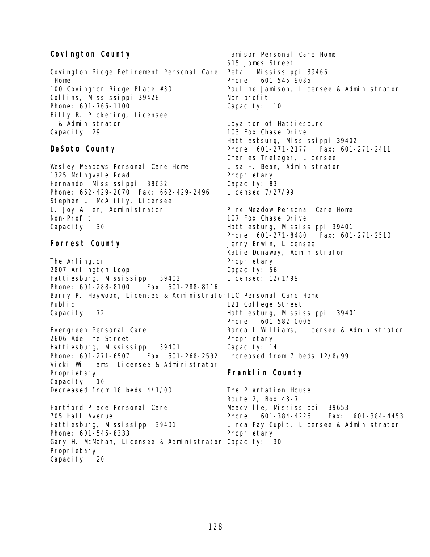# **Covington County**

Covington Ridge Retirement Personal Care Home 100 Covington Ridge Place #30 Collins, Mississippi 39428 Phone: 601-765-1100 Billy R. Pickering, Licensee & Administrator Capacity: 29

#### **DeSoto County**

Wesley Meadows Personal Care Home 1325 McIngvale Road Hernando, Mississippi 38632 Phone: 662-429-2070 Fax: 662-429-2496 Stephen L. McAlilly, Licensee L. Joy Allen, Administrator Non-Profit Capacity: 30

# **Forrest County**

The Arlington 2807 Arlington Loop Hattiesburg, Mississippi 39402 Phone: 601-288-8100 Fax: 601-288-8116 Barry P. Haywood, Licensee & Administrator TLC Personal Care Home Public Capacity: 72

Evergreen Personal Care 2606 Adeline Street Hattiesburg, Mississippi 39401 Phone: 601-271-6507 Fax: 601-268-2592 Vicki Williams, Licensee & Administrator Proprietary Capacity: 10 Decreased from 18 beds 4/1/00

Hartford Place Personal Care 705 Hall Avenue Hattiesburg, Mississippi 39401 Phone: 601-545-8333 Gary H. McMahan, Licensee & Administrator Capacity: 30Proprietary Capacity: 20

Jamison Personal Care Home 515 James Street Petal, Mississippi 39465 Phone: 601-545-9085 Pauline Jamison, Licensee & Administrator Non-profit Capacity: 10 Loyal ton of Hattiesburg 103 Fox Chase Drive Hattiesbsurg, Mississippi 39402 Phone: 601-271-2177 Fax: 601-271-2411 Charles Trefzger, Licensee Lisa H. Bean, Administrator Propri etary Capacity: 83 Licensed 7/27/99 Pine Meadow Personal Care Home 107 Fox Chase Drive Hattiesburg, Mississippi 39401 Phone: 601-271-8480 Fax: 601-271-2510 Jerry Erwin, Licensee Katie Dunaway, Administrator

Proprietary Capacity: 56

Licensed: 12/1/99

121 College Street Hattiesburg, Mississippi 39401 Phone: 601-582-0006 Randall Williams, Licensee & Administrator Propri etary Capacity: 14 Increased from 7 beds 12/8/99

#### **Franklin County**

The Plantation House Route 2, Box 48-7 Meadville, Mississippi 39653 Phone: 601-384-4226 Fax: 601-384-4453 Linda Fay Cupit, Licensee & Administrator Propri etary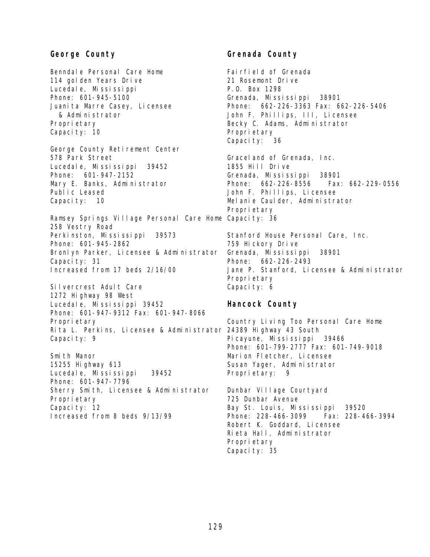#### **George County**

Benndale Personal Care Home 114 golden Years Drive Lucedale, Mississippi Phone: 601-945-5100 Juani ta Marre Casey, Licensee & Administrator Proprietary Capacity: 10

George County Retirement Center 578 Park Street Lucedale, Mississippi 39452 Phone: 601-947-2152 Mary E. Banks, Administrator Public Leased Capacity: 10

Ramsey Springs Village Personal Care Home Capacity: 36 258 Vestry Road Perkinston, Mississippi 39573 Phone: 601-945-2862 Bronlyn Parker, Licensee & Administrator Capacity: 31 Increased from 17 beds 2/16/00

Silvercrest Adult Care 1272 Highway 98 West Lucedale, Mississippi 39452 Phone: 601-947-9312 Fax: 601-947-8066 Proprietary Rita L. Perkins, Licensee & Administrator 24389 Highway 43 South Capacity: 9

Smith Manor 15255 Highway 613 Lucedale, Mississippi 39452 Phone: 601-947-7796 Sherry Smith, Licensee & Administrator Proprietary Capacity: 12 Increased from 8 beds 9/13/99

# **Grenada County**

Fairfield of Grenada 21 Rosemont Drive P.O. Box 1298 Grenada, Mississippi 38901 Phone: 662-226-3363 Fax: 662-226-5406 John F. Phillips, III, Licensee Becky C. Adams, Administrator Propri etary Capacity: 36

Graceland of Grenada, Inc. 1855 Hill Drive Grenada, Mississippi 38901 Phone: 662-226-8556 Fax: 662-229-0556 John F. Phillips, Licensee Melanie Caulder, Administrator Proprietary

Stanford House Personal Care, Inc. 759 Hickory Drive Grenada, Mississippi 38901 Phone: 662-226-2493 Jane P. Stanford, Licensee & Administrator Propri etary Capacity: 6

#### **Hancock County**

Country Living Too Personal Care Home Picayune, Mississippi 39466 Phone: 601-799-2777 Fax: 601-749-9018 Marion Fletcher, Licensee Susan Yager, Administrator Proprietary: 9

Dunbar Village Courtyard 725 Dunbar Avenue Bay St. Louis, Mississippi 39520 Phone: 228-466-3099 Fax: 228-466-3994 Robert K. Goddard, Licensee Rieta Hall, Administrator Propri etary Capacity: 35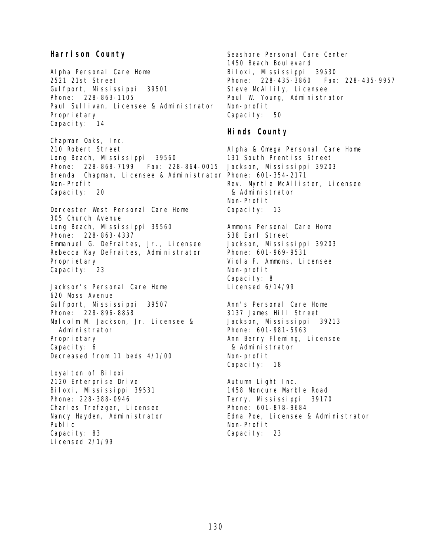#### **Harrison County**

Alpha Personal Care Home 2521 21st Street Gulfport, Mississippi 39501 Phone: 228-863-1105 Paul Sullivan, Licensee & Administrator Proprietary Capacity: 14

Chapman Oaks, Inc. 210 Robert Street Long Beach, Mississippi 39560 Phone: 228-868-7199 Fax: 228-864-0015 Brenda Chapman, Licensee & Administrator Phone: 601-354-2171 Non-Profit Capacity: 20

Dorcester West Personal Care Home 305 Church Avenue Long Beach, Mississippi 39560 Phone: 228-863-4337 Emmanuel G. DeFraites, Jr., Licensee Rebecca Kay DeFraites, Administrator Proprietary Capacity: 23

Jackson's Personal Care Home 620 Moss Avenue Gulfport, Mississippi 39507 Phone: 228-896-8858 Malcolm M. Jackson, Jr. Licensee & Administrator Proprietary Capacity: 6 Decreased from 11 beds 4/1/00

Loyal ton of Biloxi 2120 Enterprise Drive Biloxi, Mississippi 39531 Phone: 228-388-0946 Charles Trefzger, Licensee Nancy Hayden, Administrator Public Capacity: 83 Licensed 2/1/99

Seashore Personal Care Center 1450 Beach Boulevard Biloxi, Mississippi 39530 Phone: 228-435-3860 Fax: 228-435-9957 Steve McAllily, Licensee Paul W. Young, Administrator Non-profit Capacity: 50

#### **Hinds County**

Alpha & Omega Personal Care Home 131 South Prentiss Street Jackson, Mississippi 39203 Rev. Myrtle McAllister, Licensee & Administrator Non-Profit Capacity: 13

Ammons Personal Care Home 538 Earl Street Jackson, Mississippi 39203 Phone: 601-969-9531 Viola F. Ammons, Licensee Non-profit Capacity: 8 Licensed 6/14/99

Ann's Personal Care Home 3137 James Hill Street Jackson, Mississippi 39213 Phone: 601-981-5963 Ann Berry Fleming, Licensee & Administrator Non-profit Capacity: 18

Autumn Light Inc. 1458 Moncure Marble Road Terry, Mississippi 39170 Phone: 601-878-9684 Edna Poe, Licensee & Administrator Non-Profit Capacity: 23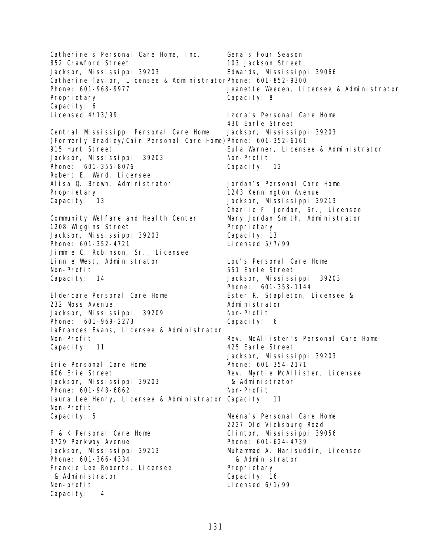Catherine's Personal Care Home, Inc. 852 Crawford Street Jackson, Mississippi 39203 Catherine Taylor, Licensee & Administrator Phone: 601-852-9300 Phone: 601-968-9977 Proprietary Capacity: 6 Licensed 4/13/99 Central Mississippi Personal Care Home (Formerly Bradley/Cain Personal Care Home) Phone: 601-352-6161 915 Hunt Street Jackson, Mississippi 39203 Phone: 601-355-8076 Robert E. Ward, Licensee Alisa Q. Brown, Administrator Proprietary Capacity: 13 Community Welfare and Health Center 1208 Wiggins Street Jackson, Mississippi 39203 Phone: 601-352-4721 Jimmie C. Robinson, Sr., Licensee Linnie West, Administrator Non-Profit Capacity: 14 Eldercare Personal Care Home 232 Moss Avenue Jackson, Mississippi 39209 Phone: 601-969-2273 LaFrances Evans, Licensee & Administrator Non-Profit Capacity: 11 Erie Personal Care Home 606 Erie Street Jackson, Mississippi 39203 Phone: 601-948-6862 Laura Lee Henry, Licensee & Administrator Capacity: 11 Non-Profit Capacity: 5 F & K Personal Care Home 3729 Parkway Avenue Jackson, Mississippi 39213 Phone: 601-366-4334 Frankie Lee Roberts, Licensee & Administrator Non-profit Capacity: 4 Gena's Four Season 103 Jackson Street Edwards, Mississippi 39066 Jeanette Weeden, Licensee & Administrator Capacity: 8 Izora's Personal Care Home 430 Earle Street Jackson, Mississippi 39203 Eula Warner, Licensee & Administrator Non-Profit Capacity: 12 Jordan's Personal Care Home 1243 Kennington Avenue Jackson, Mississippi 39213 Charlie F. Jordan, Sr., Licensee Mary Jordan Smith, Administrator Proprietary Capacity: 13 Licensed 5/7/99 Lou's Personal Care Home 551 Earle Street Jackson, Mississippi 39203 Phone: 601-353-1144 Ester R. Stapleton, Licensee & Administrator Non-Profit Capacity: 6 Rev. McAllister's Personal Care Home 425 Earle Street Jackson, Mississippi 39203 Phone: 601-354-2171 Rev. Myrtle McAllister, Licensee & Administrator Non-Profit Meena's Personal Care Home 2227 Old Vicksburg Road Clinton, Mississippi 39056 Phone: 601-624-4739 Muhammad A. Harisuddin, Licensee & Administrator Proprietary Capacity: 16 Licensed 6/1/99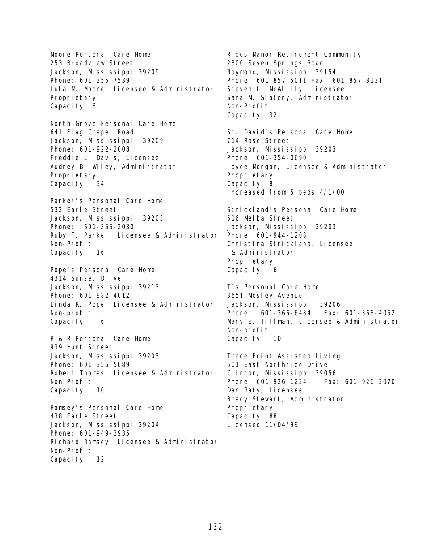Moore Personal Care Home 253 Broadview Street Jackson, Mississippi 39209 Phone: 601-355-7539 Lula M. Moore, Licensee & Administrator Proprietary Capacity: 6

North Grove Personal Care Home 641 Flag Chapel Road Jackson, Mississippi 39209 Phone: 601-922-2008 Freddie L. Davis, Licensee Audrey B. Wiley, Administrator Proprietary Capacity: 34

Parker's Personal Care Home 532 Earle Street Jackson, Mississippi 39203 Phone: 601-355-2030 Ruby T. Parker, Licensee & Administrator Phone: 601-944-1208 Non-Profit Capacity: 16

Pope's Personal Care Home 4314 Sunset Drive Jackson, Mississippi 39213 Phone: 601-982-4012 Linda R. Pope, Licensee & Administrator Non-profit Capacity: 6

R & R Personal Care Home 939 Hunt Street Jackson, Mississippi 39203 Phone: 601-355-5089 Robert Thomas, Licensee & Administrator Non-Profit Capacity: 10

Ramsey's Personal Care Home 438 Earle Street Jackson, Mississippi 39204 Phone: 601-949-3935 Richard Ramsey, Licensee & Administrator Non-Profit Capacity: 12

Riggs Manor Retirement Community 2300 Seven Springs Road Raymond, Mississippi 39154 Phone: 601-857-5011 Fax: 601-857-8131 Steven L. McAlilly, Licensee Sara M. Slatery, Administrator Non-Profit Capacity: 32

St. David's Personal Care Home 714 Rose Street Jackson, Mississippi 39203 Phone: 601-354-0690 Joyce Morgan, Licensee & Administrator Propri etary Capacity: 8 Increased from 5 beds 4/1/00

Strickland's Personal Care Home 516 Melba Street Jackson, Mississippi 39203 Christina Strickland, Licensee & Administrator Proprietary Capacity: 6

T's Personal Care Home 3651 Mosley Avenue Jackson, Mississippi 39206 Phone: 601-366-6484 Fax: 601-366-4052 Mary E. Tillman, Licensee & Administrator Non-profit Capacity: 10

Trace Point Assisted Living 501 East Northside Drive Clinton, Mississippi 39056 Phone: 601-926-1224 Fax: 601-926-2070 Dan Baty, Licensee Brady Stewart, Administrator Proprietary Capacity: 88 Licensed 11/04/99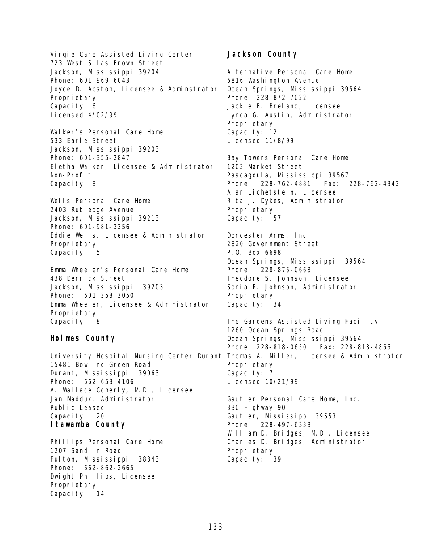Virgie Care Assisted Living Center 723 West Silas Brown Street Jackson, Mississippi 39204 Phone: 601-969-6043 Joyce D. Abston, Licensee & Adminstrator Proprietary Capacity: 6 Licensed 4/02/99 Walker's Personal Care Home

533 Earle Street Jackson, Mississippi 39203 Phone: 601-355-2847 Eletha Walker, Licensee & Administrator Non-Profit Capacity: 8

Wells Personal Care Home 2403 Rutledge Avenue Jackson, Mississippi 39213 Phone: 601-981-3356 Eddie Wells, Licensee & Administrator Proprietary Capacity: 5

Emma Wheeler's Personal Care Home 438 Derrick Street Jackson, Mississippi 39203 Phone: 601-353-3050 Emma Wheeler, Licensee & Administrator Proprietary Capacity: 8

#### **Holmes County**

15481 Bowling Green Road Durant, Mississippi 39063 Phone: 662-653-4106 A. Wallace Conerly, M.D., Licensee Jan Maddux, Administrator Public Leased Capacity: 20 **Itawamba County**

Phillips Personal Care Home 1207 Sandlin Road Fulton, Mississippi 38843 Phone: 662-862-2665 Dwight Phillips, Licensee Proprietary Capacity: 14

#### **Jackson County**

Al ternative Personal Care Home 6816 Washington Avenue Ocean Springs, Mississippi 39564 Phone: 228-872-7022 Jackie B. Breland, Licensee Lynda G. Austin, Administrator Proprietary Capacity: 12 Licensed 11/8/99

Bay Towers Personal Care Home 1203 Market Street Pascagoul a, Mississippi 39567 Phone: 228-762-4881 Fax: 228-762-4843 Alan Lichetstein, Licensee Rita J. Dykes, Administrator Propri etary Capacity: 57

Dorcester Arms, Inc. 2820 Government Street P.O. Box 6698 Ocean Springs, Mississippi 39564 Phone: 228-875-0668 Theodore S. Johnson, Licensee Sonia R. Johnson, Administrator Propri etary Capacity: 34

University Hospital Nursing Center Durant Thomas A. Miller, Licensee & Administrator The Gardens Assisted Living Facility 1260 Ocean Springs Road Ocean Springs, Mississippi 39564 Phone: 228-818-0650 Fax: 228-818-4856 Propri etary Capacity: 7 Licensed 10/21/99

> Gautier Personal Care Home, Inc. 330 Highway 90 Gautier, Mississippi 39553 Phone: 228-497-6338 William D. Bridges, M.D., Licensee Charles D. Bridges, Administrator Proprietary Capacity: 39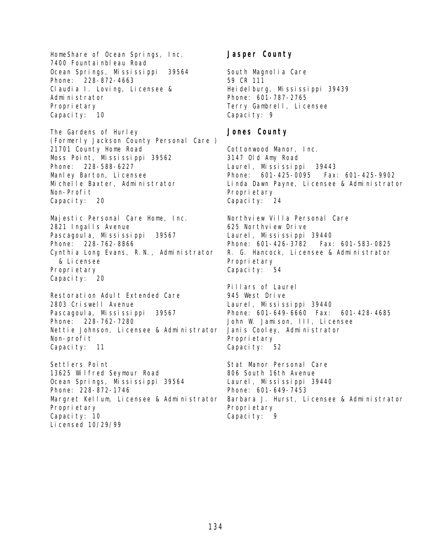HomeShare of Ocean Springs, Inc. 7400 Fountainbleau Road Ocean Springs, Mississippi 39564 Phone: 228-872-4663 Claudia I. Loving, Licensee & Administrator Proprietary Capacity: 10

The Gardens of Hurley (Formerly Jackson County Personal Care ) 21701 County Home Road Moss Point, Mississippi 39562 Phone: 228-588-6227 Manley Barton, Licensee Michelle Baxter, Administrator Non-Profit Capacity: 20

Majestic Personal Care Home, Inc. 2821 Ingalls Avenue Pascagoula, Mississippi 39567 Phone: 228-762-8866 Cynthia Long Evans, R.N., Administrator & Licensee Proprietary Capacity: 20

Restoration Adult Extended Care 2803 Criswell Avenue Pascagoula, Mississippi 39567 Phone: 228-762-7280 Nettie Johnson, Licensee & Administrator Non-profit Capacity: 11

Settlers Point 13625 Wilfred Seymour Road Ocean Springs, Mississippi 39564 Phone: 228-872-1746 Margret Kellum, Licensee & Administrator Proprietary Capacity: 10 Licensed 10/29/99

## **Jasper County**

South Magnolia Care 59 CR 111 Heidelburg, Mississippi 39439 Phone: 601-787-2765 Terry Gambrell, Licensee Capacity: 9

# **Jones County**

Cottonwood Manor, Inc. 3147 Old Amy Road Laurel, Mississippi 39443 Phone: 601-425-0095 Fax: 601-425-9902 Linda Dawn Payne, Licensee & Administrator Proprietary Capacity: 24

Northview Villa Personal Care 625 Northview Drive Laurel, Mississippi 39440 Phone: 601-426-3782 Fax: 601-583-0825 R. G. Hancock, Licensee & Administrator Proprietary Capacity: 54

Pillars of Laurel 945 West Drive Laurel, Mississippi 39440 Phone: 601-649-6660 Fax: 601-428-4685 John W. Jamison, III, Licensee Janis Cooley, Administrator Proprietary Capacity: 52

Stat Manor Personal Care 806 South 16th Avenue Laurel, Mississippi 39440 Phone: 601-649-7453 Barbara J. Hurst, Licensee & Administrator Proprietary Capacity: 9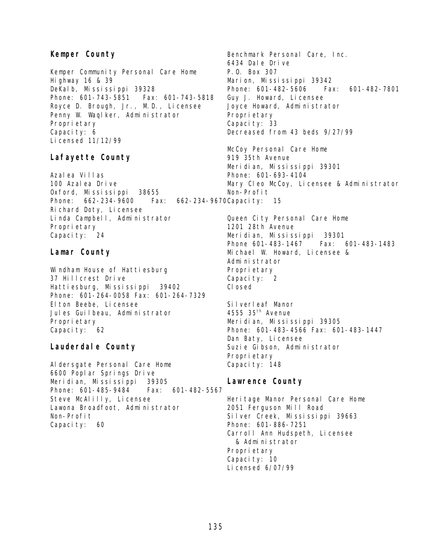# **Kemper County**

Kemper Community Personal Care Home Highway 16 & 39 DeKalb, Mississippi 39328 Phone: 601-743-5851 Fax: 601-743-5818 Royce D. Brough, Jr., M.D., Licensee Penny W. Waqlker, Administrator Proprietary Capacity: 6 Licensed 11/12/99

# **Lafayette County**

Azalea Villas 100 Azalea Drive Oxford, Mississippi 38655 Phone: 662-234-9600 Richard Doty, Licensee Linda Campbell, Administrator Proprietary Capacity: 24

#### **Lamar County**

Windham House of Hattiesburg 37 Hillcrest Drive Hattiesburg, Mississippi 39402 Phone: 601-264-0058 Fax: 601-264-7329 Elton Beebe, Licensee Jules Guilbeau, Administrator Proprietary Capacity: 62

## **Lauderdale County**

Aldersgate Personal Care Home 6600 Poplar Springs Drive Meridian, Mississippi 39305 Phone: 601-485-9484 Fax: 601-482-5567 Steve McAlilly, Licensee Lawona Broadfoot, Administrator Non-Profit Capacity: 60

Benchmark Personal Care, Inc. 6434 Dale Drive P.O. Box 307 Marion, Mississippi 39342 Phone: 601-482-5606 Fax: 601-482-7801 Guy J. Howard, Licensee Joyce Howard, Administrator Propri etary Capacity: 33 Decreased from 43 beds 9/27/99

McCoy Personal Care Home 919 35th Avenue Meridian, Mississippi 39301 Phone: 601-693-4104 Mary Cleo McCoy, Licensee & Administrator Non-Profit

Fax: 662-234-9670 Capacity: 15

Queen City Personal Care Home 1201 28th Avenue Meridian, Mississippi 39301 Phone 601-483-1467 Fax: 601-483-1483 Michael W. Howard, Licensee & Administrator Proprietary Capacity: 2 Closed

Silverleaf Manor 4555 35<sup>th</sup> Avenue Meridian, Mississippi 39305 Phone: 601-483-4566 Fax: 601-483-1447 Dan Baty, Licensee Suzie Gibson, Administrator Proprietary Capacity: 148

## **Lawrence County**

Heritage Manor Personal Care Home 2051 Ferguson Mill Road Silver Creek, Mississippi 39663 Phone: 601-886-7251 Carroll Ann Hudspeth, Licensee & Administrator Propri etary Capacity: 10 Licensed 6/07/99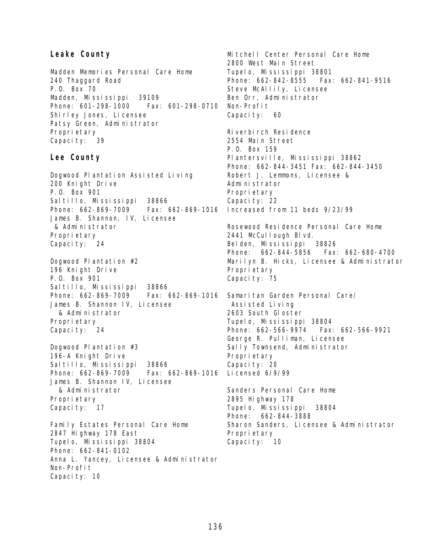#### **Leake County**

Madden Memories Personal Care Home 240 Thaggard Road P.O. Box 70 Madden, Mississippi 39109 Phone: 601-298-1000 Fax: 601-298-0710 Shirley Jones, Licensee Patsy Green, Administrator Proprietary Capacity: 39

#### **Lee County**

Dogwood Plantation Assisted Living 200 Knight Drive P.O. Box 901 Saltillo, Mississippi 38866 Phone: 662-869-7009 Fax: 662-869-1016 James B. Shannon, IV, Licensee & Administrator Proprietary Capacity: 24

Dogwood Plantation #2 196 Knight Drive P.O. Box 901 Saltillo, Mississippi 38866 Phone: 662-869-7009 James B. Shannon IV, Licensee & Administrator Propri etary Capacity: 24

Dogwood Plantation #3 196-A Knight Drive Saltillo, Mississippi 38866 Phone: 662-869-7009 Fax: 662-869-1016 James B. Shannon IV, Licensee & Administrator Proprietary Capacity: 17

Family Estates Personal Care Home 2847 Highway 178 East Tupelo, Mississippi 38804 Phone: 662-841-0102 Anna L. Yancey, Licensee & Administrator Non-Profit Capacity: 10

Mitchell Center Personal Care Home 2800 West Main Street Tupelo, Mississippi 38801 Phone: 662-842-8555 Fax: 662-841-9516 Steve McAllily, Licensee Ben Orr, Administrator Non-Profit Capacity: 60 Riverbirch Residence 2554 Main Street P.O. Box 159 Plantersville, Mississippi 38862 Phone: 662-844-3451 Fax: 662-844-3450 Robert J. Lemmons, Licensee & Administrator Proprietary Capacity: 22 Increased from 11 beds 9/23/99 Rosewood Residence Personal Care Home 2441 McCullough Blvd. Belden, Mississippi 38826 Phone: 662-844-5856 Fax: 662-680-4700 Marilyn B. Hicks, Licensee & Administrator Propri etary Capacity: 75 Fax: 662-869-1016 Samaritan Garden Personal Care/ Assisted Living 2603 South Gloster Tupelo, Mississippi 38804 Phone: 662-566-9974 Fax: 662-566-9921 George R. Pulliman, Licensee Sally Townsend, Administrator Propri etary Capacity: 20 Licensed 6/9/99 Sanders Personal Care Home 2895 Highway 178 Tupelo, Mississippi 38804 Phone: 662-844-3888 Sharon Sanders, Licensee & Administrator Propri etary Capacity: 10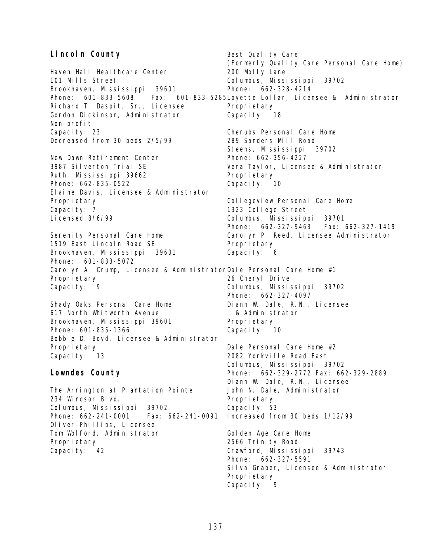#### **Lincoln County**  Haven Hall Healthcare Center 101 Mills Street Brookhaven, Mississippi 39601 Phone: 601-833-5608 Richard T. Daspit, Sr., Licensee Gordon Dickinson, Administrator Non-profit Capacity: 23 Decreased from 30 beds 2/5/99 New Dawn Retirement Center 3987 Silverton Trial SE Ruth, Mississippi 39662 Phone: 662-835-0522 Elaine Davis, Licensee & Administrator Proprietary Capacity: 7 Licensed 8/6/99 Serenity Personal Care Home 1519 East Lincoln Road SE Brookhaven, Mississippi 39601 Phone: 601-833-5072 Carolyn A. Crump, Licensee & Administrator Dale Personal Care Home #1 Proprietary Capacity: 9 Shady Oaks Personal Care Home 617 North Whitworth Avenue Brookhaven, Mississippi 39601 Phone: 601-835-1366 Bobbie D. Boyd, Licensee & Administrator Proprietary Capacity: 13 **Lowndes County** The Arrington at Plantation Pointe 234 Windsor Blvd. Columbus, Mississippi 39702 Phone: 662-241-0001 Fax: 662-241-0091 Oliver Phillips, Licensee Tom Wolford, Administrator Propri etary Capacity: 42 Best Quality Care (Formerly Quality Care Personal Care Home) 200 Molly Lane Columbus, Mississippi 39702 Phone: 662-328-4214 Fax: 601-833-5285 Loyette Lollar, Licensee & Administrator Propri etary Capacity: 18 Cherubs Personal Care Home 289 Sanders Mill Road Steens, Mississippi 39702 Phone: 662-356-4227 Vera Taylor, Licensee & Administrator Proprietary Capacity: 10 Collegeview Personal Care Home 1323 College Street Columbus, Mississippi 39701 Phone: 662-327-9463 Fax: 662-327-1419 Carolyn P. Reed, Licensee Administrator Proprietary Capacity: 6 26 Cheryl Drive Columbus, Mississippi 39702 Phone: 662-327-4097 Diann W. Dale, R.N., Licensee & Administrator Propri etary Capacity: 10 Dale Personal Care Home #2 2082 Yorkville Road East Columbus, Mississippi 39702 Phone: 662-329-2772 Fax: 662-329-2889 Diann W. Dale, R.N., Licensee John N. Dale, Administrator Propri etary Capacity: 53 Increased from 30 beds 1/12/99 Golden Age Care Home 2566 Trinity Road Crawford, Mississippi 39743 Phone: 662-327-5591 Silva Graber, Licensee & Administrator Propri etary Capacity: 9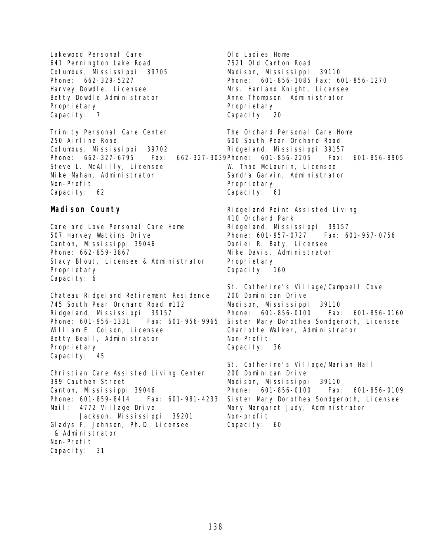Lakewood Personal Care 641 Pennington Lake Road Columbus, Mississippi 39705 Phone: 662-329-5227 Harvey Dowdle, Licensee Betty Dowdle Administrator Proprietary Capacity: 7

Trinity Personal Care Center 250 Airline Road Columbus, Mississippi 39702 Phone: 662-327-6795 Steve L. McAlilly, Licensee Mike Mahan, Administrator Non-Profit Capacity: 62

#### **Madison County**

Care and Love Personal Care Home 507 Harvey Watkins Drive Canton, Mississippi 39046 Phone: 662-859-3867 Stacy Blout, Licensee & Administrator Proprietary Capacity: 6

Chateau Ridgeland Retirement Residence 745 South Pear Orchard Road #112 Ridgeland, Mississippi 39157 Phone: 601-956-1331 Fax: 601-956-9965 William E. Colson, Licensee Betty Beall, Administrator Proprietary Capacity: 45

Christian Care Assisted Living Center 399 Cauthen Street Canton, Mississippi 39046 Phone: 601-859-8414 Fax: 601-981-4233 Mail: 4772 Village Drive Jackson, Mississippi 39201 Gladys F. Johnson, Ph.D. Licensee & Administrator Non-Profit Capacity: 31

Old Ladies Home 7521 Old Canton Road Madison, Mississippi 39110 Phone: 601-856-1085 Fax: 601-856-1270 Mrs. Harl and Knight, Licensee Anne Thompson Administrator Proprietary Capacity: 20

The Orchard Personal Care Home 600 South Pear Orchard Road Ridgeland, Mississippi 39157 Fax: 662-327-3039Phone: 601-856-2205 Fax: 601-856-8905 W. Thad McLaurin, Licensee Sandra Garvin, Administrator Propri etary Capacity: 61

> Ridgeland Point Assisted Living 410 Orchard Park Ridgeland, Mississippi 39157 Phone: 601-957-0727 Fax: 601-957-0756 Daniel R. Baty, Licensee Mike Davis, Administrator Proprietary Capacity: 160

St. Catherine's Village/Campbell Cove 200 Dominican Drive Madison, Mississippi 39110 Phone: 601-856-0100 Fax: 601-856-0160 Sister Mary Dorothea Sondgeroth, Licensee Charlotte Walker, Administrator Non-Profit Capacity: 36

St. Catherine's Village/Marian Hall 200 Dominican Drive Madison, Mississippi 39110 Phone: 601-856-0100 Fax: 601-856-0109 Sister Mary Dorothea Sondgeroth, Licensee Mary Margaret Judy, Administrator Non-profit Capacity: 60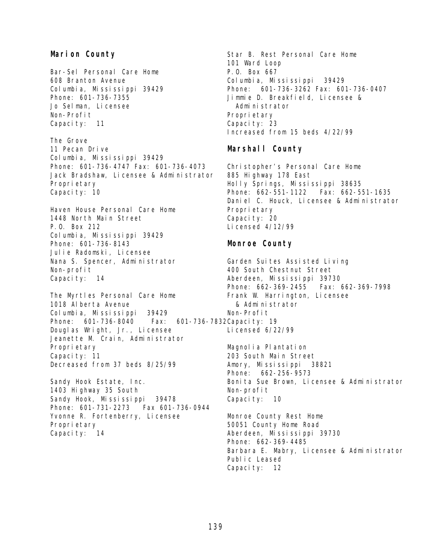# **Marion County**

Bar-Sel Personal Care Home 608 Branton Avenue Columbia, Mississippi 39429 Phone: 601-736-7355 Jo Selman, Licensee Non-Profit Capacity: 11 The Grove 11 Pecan Drive Columbia, Mississippi 39429 Phone: 601-736-4747 Fax: 601-736-4073 Jack Bradshaw, Licensee & Administrator Proprietary

Capacity: 10

Haven House Personal Care Home 1448 North Main Street P.O. Box 212 Columbia, Mississippi 39429 Phone: 601-736-8143 Julie Radomski, Licensee Nana S. Spencer, Administrator Non-profit Capacity: 14

The Myrtles Personal Care Home 1018 Alberta Avenue Columbia, Mississippi 39429 Phone: 601-736-8040 Douglas Wright, Jr., Licensee Jeanette M. Crain, Administrator Proprietary Capacity: 11 Decreased from 37 beds 8/25/99 Fax: 601-736-7832 Capacity: 19

Sandy Hook Estate, Inc. 1403 Highway 35 South Sandy Hook, Mississippi 39478 Phone: 601-731-2273 Fax 601-736-0944 Yvonne R. Fortenberry, Licensee Proprietary Capacity: 14

Star B. Rest Personal Care Home 101 Ward Loop P.O. Box 667 Columbia, Mississippi 39429 Phone: 601-736-3262 Fax: 601-736-0407 Jimmie D. Breakfield, Licensee & Administrator Proprietary Capacity: 23 Increased from 15 beds 4/22/99

# **Marshall County**

Christopher's Personal Care Home 885 Highway 178 East Holly Springs, Mississippi 38635 Phone: 662-551-1122 Fax: 662-551-1635 Daniel C. Houck, Licensee & Administrator Propri etary Capacity: 20 Licensed 4/12/99

# **Monroe County**

Garden Suites Assisted Living 400 South Chestnut Street Aberdeen, Mississippi 39730 Phone: 662-369-2455 Fax: 662-369-7998 Frank W. Harrington, Licensee & Administrator Non-Profit Licensed 6/22/99 Magnolia Plantation 203 South Main Street

Amory, Mississippi 38821 Phone: 662-256-9573 Bonita Sue Brown, Licensee & Administrator Non-profit Capacity: 10

Monroe County Rest Home 50051 County Home Road Aberdeen, Mississippi 39730 Phone: 662-369-4485 Barbara E. Mabry, Licensee & Administrator Public Leased Capacity: 12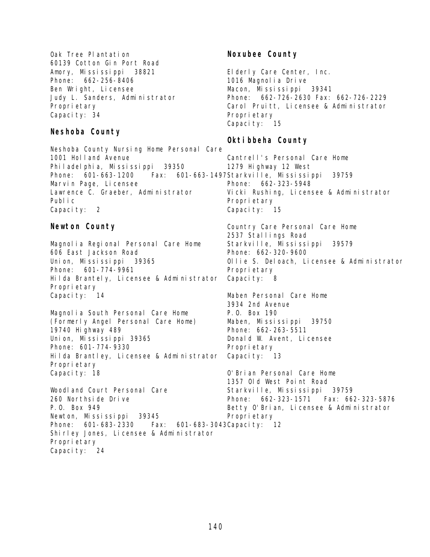Oak Tree Plantation 60139 Cotton Gin Port Road Amory, Mississippi 38821 Phone: 662-256-8406 Ben Wright, Licensee Judy L. Sanders, Administrator Proprietary Capacity: 34

#### **Neshoba County**

Neshoba County Nursing Home Personal Care 1001 Holland Avenue Philadelphia, Mississippi 39350 Phone: 601-663-1200 Fax: 601-663-1497 Starkville, Mississippi 39759 Marvin Page, Licensee Lawrence C. Graeber, Administrator Public Capacity: 2

#### **Newton County**

Magnolia Regional Personal Care Home 606 East Jackson Road Union, Mississippi 39365 Phone: 601-774-9961 Hilda Brantely, Licensee & Administrator Proprietary Capacity: 14

Magnolia South Personal Care Home (Formerly Angel Personal Care Home) 19740 Highway 489 Union, Mississippi 39365 Phone: 601-774-9330 Hilda Brantley, Licensee & Administrator Proprietary Capacity: 18

Woodland Court Personal Care 260 Northside Drive P.O. Box 949 Newton, Mississippi 39345 Phone: 601-683-2330 Fax: Shirley Jones, Licensee & Administrator Proprietary Capacity: 24 601-683-3043 Capacity: 12

# **Noxubee County**

Elderly Care Center, Inc. 1016 Magnolia Drive Macon, Mississippi 39341 Phone: 662-726-2630 Fax: 662-726-2229 Carol Pruitt, Licensee & Administrator Proprietary Capacity: 15

## **Oktibbeha County**

Cantrell's Personal Care Home 1279 Highway 12 West Phone: 662-323-5948 Vicki Rushing, Licensee & Administrator Proprietary Capacity: 15

Country Care Personal Care Home 2537 Stallings Road Starkville, Mississippi 39579 Phone: 662-320-9600 Ollie S. Deloach, Licensee & Administrator Proprietary Capacity: 8

Maben Personal Care Home 3934 2nd Avenue P.O. Box 190 Maben, Mississippi 39750 Phone: 662-263-5511 Donald W. Avent, Licensee Propri etary Capacity: 13

O'Brian Personal Care Home 1357 Old West Point Road Starkville, Mississippi 39759 Phone: 662-323-1571 Fax: 662-323-5876 Betty O'Brian, Licensee & Administrator Proprietary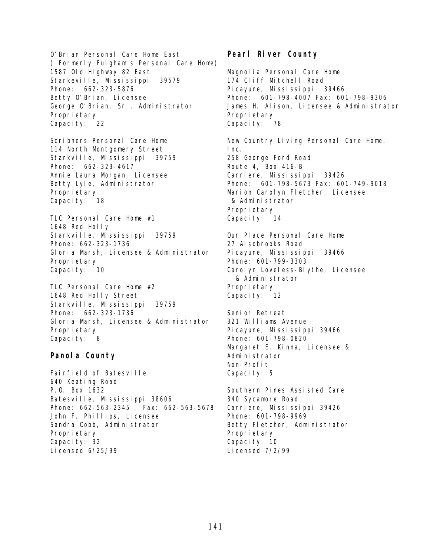O'Brian Personal Care Home East ( Formerly Fulgham's Personal Care Home) 1587 Old Highway 82 East Starkeville, Mississippi 39579 Phone: 662-323-5876 Betty O'Brian, Licensee George O'Brian, Sr., Administrator Proprietary Capacity: 22

Scribners Personal Care Home 114 North Montgomery Street Starkville, Mississippi 39759 Phone: 662-323-4617 Annie Laura Morgan, Licensee Betty Lyle, Administrator Proprietary Capacity: 18

TLC Personal Care Home #1 1648 Red Holly Starkville, Mississippi 39759 Phone: 662-323-1736 Gloria Marsh, Licensee & Administrator Proprietary Capacity: 10

TLC Personal Care Home #2 1648 Red Holly Street Starkville, Mississippi 39759 Phone: 662-323-1736 Gloria Marsh, Licensee & Administrator Proprietary Capacity: 8

#### **Panola County**

Fairfield of Batesville 640 Keating Road P.O. Box 1632 Batesville, Mississippi 38606 Phone: 662-563-2345 Fax: 662-563-5678 John F. Phillips, Licensee Sandra Cobb, Administrator Proprietary Capacity: 32 Licensed 6/25/99

# **Pearl River County**

Magnolia Personal Care Home 174 Cliff Mitchell Road Picayune, Mississippi 39466 Phone: 601-798-4007 Fax: 601-798-9306 James H. Alison, Licensee & Administrator Proprietary Capacity: 78 New Country Living Personal Care Home, Inc. 258 George Ford Road

Route 4, Box 416-B Carriere, Mississippi 39426 Phone: 601-798-5673 Fax: 601-749-9018 Marion Carolyn Fletcher, Licensee & Administrator Propri etary Capacity: 14

Our Place Personal Care Home 27 Alsobrooks Road Picayune, Mississippi 39466 Phone: 601-799-3303 Carolyn Loveless-Blythe, Licensee & Administrator Propri etary Capacity: 12

Senior Retreat 321 Williams Avenue Picayune, Mississippi 39466 Phone: 601-798-0820 Margaret E. Kinna, Licensee & Administrator Non-Profit Capacity: 5

Southern Pines Assisted Care 340 Sycamore Road Carriere, Mississippi 39426 Phone: 601-798-9969 Betty Fletcher, Administrator Propri etary Capacity: 10 Licensed 7/2/99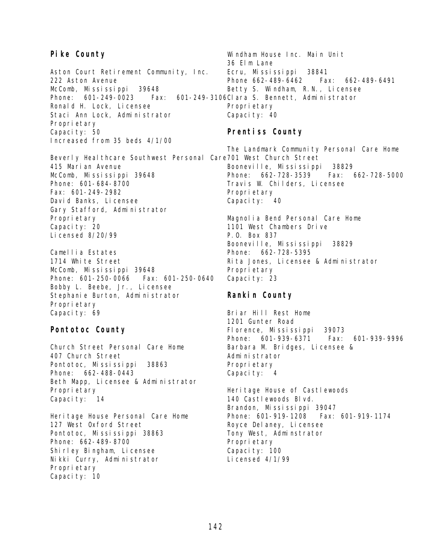#### **Pike County**

Aston Court Retirement Community, Inc. 222 Aston Avenue McComb, Mississippi 39648 Phone: 601-249-0023 Fax: Ronald H. Lock, Licensee Staci Ann Lock, Administrator Proprietary Capacity: 50 Increased from 35 beds 4/1/00

Beverly Healthcare Southwest Personal Care 701 West Church Street 415 Marian Avenue McComb, Mississippi 39648 Phone: 601-684-8700 Fax: 601-249-2982 David Banks, Licensee Gary Stafford, Administrator Proprietary Capacity: 20 Licensed 8/20/99

Camellia Estates 1714 White Street McComb, Mississippi 39648 Phone: 601-250-0066 Fax: 601-250-0640 Bobby L. Beebe, Jr., Licensee Stephanie Burton, Administrator Proprietary Capacity: 69

#### **Pontotoc County**

Church Street Personal Care Home 407 Church Street Pontotoc, Mississippi 38863 Phone: 662-488-0443 Beth Mapp, Licensee & Administrator Proprietary Capacity: 14

Heritage House Personal Care Home 127 West Oxford Street Pontotoc, Mississippi 38863 Phone: 662-489-8700 Shirley Bingham, Licensee Nikki Curry, Administrator Proprietary Capacity: 10

Windham House Inc. Main Unit 36 Elm Lane Ecru, Mississippi 38841 Phone 662-489-6462 Fax: 662-489-6491 Betty S. Windham, R.N., Licensee 601-249-3106Cl ara S. Bennett, Administrator Propri etary Capacity: 40

#### **Prentiss County**

The Landmark Community Personal Care Home Booneville, Mississippi 38829 Phone: 662-728-3539 Fax: 662-728-5000 Travis W. Childers, Licensee Proprietary Capacity: 40

Magnolia Bend Personal Care Home 1101 West Chambers Drive P.O. Box 837 Booneville, Mississippi 38829 Phone: 662-728-5395 Rita Jones, Licensee & Administrator Proprietary Capacity: 23

## **Rankin County**

Briar Hill Rest Home 1201 Gunter Road Florence, Mississippi 39073 Phone: 601-939-6371 Fax: 601-939-9996 Barbara M. Bridges, Licensee & Administrator Propri etary Capacity: 4

Heri tage House of Castlewoods 140 Castlewoods Blvd. Brandon, Mississippi 39047 Phone: 601-919-1208 Fax: 601-919-1174 Royce Delaney, Licensee Tony West, Adminstrator Proprietary Capacity: 100 Licensed 4/1/99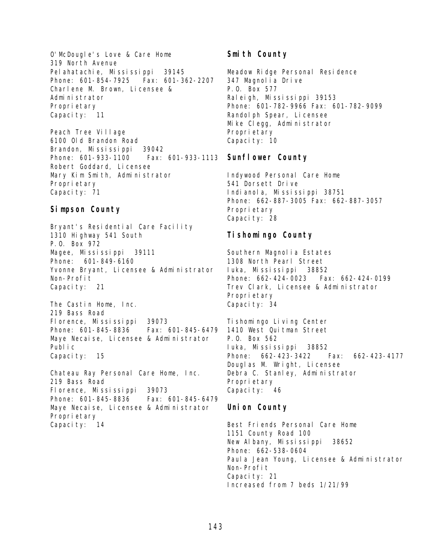O'McDougle's Love & Care Home 319 North Avenue Pelahatachie, Mississippi 39145 Phone: 601-854-7925 Fax: 601-362-2207 Charlene M. Brown, Licensee & Administrator Proprietary Capacity: 11

Peach Tree Village 6100 Old Brandon Road Brandon, Mississippi 39042 Phone: 601-933-1100 Fax: 601-933-1113 Robert Goddard, Licensee Mary Kim Smith, Administrator Proprietary Capacity: 71

#### **Simpson County**

Bryant's Residential Care Facility 1310 Highway 541 South P.O. Box 972 Magee, Mississippi 39111 Phone: 601-849-6160 Yvonne Bryant, Licensee & Administrator Non-Profit Capacity: 21

The Castin Home, Inc. 219 Bass Road Florence, Mississippi 39073 Phone: 601-845-8836 Fax: 601-845-6479 Maye Necaise, Licensee & Administrator Public Capacity: 15

Chateau Ray Personal Care Home, Inc. 219 Bass Road Florence, Mississippi 39073 Phone: 601-845-8836 Fax: 601-845-6479 Maye Necaise, Licensee & Administrator Proprietary Capacity: 14

## **Smith County**

Meadow Ridge Personal Residence 347 Magnolia Drive P.O. Box 577 Raleigh, Mississippi 39153 Phone: 601-782-9966 Fax: 601-782-9099 Randol ph Spear, Li censee Mike Clegg, Administrator Propri etary Capacity: 10

#### **Sunflower County**

Indywood Personal Care Home 541 Dorsett Drive Indianola, Mississippi 38751 Phone: 662-887-3005 Fax: 662-887-3057 Proprietary Capacity: 28

# **Tishomingo County**

Southern Magnolia Estates 1308 North Pearl Street Iuka, Mississippi 38852 Phone: 662-424-0023 Fax: 662-424-0199 Trev Clark, Licensee & Administrator Proprietary Capacity: 34

Tishomingo Living Center 1410 West Ouitman Street P.O. Box 562 Iuka, Mississippi 38852 Phone: 662-423-3422 Fax: 662-423-4177 Douglas M. Wright, Licensee Debra C. Stanley, Administrator Propri etary Capacity: 46

## **Union County**

Best Friends Personal Care Home 1151 County Road 100 New Albany, Mississippi 38652 Phone: 662-538-0604 Paula Jean Young, Licensee & Administrator Non-Profit Capacity: 21 Increased from 7 beds 1/21/99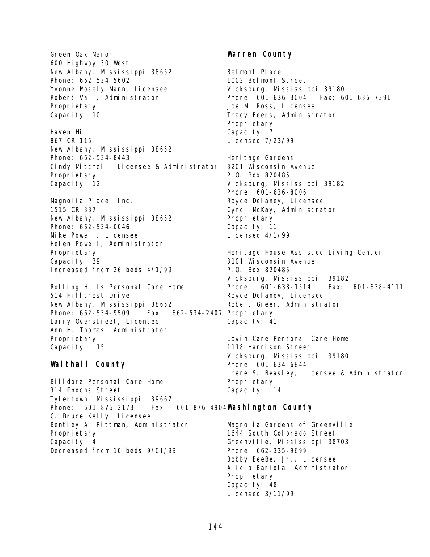Green Oak Manor 600 Highway 30 West New Albany, Mississippi 38652 Phone: 662-534-5602 Yvonne Mosely Mann, Licensee Robert Vail, Administrator Proprietary Capacity: 10 Haven Hill 867 CR 115 New Albany, Mississippi 38652 Phone: 662-534-8443 Cindy Mitchell, Licensee & Administrator Proprietary Capacity: 12 Magnolia Place, Inc. 1515 CR 337 New Albany, Mississippi 38652 Phone: 662-534-0046 Mike Powell, Licensee

Helen Powell, Administrator Proprietary Capacity: 39 Increased from 26 beds 4/1/99

Rolling Hills Personal Care Home 514 Hillcrest Drive New Albany, Mississippi 38652 Phone: 662-534-9509 Fax: 662-534-2407 Proprietary Larry Overstreet, Licensee Ann H. Thomas, Administrator Proprietary Capacity: 15

## **Walthall County**

Billdora Personal Care Home 314 Enochs Street Tylertown, Mississippi 39667 Phone: 601-876-2173 Fax: C. Bruce Kelly, Licensee Bentley A. Pittman, Administrator Proprietary Capacity: 4 Decreased from 10 beds 9/01/99

## **Warren County**

Belmont Place 1002 Belmont Street Vicksburg, Mississippi 39180 Phone: 601-636-3004 Fax: 601-636-7391 Joe M. Ross, Licensee Tracy Beers, Administrator Propri etary Capacity: 7 Licensed 7/23/99

Heri tage Gardens 3201 Wisconsin Avenue P.O. Box 820485 Vicksburg, Mississippi 39182 Phone: 601-636-8006 Royce Delaney, Licensee Cyndi McKay, Administrator Proprietary Capacity: 11 Licensed 4/1/99

Heritage House Assisted Living Center 3101 Wisconsin Avenue P.O. Box 820485 Vicksburg, Mississippi 39182 Phone: 601-638-1514 Fax: 601-638-4111 Royce Delaney, Licensee Robert Greer, Administrator Capacity: 41

Lovin Care Personal Care Home 1118 Harrison Street Vicksburg, Mississippi 39180 Phone: 601-634-6844 Irene S. Beasley, Licensee & Administrator Proprietary Capacity: 14

## **Washington County**

Magnolia Gardens of Greenville 1644 South Colorado Street Greenville, Mississippi 38703 Phone: 662-335-9699 Bobby BeeBe, Jr., Licensee Alicia Bariola, Administrator Proprietary Capacity: 48 Licensed 3/11/99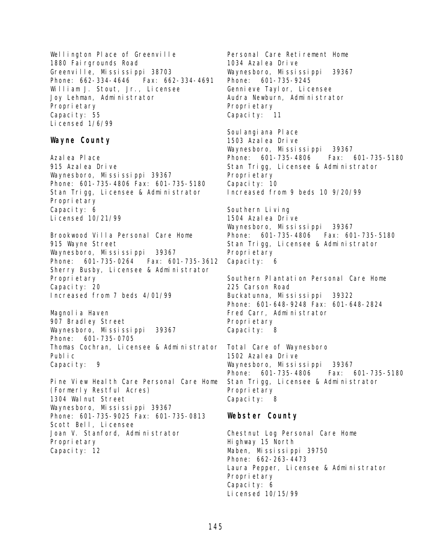Wellington Place of Greenville 1880 Fairgrounds Road Greenville, Mississippi 38703 Phone: 662-334-4646 Fax: 662-334-4691 William J. Stout, Jr., Licensee Joy Lehman, Administrator Proprietary Capacity: 55 Licensed 1/6/99

#### **Wayne County**

Azalea Place 915 Azalea Drive Waynesboro, Mississippi 39367 Phone: 601-735-4806 Fax: 601-735-5180 Stan Trigg, Licensee & Administrator Proprietary Capacity: 6 Licensed 10/21/99

Brookwood Villa Personal Care Home 915 Wayne Street Waynesboro, Mississippi 39367 Phone: 601-735-0264 Fax: 601-735-3612 Sherry Busby, Licensee & Administrator Proprietary Capacity: 20 Increased from 7 beds 4/01/99

Magnolia Haven 907 Bradley Street Waynesboro, Mississippi 39367 Phone: 601-735-0705 Thomas Cochran, Licensee & Administrator Public Capacity: 9

Pine View Health Care Personal Care Home (Formerly Restful Acres) 1304 Walnut Street Waynesboro, Mississippi 39367 Phone: 601-735-9025 Fax: 601-735-0813 Scott Bell, Licensee Joan V. Stanford, Administrator Proprietary Capacity: 12

Personal Care Retirement Home 1034 Azalea Drive Waynesboro, Mississippi 39367 Phone: 601-735-9245 Gennieve Taylor, Licensee Audra Newburn, Administrator Propri etary Capacity: 11

Soul angi ana Pl ace 1503 Azalea Drive Waynesboro, Mississippi 39367 Phone: 601-735-4806 Fax: 601-735-5180 Stan Trigg, Licensee & Administrator Propri etary Capacity: 10 Increased from 9 beds 10 9/20/99

Southern Living 1504 Azalea Drive Waynesboro, Mississippi 39367 Phone: 601-735-4806 Fax: 601-735-5180 Stan Trigg, Licensee & Administrator Propri etary Capacity: 6

Southern Plantation Personal Care Home 225 Carson Road Buckatunna, Mississippi 39322 Phone: 601-648-9248 Fax: 601-648-2824 Fred Carr, Administrator Propri etary Capacity: 8

Total Care of Waynesboro 1502 Azalea Drive Waynesboro, Mississippi 39367 Phone: 601-735-4806 Fax: 601-735-5180 Stan Trigg, Licensee & Administrator Propri etary Capacity: 8

## **Webster County**

Chestnut Log Personal Care Home Highway 15 North Maben, Mississippi 39750 Phone: 662-263-4473 Laura Pepper, Licensee & Administrator Propri etary Capacity: 6 Licensed 10/15/99